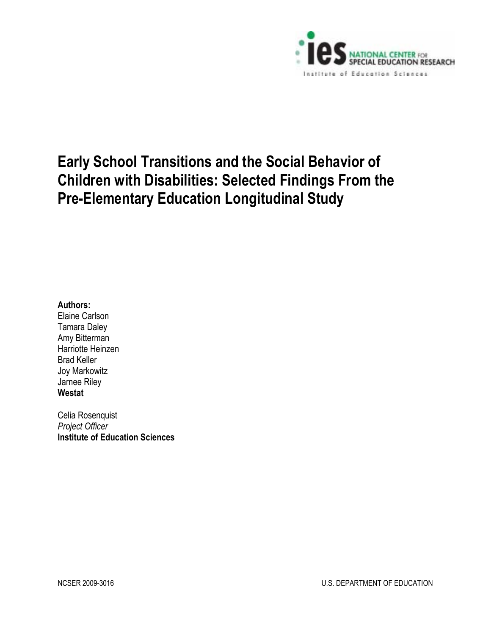

# **Early School Transitions and the Social Behavior of Children with Disabilities: Selected Findings From the Pre-Elementary Education Longitudinal Study**

## **Authors:**

Elaine Carlson Tamara Daley Amy Bitterman Harriotte Heinzen Brad Keller Joy Markowitz Jarnee Riley **Westat** 

Celia Rosenquist *Project Officer*  **Institute of Education Sciences**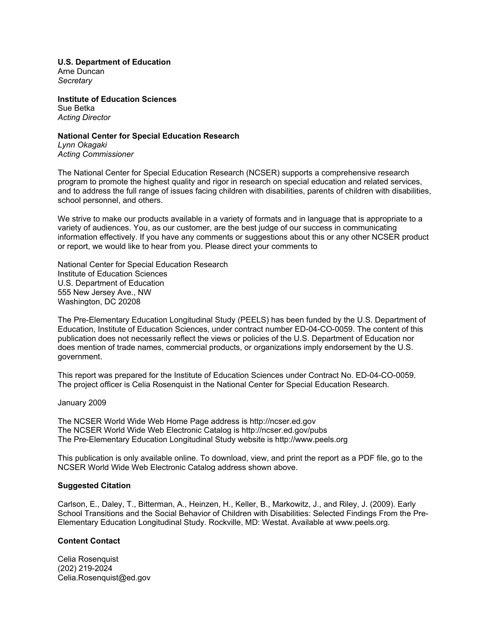**U.S. Department of Education**  Arne Duncan

*Secretary* 

**Institute of Education Sciences**  Sue Betka *Acting Director* 

#### **National Center for Special Education Research**

*Lynn Okagaki Acting Commissioner* 

The National Center for Special Education Research (NCSER) supports a comprehensive research program to promote the highest quality and rigor in research on special education and related services, and to address the full range of issues facing children with disabilities, parents of children with disabilities, school personnel, and others.

We strive to make our products available in a variety of formats and in language that is appropriate to a variety of audiences. You, as our customer, are the best judge of our success in communicating information effectively. If you have any comments or suggestions about this or any other NCSER product or report, we would like to hear from you. Please direct your comments to

National Center for Special Education Research Institute of Education Sciences U.S. Department of Education 555 New Jersey Ave., NW Washington, DC 20208

The Pre-Elementary Education Longitudinal Study (PEELS) has been funded by the U.S. Department of Education, Institute of Education Sciences, under contract number ED-04-CO-0059. The content of this publication does not necessarily reflect the views or policies of the U.S. Department of Education nor does mention of trade names, commercial products, or organizations imply endorsement by the U.S. government.

This report was prepared for the Institute of Education Sciences under Contract No. ED-04-CO-0059. The project officer is Celia Rosenquist in the National Center for Special Education Research.

#### January 2009

The NCSER World Wide Web Home Page address is http://ncser.ed.gov The NCSER World Wide Web Electronic Catalog is http://ncser.ed.gov/pubs The Pre-Elementary Education Longitudinal Study website is http://www.peels.org

This publication is only available online. To download, view, and print the report as a PDF file, go to the NCSER World Wide Web Electronic Catalog address shown above.

#### **Suggested Citation**

Carlson, E., Daley, T., Bitterman, A., Heinzen, H., Keller, B., Markowitz, J., and Riley, J. (2009). Early School Transitions and the Social Behavior of Children with Disabilities: Selected Findings From the Pre-Elementary Education Longitudinal Study. Rockville, MD: Westat. Available at www.peels.org.

## **Content Contact**

Celia Rosenquist (202) 219-2024 Celia.Rosenquist@ed.gov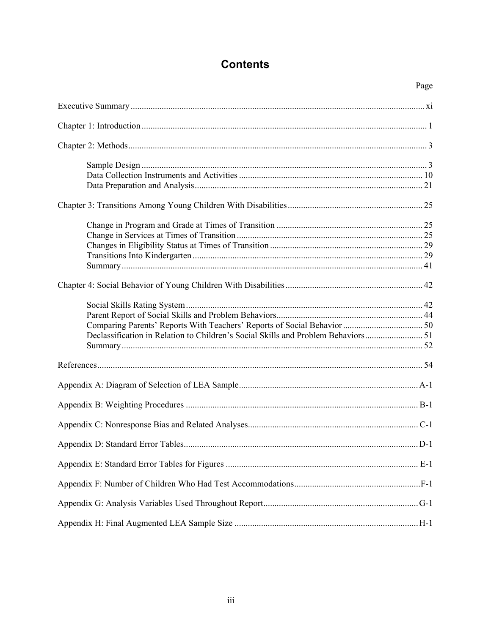# **Contents**

|                                                                                | Page |
|--------------------------------------------------------------------------------|------|
|                                                                                |      |
|                                                                                |      |
|                                                                                |      |
|                                                                                |      |
|                                                                                |      |
|                                                                                |      |
|                                                                                |      |
|                                                                                |      |
|                                                                                |      |
|                                                                                |      |
|                                                                                |      |
|                                                                                |      |
|                                                                                |      |
|                                                                                |      |
|                                                                                |      |
|                                                                                |      |
| Declassification in Relation to Children's Social Skills and Problem Behaviors |      |
|                                                                                |      |
|                                                                                |      |
|                                                                                |      |
|                                                                                |      |
|                                                                                |      |
|                                                                                |      |
|                                                                                |      |
|                                                                                |      |
|                                                                                |      |
|                                                                                |      |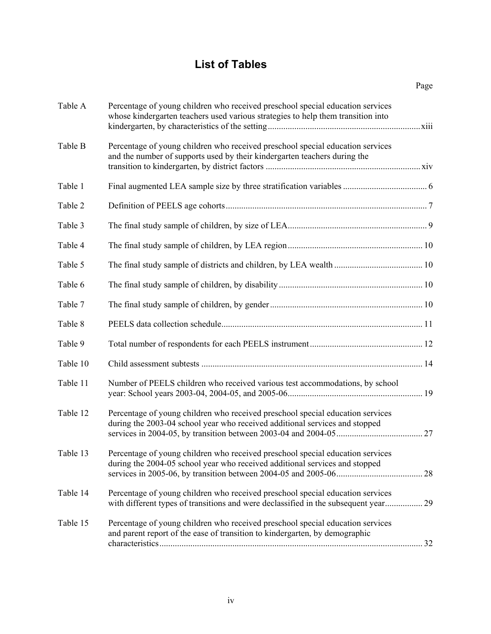# **List of Tables**

|          |                                                                                                                                                                    | Page |
|----------|--------------------------------------------------------------------------------------------------------------------------------------------------------------------|------|
| Table A  | Percentage of young children who received preschool special education services<br>whose kindergarten teachers used various strategies to help them transition into |      |
| Table B  | Percentage of young children who received preschool special education services<br>and the number of supports used by their kindergarten teachers during the        |      |
| Table 1  |                                                                                                                                                                    |      |
| Table 2  |                                                                                                                                                                    |      |
| Table 3  |                                                                                                                                                                    |      |
| Table 4  |                                                                                                                                                                    |      |
| Table 5  |                                                                                                                                                                    |      |
| Table 6  |                                                                                                                                                                    |      |
| Table 7  |                                                                                                                                                                    |      |
| Table 8  |                                                                                                                                                                    |      |
| Table 9  |                                                                                                                                                                    |      |
| Table 10 |                                                                                                                                                                    |      |
| Table 11 | Number of PEELS children who received various test accommodations, by school                                                                                       |      |
| Table 12 | Percentage of young children who received preschool special education services<br>during the 2003-04 school year who received additional services and stopped      |      |
| Table 13 | Percentage of young children who received preschool special education services<br>during the 2004-05 school year who received additional services and stopped      |      |
| Table 14 | Percentage of young children who received preschool special education services<br>with different types of transitions and were declassified in the subsequent year | 29   |
| Table 15 | Percentage of young children who received preschool special education services<br>and parent report of the ease of transition to kindergarten, by demographic      |      |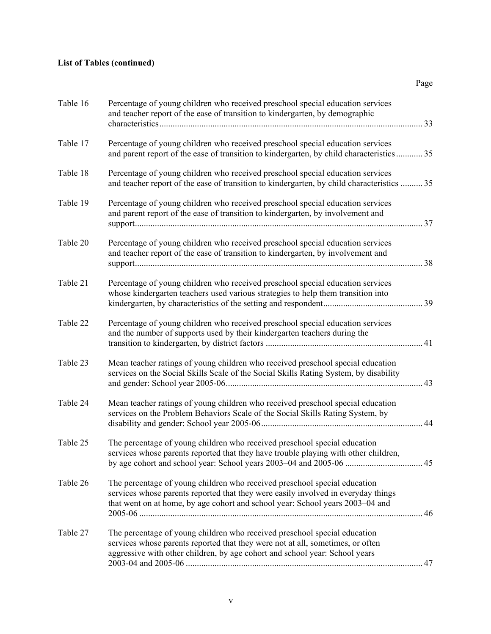| Table 16 | Percentage of young children who received preschool special education services<br>and teacher report of the ease of transition to kindergarten, by demographic                                                                                  | 33  |
|----------|-------------------------------------------------------------------------------------------------------------------------------------------------------------------------------------------------------------------------------------------------|-----|
| Table 17 | Percentage of young children who received preschool special education services<br>and parent report of the ease of transition to kindergarten, by child characteristics  35                                                                     |     |
| Table 18 | Percentage of young children who received preschool special education services<br>and teacher report of the ease of transition to kindergarten, by child characteristics  35                                                                    |     |
| Table 19 | Percentage of young children who received preschool special education services<br>and parent report of the ease of transition to kindergarten, by involvement and                                                                               |     |
| Table 20 | Percentage of young children who received preschool special education services<br>and teacher report of the ease of transition to kindergarten, by involvement and                                                                              | .38 |
| Table 21 | Percentage of young children who received preschool special education services<br>whose kindergarten teachers used various strategies to help them transition into                                                                              |     |
| Table 22 | Percentage of young children who received preschool special education services<br>and the number of supports used by their kindergarten teachers during the                                                                                     |     |
| Table 23 | Mean teacher ratings of young children who received preschool special education<br>services on the Social Skills Scale of the Social Skills Rating System, by disability                                                                        | 43  |
| Table 24 | Mean teacher ratings of young children who received preschool special education<br>services on the Problem Behaviors Scale of the Social Skills Rating System, by                                                                               |     |
| Table 25 | The percentage of young children who received preschool special education<br>services whose parents reported that they have trouble playing with other children,                                                                                |     |
| Table 26 | The percentage of young children who received preschool special education<br>services whose parents reported that they were easily involved in everyday things<br>that went on at home, by age cohort and school year: School years 2003-04 and |     |
| Table 27 | The percentage of young children who received preschool special education<br>services whose parents reported that they were not at all, sometimes, or often<br>aggressive with other children, by age cohort and school year: School years      |     |

Page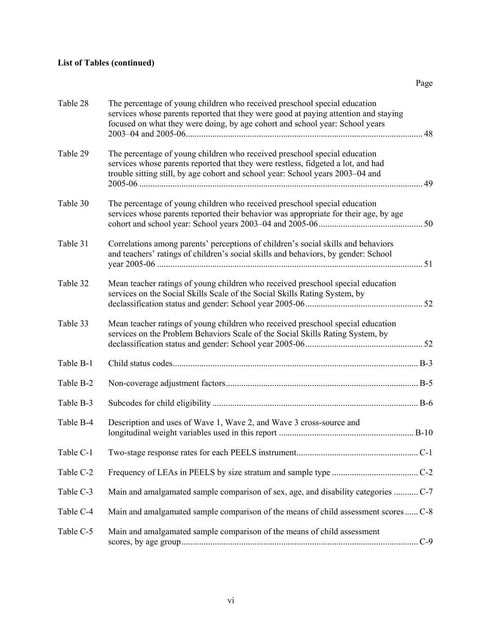| Table 28  | The percentage of young children who received preschool special education<br>services whose parents reported that they were good at paying attention and staying<br>focused on what they were doing, by age cohort and school year: School years |     |
|-----------|--------------------------------------------------------------------------------------------------------------------------------------------------------------------------------------------------------------------------------------------------|-----|
| Table 29  | The percentage of young children who received preschool special education<br>services whose parents reported that they were restless, fidgeted a lot, and had<br>trouble sitting still, by age cohort and school year: School years 2003–04 and  |     |
| Table 30  | The percentage of young children who received preschool special education<br>services whose parents reported their behavior was appropriate for their age, by age                                                                                |     |
| Table 31  | Correlations among parents' perceptions of children's social skills and behaviors<br>and teachers' ratings of children's social skills and behaviors, by gender: School                                                                          |     |
| Table 32  | Mean teacher ratings of young children who received preschool special education<br>services on the Social Skills Scale of the Social Skills Rating System, by                                                                                    |     |
| Table 33  | Mean teacher ratings of young children who received preschool special education<br>services on the Problem Behaviors Scale of the Social Skills Rating System, by                                                                                |     |
| Table B-1 |                                                                                                                                                                                                                                                  |     |
| Table B-2 |                                                                                                                                                                                                                                                  |     |
| Table B-3 |                                                                                                                                                                                                                                                  |     |
| Table B-4 | Description and uses of Wave 1, Wave 2, and Wave 3 cross-source and                                                                                                                                                                              |     |
| Table C-1 |                                                                                                                                                                                                                                                  | C-1 |
| Table C-2 |                                                                                                                                                                                                                                                  |     |
| Table C-3 | Main and amalgamated sample comparison of sex, age, and disability categories  C-7                                                                                                                                                               |     |
| Table C-4 | Main and amalgamated sample comparison of the means of child assessment scores  C-8                                                                                                                                                              |     |
| Table C-5 | Main and amalgamated sample comparison of the means of child assessment                                                                                                                                                                          |     |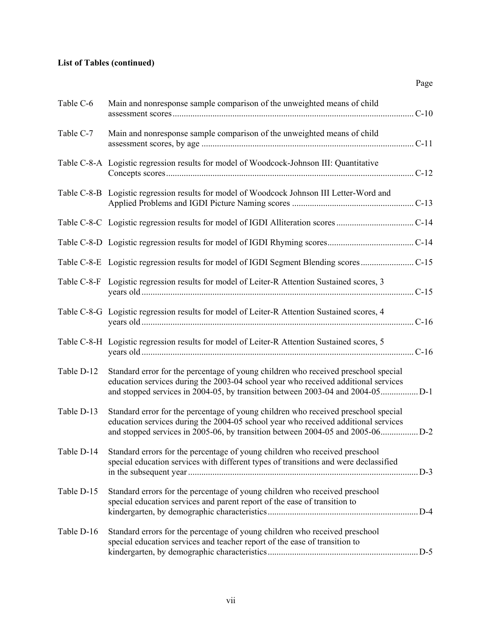| Table C-6  | Main and nonresponse sample comparison of the unweighted means of child                                                                                                        |         |
|------------|--------------------------------------------------------------------------------------------------------------------------------------------------------------------------------|---------|
| Table C-7  | Main and nonresponse sample comparison of the unweighted means of child                                                                                                        | $C-11$  |
|            | Table C-8-A Logistic regression results for model of Woodcock-Johnson III: Quantitative                                                                                        | $C-12$  |
|            | Table C-8-B Logistic regression results for model of Woodcock Johnson III Letter-Word and                                                                                      |         |
|            |                                                                                                                                                                                |         |
|            |                                                                                                                                                                                |         |
|            |                                                                                                                                                                                |         |
|            | Table C-8-F Logistic regression results for model of Leiter-R Attention Sustained scores, 3                                                                                    |         |
|            | Table C-8-G Logistic regression results for model of Leiter-R Attention Sustained scores, 4                                                                                    |         |
|            | Table C-8-H Logistic regression results for model of Leiter-R Attention Sustained scores, 5                                                                                    | $.C-16$ |
| Table D-12 | Standard error for the percentage of young children who received preschool special<br>education services during the 2003-04 school year who received additional services       |         |
| Table D-13 | Standard error for the percentage of young children who received preschool special<br>education services during the 2004-05 school year who received additional services       |         |
|            | Table D-14 Standard errors for the percentage of young children who received preschool<br>special education services with different types of transitions and were declassified |         |
| Table D-15 | Standard errors for the percentage of young children who received preschool<br>special education services and parent report of the ease of transition to                       |         |
| Table D-16 | Standard errors for the percentage of young children who received preschool<br>special education services and teacher report of the ease of transition to                      |         |

Page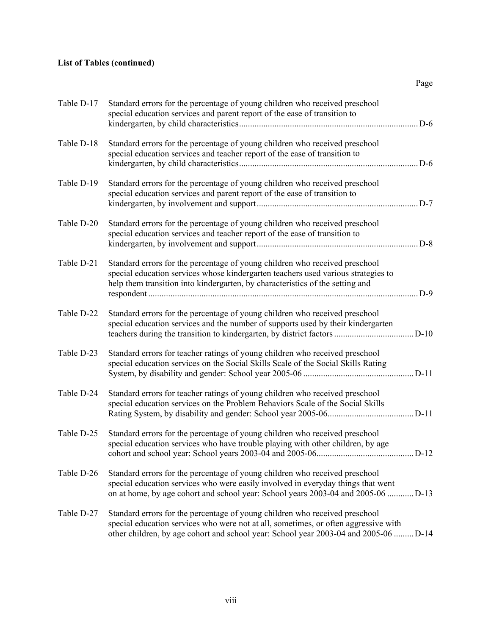| Table D-17 | Standard errors for the percentage of young children who received preschool<br>special education services and parent report of the ease of transition to<br>D-6                                                                                             |
|------------|-------------------------------------------------------------------------------------------------------------------------------------------------------------------------------------------------------------------------------------------------------------|
| Table D-18 | Standard errors for the percentage of young children who received preschool<br>special education services and teacher report of the ease of transition to<br>$. D-6$                                                                                        |
| Table D-19 | Standard errors for the percentage of young children who received preschool<br>special education services and parent report of the ease of transition to<br>$D-7$                                                                                           |
| Table D-20 | Standard errors for the percentage of young children who received preschool<br>special education services and teacher report of the ease of transition to                                                                                                   |
| Table D-21 | Standard errors for the percentage of young children who received preschool<br>special education services whose kindergarten teachers used various strategies to<br>help them transition into kindergarten, by characteristics of the setting and<br>$$ D-9 |
| Table D-22 | Standard errors for the percentage of young children who received preschool<br>special education services and the number of supports used by their kindergarten                                                                                             |
| Table D-23 | Standard errors for teacher ratings of young children who received preschool<br>special education services on the Social Skills Scale of the Social Skills Rating                                                                                           |
| Table D-24 | Standard errors for teacher ratings of young children who received preschool<br>special education services on the Problem Behaviors Scale of the Social Skills                                                                                              |
| Table D-25 | Standard errors for the percentage of young children who received preschool<br>special education services who have trouble playing with other children, by age                                                                                              |
| Table D-26 | Standard errors for the percentage of young children who received preschool<br>special education services who were easily involved in everyday things that went<br>on at home, by age cohort and school year: School years 2003-04 and 2005-06  D-13        |
| Table D-27 | Standard errors for the percentage of young children who received preschool<br>special education services who were not at all, sometimes, or often aggressive with<br>other children, by age cohort and school year: School year 2003-04 and 2005-06  D-14  |

Page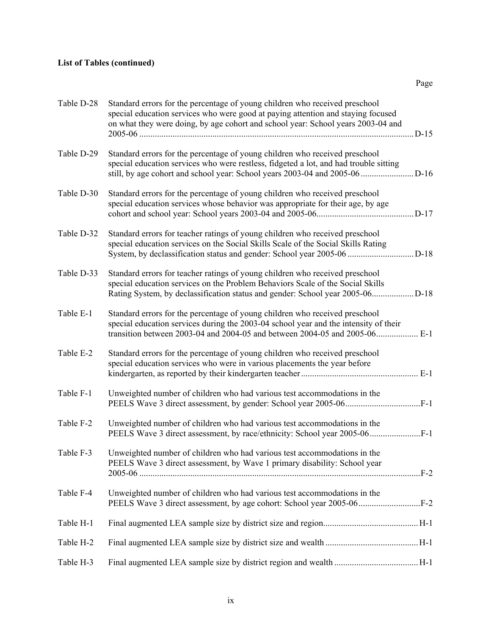| Table D-28 | Standard errors for the percentage of young children who received preschool<br>special education services who were good at paying attention and staying focused<br>on what they were doing, by age cohort and school year: School years 2003-04 and |  |
|------------|-----------------------------------------------------------------------------------------------------------------------------------------------------------------------------------------------------------------------------------------------------|--|
| Table D-29 | Standard errors for the percentage of young children who received preschool<br>special education services who were restless, fidgeted a lot, and had trouble sitting                                                                                |  |
| Table D-30 | Standard errors for the percentage of young children who received preschool<br>special education services whose behavior was appropriate for their age, by age                                                                                      |  |
| Table D-32 | Standard errors for teacher ratings of young children who received preschool<br>special education services on the Social Skills Scale of the Social Skills Rating                                                                                   |  |
| Table D-33 | Standard errors for teacher ratings of young children who received preschool<br>special education services on the Problem Behaviors Scale of the Social Skills                                                                                      |  |
| Table E-1  | Standard errors for the percentage of young children who received preschool<br>special education services during the 2003-04 school year and the intensity of their<br>transition between 2003-04 and 2004-05 and between 2004-05 and 2005-06       |  |
| Table E-2  | Standard errors for the percentage of young children who received preschool<br>special education services who were in various placements the year before                                                                                            |  |
| Table F-1  | Unweighted number of children who had various test accommodations in the                                                                                                                                                                            |  |
| Table F-2  | Unweighted number of children who had various test accommodations in the<br>PEELS Wave 3 direct assessment, by race/ethnicity: School year 2005-06                                                                                                  |  |
| Table F-3  | Unweighted number of children who had various test accommodations in the<br>PEELS Wave 3 direct assessment, by Wave 1 primary disability: School year                                                                                               |  |
| Table F-4  | Unweighted number of children who had various test accommodations in the                                                                                                                                                                            |  |
| Table H-1  |                                                                                                                                                                                                                                                     |  |
| Table H-2  |                                                                                                                                                                                                                                                     |  |
| Table H-3  |                                                                                                                                                                                                                                                     |  |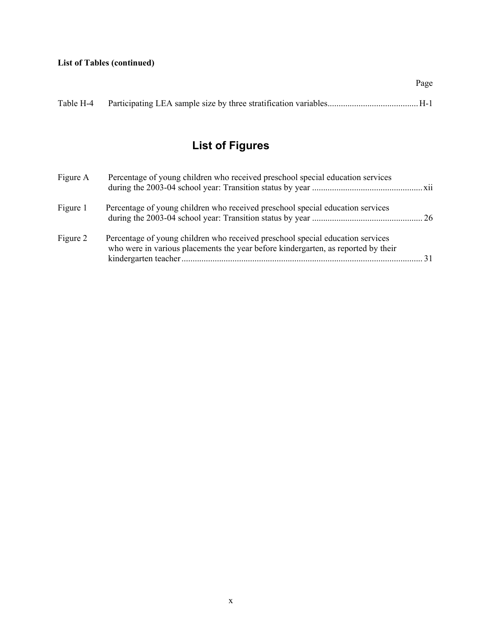Page

# **List of Figures**

| Figure A | Percentage of young children who received preschool special education services                                                                                      |     |
|----------|---------------------------------------------------------------------------------------------------------------------------------------------------------------------|-----|
| Figure 1 | Percentage of young children who received preschool special education services                                                                                      |     |
| Figure 2 | Percentage of young children who received preschool special education services<br>who were in various placements the year before kindergarten, as reported by their | -31 |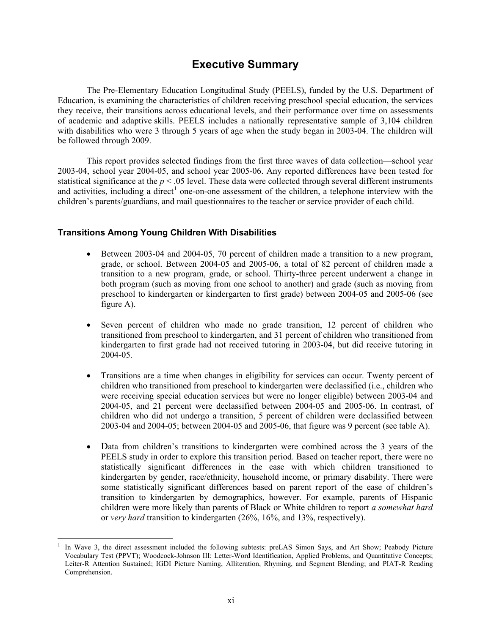# **Executive Summary**

The Pre-Elementary Education Longitudinal Study (PEELS), funded by the U.S. Department of Education, is examining the characteristics of children receiving preschool special education, the services they receive, their transitions across educational levels, and their performance over time on assessments of academic and adaptive skills. PEELS includes a nationally representative sample of 3,104 children with disabilities who were 3 through 5 years of age when the study began in 2003-04. The children will be followed through 2009.

This report provides selected findings from the first three waves of data collection—school year 2003-04, school year 2004-05, and school year 2005-06. Any reported differences have been tested for statistical significance at the *p* < .05 level. These data were collected through several different instruments and activities, including a direct<sup>1</sup> one-on-one assessment of the children, a telephone interview with the children's parents/guardians, and mail questionnaires to the teacher or service provider of each child.

## **Transitions Among Young Children With Disabilities**

 $\overline{a}$ 

- Between 2003-04 and 2004-05, 70 percent of children made a transition to a new program, grade, or school. Between 2004-05 and 2005-06, a total of 82 percent of children made a transition to a new program, grade, or school. Thirty-three percent underwent a change in both program (such as moving from one school to another) and grade (such as moving from preschool to kindergarten or kindergarten to first grade) between 2004-05 and 2005-06 (see figure A).
- Seven percent of children who made no grade transition, 12 percent of children who transitioned from preschool to kindergarten, and 31 percent of children who transitioned from kindergarten to first grade had not received tutoring in 2003-04, but did receive tutoring in 2004-05.
- Transitions are a time when changes in eligibility for services can occur. Twenty percent of children who transitioned from preschool to kindergarten were declassified (i.e., children who were receiving special education services but were no longer eligible) between 2003-04 and 2004-05, and 21 percent were declassified between 2004-05 and 2005-06. In contrast, of children who did not undergo a transition, 5 percent of children were declassified between 2003-04 and 2004-05; between 2004-05 and 2005-06, that figure was 9 percent (see table A).
- Data from children's transitions to kindergarten were combined across the 3 years of the PEELS study in order to explore this transition period. Based on teacher report, there were no statistically significant differences in the ease with which children transitioned to kindergarten by gender, race/ethnicity, household income, or primary disability. There were some statistically significant differences based on parent report of the ease of children's transition to kindergarten by demographics, however. For example, parents of Hispanic children were more likely than parents of Black or White children to report *a somewhat hard* or *very hard* transition to kindergarten (26%, 16%, and 13%, respectively).

<sup>1</sup> In Wave 3, the direct assessment included the following subtests: preLAS Simon Says, and Art Show; Peabody Picture Vocabulary Test (PPVT); Woodcock-Johnson III: Letter-Word Identification, Applied Problems, and Quantitative Concepts; Leiter-R Attention Sustained; IGDI Picture Naming, Alliteration, Rhyming, and Segment Blending; and PIAT-R Reading Comprehension.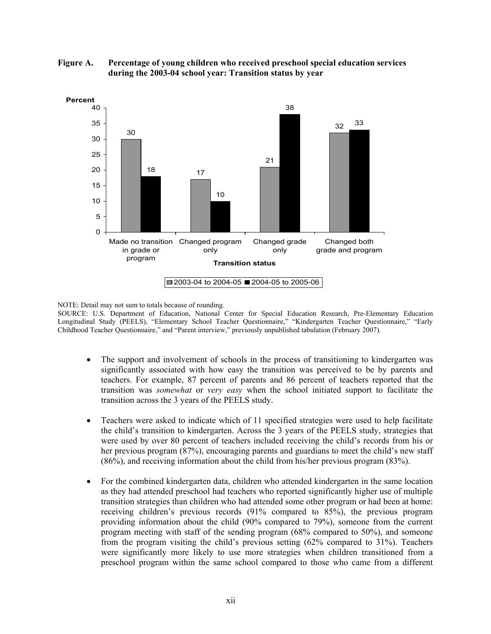

**Figure A. Percentage of young children who received preschool special education services during the 2003-04 school year: Transition status by year** 

NOTE: Detail may not sum to totals because of rounding.

SOURCE: U.S. Department of Education, National Center for Special Education Research, Pre-Elementary Education Longitudinal Study (PEELS), "Elementary School Teacher Questionnaire," "Kindergarten Teacher Questionnaire," "Early Childhood Teacher Questionnaire," and "Parent interview," previously unpublished tabulation (February 2007).

- The support and involvement of schools in the process of transitioning to kindergarten was significantly associated with how easy the transition was perceived to be by parents and teachers. For example, 87 percent of parents and 86 percent of teachers reported that the transition was *somewhat* or *very easy* when the school initiated support to facilitate the transition across the 3 years of the PEELS study.
- Teachers were asked to indicate which of 11 specified strategies were used to help facilitate the child's transition to kindergarten. Across the 3 years of the PEELS study, strategies that were used by over 80 percent of teachers included receiving the child's records from his or her previous program (87%), encouraging parents and guardians to meet the child's new staff (86%), and receiving information about the child from his/her previous program (83%).
- For the combined kindergarten data, children who attended kindergarten in the same location as they had attended preschool had teachers who reported significantly higher use of multiple transition strategies than children who had attended some other program or had been at home: receiving children's previous records (91% compared to 85%), the previous program providing information about the child (90% compared to 79%), someone from the current program meeting with staff of the sending program (68% compared to 50%), and someone from the program visiting the child's previous setting (62% compared to 31%). Teachers were significantly more likely to use more strategies when children transitioned from a preschool program within the same school compared to those who came from a different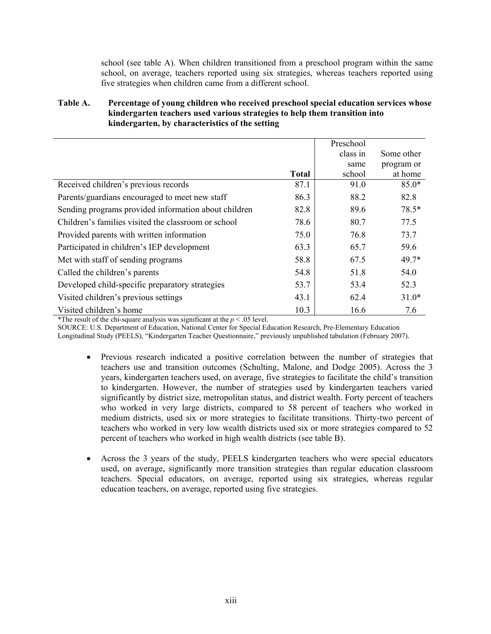school (see table A). When children transitioned from a preschool program within the same school, on average, teachers reported using six strategies, whereas teachers reported using five strategies when children came from a different school.

## **Table A. Percentage of young children who received preschool special education services whose kindergarten teachers used various strategies to help them transition into kindergarten, by characteristics of the setting**

|                                                      |              | Preschool |            |
|------------------------------------------------------|--------------|-----------|------------|
|                                                      |              | class in  | Some other |
|                                                      |              | same      | program or |
|                                                      | <b>Total</b> | school    | at home    |
| Received children's previous records                 | 87.1         | 91.0      | $85.0*$    |
| Parents/guardians encouraged to meet new staff       | 86.3         | 88.2      | 82.8       |
| Sending programs provided information about children | 82.8         | 89.6      | 78.5*      |
| Children's families visited the classroom or school  | 78.6         | 80.7      | 77.5       |
| Provided parents with written information            | 75.0         | 76.8      | 73.7       |
| Participated in children's IEP development           | 63.3         | 65.7      | 59.6       |
| Met with staff of sending programs                   | 58.8         | 67.5      | 49.7*      |
| Called the children's parents                        | 54.8         | 51.8      | 54.0       |
| Developed child-specific preparatory strategies      | 53.7         | 53.4      | 52.3       |
| Visited children's previous settings                 | 43.1         | 62.4      | $31.0*$    |
| Visited children's home                              | 10.3         | 16.6      | 7.6        |

<sup>\*</sup>The result of the chi-square analysis was significant at the  $p < .05$  level.

SOURCE: U.S. Department of Education, National Center for Special Education Research, Pre-Elementary Education

Longitudinal Study (PEELS), "Kindergarten Teacher Questionnaire," previously unpublished tabulation (February 2007).

- Previous research indicated a positive correlation between the number of strategies that teachers use and transition outcomes (Schulting, Malone, and Dodge 2005). Across the 3 years, kindergarten teachers used, on average, five strategies to facilitate the child's transition to kindergarten. However, the number of strategies used by kindergarten teachers varied significantly by district size, metropolitan status, and district wealth. Forty percent of teachers who worked in very large districts, compared to 58 percent of teachers who worked in medium districts, used six or more strategies to facilitate transitions. Thirty-two percent of teachers who worked in very low wealth districts used six or more strategies compared to 52 percent of teachers who worked in high wealth districts (see table B).
- Across the 3 years of the study, PEELS kindergarten teachers who were special educators used, on average, significantly more transition strategies than regular education classroom teachers. Special educators, on average, reported using six strategies, whereas regular education teachers, on average, reported using five strategies.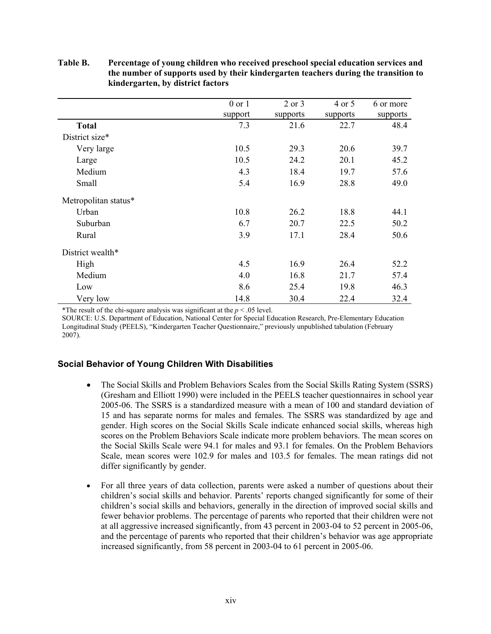|                      | $0$ or $1$ | 2 or 3   | 4 or 5   | 6 or more |
|----------------------|------------|----------|----------|-----------|
|                      | support    | supports | supports | supports  |
| <b>Total</b>         | 7.3        | 21.6     | 22.7     | 48.4      |
| District size*       |            |          |          |           |
| Very large           | 10.5       | 29.3     | 20.6     | 39.7      |
| Large                | 10.5       | 24.2     | 20.1     | 45.2      |
| Medium               | 4.3        | 18.4     | 19.7     | 57.6      |
| Small                | 5.4        | 16.9     | 28.8     | 49.0      |
| Metropolitan status* |            |          |          |           |
| Urban                | 10.8       | 26.2     | 18.8     | 44.1      |
| Suburban             | 6.7        | 20.7     | 22.5     | 50.2      |
| Rural                | 3.9        | 17.1     | 28.4     | 50.6      |
| District wealth*     |            |          |          |           |
| High                 | 4.5        | 16.9     | 26.4     | 52.2      |
| Medium               | 4.0        | 16.8     | 21.7     | 57.4      |
| Low                  | 8.6        | 25.4     | 19.8     | 46.3      |
| Very low             | 14.8       | 30.4     | 22.4     | 32.4      |

## **Table B. Percentage of young children who received preschool special education services and the number of supports used by their kindergarten teachers during the transition to kindergarten, by district factors**

<sup>\*</sup>The result of the chi-square analysis was significant at the  $p < .05$  level.

SOURCE: U.S. Department of Education, National Center for Special Education Research, Pre-Elementary Education Longitudinal Study (PEELS), "Kindergarten Teacher Questionnaire," previously unpublished tabulation (February 2007).

## **Social Behavior of Young Children With Disabilities**

- The Social Skills and Problem Behaviors Scales from the Social Skills Rating System (SSRS) (Gresham and Elliott 1990) were included in the PEELS teacher questionnaires in school year 2005-06. The SSRS is a standardized measure with a mean of 100 and standard deviation of 15 and has separate norms for males and females. The SSRS was standardized by age and gender. High scores on the Social Skills Scale indicate enhanced social skills, whereas high scores on the Problem Behaviors Scale indicate more problem behaviors. The mean scores on the Social Skills Scale were 94.1 for males and 93.1 for females. On the Problem Behaviors Scale, mean scores were 102.9 for males and 103.5 for females. The mean ratings did not differ significantly by gender.
- For all three years of data collection, parents were asked a number of questions about their children's social skills and behavior. Parents' reports changed significantly for some of their children's social skills and behaviors, generally in the direction of improved social skills and fewer behavior problems. The percentage of parents who reported that their children were not at all aggressive increased significantly, from 43 percent in 2003-04 to 52 percent in 2005-06, and the percentage of parents who reported that their children's behavior was age appropriate increased significantly, from 58 percent in 2003-04 to 61 percent in 2005-06.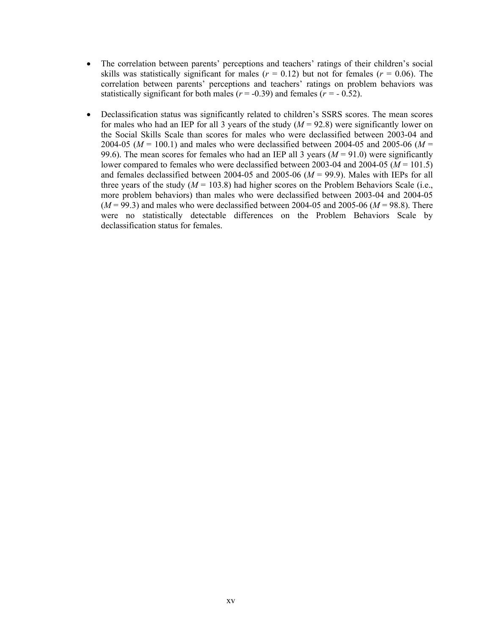- The correlation between parents' perceptions and teachers' ratings of their children's social skills was statistically significant for males  $(r = 0.12)$  but not for females  $(r = 0.06)$ . The correlation between parents' perceptions and teachers' ratings on problem behaviors was statistically significant for both males ( $r = -0.39$ ) and females ( $r = -0.52$ ).
- Declassification status was significantly related to children's SSRS scores. The mean scores for males who had an IEP for all 3 years of the study  $(M = 92.8)$  were significantly lower on the Social Skills Scale than scores for males who were declassified between 2003-04 and 2004-05 (*M* = 100.1) and males who were declassified between 2004-05 and 2005-06 (*M* = 99.6). The mean scores for females who had an IEP all 3 years  $(M = 91.0)$  were significantly lower compared to females who were declassified between 2003-04 and 2004-05 ( $M = 101.5$ ) and females declassified between 2004-05 and 2005-06  $(M = 99.9)$ . Males with IEPs for all three years of the study  $(M = 103.8)$  had higher scores on the Problem Behaviors Scale (i.e., more problem behaviors) than males who were declassified between 2003-04 and 2004-05  $(M = 99.3)$  and males who were declassified between 2004-05 and 2005-06  $(M = 98.8)$ . There were no statistically detectable differences on the Problem Behaviors Scale by declassification status for females.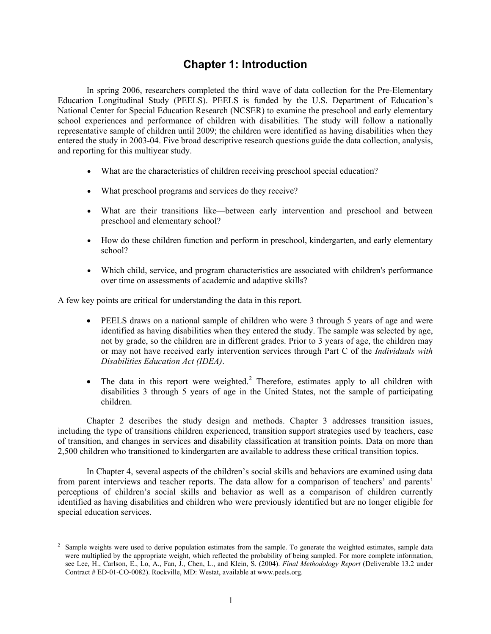# **Chapter 1: Introduction**

In spring 2006, researchers completed the third wave of data collection for the Pre-Elementary Education Longitudinal Study (PEELS). PEELS is funded by the U.S. Department of Education's National Center for Special Education Research (NCSER) to examine the preschool and early elementary school experiences and performance of children with disabilities. The study will follow a nationally representative sample of children until 2009; the children were identified as having disabilities when they entered the study in 2003-04. Five broad descriptive research questions guide the data collection, analysis, and reporting for this multiyear study.

- What are the characteristics of children receiving preschool special education?
- What preschool programs and services do they receive?
- What are their transitions like—between early intervention and preschool and between preschool and elementary school?
- How do these children function and perform in preschool, kindergarten, and early elementary school?
- Which child, service, and program characteristics are associated with children's performance over time on assessments of academic and adaptive skills?

A few key points are critical for understanding the data in this report.

 $\overline{a}$ 

- PEELS draws on a national sample of children who were 3 through 5 years of age and were identified as having disabilities when they entered the study. The sample was selected by age, not by grade, so the children are in different grades. Prior to 3 years of age, the children may or may not have received early intervention services through Part C of the *Individuals with Disabilities Education Act (IDEA)*.
- $\bullet$  The data in this report were weighted.<sup>2</sup> Therefore, estimates apply to all children with disabilities 3 through 5 years of age in the United States, not the sample of participating children.

Chapter 2 describes the study design and methods. Chapter 3 addresses transition issues, including the type of transitions children experienced, transition support strategies used by teachers, ease of transition, and changes in services and disability classification at transition points. Data on more than 2,500 children who transitioned to kindergarten are available to address these critical transition topics.

In Chapter 4, several aspects of the children's social skills and behaviors are examined using data from parent interviews and teacher reports. The data allow for a comparison of teachers' and parents' perceptions of children's social skills and behavior as well as a comparison of children currently identified as having disabilities and children who were previously identified but are no longer eligible for special education services.

<sup>&</sup>lt;sup>2</sup> Sample weights were used to derive population estimates from the sample. To generate the weighted estimates, sample data were multiplied by the appropriate weight, which reflected the probability of being sampled. For more complete information, see Lee, H., Carlson, E., Lo, A., Fan, J., Chen, L., and Klein, S. (2004). *Final Methodology Report* (Deliverable 13.2 under Contract # ED-01-CO-0082). Rockville, MD: Westat, available at www.peels.org.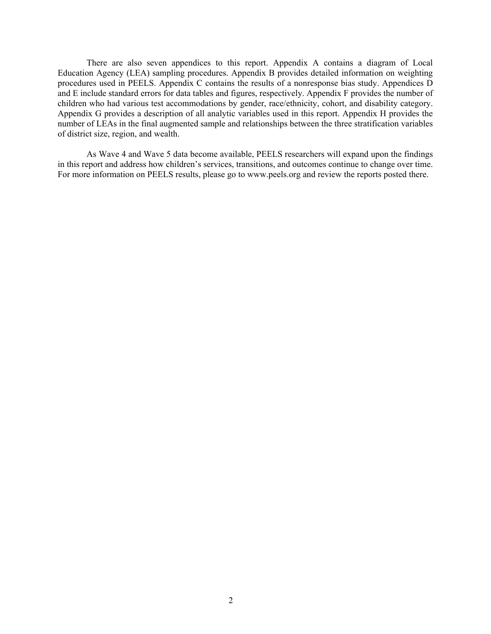There are also seven appendices to this report. Appendix A contains a diagram of Local Education Agency (LEA) sampling procedures. Appendix B provides detailed information on weighting procedures used in PEELS. Appendix C contains the results of a nonresponse bias study. Appendices D and E include standard errors for data tables and figures, respectively. Appendix F provides the number of children who had various test accommodations by gender, race/ethnicity, cohort, and disability category. Appendix G provides a description of all analytic variables used in this report. Appendix H provides the number of LEAs in the final augmented sample and relationships between the three stratification variables of district size, region, and wealth.

As Wave 4 and Wave 5 data become available, PEELS researchers will expand upon the findings in this report and address how children's services, transitions, and outcomes continue to change over time. For more information on PEELS results, please go to www.peels.org and review the reports posted there.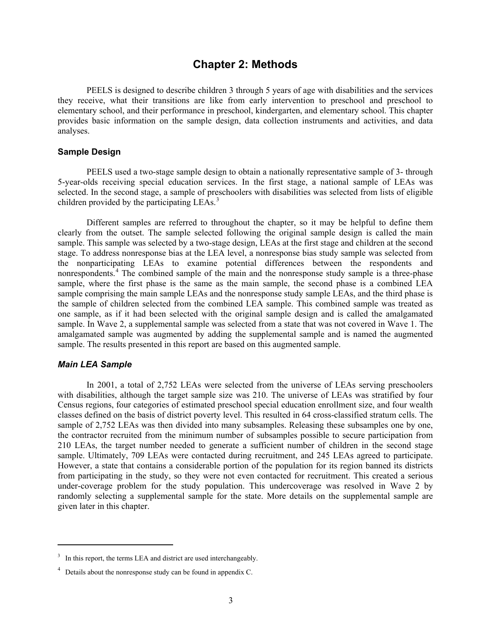## **Chapter 2: Methods**

PEELS is designed to describe children 3 through 5 years of age with disabilities and the services they receive, what their transitions are like from early intervention to preschool and preschool to elementary school, and their performance in preschool, kindergarten, and elementary school. This chapter provides basic information on the sample design, data collection instruments and activities, and data analyses.

## **Sample Design**

PEELS used a two-stage sample design to obtain a nationally representative sample of 3- through 5-year-olds receiving special education services. In the first stage, a national sample of LEAs was selected. In the second stage, a sample of preschoolers with disabilities was selected from lists of eligible children provided by the participating LEAs.<sup>3</sup>

Different samples are referred to throughout the chapter, so it may be helpful to define them clearly from the outset. The sample selected following the original sample design is called the main sample. This sample was selected by a two-stage design, LEAs at the first stage and children at the second stage. To address nonresponse bias at the LEA level, a nonresponse bias study sample was selected from the nonparticipating LEAs to examine potential differences between the respondents and nonrespondents.<sup>4</sup> The combined sample of the main and the nonresponse study sample is a three-phase sample, where the first phase is the same as the main sample, the second phase is a combined LEA sample comprising the main sample LEAs and the nonresponse study sample LEAs, and the third phase is the sample of children selected from the combined LEA sample. This combined sample was treated as one sample, as if it had been selected with the original sample design and is called the amalgamated sample. In Wave 2, a supplemental sample was selected from a state that was not covered in Wave 1. The amalgamated sample was augmented by adding the supplemental sample and is named the augmented sample. The results presented in this report are based on this augmented sample.

### *Main LEA Sample*

 $\overline{a}$ 

In 2001, a total of 2,752 LEAs were selected from the universe of LEAs serving preschoolers with disabilities, although the target sample size was 210. The universe of LEAs was stratified by four Census regions, four categories of estimated preschool special education enrollment size, and four wealth classes defined on the basis of district poverty level. This resulted in 64 cross-classified stratum cells. The sample of 2,752 LEAs was then divided into many subsamples. Releasing these subsamples one by one, the contractor recruited from the minimum number of subsamples possible to secure participation from 210 LEAs, the target number needed to generate a sufficient number of children in the second stage sample. Ultimately, 709 LEAs were contacted during recruitment, and 245 LEAs agreed to participate. However, a state that contains a considerable portion of the population for its region banned its districts from participating in the study, so they were not even contacted for recruitment. This created a serious under-coverage problem for the study population. This undercoverage was resolved in Wave 2 by randomly selecting a supplemental sample for the state. More details on the supplemental sample are given later in this chapter.

<sup>3</sup> In this report, the terms LEA and district are used interchangeably.

<sup>&</sup>lt;sup>4</sup> Details about the nonresponse study can be found in appendix C.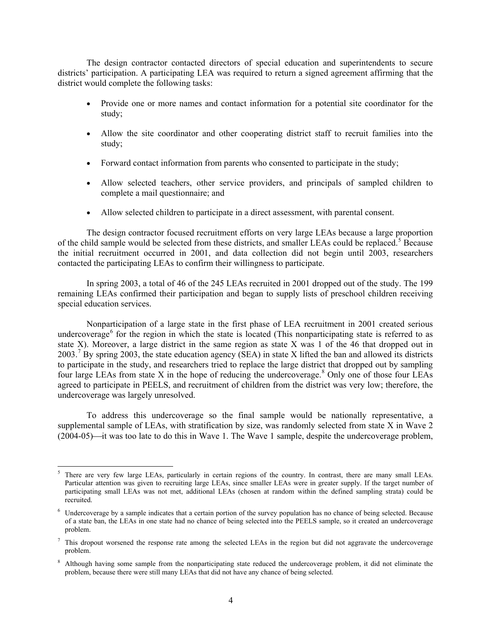The design contractor contacted directors of special education and superintendents to secure districts' participation. A participating LEA was required to return a signed agreement affirming that the district would complete the following tasks:

- Provide one or more names and contact information for a potential site coordinator for the study;
- Allow the site coordinator and other cooperating district staff to recruit families into the study;
- Forward contact information from parents who consented to participate in the study;
- Allow selected teachers, other service providers, and principals of sampled children to complete a mail questionnaire; and
- Allow selected children to participate in a direct assessment, with parental consent.

The design contractor focused recruitment efforts on very large LEAs because a large proportion of the child sample would be selected from these districts, and smaller LEAs could be replaced.<sup>5</sup> Because the initial recruitment occurred in 2001, and data collection did not begin until 2003, researchers contacted the participating LEAs to confirm their willingness to participate.

In spring 2003, a total of 46 of the 245 LEAs recruited in 2001 dropped out of the study. The 199 remaining LEAs confirmed their participation and began to supply lists of preschool children receiving special education services.

Nonparticipation of a large state in the first phase of LEA recruitment in 2001 created serious undercoverage<sup>6</sup> for the region in which the state is located (This nonparticipating state is referred to as state X). Moreover, a large district in the same region as state X was 1 of the 46 that dropped out in 2003.<sup>7</sup> By spring 2003, the state education agency (SEA) in state X lifted the ban and allowed its districts to participate in the study, and researchers tried to replace the large district that dropped out by sampling four large LEAs from state X in the hope of reducing the undercoverage.<sup>8</sup> Only one of those four LEAs agreed to participate in PEELS, and recruitment of children from the district was very low; therefore, the undercoverage was largely unresolved.

To address this undercoverage so the final sample would be nationally representative, a supplemental sample of LEAs, with stratification by size, was randomly selected from state X in Wave 2  $(2004-05)$  it was too late to do this in Wave 1. The Wave 1 sample, despite the undercoverage problem,

 $\overline{a}$ 

<sup>5</sup> There are very few large LEAs, particularly in certain regions of the country. In contrast, there are many small LEAs. Particular attention was given to recruiting large LEAs, since smaller LEAs were in greater supply. If the target number of participating small LEAs was not met, additional LEAs (chosen at random within the defined sampling strata) could be recruited.

<sup>&</sup>lt;sup>6</sup> Undercoverage by a sample indicates that a certain portion of the survey population has no chance of being selected. Because of a state ban, the LEAs in one state had no chance of being selected into the PEELS sample, so it created an undercoverage problem.

 $7$  This dropout worsened the response rate among the selected LEAs in the region but did not aggravate the undercoverage problem.

<sup>&</sup>lt;sup>8</sup> Although having some sample from the nonparticipating state reduced the undercoverage problem, it did not eliminate the problem, because there were still many LEAs that did not have any chance of being selected.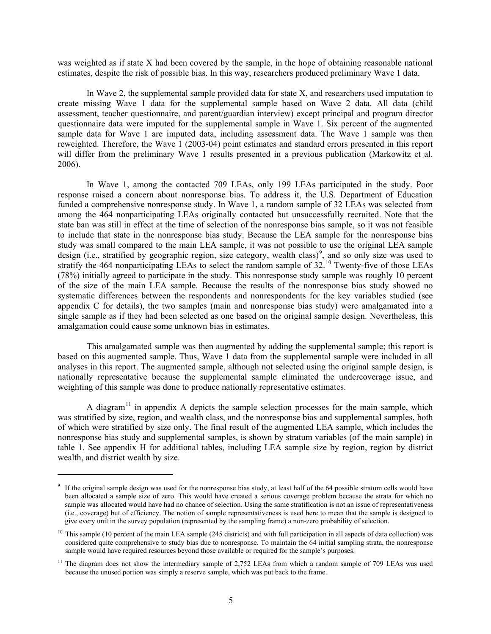was weighted as if state X had been covered by the sample, in the hope of obtaining reasonable national estimates, despite the risk of possible bias. In this way, researchers produced preliminary Wave 1 data.

In Wave 2, the supplemental sample provided data for state X, and researchers used imputation to create missing Wave 1 data for the supplemental sample based on Wave 2 data. All data (child assessment, teacher questionnaire, and parent/guardian interview) except principal and program director questionnaire data were imputed for the supplemental sample in Wave 1. Six percent of the augmented sample data for Wave 1 are imputed data, including assessment data. The Wave 1 sample was then reweighted. Therefore, the Wave 1 (2003-04) point estimates and standard errors presented in this report will differ from the preliminary Wave 1 results presented in a previous publication (Markowitz et al. 2006).

In Wave 1, among the contacted 709 LEAs, only 199 LEAs participated in the study. Poor response raised a concern about nonresponse bias. To address it, the U.S. Department of Education funded a comprehensive nonresponse study. In Wave 1, a random sample of 32 LEAs was selected from among the 464 nonparticipating LEAs originally contacted but unsuccessfully recruited. Note that the state ban was still in effect at the time of selection of the nonresponse bias sample, so it was not feasible to include that state in the nonresponse bias study. Because the LEA sample for the nonresponse bias study was small compared to the main LEA sample, it was not possible to use the original LEA sample design (i.e., stratified by geographic region, size category, wealth class)<sup>9</sup>, and so only size was used to stratify the 464 nonparticipating LEAs to select the random sample of  $32<sup>10</sup>$  Twenty-five of those LEAs (78%) initially agreed to participate in the study. This nonresponse study sample was roughly 10 percent of the size of the main LEA sample. Because the results of the nonresponse bias study showed no systematic differences between the respondents and nonrespondents for the key variables studied (see appendix C for details), the two samples (main and nonresponse bias study) were amalgamated into a single sample as if they had been selected as one based on the original sample design. Nevertheless, this amalgamation could cause some unknown bias in estimates.

This amalgamated sample was then augmented by adding the supplemental sample; this report is based on this augmented sample. Thus, Wave 1 data from the supplemental sample were included in all analyses in this report. The augmented sample, although not selected using the original sample design, is nationally representative because the supplemental sample eliminated the undercoverage issue, and weighting of this sample was done to produce nationally representative estimates.

A diagram<sup>11</sup> in appendix A depicts the sample selection processes for the main sample, which was stratified by size, region, and wealth class, and the nonresponse bias and supplemental samples, both of which were stratified by size only. The final result of the augmented LEA sample, which includes the nonresponse bias study and supplemental samples, is shown by stratum variables (of the main sample) in table 1. See appendix H for additional tables, including LEA sample size by region, region by district wealth, and district wealth by size.

 $\overline{a}$ 

<sup>&</sup>lt;sup>9</sup> If the original sample design was used for the nonresponse bias study, at least half of the 64 possible stratum cells would have been allocated a sample size of zero. This would have created a serious coverage problem because the strata for which no sample was allocated would have had no chance of selection. Using the same stratification is not an issue of representativeness (i.e., coverage) but of efficiency. The notion of sample representativeness is used here to mean that the sample is designed to give every unit in the survey population (represented by the sampling frame) a non-zero probability of selection.

 $10$  This sample (10 percent of the main LEA sample (245 districts) and with full participation in all aspects of data collection) was considered quite comprehensive to study bias due to nonresponse. To maintain the 64 initial sampling strata, the nonresponse sample would have required resources beyond those available or required for the sample's purposes.

 $11$  The diagram does not show the intermediary sample of 2,752 LEAs from which a random sample of 709 LEAs was used because the unused portion was simply a reserve sample, which was put back to the frame.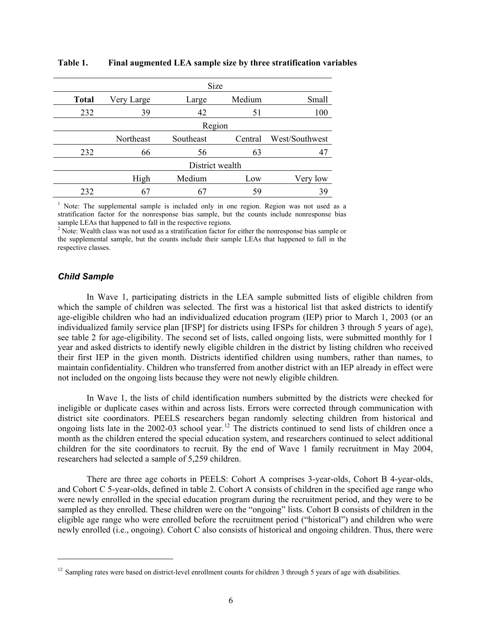|              |            | Size            |         |                |
|--------------|------------|-----------------|---------|----------------|
| <b>Total</b> | Very Large | Large           | Medium  | Small          |
| 232          | 39         | 42              | 51      | 100            |
|              |            | Region          |         |                |
|              | Northeast  | Southeast       | Central | West/Southwest |
| 232          | 66         | 56              | 63      |                |
|              |            | District wealth |         |                |
|              | High       | Medium          | Low     | Very low       |
| 232          | 67         |                 | 59      | 39             |

#### **Table 1. Final augmented LEA sample size by three stratification variables**

<sup>1</sup> Note: The supplemental sample is included only in one region. Region was not used as a stratification factor for the nonresponse bias sample, but the counts include nonresponse bias

sample LEAs that happened to fall in the respective regions.<br><sup>2</sup> Note: Wealth class was not used as a stratification factor for either the nonresponse bias sample or the supplemental sample, but the counts include their sample LEAs that happened to fall in the respective classes.

## *Child Sample*

 $\overline{a}$ 

In Wave 1, participating districts in the LEA sample submitted lists of eligible children from which the sample of children was selected. The first was a historical list that asked districts to identify age-eligible children who had an individualized education program (IEP) prior to March 1, 2003 (or an individualized family service plan [IFSP] for districts using IFSPs for children 3 through 5 years of age), see table 2 for age-eligibility. The second set of lists, called ongoing lists, were submitted monthly for 1 year and asked districts to identify newly eligible children in the district by listing children who received their first IEP in the given month. Districts identified children using numbers, rather than names, to maintain confidentiality. Children who transferred from another district with an IEP already in effect were not included on the ongoing lists because they were not newly eligible children.

In Wave 1, the lists of child identification numbers submitted by the districts were checked for ineligible or duplicate cases within and across lists. Errors were corrected through communication with district site coordinators. PEELS researchers began randomly selecting children from historical and ongoing lists late in the 2002-03 school year.<sup>12</sup> The districts continued to send lists of children once a month as the children entered the special education system, and researchers continued to select additional children for the site coordinators to recruit. By the end of Wave 1 family recruitment in May 2004, researchers had selected a sample of 5,259 children.

There are three age cohorts in PEELS: Cohort A comprises 3-year-olds, Cohort B 4-year-olds, and Cohort C 5-year-olds, defined in table 2. Cohort A consists of children in the specified age range who were newly enrolled in the special education program during the recruitment period, and they were to be sampled as they enrolled. These children were on the "ongoing" lists. Cohort B consists of children in the eligible age range who were enrolled before the recruitment period ("historical") and children who were newly enrolled (i.e., ongoing). Cohort C also consists of historical and ongoing children. Thus, there were

<sup>&</sup>lt;sup>12</sup> Sampling rates were based on district-level enrollment counts for children 3 through 5 years of age with disabilities.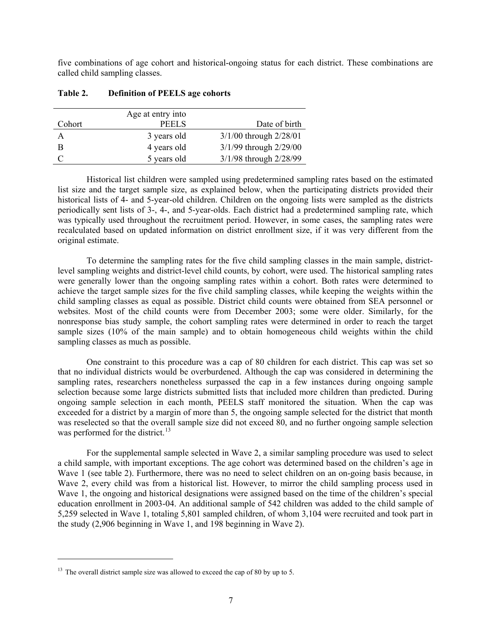five combinations of age cohort and historical-ongoing status for each district. These combinations are called child sampling classes.

|        | Age at entry into |                            |
|--------|-------------------|----------------------------|
| Cohort | <b>PEELS</b>      | Date of birth              |
| A      | 3 years old       | $3/1/00$ through $2/28/01$ |
| B      | 4 years old       | 3/1/99 through 2/29/00     |
|        | 5 years old       | 3/1/98 through 2/28/99     |

#### **Table 2. Definition of PEELS age cohorts**

Historical list children were sampled using predetermined sampling rates based on the estimated list size and the target sample size, as explained below, when the participating districts provided their historical lists of 4- and 5-year-old children. Children on the ongoing lists were sampled as the districts periodically sent lists of 3-, 4-, and 5-year-olds. Each district had a predetermined sampling rate, which was typically used throughout the recruitment period. However, in some cases, the sampling rates were recalculated based on updated information on district enrollment size, if it was very different from the original estimate.

To determine the sampling rates for the five child sampling classes in the main sample, districtlevel sampling weights and district-level child counts, by cohort, were used. The historical sampling rates were generally lower than the ongoing sampling rates within a cohort. Both rates were determined to achieve the target sample sizes for the five child sampling classes, while keeping the weights within the child sampling classes as equal as possible. District child counts were obtained from SEA personnel or websites. Most of the child counts were from December 2003; some were older. Similarly, for the nonresponse bias study sample, the cohort sampling rates were determined in order to reach the target sample sizes (10% of the main sample) and to obtain homogeneous child weights within the child sampling classes as much as possible.

One constraint to this procedure was a cap of 80 children for each district. This cap was set so that no individual districts would be overburdened. Although the cap was considered in determining the sampling rates, researchers nonetheless surpassed the cap in a few instances during ongoing sample selection because some large districts submitted lists that included more children than predicted. During ongoing sample selection in each month, PEELS staff monitored the situation. When the cap was exceeded for a district by a margin of more than 5, the ongoing sample selected for the district that month was reselected so that the overall sample size did not exceed 80, and no further ongoing sample selection was performed for the district.<sup>13</sup>

For the supplemental sample selected in Wave 2, a similar sampling procedure was used to select a child sample, with important exceptions. The age cohort was determined based on the children's age in Wave 1 (see table 2). Furthermore, there was no need to select children on an on-going basis because, in Wave 2, every child was from a historical list. However, to mirror the child sampling process used in Wave 1, the ongoing and historical designations were assigned based on the time of the children's special education enrollment in 2003-04. An additional sample of 542 children was added to the child sample of 5,259 selected in Wave 1, totaling 5,801 sampled children, of whom 3,104 were recruited and took part in the study (2,906 beginning in Wave 1, and 198 beginning in Wave 2).

 $\overline{a}$ 

<sup>&</sup>lt;sup>13</sup> The overall district sample size was allowed to exceed the cap of 80 by up to 5.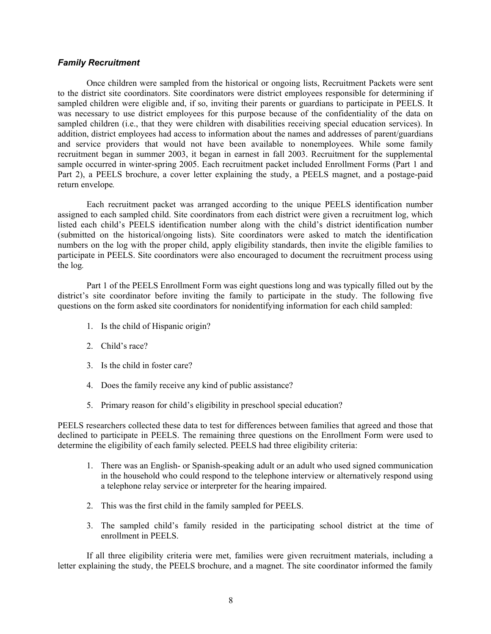#### *Family Recruitment*

Once children were sampled from the historical or ongoing lists, Recruitment Packets were sent to the district site coordinators. Site coordinators were district employees responsible for determining if sampled children were eligible and, if so, inviting their parents or guardians to participate in PEELS. It was necessary to use district employees for this purpose because of the confidentiality of the data on sampled children (i.e., that they were children with disabilities receiving special education services). In addition, district employees had access to information about the names and addresses of parent/guardians and service providers that would not have been available to nonemployees. While some family recruitment began in summer 2003, it began in earnest in fall 2003. Recruitment for the supplemental sample occurred in winter-spring 2005. Each recruitment packet included Enrollment Forms (Part 1 and Part 2), a PEELS brochure, a cover letter explaining the study, a PEELS magnet, and a postage-paid return envelope*.*

Each recruitment packet was arranged according to the unique PEELS identification number assigned to each sampled child. Site coordinators from each district were given a recruitment log, which listed each child's PEELS identification number along with the child's district identification number (submitted on the historical/ongoing lists). Site coordinators were asked to match the identification numbers on the log with the proper child, apply eligibility standards, then invite the eligible families to participate in PEELS. Site coordinators were also encouraged to document the recruitment process using the log*.*

Part 1 of the PEELS Enrollment Form was eight questions long and was typically filled out by the district's site coordinator before inviting the family to participate in the study. The following five questions on the form asked site coordinators for nonidentifying information for each child sampled:

- 1. Is the child of Hispanic origin?
- 2. Child's race?
- 3. Is the child in foster care?
- 4. Does the family receive any kind of public assistance?
- 5. Primary reason for child's eligibility in preschool special education?

PEELS researchers collected these data to test for differences between families that agreed and those that declined to participate in PEELS. The remaining three questions on the Enrollment Form were used to determine the eligibility of each family selected. PEELS had three eligibility criteria:

- 1. There was an English- or Spanish-speaking adult or an adult who used signed communication in the household who could respond to the telephone interview or alternatively respond using a telephone relay service or interpreter for the hearing impaired.
- 2. This was the first child in the family sampled for PEELS.
- 3. The sampled child's family resided in the participating school district at the time of enrollment in PEELS.

If all three eligibility criteria were met, families were given recruitment materials, including a letter explaining the study, the PEELS brochure, and a magnet. The site coordinator informed the family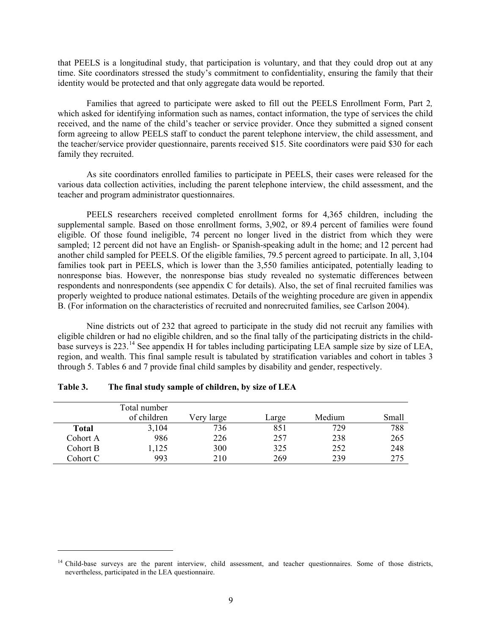that PEELS is a longitudinal study, that participation is voluntary, and that they could drop out at any time. Site coordinators stressed the study's commitment to confidentiality, ensuring the family that their identity would be protected and that only aggregate data would be reported.

Families that agreed to participate were asked to fill out the PEELS Enrollment Form, Part 2*,* which asked for identifying information such as names, contact information, the type of services the child received, and the name of the child's teacher or service provider. Once they submitted a signed consent form agreeing to allow PEELS staff to conduct the parent telephone interview, the child assessment, and the teacher/service provider questionnaire, parents received \$15. Site coordinators were paid \$30 for each family they recruited.

As site coordinators enrolled families to participate in PEELS, their cases were released for the various data collection activities, including the parent telephone interview, the child assessment, and the teacher and program administrator questionnaires.

PEELS researchers received completed enrollment forms for 4,365 children, including the supplemental sample. Based on those enrollment forms, 3,902, or 89.4 percent of families were found eligible. Of those found ineligible, 74 percent no longer lived in the district from which they were sampled; 12 percent did not have an English- or Spanish-speaking adult in the home; and 12 percent had another child sampled for PEELS. Of the eligible families, 79.5 percent agreed to participate. In all, 3,104 families took part in PEELS, which is lower than the 3,550 families anticipated, potentially leading to nonresponse bias. However, the nonresponse bias study revealed no systematic differences between respondents and nonrespondents (see appendix C for details). Also, the set of final recruited families was properly weighted to produce national estimates. Details of the weighting procedure are given in appendix B. (For information on the characteristics of recruited and nonrecruited families, see Carlson 2004).

Nine districts out of 232 that agreed to participate in the study did not recruit any families with eligible children or had no eligible children, and so the final tally of the participating districts in the childbase surveys is 223.14 See appendix H for tables including participating LEA sample size by size of LEA, region, and wealth. This final sample result is tabulated by stratification variables and cohort in tables 3 through 5. Tables 6 and 7 provide final child samples by disability and gender, respectively.

|          | Total number<br>of children | Very large | Large | Medium | Small |
|----------|-----------------------------|------------|-------|--------|-------|
| Total    | 3,104                       | 736        | 851   | 729    | 788   |
| Cohort A | 986                         | 226        | 257   | 238    | 265   |
| Cohort B | 1,125                       | 300        | 325   | 252    | 248   |
| Cohort C | 993                         | 210        | 269   | 239    | 275   |

|  | Table 3. |  | The final study sample of children, by size of LEA |  |
|--|----------|--|----------------------------------------------------|--|
|--|----------|--|----------------------------------------------------|--|

 $\overline{a}$ 

<sup>&</sup>lt;sup>14</sup> Child-base surveys are the parent interview, child assessment, and teacher questionnaires. Some of those districts, nevertheless, participated in the LEA questionnaire.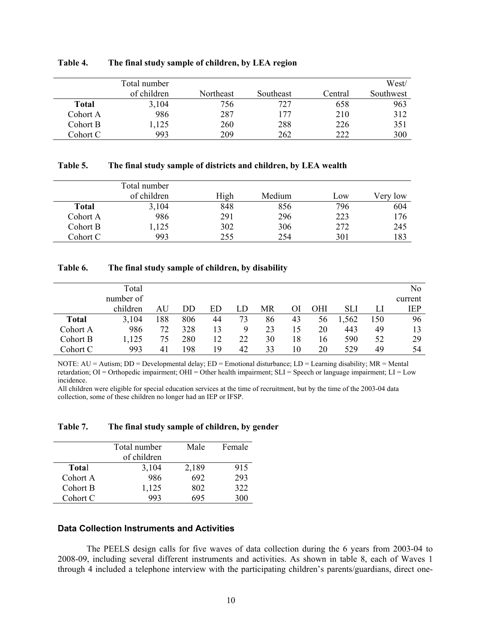|          | Total number<br>of children | Northeast | Southeast | Central | West/<br>Southwest |
|----------|-----------------------------|-----------|-----------|---------|--------------------|
| Total    | 3,104                       | 756       | 727       | 658     | 963                |
| Cohort A | 986                         | 287       | 177       | 210     | 312                |
| Cohort B | ,125                        | 260       | 288       | 226     | 351                |
| Cohort C | 993                         | 209       | 262       | 222     | 300                |

#### **Table 4. The final study sample of children, by LEA region**

#### **Table 5. The final study sample of districts and children, by LEA wealth**

|          | Total number<br>of children | High | Medium | LOW | very low |
|----------|-----------------------------|------|--------|-----|----------|
| Total    | 3,104                       | 848  | 856    | 796 | 604      |
| Cohort A | 986                         | 291  | 296    | 223 | 176      |
| Cohort B | ,125                        | 302  | 306    | 272 | 245      |
| Cohort C | 993                         | 255  | 254    | 301 | 183      |

#### **Table 6. The final study sample of children, by disability**

|              | Total     |     |     |    |    |    |     |            |       |     | No      |
|--------------|-----------|-----|-----|----|----|----|-----|------------|-------|-----|---------|
|              | number of |     |     |    |    |    |     |            |       |     | current |
|              | children  | AU  | DD  | ED | LD | MR | OI. | <b>OHI</b> | SLI   | LI  | IEP     |
| <b>Total</b> | 3,104     | 188 | 806 | 44 | 73 | 86 | 43  | 56         | 1,562 | 150 | 96      |
| Cohort A     | 986       | 72  | 328 | 13 | 9  | 23 | 15  | 20         | 443   | 49  | 13      |
| Cohort B     | ,125      | 75  | 280 | 12 | 22 | 30 | 18  | 16         | 590   | 52  | 29      |
| Cohort C     | 993       | 41  | 198 | 19 | 42 | 33 | 10  | 20         | 529   | 49  | 54      |

NOTE: AU = Autism; DD = Developmental delay; ED = Emotional disturbance; LD = Learning disability; MR = Mental retardation; OI = Orthopedic impairment; OHI = Other health impairment; SLI = Speech or language impairment; LI = Low incidence.

All children were eligible for special education services at the time of recruitment, but by the time of the 2003-04 data collection, some of these children no longer had an IEP or IFSP.

**Table 7. The final study sample of children, by gender** 

|          | Total number<br>of children | Male  | Female |
|----------|-----------------------------|-------|--------|
| Total    | 3,104                       | 2,189 | 915    |
| Cohort A | 986                         | 692   | 293    |
| Cohort B | 1,125                       | 802   | 322    |
| Cohort C | 993                         | 695   | 300    |

## **Data Collection Instruments and Activities**

The PEELS design calls for five waves of data collection during the 6 years from 2003-04 to 2008-09, including several different instruments and activities. As shown in table 8, each of Waves 1 through 4 included a telephone interview with the participating children's parents/guardians, direct one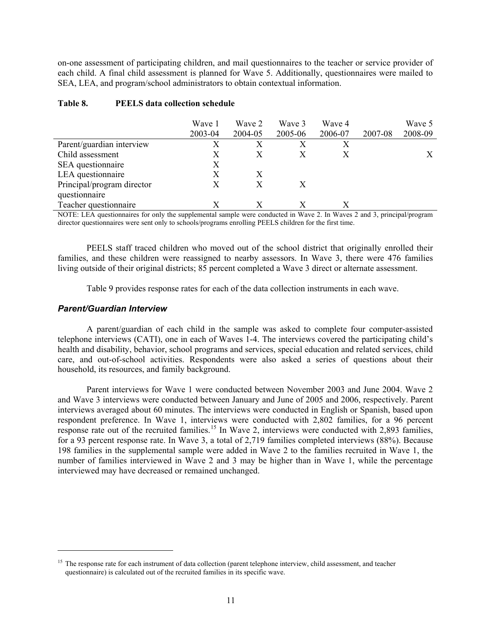on-one assessment of participating children, and mail questionnaires to the teacher or service provider of each child. A final child assessment is planned for Wave 5. Additionally, questionnaires were mailed to SEA, LEA, and program/school administrators to obtain contextual information.

|                            | Wave 1  | Wave 2  | Wave 3  | Wave 4  |                  | Wave 5  |
|----------------------------|---------|---------|---------|---------|------------------|---------|
|                            | 2003-04 | 2004-05 | 2005-06 | 2006-07 | 2007-08          | 2008-09 |
| Parent/guardian interview  | Х       |         | Х       |         |                  |         |
| Child assessment           | X       | X       | Х       |         |                  | X       |
| SEA questionnaire          | X       |         |         |         |                  |         |
| LEA questionnaire          | X       | X       |         |         |                  |         |
| Principal/program director | X       | X       | X       |         |                  |         |
| questionnaire              |         |         |         |         |                  |         |
| Teacher questionnaire      |         |         |         |         |                  |         |
| $\sim$                     |         |         | $-1$    |         | $\sim$<br>$\sim$ |         |

### **Table 8. PEELS data collection schedule**

NOTE: LEA questionnaires for only the supplemental sample were conducted in Wave 2. In Waves 2 and 3, principal/program director questionnaires were sent only to schools/programs enrolling PEELS children for the first time.

PEELS staff traced children who moved out of the school district that originally enrolled their families, and these children were reassigned to nearby assessors. In Wave 3, there were 476 families living outside of their original districts; 85 percent completed a Wave 3 direct or alternate assessment.

Table 9 provides response rates for each of the data collection instruments in each wave.

## *Parent/Guardian Interview*

 $\overline{a}$ 

A parent/guardian of each child in the sample was asked to complete four computer-assisted telephone interviews (CATI), one in each of Waves 1-4. The interviews covered the participating child's health and disability, behavior, school programs and services, special education and related services, child care, and out-of-school activities. Respondents were also asked a series of questions about their household, its resources, and family background.

Parent interviews for Wave 1 were conducted between November 2003 and June 2004. Wave 2 and Wave 3 interviews were conducted between January and June of 2005 and 2006, respectively. Parent interviews averaged about 60 minutes. The interviews were conducted in English or Spanish, based upon respondent preference. In Wave 1, interviews were conducted with 2,802 families, for a 96 percent response rate out of the recruited families.<sup>15</sup> In Wave 2, interviews were conducted with 2,893 families, for a 93 percent response rate. In Wave 3, a total of 2,719 families completed interviews (88%). Because 198 families in the supplemental sample were added in Wave 2 to the families recruited in Wave 1, the number of families interviewed in Wave 2 and 3 may be higher than in Wave 1, while the percentage interviewed may have decreased or remained unchanged.

<sup>&</sup>lt;sup>15</sup> The response rate for each instrument of data collection (parent telephone interview, child assessment, and teacher questionnaire) is calculated out of the recruited families in its specific wave.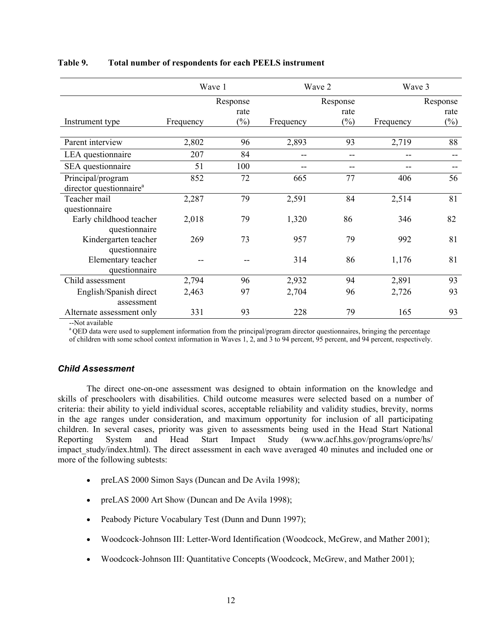|                                     | Wave 1    |          |           | Wave 2            | Wave 3    |          |  |
|-------------------------------------|-----------|----------|-----------|-------------------|-----------|----------|--|
|                                     |           | Response |           | Response          |           | Response |  |
|                                     |           | rate     |           | rate              |           | rate     |  |
| Instrument type                     | Frequency | $(\%)$   | Frequency | $(\%)$            | Frequency | $(\%)$   |  |
|                                     |           |          |           |                   |           |          |  |
| Parent interview                    | 2,802     | 96       | 2,893     | 93                | 2,719     | 88       |  |
| LEA questionnaire                   | 207       | 84       | --        | $\qquad \qquad -$ | --        |          |  |
| SEA questionnaire                   | 51        | 100      |           | --                |           |          |  |
| Principal/program                   | 852       | 72       | 665       | 77                | 406       | 56       |  |
| director questionnaire <sup>a</sup> |           |          |           |                   |           |          |  |
| Teacher mail                        | 2,287     | 79       | 2,591     | 84                | 2,514     | 81       |  |
| questionnaire                       |           |          |           |                   |           |          |  |
| Early childhood teacher             | 2,018     | 79       | 1,320     | 86                | 346       | 82       |  |
| questionnaire                       |           |          |           |                   |           |          |  |
| Kindergarten teacher                | 269       | 73       | 957       | 79                | 992       | 81       |  |
| questionnaire                       |           |          |           |                   |           |          |  |
| Elementary teacher                  |           |          | 314       | 86                | 1,176     | 81       |  |
| questionnaire                       |           |          |           |                   |           |          |  |
| Child assessment                    | 2,794     | 96       | 2,932     | 94                | 2,891     | 93       |  |
| English/Spanish direct              | 2,463     | 97       | 2,704     | 96                | 2,726     | 93       |  |
| assessment                          |           |          |           |                   |           |          |  |
| Alternate assessment only           | 331       | 93       | 228       | 79                | 165       | 93       |  |

#### **Table 9. Total number of respondents for each PEELS instrument**

--Not available

<sup>a</sup> QED data were used to supplement information from the principal/program director questionnaires, bringing the percentage of children with some school context information in Waves 1, 2, and 3 to 94 percent, 95 percent, and 94 percent, respectively.

## *Child Assessment*

The direct one-on-one assessment was designed to obtain information on the knowledge and skills of preschoolers with disabilities. Child outcome measures were selected based on a number of criteria: their ability to yield individual scores, acceptable reliability and validity studies, brevity, norms in the age ranges under consideration, and maximum opportunity for inclusion of all participating children. In several cases, priority was given to assessments being used in the Head Start National Reporting System and Head Start Impact Study (www.acf.hhs.gov/programs/opre/hs/ impact study/index.html). The direct assessment in each wave averaged 40 minutes and included one or more of the following subtests:

- preLAS 2000 Simon Says (Duncan and De Avila 1998);
- preLAS 2000 Art Show (Duncan and De Avila 1998);
- Peabody Picture Vocabulary Test (Dunn and Dunn 1997);
- Woodcock-Johnson III: Letter-Word Identification (Woodcock, McGrew, and Mather 2001);
- Woodcock-Johnson III: Quantitative Concepts (Woodcock, McGrew, and Mather 2001);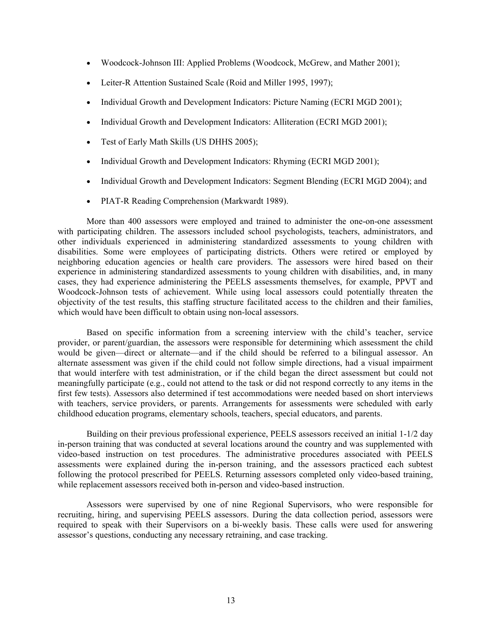- Woodcock-Johnson III: Applied Problems (Woodcock, McGrew, and Mather 2001);
- Leiter-R Attention Sustained Scale (Roid and Miller 1995, 1997);
- Individual Growth and Development Indicators: Picture Naming (ECRI MGD 2001);
- Individual Growth and Development Indicators: Alliteration (ECRI MGD 2001);
- Test of Early Math Skills (US DHHS 2005);
- Individual Growth and Development Indicators: Rhyming (ECRI MGD 2001);
- Individual Growth and Development Indicators: Segment Blending (ECRI MGD 2004); and
- PIAT-R Reading Comprehension (Markwardt 1989).

More than 400 assessors were employed and trained to administer the one-on-one assessment with participating children. The assessors included school psychologists, teachers, administrators, and other individuals experienced in administering standardized assessments to young children with disabilities. Some were employees of participating districts. Others were retired or employed by neighboring education agencies or health care providers. The assessors were hired based on their experience in administering standardized assessments to young children with disabilities, and, in many cases, they had experience administering the PEELS assessments themselves, for example, PPVT and Woodcock-Johnson tests of achievement. While using local assessors could potentially threaten the objectivity of the test results, this staffing structure facilitated access to the children and their families, which would have been difficult to obtain using non-local assessors.

Based on specific information from a screening interview with the child's teacher, service provider, or parent/guardian, the assessors were responsible for determining which assessment the child would be given—direct or alternate—and if the child should be referred to a bilingual assessor. An alternate assessment was given if the child could not follow simple directions, had a visual impairment that would interfere with test administration, or if the child began the direct assessment but could not meaningfully participate (e.g., could not attend to the task or did not respond correctly to any items in the first few tests). Assessors also determined if test accommodations were needed based on short interviews with teachers, service providers, or parents. Arrangements for assessments were scheduled with early childhood education programs, elementary schools, teachers, special educators, and parents.

Building on their previous professional experience, PEELS assessors received an initial 1-1/2 day in-person training that was conducted at several locations around the country and was supplemented with video-based instruction on test procedures. The administrative procedures associated with PEELS assessments were explained during the in-person training, and the assessors practiced each subtest following the protocol prescribed for PEELS. Returning assessors completed only video-based training, while replacement assessors received both in-person and video-based instruction.

Assessors were supervised by one of nine Regional Supervisors, who were responsible for recruiting, hiring, and supervising PEELS assessors. During the data collection period, assessors were required to speak with their Supervisors on a bi-weekly basis. These calls were used for answering assessor's questions, conducting any necessary retraining, and case tracking.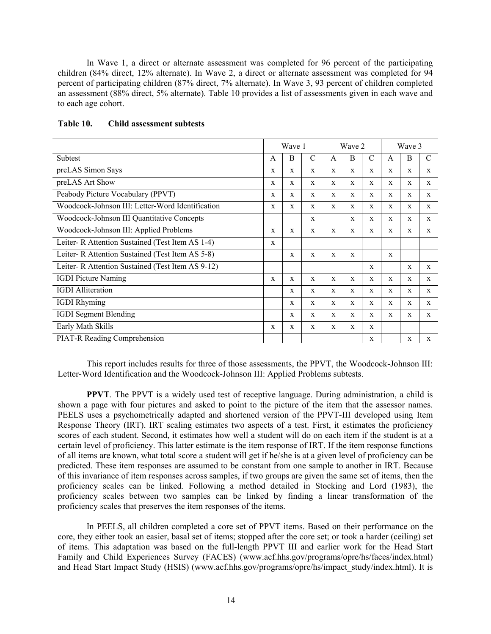In Wave 1, a direct or alternate assessment was completed for 96 percent of the participating children (84% direct, 12% alternate). In Wave 2, a direct or alternate assessment was completed for 94 percent of participating children (87% direct, 7% alternate). In Wave 3, 93 percent of children completed an assessment (88% direct, 5% alternate). Table 10 provides a list of assessments given in each wave and to each age cohort.

|                                                  |              | Wave 1       |              |              | Wave 2       |               |              | Wave 3       |               |
|--------------------------------------------------|--------------|--------------|--------------|--------------|--------------|---------------|--------------|--------------|---------------|
| Subtest                                          | $\mathsf{A}$ | B            | $\mathsf{C}$ | $\mathsf{A}$ | B            | $\mathcal{C}$ | A            | B            | $\mathcal{C}$ |
| preLAS Simon Says                                | X            | $\mathbf{x}$ | $\mathbf{x}$ | $\mathbf{x}$ | $\mathbf{x}$ | $\mathbf{x}$  | X            | $\mathbf{x}$ | X             |
| preLAS Art Show                                  | X            | X            | X            | X            | X            | X             | X            | X            | X             |
| Peabody Picture Vocabulary (PPVT)                | X            | X            | $\mathbf{x}$ | $\mathbf{x}$ | $\mathbf{x}$ | $\mathbf{x}$  | $\mathbf{x}$ | $\mathbf{x}$ | $\mathbf{x}$  |
| Woodcock-Johnson III: Letter-Word Identification | X            | $\mathbf{x}$ | $\mathbf{x}$ | $\mathbf{x}$ | X            | X             | X            | X            | X             |
| Woodcock-Johnson III Quantitative Concepts       |              |              | X            |              | X            | X             | X            | X            | X             |
| Woodcock-Johnson III: Applied Problems           | X            | X            | X            | X            | X            | X             | X            | $\mathbf{x}$ | X             |
| Leiter-R Attention Sustained (Test Item AS 1-4)  | $\mathbf{x}$ |              |              |              |              |               |              |              |               |
| Leiter-R Attention Sustained (Test Item AS 5-8)  |              | X            | X            | X            | X            |               | $\mathbf x$  |              |               |
| Leiter-R Attention Sustained (Test Item AS 9-12) |              |              |              |              |              | X             |              | $\mathbf{x}$ | X             |
| <b>IGDI</b> Picture Naming                       | X            | $\mathbf{x}$ | $\mathbf{x}$ | $\mathbf{x}$ | $\mathbf{x}$ | $\mathbf{x}$  | X            | X            | X             |
| <b>IGDI</b> Alliteration                         |              | X            | X            | X            | X            | X             | X            | X            | X             |
| <b>IGDI</b> Rhyming                              |              | $\mathbf{x}$ | $\mathbf{x}$ | $\mathbf{x}$ | $\mathbf{x}$ | $\mathbf{x}$  | $\mathbf{x}$ | $\mathbf{x}$ | X             |
| <b>IGDI</b> Segment Blending                     |              | $\mathbf{x}$ | $\mathbf{x}$ | $\mathbf{x}$ | X            | X             | X            | $\mathbf{x}$ | X             |
| Early Math Skills                                | X            | $\mathbf x$  | $\mathbf{x}$ | $\mathbf{x}$ | X            | $\mathbf{x}$  |              |              |               |
| <b>PIAT-R Reading Comprehension</b>              |              |              |              |              |              | X             |              | $\mathbf X$  | X             |

### **Table 10. Child assessment subtests**

This report includes results for three of those assessments, the PPVT, the Woodcock-Johnson III: Letter-Word Identification and the Woodcock-Johnson III: Applied Problems subtests.

**PPVT***.* The PPVT is a widely used test of receptive language. During administration, a child is shown a page with four pictures and asked to point to the picture of the item that the assessor names. PEELS uses a psychometrically adapted and shortened version of the PPVT-III developed using Item Response Theory (IRT). IRT scaling estimates two aspects of a test. First, it estimates the proficiency scores of each student. Second, it estimates how well a student will do on each item if the student is at a certain level of proficiency. This latter estimate is the item response of IRT. If the item response functions of all items are known, what total score a student will get if he/she is at a given level of proficiency can be predicted. These item responses are assumed to be constant from one sample to another in IRT. Because of this invariance of item responses across samples, if two groups are given the same set of items, then the proficiency scales can be linked. Following a method detailed in Stocking and Lord (1983), the proficiency scales between two samples can be linked by finding a linear transformation of the proficiency scales that preserves the item responses of the items.

In PEELS, all children completed a core set of PPVT items. Based on their performance on the core, they either took an easier, basal set of items; stopped after the core set; or took a harder (ceiling) set of items. This adaptation was based on the full-length PPVT III and earlier work for the Head Start Family and Child Experiences Survey (FACES) (www.acf.hhs.gov/programs/opre/hs/faces/index.html) and Head Start Impact Study (HSIS) (www.acf.hhs.gov/programs/opre/hs/impact\_study/index.html). It is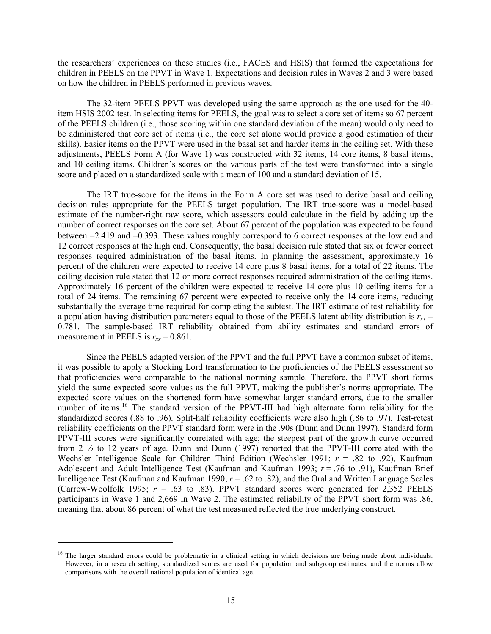the researchers' experiences on these studies (i.e., FACES and HSIS) that formed the expectations for children in PEELS on the PPVT in Wave 1. Expectations and decision rules in Waves 2 and 3 were based on how the children in PEELS performed in previous waves.

The 32-item PEELS PPVT was developed using the same approach as the one used for the 40 item HSIS 2002 test. In selecting items for PEELS, the goal was to select a core set of items so 67 percent of the PEELS children (i.e., those scoring within one standard deviation of the mean) would only need to be administered that core set of items (i.e., the core set alone would provide a good estimation of their skills). Easier items on the PPVT were used in the basal set and harder items in the ceiling set. With these adjustments, PEELS Form A (for Wave 1) was constructed with 32 items, 14 core items, 8 basal items, and 10 ceiling items. Children's scores on the various parts of the test were transformed into a single score and placed on a standardized scale with a mean of 100 and a standard deviation of 15.

The IRT true-score for the items in the Form A core set was used to derive basal and ceiling decision rules appropriate for the PEELS target population. The IRT true-score was a model-based estimate of the number-right raw score, which assessors could calculate in the field by adding up the number of correct responses on the core set. About 67 percent of the population was expected to be found between  $-2.419$  and  $-0.393$ . These values roughly correspond to 6 correct responses at the low end and 12 correct responses at the high end. Consequently, the basal decision rule stated that six or fewer correct responses required administration of the basal items. In planning the assessment, approximately 16 percent of the children were expected to receive 14 core plus 8 basal items, for a total of 22 items. The ceiling decision rule stated that 12 or more correct responses required administration of the ceiling items. Approximately 16 percent of the children were expected to receive 14 core plus 10 ceiling items for a total of 24 items. The remaining 67 percent were expected to receive only the 14 core items, reducing substantially the average time required for completing the subtest. The IRT estimate of test reliability for a population having distribution parameters equal to those of the PEELS latent ability distribution is  $r_{xx}$  = 0.781. The sample-based IRT reliability obtained from ability estimates and standard errors of measurement in PEELS is  $r_{xx} = 0.861$ .

Since the PEELS adapted version of the PPVT and the full PPVT have a common subset of items, it was possible to apply a Stocking Lord transformation to the proficiencies of the PEELS assessment so that proficiencies were comparable to the national norming sample. Therefore, the PPVT short forms yield the same expected score values as the full PPVT, making the publisher's norms appropriate. The expected score values on the shortened form have somewhat larger standard errors, due to the smaller number of items.<sup>16</sup> The standard version of the PPVT-III had high alternate form reliability for the standardized scores (.88 to .96). Split-half reliability coefficients were also high (.86 to .97). Test-retest reliability coefficients on the PPVT standard form were in the .90s (Dunn and Dunn 1997). Standard form PPVT-III scores were significantly correlated with age; the steepest part of the growth curve occurred from 2 ½ to 12 years of age. Dunn and Dunn (1997) reported that the PPVT-III correlated with the Wechsler Intelligence Scale for Children–Third Edition (Wechsler 1991;  $r = .82$  to .92), Kaufman Adolescent and Adult Intelligence Test (Kaufman and Kaufman 1993; *r* = .76 to .91), Kaufman Brief Intelligence Test (Kaufman and Kaufman 1990; *r* = .62 to .82), and the Oral and Written Language Scales (Carrow-Woolfolk 1995;  $r = .63$  to .83). PPVT standard scores were generated for 2,352 PEELS participants in Wave 1 and 2,669 in Wave 2. The estimated reliability of the PPVT short form was .86, meaning that about 86 percent of what the test measured reflected the true underlying construct.

 $\overline{a}$ 

<sup>&</sup>lt;sup>16</sup> The larger standard errors could be problematic in a clinical setting in which decisions are being made about individuals. However, in a research setting, standardized scores are used for population and subgroup estimates, and the norms allow comparisons with the overall national population of identical age.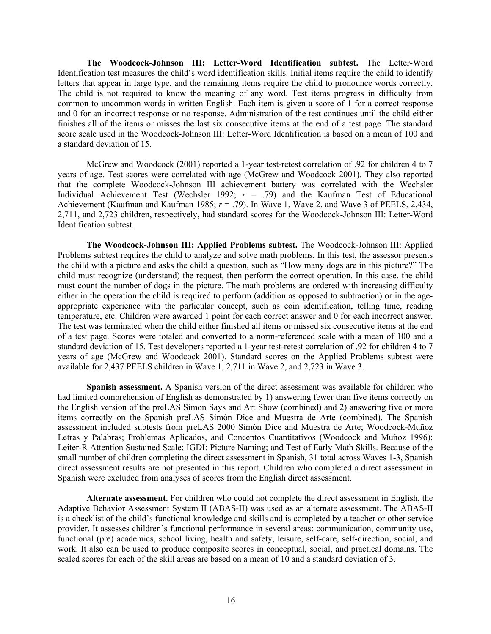**The Woodcock-Johnson III: Letter-Word Identification subtest.** The Letter-Word Identification test measures the child's word identification skills. Initial items require the child to identify letters that appear in large type, and the remaining items require the child to pronounce words correctly. The child is not required to know the meaning of any word. Test items progress in difficulty from common to uncommon words in written English. Each item is given a score of 1 for a correct response and 0 for an incorrect response or no response. Administration of the test continues until the child either finishes all of the items or misses the last six consecutive items at the end of a test page. The standard score scale used in the Woodcock-Johnson III: Letter-Word Identification is based on a mean of 100 and a standard deviation of 15.

McGrew and Woodcock (2001) reported a 1-year test-retest correlation of .92 for children 4 to 7 years of age. Test scores were correlated with age (McGrew and Woodcock 2001). They also reported that the complete Woodcock-Johnson III achievement battery was correlated with the Wechsler Individual Achievement Test (Wechsler 1992;  $r = .79$ ) and the Kaufman Test of Educational Achievement (Kaufman and Kaufman 1985; *r* = .79). In Wave 1, Wave 2, and Wave 3 of PEELS, 2,434, 2,711, and 2,723 children, respectively, had standard scores for the Woodcock-Johnson III: Letter-Word Identification subtest.

**The Woodcock-Johnson III: Applied Problems subtest.** The Woodcock-Johnson III: Applied Problems subtest requires the child to analyze and solve math problems. In this test, the assessor presents the child with a picture and asks the child a question, such as "How many dogs are in this picture?" The child must recognize (understand) the request, then perform the correct operation. In this case, the child must count the number of dogs in the picture. The math problems are ordered with increasing difficulty either in the operation the child is required to perform (addition as opposed to subtraction) or in the ageappropriate experience with the particular concept, such as coin identification, telling time, reading temperature, etc. Children were awarded 1 point for each correct answer and 0 for each incorrect answer. The test was terminated when the child either finished all items or missed six consecutive items at the end of a test page. Scores were totaled and converted to a norm-referenced scale with a mean of 100 and a standard deviation of 15. Test developers reported a 1-year test-retest correlation of .92 for children 4 to 7 years of age (McGrew and Woodcock 2001). Standard scores on the Applied Problems subtest were available for 2,437 PEELS children in Wave 1, 2,711 in Wave 2, and 2,723 in Wave 3.

**Spanish assessment.** A Spanish version of the direct assessment was available for children who had limited comprehension of English as demonstrated by 1) answering fewer than five items correctly on the English version of the preLAS Simon Says and Art Show (combined) and 2) answering five or more items correctly on the Spanish preLAS Simón Dice and Muestra de Arte (combined). The Spanish assessment included subtests from preLAS 2000 Simón Dice and Muestra de Arte; Woodcock-Muñoz Letras y Palabras; Problemas Aplicados, and Conceptos Cuantitativos (Woodcock and Muñoz 1996); Leiter-R Attention Sustained Scale; IGDI: Picture Naming; and Test of Early Math Skills. Because of the small number of children completing the direct assessment in Spanish, 31 total across Waves 1-3, Spanish direct assessment results are not presented in this report. Children who completed a direct assessment in Spanish were excluded from analyses of scores from the English direct assessment.

**Alternate assessment.** For children who could not complete the direct assessment in English, the Adaptive Behavior Assessment System II (ABAS-II) was used as an alternate assessment. The ABAS-II is a checklist of the child's functional knowledge and skills and is completed by a teacher or other service provider. It assesses children's functional performance in several areas: communication, community use, functional (pre) academics, school living, health and safety, leisure, self-care, self-direction, social, and work. It also can be used to produce composite scores in conceptual, social, and practical domains. The scaled scores for each of the skill areas are based on a mean of 10 and a standard deviation of 3.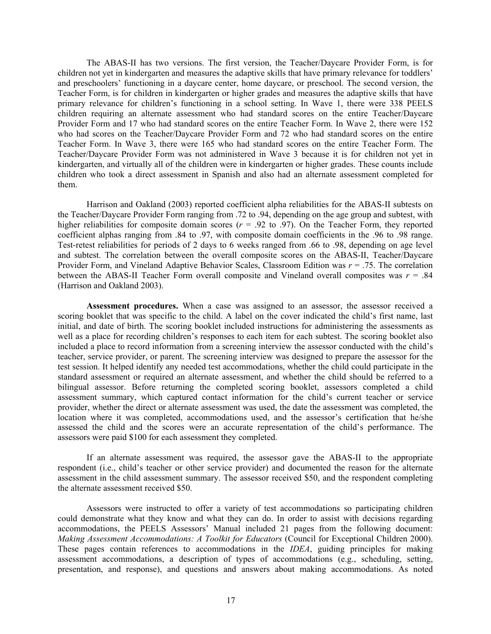The ABAS-II has two versions. The first version, the Teacher/Daycare Provider Form, is for children not yet in kindergarten and measures the adaptive skills that have primary relevance for toddlers' and preschoolers' functioning in a daycare center, home daycare, or preschool. The second version, the Teacher Form, is for children in kindergarten or higher grades and measures the adaptive skills that have primary relevance for children's functioning in a school setting. In Wave 1, there were 338 PEELS children requiring an alternate assessment who had standard scores on the entire Teacher/Daycare Provider Form and 17 who had standard scores on the entire Teacher Form. In Wave 2, there were 152 who had scores on the Teacher/Daycare Provider Form and 72 who had standard scores on the entire Teacher Form. In Wave 3, there were 165 who had standard scores on the entire Teacher Form. The Teacher/Daycare Provider Form was not administered in Wave 3 because it is for children not yet in kindergarten, and virtually all of the children were in kindergarten or higher grades. These counts include children who took a direct assessment in Spanish and also had an alternate assessment completed for them.

Harrison and Oakland (2003) reported coefficient alpha reliabilities for the ABAS-II subtests on the Teacher/Daycare Provider Form ranging from .72 to .94, depending on the age group and subtest, with higher reliabilities for composite domain scores ( $r = .92$  to .97). On the Teacher Form, they reported coefficient alphas ranging from .84 to .97, with composite domain coefficients in the .96 to .98 range. Test-retest reliabilities for periods of 2 days to 6 weeks ranged from .66 to .98, depending on age level and subtest. The correlation between the overall composite scores on the ABAS-II, Teacher/Daycare Provider Form, and Vineland Adaptive Behavior Scales, Classroom Edition was *r* = .75. The correlation between the ABAS-II Teacher Form overall composite and Vineland overall composites was *r* = .84 (Harrison and Oakland 2003).

**Assessment procedures.** When a case was assigned to an assessor, the assessor received a scoring booklet that was specific to the child. A label on the cover indicated the child's first name, last initial, and date of birth. The scoring booklet included instructions for administering the assessments as well as a place for recording children's responses to each item for each subtest. The scoring booklet also included a place to record information from a screening interview the assessor conducted with the child's teacher, service provider, or parent. The screening interview was designed to prepare the assessor for the test session. It helped identify any needed test accommodations, whether the child could participate in the standard assessment or required an alternate assessment, and whether the child should be referred to a bilingual assessor. Before returning the completed scoring booklet, assessors completed a child assessment summary, which captured contact information for the child's current teacher or service provider, whether the direct or alternate assessment was used, the date the assessment was completed, the location where it was completed, accommodations used, and the assessor's certification that he/she assessed the child and the scores were an accurate representation of the child's performance. The assessors were paid \$100 for each assessment they completed.

If an alternate assessment was required, the assessor gave the ABAS-II to the appropriate respondent (i.e., child's teacher or other service provider) and documented the reason for the alternate assessment in the child assessment summary. The assessor received \$50, and the respondent completing the alternate assessment received \$50.

Assessors were instructed to offer a variety of test accommodations so participating children could demonstrate what they know and what they can do. In order to assist with decisions regarding accommodations, the PEELS Assessors' Manual included 21 pages from the following document: *Making Assessment Accommodations: A Toolkit for Educators* (Council for Exceptional Children 2000). These pages contain references to accommodations in the *IDEA*, guiding principles for making assessment accommodations, a description of types of accommodations (e.g., scheduling, setting, presentation, and response), and questions and answers about making accommodations. As noted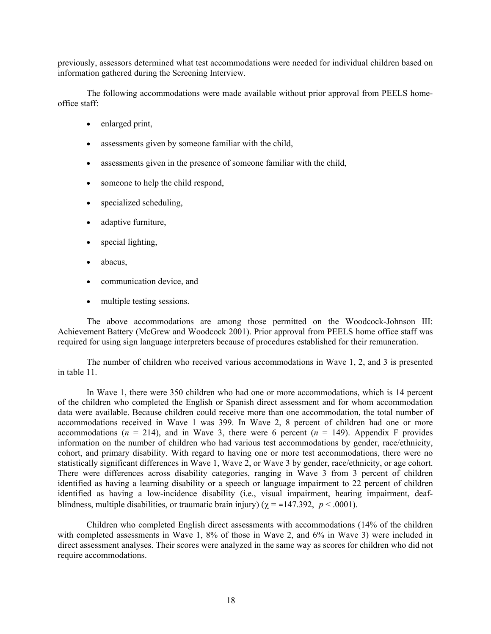previously, assessors determined what test accommodations were needed for individual children based on information gathered during the Screening Interview.

The following accommodations were made available without prior approval from PEELS homeoffice staff:

- enlarged print,
- assessments given by someone familiar with the child,
- assessments given in the presence of someone familiar with the child,
- someone to help the child respond,
- specialized scheduling,
- adaptive furniture,
- special lighting,
- abacus.
- communication device, and
- multiple testing sessions.

The above accommodations are among those permitted on the Woodcock-Johnson III: Achievement Battery (McGrew and Woodcock 2001). Prior approval from PEELS home office staff was required for using sign language interpreters because of procedures established for their remuneration.

The number of children who received various accommodations in Wave 1, 2, and 3 is presented in table 11.

In Wave 1, there were 350 children who had one or more accommodations, which is 14 percent of the children who completed the English or Spanish direct assessment and for whom accommodation data were available. Because children could receive more than one accommodation, the total number of accommodations received in Wave 1 was 399. In Wave 2, 8 percent of children had one or more accommodations ( $n = 214$ ), and in Wave 3, there were 6 percent ( $n = 149$ ). Appendix F provides information on the number of children who had various test accommodations by gender, race/ethnicity, cohort, and primary disability. With regard to having one or more test accommodations, there were no statistically significant differences in Wave 1, Wave 2, or Wave 3 by gender, race/ethnicity, or age cohort. There were differences across disability categories, ranging in Wave 3 from 3 percent of children identified as having a learning disability or a speech or language impairment to 22 percent of children identified as having a low-incidence disability (i.e., visual impairment, hearing impairment, deafblindness, multiple disabilities, or traumatic brain injury) ( $\gamma$  = =147.392, *p* < .0001).

Children who completed English direct assessments with accommodations (14% of the children with completed assessments in Wave 1, 8% of those in Wave 2, and 6% in Wave 3) were included in direct assessment analyses. Their scores were analyzed in the same way as scores for children who did not require accommodations.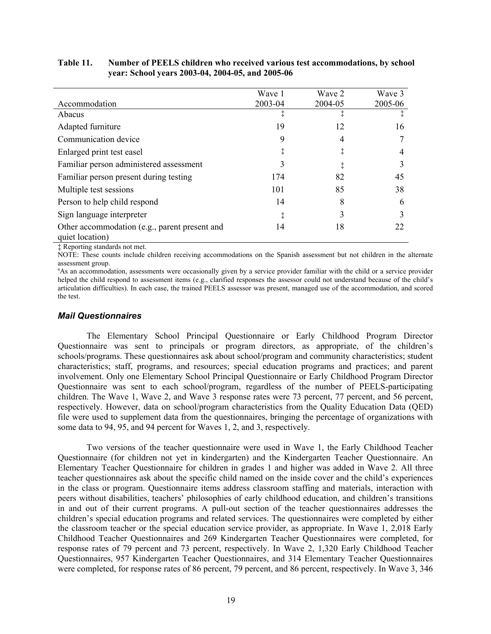|                                                                  | Wave 1  | Wave 2  | Wave 3  |
|------------------------------------------------------------------|---------|---------|---------|
| Accommodation                                                    | 2003-04 | 2004-05 | 2005-06 |
| Abacus                                                           |         |         |         |
| Adapted furniture                                                | 19      | 12      | 16      |
| Communication device                                             | 9       | 4       |         |
| Enlarged print test easel                                        |         | ţ       |         |
| Familiar person administered assessment                          | 3       |         |         |
| Familiar person present during testing                           | 174     | 82      | 45      |
| Multiple test sessions                                           | 101     | 85      | 38      |
| Person to help child respond                                     | 14      | 8       | 6       |
| Sign language interpreter                                        | ţ       | 3       |         |
| Other accommodation (e.g., parent present and<br>quiet location) | 14      | 18      | 22      |

#### **Table 11. Number of PEELS children who received various test accommodations, by school year: School years 2003-04, 2004-05, and 2005-06**

‡ Reporting standards not met.

NOTE: These counts include children receiving accommodations on the Spanish assessment but not children in the alternate assessment group.

<sup>a</sup>As an accommodation, assessments were occasionally given by a service provider familiar with the child or a service provider helped the child respond to assessment items (e.g., clarified responses the assessor could not understand because of the child's articulation difficulties). In each case, the trained PEELS assessor was present, managed use of the accommodation, and scored the test.

### *Mail Questionnaires*

The Elementary School Principal Questionnaire or Early Childhood Program Director Questionnaire was sent to principals or program directors, as appropriate, of the children's schools/programs. These questionnaires ask about school/program and community characteristics; student characteristics; staff, programs, and resources; special education programs and practices; and parent involvement. Only one Elementary School Principal Questionnaire or Early Childhood Program Director Questionnaire was sent to each school/program, regardless of the number of PEELS-participating children. The Wave 1, Wave 2, and Wave 3 response rates were 73 percent, 77 percent, and 56 percent, respectively. However, data on school/program characteristics from the Quality Education Data (QED) file were used to supplement data from the questionnaires, bringing the percentage of organizations with some data to 94, 95, and 94 percent for Waves 1, 2, and 3, respectively.

Two versions of the teacher questionnaire were used in Wave 1, the Early Childhood Teacher Questionnaire (for children not yet in kindergarten) and the Kindergarten Teacher Questionnaire. An Elementary Teacher Questionnaire for children in grades 1 and higher was added in Wave 2. All three teacher questionnaires ask about the specific child named on the inside cover and the child's experiences in the class or program. Questionnaire items address classroom staffing and materials, interaction with peers without disabilities, teachers' philosophies of early childhood education, and children's transitions in and out of their current programs. A pull-out section of the teacher questionnaires addresses the children's special education programs and related services. The questionnaires were completed by either the classroom teacher or the special education service provider, as appropriate. In Wave 1, 2,018 Early Childhood Teacher Questionnaires and 269 Kindergarten Teacher Questionnaires were completed, for response rates of 79 percent and 73 percent, respectively. In Wave 2, 1,320 Early Childhood Teacher Questionnaires, 957 Kindergarten Teacher Questionnaires, and 314 Elementary Teacher Questionnaires were completed, for response rates of 86 percent, 79 percent, and 86 percent, respectively. In Wave 3, 346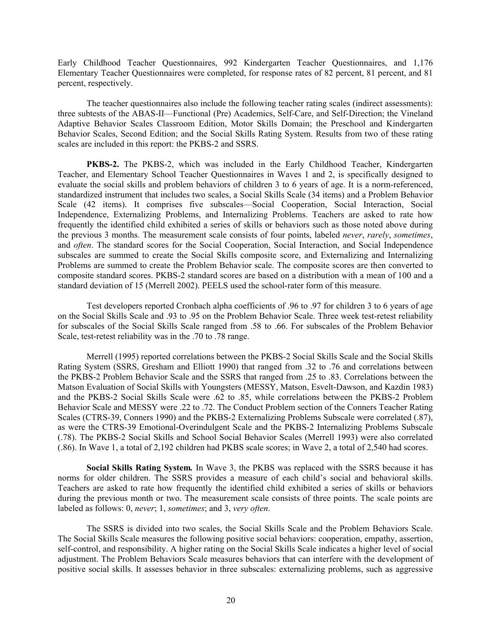Early Childhood Teacher Questionnaires, 992 Kindergarten Teacher Questionnaires, and 1,176 Elementary Teacher Questionnaires were completed, for response rates of 82 percent, 81 percent, and 81 percent, respectively.

The teacher questionnaires also include the following teacher rating scales (indirect assessments): three subtests of the ABAS-II—Functional (Pre) Academics, Self-Care, and Self-Direction; the Vineland Adaptive Behavior Scales Classroom Edition, Motor Skills Domain; the Preschool and Kindergarten Behavior Scales, Second Edition; and the Social Skills Rating System. Results from two of these rating scales are included in this report: the PKBS-2 and SSRS.

**PKBS-2.** The PKBS-2, which was included in the Early Childhood Teacher, Kindergarten Teacher, and Elementary School Teacher Questionnaires in Waves 1 and 2, is specifically designed to evaluate the social skills and problem behaviors of children 3 to 6 years of age. It is a norm-referenced, standardized instrument that includes two scales, a Social Skills Scale (34 items) and a Problem Behavior Scale (42 items). It comprises five subscales—Social Cooperation, Social Interaction, Social Independence, Externalizing Problems, and Internalizing Problems. Teachers are asked to rate how frequently the identified child exhibited a series of skills or behaviors such as those noted above during the previous 3 months. The measurement scale consists of four points, labeled *never*, *rarely*, *sometimes*, and *often*. The standard scores for the Social Cooperation, Social Interaction, and Social Independence subscales are summed to create the Social Skills composite score, and Externalizing and Internalizing Problems are summed to create the Problem Behavior scale. The composite scores are then converted to composite standard scores. PKBS-2 standard scores are based on a distribution with a mean of 100 and a standard deviation of 15 (Merrell 2002). PEELS used the school-rater form of this measure.

Test developers reported Cronbach alpha coefficients of .96 to .97 for children 3 to 6 years of age on the Social Skills Scale and .93 to .95 on the Problem Behavior Scale. Three week test-retest reliability for subscales of the Social Skills Scale ranged from .58 to .66. For subscales of the Problem Behavior Scale, test-retest reliability was in the .70 to .78 range.

Merrell (1995) reported correlations between the PKBS-2 Social Skills Scale and the Social Skills Rating System (SSRS, Gresham and Elliott 1990) that ranged from .32 to .76 and correlations between the PKBS-2 Problem Behavior Scale and the SSRS that ranged from .25 to .83. Correlations between the Matson Evaluation of Social Skills with Youngsters (MESSY, Matson, Esvelt-Dawson, and Kazdin 1983) and the PKBS-2 Social Skills Scale were .62 to .85, while correlations between the PKBS-2 Problem Behavior Scale and MESSY were .22 to .72. The Conduct Problem section of the Conners Teacher Rating Scales (CTRS-39, Conners 1990) and the PKBS-2 Externalizing Problems Subscale were correlated (.87), as were the CTRS-39 Emotional-Overindulgent Scale and the PKBS-2 Internalizing Problems Subscale (.78). The PKBS-2 Social Skills and School Social Behavior Scales (Merrell 1993) were also correlated (.86). In Wave 1, a total of 2,192 children had PKBS scale scores; in Wave 2, a total of 2,540 had scores.

**Social Skills Rating System***.* In Wave 3, the PKBS was replaced with the SSRS because it has norms for older children. The SSRS provides a measure of each child's social and behavioral skills. Teachers are asked to rate how frequently the identified child exhibited a series of skills or behaviors during the previous month or two. The measurement scale consists of three points. The scale points are labeled as follows: 0, *never*; 1, *sometimes*; and 3, *very often*.

The SSRS is divided into two scales, the Social Skills Scale and the Problem Behaviors Scale. The Social Skills Scale measures the following positive social behaviors: cooperation, empathy, assertion, self-control, and responsibility. A higher rating on the Social Skills Scale indicates a higher level of social adjustment. The Problem Behaviors Scale measures behaviors that can interfere with the development of positive social skills. It assesses behavior in three subscales: externalizing problems, such as aggressive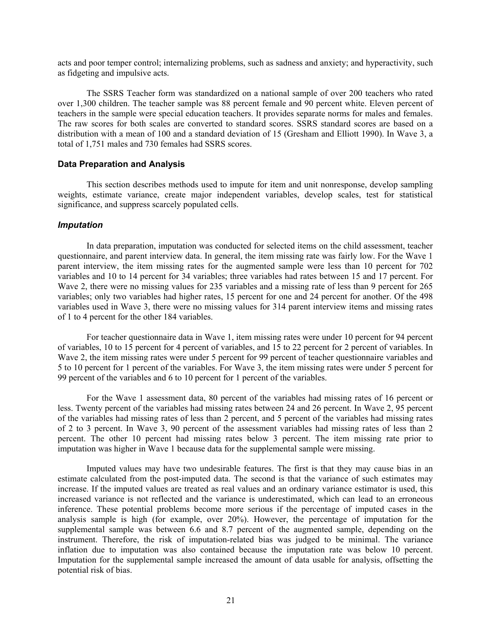acts and poor temper control; internalizing problems, such as sadness and anxiety; and hyperactivity, such as fidgeting and impulsive acts.

The SSRS Teacher form was standardized on a national sample of over 200 teachers who rated over 1,300 children. The teacher sample was 88 percent female and 90 percent white. Eleven percent of teachers in the sample were special education teachers. It provides separate norms for males and females. The raw scores for both scales are converted to standard scores. SSRS standard scores are based on a distribution with a mean of 100 and a standard deviation of 15 (Gresham and Elliott 1990). In Wave 3, a total of 1,751 males and 730 females had SSRS scores.

#### **Data Preparation and Analysis**

This section describes methods used to impute for item and unit nonresponse, develop sampling weights, estimate variance, create major independent variables, develop scales, test for statistical significance, and suppress scarcely populated cells.

#### *Imputation*

In data preparation, imputation was conducted for selected items on the child assessment, teacher questionnaire, and parent interview data. In general, the item missing rate was fairly low. For the Wave 1 parent interview, the item missing rates for the augmented sample were less than 10 percent for 702 variables and 10 to 14 percent for 34 variables; three variables had rates between 15 and 17 percent. For Wave 2, there were no missing values for 235 variables and a missing rate of less than 9 percent for 265 variables; only two variables had higher rates, 15 percent for one and 24 percent for another. Of the 498 variables used in Wave 3, there were no missing values for 314 parent interview items and missing rates of 1 to 4 percent for the other 184 variables.

For teacher questionnaire data in Wave 1, item missing rates were under 10 percent for 94 percent of variables, 10 to 15 percent for 4 percent of variables, and 15 to 22 percent for 2 percent of variables. In Wave 2, the item missing rates were under 5 percent for 99 percent of teacher questionnaire variables and 5 to 10 percent for 1 percent of the variables. For Wave 3, the item missing rates were under 5 percent for 99 percent of the variables and 6 to 10 percent for 1 percent of the variables.

For the Wave 1 assessment data, 80 percent of the variables had missing rates of 16 percent or less. Twenty percent of the variables had missing rates between 24 and 26 percent. In Wave 2, 95 percent of the variables had missing rates of less than 2 percent, and 5 percent of the variables had missing rates of 2 to 3 percent. In Wave 3, 90 percent of the assessment variables had missing rates of less than 2 percent. The other 10 percent had missing rates below 3 percent. The item missing rate prior to imputation was higher in Wave 1 because data for the supplemental sample were missing.

Imputed values may have two undesirable features. The first is that they may cause bias in an estimate calculated from the post-imputed data. The second is that the variance of such estimates may increase. If the imputed values are treated as real values and an ordinary variance estimator is used, this increased variance is not reflected and the variance is underestimated, which can lead to an erroneous inference. These potential problems become more serious if the percentage of imputed cases in the analysis sample is high (for example, over 20%). However, the percentage of imputation for the supplemental sample was between 6.6 and 8.7 percent of the augmented sample, depending on the instrument. Therefore, the risk of imputation-related bias was judged to be minimal. The variance inflation due to imputation was also contained because the imputation rate was below 10 percent. Imputation for the supplemental sample increased the amount of data usable for analysis, offsetting the potential risk of bias.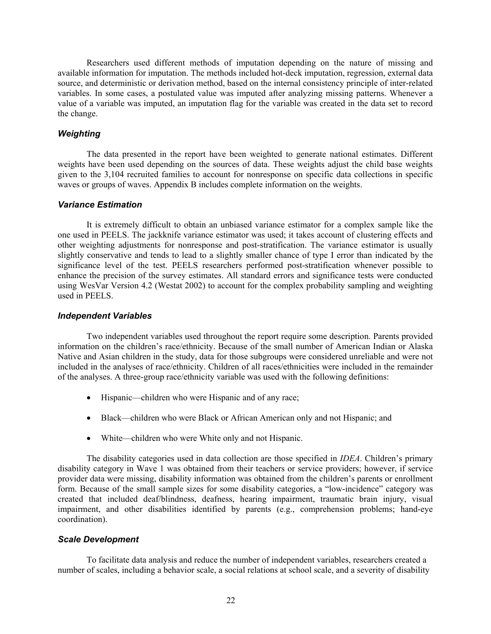Researchers used different methods of imputation depending on the nature of missing and available information for imputation. The methods included hot-deck imputation, regression, external data source, and deterministic or derivation method, based on the internal consistency principle of inter-related variables. In some cases, a postulated value was imputed after analyzing missing patterns. Whenever a value of a variable was imputed, an imputation flag for the variable was created in the data set to record the change.

# *Weighting*

The data presented in the report have been weighted to generate national estimates. Different weights have been used depending on the sources of data. These weights adjust the child base weights given to the 3,104 recruited families to account for nonresponse on specific data collections in specific waves or groups of waves. Appendix B includes complete information on the weights.

### *Variance Estimation*

It is extremely difficult to obtain an unbiased variance estimator for a complex sample like the one used in PEELS. The jackknife variance estimator was used; it takes account of clustering effects and other weighting adjustments for nonresponse and post-stratification. The variance estimator is usually slightly conservative and tends to lead to a slightly smaller chance of type I error than indicated by the significance level of the test. PEELS researchers performed post-stratification whenever possible to enhance the precision of the survey estimates. All standard errors and significance tests were conducted using WesVar Version 4.2 (Westat 2002) to account for the complex probability sampling and weighting used in PEELS.

#### *Independent Variables*

Two independent variables used throughout the report require some description. Parents provided information on the children's race/ethnicity. Because of the small number of American Indian or Alaska Native and Asian children in the study, data for those subgroups were considered unreliable and were not included in the analyses of race/ethnicity. Children of all races/ethnicities were included in the remainder of the analyses. A three-group race/ethnicity variable was used with the following definitions:

- Hispanic—children who were Hispanic and of any race;
- Black—children who were Black or African American only and not Hispanic; and
- White—children who were White only and not Hispanic.

The disability categories used in data collection are those specified in *IDEA*. Children's primary disability category in Wave 1 was obtained from their teachers or service providers; however, if service provider data were missing, disability information was obtained from the children's parents or enrollment form. Because of the small sample sizes for some disability categories, a "low-incidence" category was created that included deaf/blindness, deafness, hearing impairment, traumatic brain injury, visual impairment, and other disabilities identified by parents (e.g., comprehension problems; hand-eye coordination).

# *Scale Development*

To facilitate data analysis and reduce the number of independent variables, researchers created a number of scales, including a behavior scale, a social relations at school scale, and a severity of disability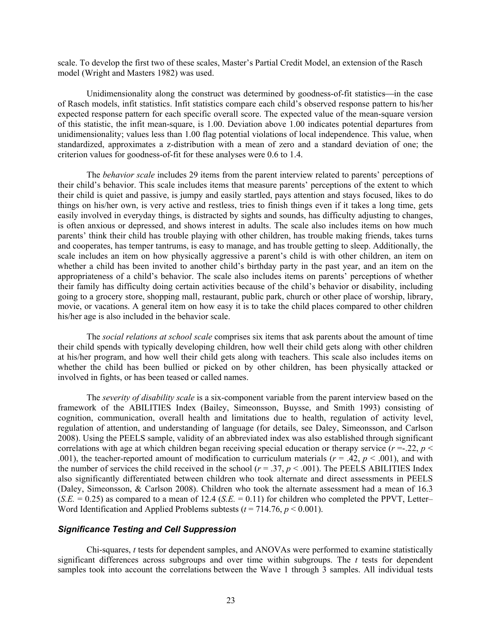scale. To develop the first two of these scales, Master's Partial Credit Model, an extension of the Rasch model (Wright and Masters 1982) was used.

Unidimensionality along the construct was determined by goodness-of-fit statistics—in the case of Rasch models, infit statistics. Infit statistics compare each child's observed response pattern to his/her expected response pattern for each specific overall score. The expected value of the mean-square version of this statistic, the infit mean-square, is 1.00. Deviation above 1.00 indicates potential departures from unidimensionality; values less than 1.00 flag potential violations of local independence. This value, when standardized, approximates a z-distribution with a mean of zero and a standard deviation of one; the criterion values for goodness-of-fit for these analyses were 0.6 to 1.4.

The *behavior scale* includes 29 items from the parent interview related to parents' perceptions of their child's behavior. This scale includes items that measure parents' perceptions of the extent to which their child is quiet and passive, is jumpy and easily startled, pays attention and stays focused, likes to do things on his/her own, is very active and restless, tries to finish things even if it takes a long time, gets easily involved in everyday things, is distracted by sights and sounds, has difficulty adjusting to changes, is often anxious or depressed, and shows interest in adults. The scale also includes items on how much parents' think their child has trouble playing with other children, has trouble making friends, takes turns and cooperates, has temper tantrums, is easy to manage, and has trouble getting to sleep. Additionally, the scale includes an item on how physically aggressive a parent's child is with other children, an item on whether a child has been invited to another child's birthday party in the past year, and an item on the appropriateness of a child's behavior. The scale also includes items on parents' perceptions of whether their family has difficulty doing certain activities because of the child's behavior or disability, including going to a grocery store, shopping mall, restaurant, public park, church or other place of worship, library, movie, or vacations. A general item on how easy it is to take the child places compared to other children his/her age is also included in the behavior scale.

The *social relations at school scale* comprises six items that ask parents about the amount of time their child spends with typically developing children, how well their child gets along with other children at his/her program, and how well their child gets along with teachers. This scale also includes items on whether the child has been bullied or picked on by other children, has been physically attacked or involved in fights, or has been teased or called names.

The *severity of disability scale* is a six-component variable from the parent interview based on the framework of the ABILITIES Index (Bailey, Simeonsson, Buysse, and Smith 1993) consisting of cognition, communication, overall health and limitations due to health, regulation of activity level, regulation of attention, and understanding of language (for details, see Daley, Simeonsson, and Carlson 2008). Using the PEELS sample, validity of an abbreviated index was also established through significant correlations with age at which children began receiving special education or therapy service  $(r = 22, p <$ .001), the teacher-reported amount of modification to curriculum materials ( $r = .42$ ,  $p < .001$ ), and with the number of services the child received in the school  $(r = .37, p < .001)$ . The PEELS ABILITIES Index also significantly differentiated between children who took alternate and direct assessments in PEELS (Daley, Simeonsson, & Carlson 2008). Children who took the alternate assessment had a mean of 16.3  $(S.E. = 0.25)$  as compared to a mean of 12.4  $(S.E. = 0.11)$  for children who completed the PPVT, Letter– Word Identification and Applied Problems subtests  $(t = 714.76, p \le 0.001)$ .

## *Significance Testing and Cell Suppression*

Chi-squares, *t* tests for dependent samples, and ANOVAs were performed to examine statistically significant differences across subgroups and over time within subgroups. The *t* tests for dependent samples took into account the correlations between the Wave 1 through 3 samples. All individual tests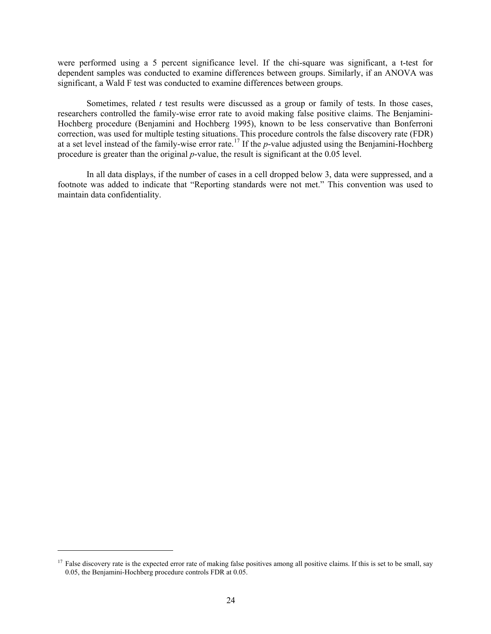were performed using a 5 percent significance level. If the chi-square was significant, a t-test for dependent samples was conducted to examine differences between groups. Similarly, if an ANOVA was significant, a Wald F test was conducted to examine differences between groups.

Sometimes, related *t* test results were discussed as a group or family of tests. In those cases, researchers controlled the family-wise error rate to avoid making false positive claims. The Benjamini-Hochberg procedure (Benjamini and Hochberg 1995), known to be less conservative than Bonferroni correction, was used for multiple testing situations. This procedure controls the false discovery rate (FDR) at a set level instead of the family-wise error rate.17 If the *p*-value adjusted using the Benjamini-Hochberg procedure is greater than the original *p*-value, the result is significant at the 0.05 level.

In all data displays, if the number of cases in a cell dropped below 3, data were suppressed, and a footnote was added to indicate that "Reporting standards were not met." This convention was used to maintain data confidentiality.

 $\overline{a}$ 

 $17$  False discovery rate is the expected error rate of making false positives among all positive claims. If this is set to be small, say 0.05, the Benjamini-Hochberg procedure controls FDR at 0.05.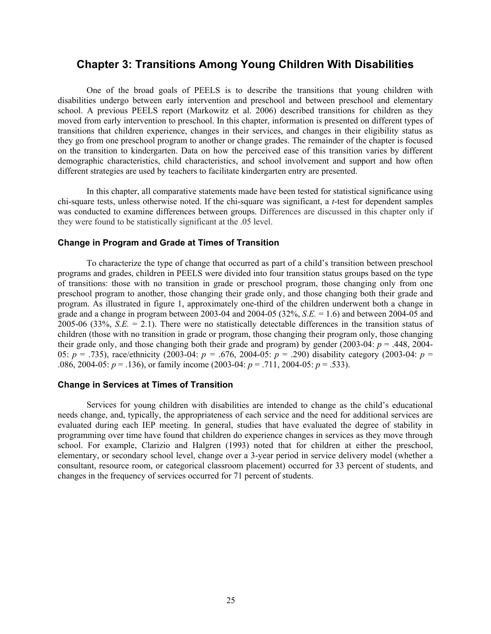# **Chapter 3: Transitions Among Young Children With Disabilities**

One of the broad goals of PEELS is to describe the transitions that young children with disabilities undergo between early intervention and preschool and between preschool and elementary school. A previous PEELS report (Markowitz et al. 2006) described transitions for children as they moved from early intervention to preschool. In this chapter, information is presented on different types of transitions that children experience, changes in their services, and changes in their eligibility status as they go from one preschool program to another or change grades. The remainder of the chapter is focused on the transition to kindergarten. Data on how the perceived ease of this transition varies by different demographic characteristics, child characteristics, and school involvement and support and how often different strategies are used by teachers to facilitate kindergarten entry are presented.

In this chapter, all comparative statements made have been tested for statistical significance using chi-square tests, unless otherwise noted. If the chi-square was significant, a *t*-test for dependent samples was conducted to examine differences between groups. Differences are discussed in this chapter only if they were found to be statistically significant at the .05 level.

### **Change in Program and Grade at Times of Transition**

To characterize the type of change that occurred as part of a child's transition between preschool programs and grades, children in PEELS were divided into four transition status groups based on the type of transitions: those with no transition in grade or preschool program, those changing only from one preschool program to another, those changing their grade only, and those changing both their grade and program. As illustrated in figure 1, approximately one-third of the children underwent both a change in grade and a change in program between 2003-04 and 2004-05 (32%, *S.E.* = 1.6) and between 2004-05 and 2005-06 (33%, *S.E.* = 2.1). There were no statistically detectable differences in the transition status of children (those with no transition in grade or program, those changing their program only, those changing their grade only, and those changing both their grade and program) by gender  $(2003-04: p = .448, 2004-$ 05:  $p = .735$ ), race/ethnicity (2003-04:  $p = .676$ , 2004-05:  $p = .290$ ) disability category (2003-04:  $p =$ .086, 2004-05: *p* = .136), or family income (2003-04: *p* = .711, 2004-05: *p* = .533).

### **Change in Services at Times of Transition**

Services for young children with disabilities are intended to change as the child's educational needs change, and, typically, the appropriateness of each service and the need for additional services are evaluated during each IEP meeting. In general, studies that have evaluated the degree of stability in programming over time have found that children do experience changes in services as they move through school. For example, Clarizio and Halgren (1993) noted that for children at either the preschool, elementary, or secondary school level, change over a 3-year period in service delivery model (whether a consultant, resource room, or categorical classroom placement) occurred for 33 percent of students, and changes in the frequency of services occurred for 71 percent of students.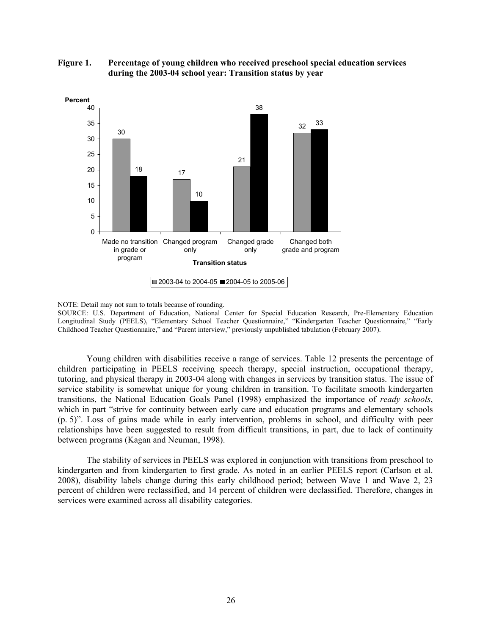

**Figure 1. Percentage of young children who received preschool special education services during the 2003-04 school year: Transition status by year** 

Young children with disabilities receive a range of services. Table 12 presents the percentage of children participating in PEELS receiving speech therapy, special instruction, occupational therapy, tutoring, and physical therapy in 2003-04 along with changes in services by transition status. The issue of service stability is somewhat unique for young children in transition. To facilitate smooth kindergarten transitions, the National Education Goals Panel (1998) emphasized the importance of *ready schools*, which in part "strive for continuity between early care and education programs and elementary schools (p. 5)". Loss of gains made while in early intervention, problems in school, and difficulty with peer relationships have been suggested to result from difficult transitions, in part, due to lack of continuity between programs (Kagan and Neuman, 1998).

The stability of services in PEELS was explored in conjunction with transitions from preschool to kindergarten and from kindergarten to first grade. As noted in an earlier PEELS report (Carlson et al. 2008), disability labels change during this early childhood period; between Wave 1 and Wave 2, 23 percent of children were reclassified, and 14 percent of children were declassified. Therefore, changes in services were examined across all disability categories.

NOTE: Detail may not sum to totals because of rounding.

SOURCE: U.S. Department of Education, National Center for Special Education Research, Pre-Elementary Education Longitudinal Study (PEELS), "Elementary School Teacher Questionnaire," "Kindergarten Teacher Questionnaire," "Early Childhood Teacher Questionnaire," and "Parent interview," previously unpublished tabulation (February 2007).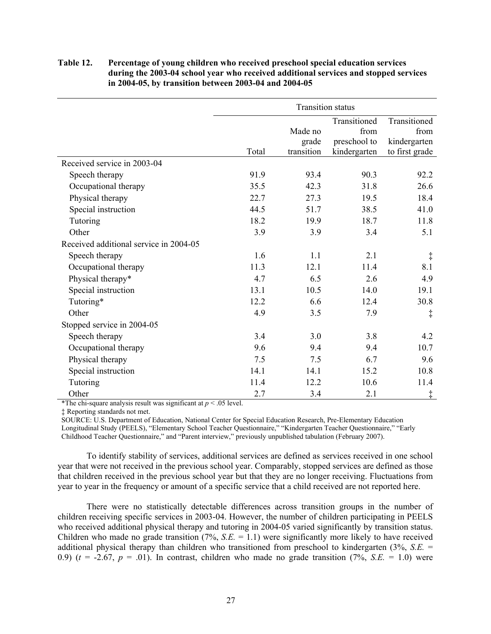# **Table 12. Percentage of young children who received preschool special education services during the 2003-04 school year who received additional services and stopped services in 2004-05, by transition between 2003-04 and 2004-05**

|                                        | <b>Transition status</b> |            |              |                |  |
|----------------------------------------|--------------------------|------------|--------------|----------------|--|
|                                        |                          |            | Transitioned | Transitioned   |  |
|                                        |                          | Made no    | from         | from           |  |
|                                        |                          | grade      | preschool to | kindergarten   |  |
|                                        | Total                    | transition | kindergarten | to first grade |  |
| Received service in 2003-04            |                          |            |              |                |  |
| Speech therapy                         | 91.9                     | 93.4       | 90.3         | 92.2           |  |
| Occupational therapy                   | 35.5                     | 42.3       | 31.8         | 26.6           |  |
| Physical therapy                       | 22.7                     | 27.3       | 19.5         | 18.4           |  |
| Special instruction                    | 44.5                     | 51.7       | 38.5         | 41.0           |  |
| Tutoring                               | 18.2                     | 19.9       | 18.7         | 11.8           |  |
| Other                                  | 3.9                      | 3.9        | 3.4          | 5.1            |  |
| Received additional service in 2004-05 |                          |            |              |                |  |
| Speech therapy                         | 1.6                      | 1.1        | 2.1          | $\ddagger$     |  |
| Occupational therapy                   | 11.3                     | 12.1       | 11.4         | 8.1            |  |
| Physical therapy*                      | 4.7                      | 6.5        | 2.6          | 4.9            |  |
| Special instruction                    | 13.1                     | 10.5       | 14.0         | 19.1           |  |
| Tutoring*                              | 12.2                     | 6.6        | 12.4         | 30.8           |  |
| Other                                  | 4.9                      | 3.5        | 7.9          | $\ddagger$     |  |
| Stopped service in 2004-05             |                          |            |              |                |  |
| Speech therapy                         | 3.4                      | 3.0        | 3.8          | 4.2            |  |
| Occupational therapy                   | 9.6                      | 9.4        | 9.4          | 10.7           |  |
| Physical therapy                       | 7.5                      | 7.5        | 6.7          | 9.6            |  |
| Special instruction                    | 14.1                     | 14.1       | 15.2         | 10.8           |  |
| Tutoring                               | 11.4                     | 12.2       | 10.6         | 11.4           |  |
| Other                                  | 2.7                      | 3.4        | 2.1          | ţ              |  |

\*The chi-square analysis result was significant at  $p < .05$  level.

‡ Reporting standards not met.

SOURCE: U.S. Department of Education, National Center for Special Education Research, Pre-Elementary Education Longitudinal Study (PEELS), "Elementary School Teacher Questionnaire," "Kindergarten Teacher Questionnaire," "Early Childhood Teacher Questionnaire," and "Parent interview," previously unpublished tabulation (February 2007).

To identify stability of services, additional services are defined as services received in one school year that were not received in the previous school year. Comparably, stopped services are defined as those that children received in the previous school year but that they are no longer receiving. Fluctuations from year to year in the frequency or amount of a specific service that a child received are not reported here.

There were no statistically detectable differences across transition groups in the number of children receiving specific services in 2003-04. However, the number of children participating in PEELS who received additional physical therapy and tutoring in 2004-05 varied significantly by transition status. Children who made no grade transition (7%, *S.E.* = 1.1) were significantly more likely to have received additional physical therapy than children who transitioned from preschool to kindergarten (3%, *S.E.* = 0.9)  $(t = -2.67, p = .01)$ . In contrast, children who made no grade transition  $(7\%, S.E. = 1.0)$  were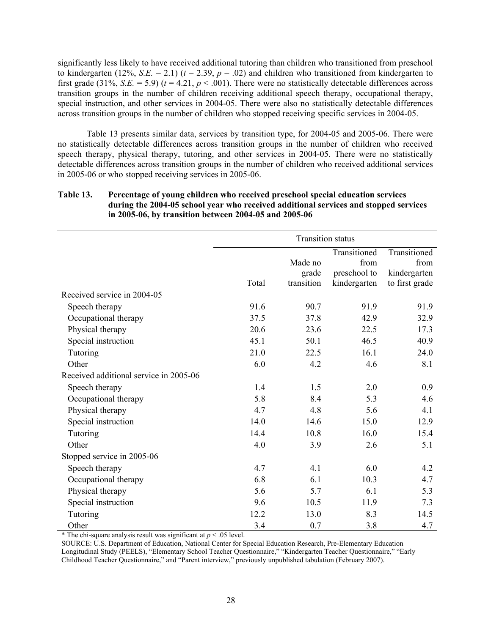significantly less likely to have received additional tutoring than children who transitioned from preschool to kindergarten (12%, *S.E.* = 2.1) ( $t = 2.39$ ,  $p = .02$ ) and children who transitioned from kindergarten to first grade (31%, *S.E.* = 5.9) ( $t = 4.21$ ,  $p < .001$ ). There were no statistically detectable differences across transition groups in the number of children receiving additional speech therapy, occupational therapy, special instruction, and other services in 2004-05. There were also no statistically detectable differences across transition groups in the number of children who stopped receiving specific services in 2004-05.

Table 13 presents similar data, services by transition type, for 2004-05 and 2005-06. There were no statistically detectable differences across transition groups in the number of children who received speech therapy, physical therapy, tutoring, and other services in 2004-05. There were no statistically detectable differences across transition groups in the number of children who received additional services in 2005-06 or who stopped receiving services in 2005-06.

# **Table 13. Percentage of young children who received preschool special education services during the 2004-05 school year who received additional services and stopped services in 2005-06, by transition between 2004-05 and 2005-06**

|                                        | <b>Transition status</b> |            |              |                |  |
|----------------------------------------|--------------------------|------------|--------------|----------------|--|
|                                        |                          |            | Transitioned | Transitioned   |  |
|                                        |                          | Made no    | from         | from           |  |
|                                        |                          | grade      | preschool to | kindergarten   |  |
|                                        | Total                    | transition | kindergarten | to first grade |  |
| Received service in 2004-05            |                          |            |              |                |  |
| Speech therapy                         | 91.6                     | 90.7       | 91.9         | 91.9           |  |
| Occupational therapy                   | 37.5                     | 37.8       | 42.9         | 32.9           |  |
| Physical therapy                       | 20.6                     | 23.6       | 22.5         | 17.3           |  |
| Special instruction                    | 45.1                     | 50.1       | 46.5         | 40.9           |  |
| Tutoring                               | 21.0                     | 22.5       | 16.1         | 24.0           |  |
| Other                                  | 6.0                      | 4.2        | 4.6          | 8.1            |  |
| Received additional service in 2005-06 |                          |            |              |                |  |
| Speech therapy                         | 1.4                      | 1.5        | 2.0          | 0.9            |  |
| Occupational therapy                   | 5.8                      | 8.4        | 5.3          | 4.6            |  |
| Physical therapy                       | 4.7                      | 4.8        | 5.6          | 4.1            |  |
| Special instruction                    | 14.0                     | 14.6       | 15.0         | 12.9           |  |
| Tutoring                               | 14.4                     | 10.8       | 16.0         | 15.4           |  |
| Other                                  | 4.0                      | 3.9        | 2.6          | 5.1            |  |
| Stopped service in 2005-06             |                          |            |              |                |  |
| Speech therapy                         | 4.7                      | 4.1        | 6.0          | 4.2            |  |
| Occupational therapy                   | 6.8                      | 6.1        | 10.3         | 4.7            |  |
| Physical therapy                       | 5.6                      | 5.7        | 6.1          | 5.3            |  |
| Special instruction                    | 9.6                      | 10.5       | 11.9         | 7.3            |  |
| Tutoring                               | 12.2                     | 13.0       | 8.3          | 14.5           |  |
| Other                                  | 3.4                      | 0.7        | 3.8          | 4.7            |  |

\* The chi-square analysis result was significant at  $p < .05$  level.

SOURCE: U.S. Department of Education, National Center for Special Education Research, Pre-Elementary Education Longitudinal Study (PEELS), "Elementary School Teacher Questionnaire," "Kindergarten Teacher Questionnaire," "Early Childhood Teacher Questionnaire," and "Parent interview," previously unpublished tabulation (February 2007).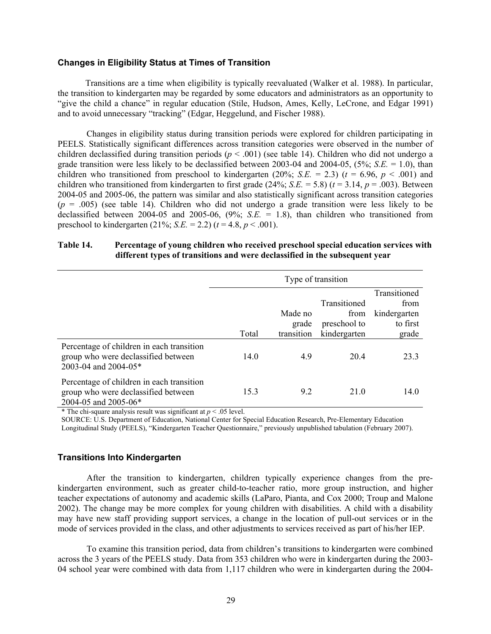### **Changes in Eligibility Status at Times of Transition**

Transitions are a time when eligibility is typically reevaluated (Walker et al. 1988). In particular, the transition to kindergarten may be regarded by some educators and administrators as an opportunity to "give the child a chance" in regular education (Stile, Hudson, Ames, Kelly, LeCrone, and Edgar 1991) and to avoid unnecessary "tracking" (Edgar, Heggelund, and Fischer 1988).

Changes in eligibility status during transition periods were explored for children participating in PEELS. Statistically significant differences across transition categories were observed in the number of children declassified during transition periods ( $p < .001$ ) (see table 14). Children who did not undergo a grade transition were less likely to be declassified between 2003-04 and 2004-05, (5%; *S.E.* = 1.0), than children who transitioned from preschool to kindergarten (20%; *S.E.* = 2.3) ( $t = 6.96$ ,  $p < .001$ ) and children who transitioned from kindergarten to first grade  $(24\%; S.E. = 5.8)$  ( $t = 3.14, p = .003$ ). Between 2004-05 and 2005-06, the pattern was similar and also statistically significant across transition categories  $(p = .005)$  (see table 14). Children who did not undergo a grade transition were less likely to be declassified between 2004-05 and 2005-06, (9%; *S.E.* = 1.8), than children who transitioned from preschool to kindergarten  $(21\%; S.E. = 2.2)$   $(t = 4.8, p < .001)$ .

# **Table 14. Percentage of young children who received preschool special education services with different types of transitions and were declassified in the subsequent year**

|                                                                                                          | Type of transition |                  |                                      |                                                  |  |  |
|----------------------------------------------------------------------------------------------------------|--------------------|------------------|--------------------------------------|--------------------------------------------------|--|--|
|                                                                                                          |                    | Made no<br>grade | Transitioned<br>from<br>preschool to | Transitioned<br>from<br>kindergarten<br>to first |  |  |
|                                                                                                          | Total              | transition       | kindergarten                         | grade                                            |  |  |
| Percentage of children in each transition<br>group who were declassified between<br>2003-04 and 2004-05* | 14.0               | 4.9              | 20.4                                 | 23.3                                             |  |  |
| Percentage of children in each transition<br>group who were declassified between<br>2004-05 and 2005-06* | 15.3               | 9.2              | 21.0                                 | 14.0                                             |  |  |

\* The chi-square analysis result was significant at  $p < .05$  level.

SOURCE: U.S. Department of Education, National Center for Special Education Research, Pre-Elementary Education Longitudinal Study (PEELS), "Kindergarten Teacher Questionnaire," previously unpublished tabulation (February 2007).

### **Transitions Into Kindergarten**

After the transition to kindergarten, children typically experience changes from the prekindergarten environment, such as greater child-to-teacher ratio, more group instruction, and higher teacher expectations of autonomy and academic skills (LaParo, Pianta, and Cox 2000; Troup and Malone 2002). The change may be more complex for young children with disabilities. A child with a disability may have new staff providing support services, a change in the location of pull-out services or in the mode of services provided in the class, and other adjustments to services received as part of his/her IEP.

To examine this transition period, data from children's transitions to kindergarten were combined across the 3 years of the PEELS study. Data from 353 children who were in kindergarten during the 2003- 04 school year were combined with data from 1,117 children who were in kindergarten during the 2004-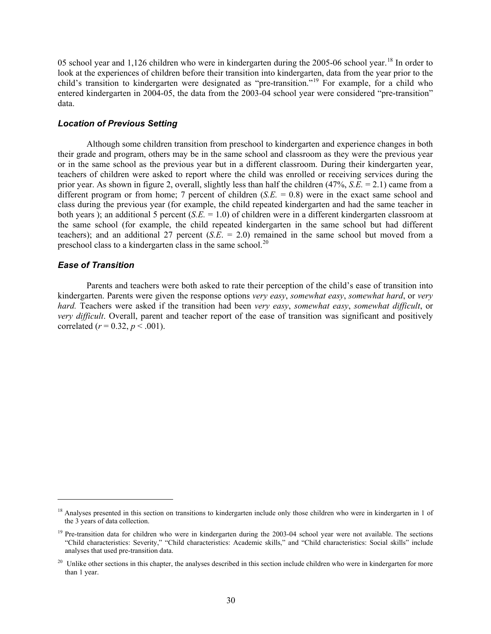05 school year and 1,126 children who were in kindergarten during the 2005-06 school year.<sup>18</sup> In order to look at the experiences of children before their transition into kindergarten, data from the year prior to the child's transition to kindergarten were designated as "pre-transition."<sup>19</sup> For example, for a child who entered kindergarten in 2004-05, the data from the 2003-04 school year were considered "pre-transition" data.

# *Location of Previous Setting*

Although some children transition from preschool to kindergarten and experience changes in both their grade and program, others may be in the same school and classroom as they were the previous year or in the same school as the previous year but in a different classroom. During their kindergarten year, teachers of children were asked to report where the child was enrolled or receiving services during the prior year. As shown in figure 2, overall, slightly less than half the children (47%, *S.E.* = 2.1) came from a different program or from home; 7 percent of children (*S.E.* = 0.8) were in the exact same school and class during the previous year (for example, the child repeated kindergarten and had the same teacher in both years ); an additional 5 percent (*S.E.* = 1.0) of children were in a different kindergarten classroom at the same school (for example, the child repeated kindergarten in the same school but had different teachers); and an additional 27 percent (*S.E*. = 2.0) remained in the same school but moved from a preschool class to a kindergarten class in the same school.<sup>20</sup>

## *Ease of Transition*

 $\overline{a}$ 

Parents and teachers were both asked to rate their perception of the child's ease of transition into kindergarten. Parents were given the response options *very easy*, *somewhat easy*, *somewhat hard*, or *very hard.* Teachers were asked if the transition had been *very easy*, *somewhat easy*, *somewhat difficult*, or *very difficult*. Overall, parent and teacher report of the ease of transition was significant and positively correlated ( $r = 0.32$ ,  $p < .001$ ).

<sup>&</sup>lt;sup>18</sup> Analyses presented in this section on transitions to kindergarten include only those children who were in kindergarten in 1 of the 3 years of data collection.

 $19$  Pre-transition data for children who were in kindergarten during the 2003-04 school year were not available. The sections "Child characteristics: Severity," "Child characteristics: Academic skills," and "Child characteristics: Social skills" include analyses that used pre-transition data.

<sup>&</sup>lt;sup>20</sup> Unlike other sections in this chapter, the analyses described in this section include children who were in kindergarten for more than 1 year.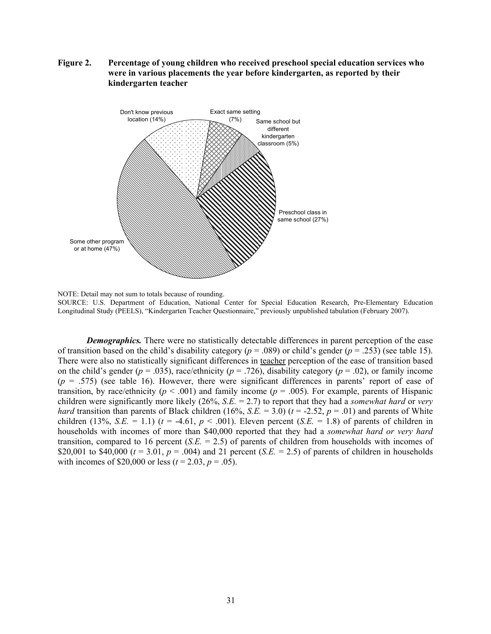**Figure 2. Percentage of young children who received preschool special education services who were in various placements the year before kindergarten, as reported by their kindergarten teacher** 



NOTE: Detail may not sum to totals because of rounding. SOURCE: U.S. Department of Education, National Center for Special Education Research, Pre-Elementary Education Longitudinal Study (PEELS), "Kindergarten Teacher Questionnaire," previously unpublished tabulation (February 2007).

*Demographics.* There were no statistically detectable differences in parent perception of the ease of transition based on the child's disability category (*p* = .089) or child's gender (*p* = .253) (see table 15). There were also no statistically significant differences in teacher perception of the ease of transition based on the child's gender ( $p = .035$ ), race/ethnicity ( $p = .726$ ), disability category ( $p = .02$ ), or family income  $(p = .575)$  (see table 16). However, there were significant differences in parents' report of ease of transition, by race/ethnicity ( $p < .001$ ) and family income ( $p = .005$ ). For example, parents of Hispanic children were significantly more likely (26%, *S.E.* = 2.7) to report that they had a *somewhat hard* or *very hard* transition than parents of Black children (16%, *S.E.* = 3.0) ( $t = -2.52$ ,  $p = .01$ ) and parents of White children (13%, *S.E.* = 1.1) ( $t = -4.61$ ,  $p < .001$ ). Eleven percent (*S.E.* = 1.8) of parents of children in households with incomes of more than \$40,000 reported that they had a *somewhat hard or very hard* transition, compared to 16 percent (*S.E.* = 2.5) of parents of children from households with incomes of \$20,001 to \$40,000 ( $t = 3.01$ ,  $p = .004$ ) and 21 percent (*S.E.* = 2.5) of parents of children in households with incomes of \$20,000 or less ( $t = 2.03$ ,  $p = .05$ ).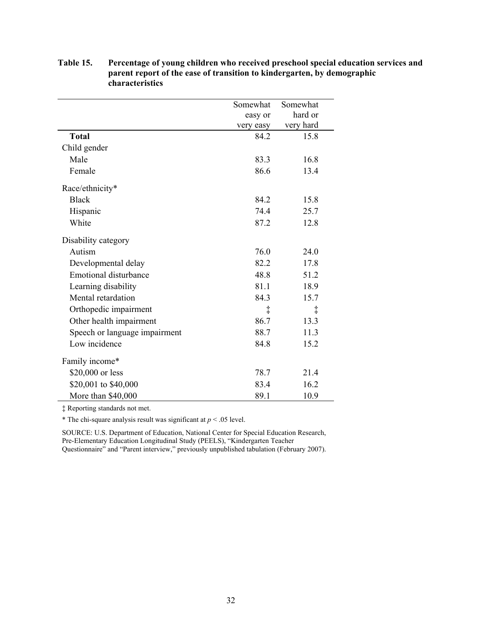|                               | Somewhat  | Somewhat   |
|-------------------------------|-----------|------------|
|                               | easy or   | hard or    |
|                               | very easy | very hard  |
| <b>Total</b>                  | 84.2      | 15.8       |
| Child gender                  |           |            |
| Male                          | 83.3      | 16.8       |
| Female                        | 86.6      | 13.4       |
| Race/ethnicity*               |           |            |
| <b>Black</b>                  | 84.2      | 15.8       |
| Hispanic                      | 74.4      | 25.7       |
| White                         | 87.2      | 12.8       |
| Disability category           |           |            |
| Autism                        | 76.0      | 24.0       |
| Developmental delay           | 82.2      | 17.8       |
| <b>Emotional disturbance</b>  | 48.8      | 51.2       |
| Learning disability           | 81.1      | 18.9       |
| Mental retardation            | 84.3      | 15.7       |
| Orthopedic impairment         | ţ         | $\ddagger$ |
| Other health impairment       | 86.7      | 13.3       |
| Speech or language impairment | 88.7      | 11.3       |
| Low incidence                 | 84.8      | 15.2       |
| Family income*                |           |            |
| \$20,000 or less              | 78.7      | 21.4       |
| \$20,001 to \$40,000          | 83.4      | 16.2       |
| More than \$40,000            | 89.1      | 10.9       |

**Table 15. Percentage of young children who received preschool special education services and parent report of the ease of transition to kindergarten, by demographic characteristics** 

‡ Reporting standards not met.

\* The chi-square analysis result was significant at  $p < .05$  level.

SOURCE: U.S. Department of Education, National Center for Special Education Research, Pre-Elementary Education Longitudinal Study (PEELS), "Kindergarten Teacher Questionnaire" and "Parent interview," previously unpublished tabulation (February 2007).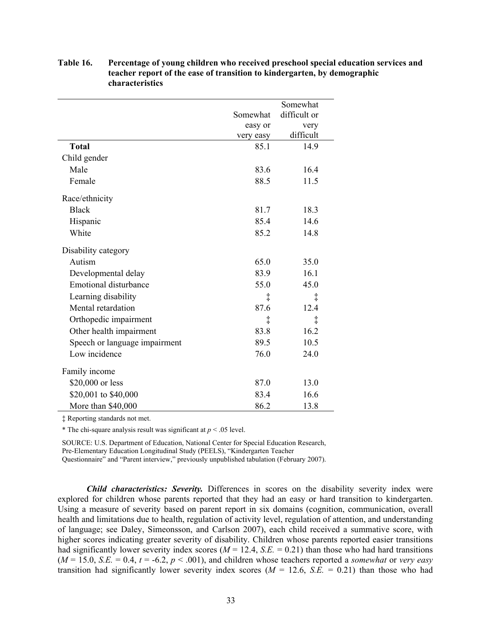|                               |            | Somewhat     |
|-------------------------------|------------|--------------|
|                               | Somewhat   | difficult or |
|                               | easy or    | very         |
|                               | very easy  | difficult    |
| <b>Total</b>                  | 85.1       | 14.9         |
| Child gender                  |            |              |
| Male                          | 83.6       | 16.4         |
| Female                        | 88.5       | 11.5         |
| Race/ethnicity                |            |              |
| <b>Black</b>                  | 81.7       | 18.3         |
| Hispanic                      | 85.4       | 14.6         |
| White                         | 85.2       | 14.8         |
| Disability category           |            |              |
| Autism                        | 65.0       | 35.0         |
| Developmental delay           | 83.9       | 16.1         |
| <b>Emotional disturbance</b>  | 55.0       | 45.0         |
| Learning disability           | $\ddagger$ | $\ddagger$   |
| Mental retardation            | 87.6       | 12.4         |
| Orthopedic impairment         | $\ddagger$ | $\ddagger$   |
| Other health impairment       | 83.8       | 16.2         |
| Speech or language impairment | 89.5       | 10.5         |
| Low incidence                 | 76.0       | 24.0         |
| Family income                 |            |              |
| \$20,000 or less              | 87.0       | 13.0         |
| \$20,001 to \$40,000          | 83.4       | 16.6         |
| More than \$40,000            | 86.2       | 13.8         |

**Table 16. Percentage of young children who received preschool special education services and teacher report of the ease of transition to kindergarten, by demographic characteristics** 

‡ Reporting standards not met.

\* The chi-square analysis result was significant at  $p < .05$  level.

SOURCE: U.S. Department of Education, National Center for Special Education Research, Pre-Elementary Education Longitudinal Study (PEELS), "Kindergarten Teacher

Questionnaire" and "Parent interview," previously unpublished tabulation (February 2007).

*Child characteristics: Severity.* Differences in scores on the disability severity index were explored for children whose parents reported that they had an easy or hard transition to kindergarten. Using a measure of severity based on parent report in six domains (cognition, communication, overall health and limitations due to health, regulation of activity level, regulation of attention, and understanding of language; see Daley, Simeonsson, and Carlson 2007), each child received a summative score, with higher scores indicating greater severity of disability. Children whose parents reported easier transitions had significantly lower severity index scores ( $M = 12.4$ ,  $S.E. = 0.21$ ) than those who had hard transitions  $(M = 15.0, S.E. = 0.4, t = -6.2, p < .001)$ , and children whose teachers reported a *somewhat* or *very easy* transition had significantly lower severity index scores  $(M = 12.6, S.E. = 0.21)$  than those who had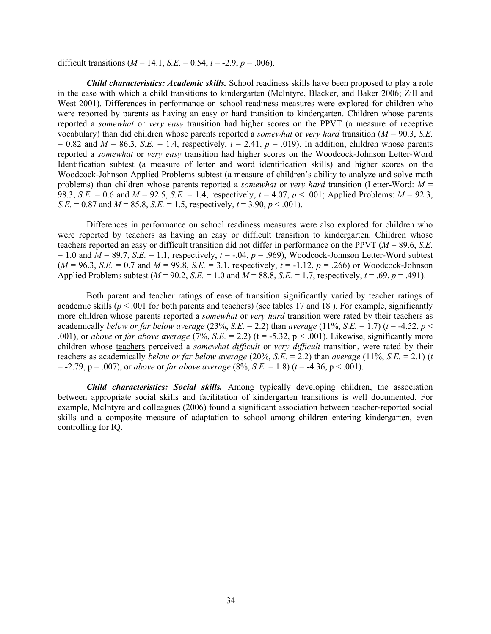difficult transitions  $(M = 14.1, S.E. = 0.54, t = -2.9, p = .006)$ .

*Child characteristics: Academic skills.* School readiness skills have been proposed to play a role in the ease with which a child transitions to kindergarten (McIntyre, Blacker, and Baker 2006; Zill and West 2001). Differences in performance on school readiness measures were explored for children who were reported by parents as having an easy or hard transition to kindergarten. Children whose parents reported a *somewhat* or *very easy* transition had higher scores on the PPVT (a measure of receptive vocabulary) than did children whose parents reported a *somewhat* or *very hard* transition (*M* = 90.3, *S.E.*   $= 0.82$  and  $M = 86.3$ , *S.E.*  $= 1.4$ , respectively,  $t = 2.41$ ,  $p = .019$ ). In addition, children whose parents reported a *somewhat* or *very easy* transition had higher scores on the Woodcock-Johnson Letter-Word Identification subtest (a measure of letter and word identification skills) and higher scores on the Woodcock-Johnson Applied Problems subtest (a measure of children's ability to analyze and solve math problems) than children whose parents reported a *somewhat* or *very hard* transition (Letter-Word: *M* = 98.3, *S.E.* = 0.6 and  $M = 92.5$ , *S.E.* = 1.4, respectively,  $t = 4.07$ ,  $p < .001$ ; Applied Problems:  $M = 92.3$ , *S.E.* = 0.87 and  $M = 85.8$ , *S.E.* = 1.5, respectively,  $t = 3.90$ ,  $p < .001$ ).

Differences in performance on school readiness measures were also explored for children who were reported by teachers as having an easy or difficult transition to kindergarten. Children whose teachers reported an easy or difficult transition did not differ in performance on the PPVT (*M* = 89.6, *S.E.*   $= 1.0$  and  $M = 89.7$ , *S.E.*  $= 1.1$ , respectively,  $t = -.04$ ,  $p = .969$ ), Woodcock-Johnson Letter-Word subtest  $(M = 96.3, S.E. = 0.7$  and  $M = 99.8, S.E. = 3.1$ , respectively,  $t = -1.12, p = .266$ ) or Woodcock-Johnson Applied Problems subtest  $(M = 90.2, S.E. = 1.0$  and  $M = 88.8, S.E. = 1.7$ , respectively,  $t = .69, p = .491$ .

Both parent and teacher ratings of ease of transition significantly varied by teacher ratings of academic skills ( $p < .001$  for both parents and teachers) (see tables 17 and 18). For example, significantly more children whose parents reported a *somewhat* or *very hard* transition were rated by their teachers as academically *below or far below average* (23%, *S.E.* = 2.2) than *average* (11%, *S.E.* = 1.7) ( $t = -4.52$ ,  $p <$ .001), or *above* or *far above average* (7%, *S.E.* = 2.2) ( $t = -5.32$ ,  $p < .001$ ). Likewise, significantly more children whose teachers perceived a *somewhat difficult* or *very difficult* transition, were rated by their teachers as academically *below or far below average* (20%, *S.E.* = 2.2) than *average* (11%, *S.E.* = 2.1) (*t*)  $= -2.79$ ,  $p = .007$ ), or *above* or *far above average* (8%, *S.E.* = 1.8) (*t* = -4.36,  $p < .001$ ).

*Child characteristics: Social skills.* Among typically developing children, the association between appropriate social skills and facilitation of kindergarten transitions is well documented. For example, McIntyre and colleagues (2006) found a significant association between teacher-reported social skills and a composite measure of adaptation to school among children entering kindergarten, even controlling for IQ.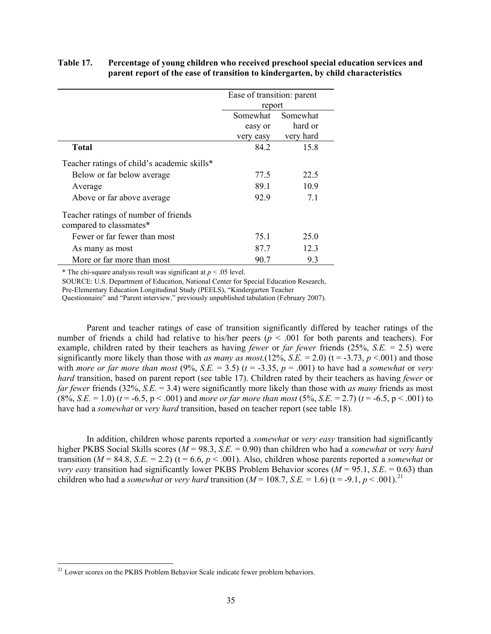# **Table 17. Percentage of young children who received preschool special education services and parent report of the ease of transition to kindergarten, by child characteristics**

|                                                                 | Ease of transition: parent |           |  |  |
|-----------------------------------------------------------------|----------------------------|-----------|--|--|
|                                                                 | report                     |           |  |  |
|                                                                 | Somewhat                   | Somewhat  |  |  |
|                                                                 | easy or                    | hard or   |  |  |
|                                                                 | very easy                  | very hard |  |  |
| <b>Total</b>                                                    | 84.2                       | 15.8      |  |  |
| Teacher ratings of child's academic skills*                     |                            |           |  |  |
| Below or far below average                                      | 77.5                       | 22.5      |  |  |
| Average                                                         | 89.1                       | 10.9      |  |  |
| Above or far above average                                      | 929                        | 71        |  |  |
| Teacher ratings of number of friends<br>compared to classmates* |                            |           |  |  |
| Fewer or far fewer than most                                    | 75.1                       | 25.0      |  |  |
| As many as most                                                 | 87.7                       | 12.3      |  |  |
| More or far more than most                                      | 90.7                       | 9.3       |  |  |

\* The chi-square analysis result was significant at  $p < .05$  level.

SOURCE: U.S. Department of Education, National Center for Special Education Research,

Pre-Elementary Education Longitudinal Study (PEELS), "Kindergarten Teacher

Questionnaire" and "Parent interview," previously unpublished tabulation (February 2007).

Parent and teacher ratings of ease of transition significantly differed by teacher ratings of the number of friends a child had relative to his/her peers ( $p < .001$  for both parents and teachers). For example, children rated by their teachers as having *fewer* or *far fewer* friends (25%, *S.E.* = 2.5) were significantly more likely than those with *as many as most*,(12%, *S.E.* = 2.0) ( $t = -3.73$ ,  $p < 001$ ) and those with *more or far more than most* (9%, *S.E.* = 3.5) ( $t = -3.35$ ,  $p = .001$ ) to have had a *somewhat* or *very hard* transition, based on parent report (see table 17). Children rated by their teachers as having *fewer* or *far fewer* friends (32%, *S.E.* = 3.4) were significantly more likely than those with *as many* friends as most  $(8\%, S.E. = 1.0)$  ( $t = -6.5$ ,  $p < .001$ ) and *more or far more than most*  $(5\%, S.E. = 2.7)$  ( $t = -6.5$ ,  $p < .001$ ) to have had a *somewhat* or *very hard* transition, based on teacher report (see table 18)*.*

In addition, children whose parents reported a *somewhat* or *very easy* transition had significantly higher PKBS Social Skills scores (*M* = 98.3, *S.E.* = 0.90) than children who had a *somewhat* or *very hard* transition ( $M = 84.8$ ,  $S.E. = 2.2$ ) (t = 6.6,  $p < .001$ ). Also, children whose parents reported a *somewhat* or *very easy transition had significantly lower PKBS Problem Behavior scores (* $M = 95.1$ *, <i>S.E.* = 0.63) than children who had a *somewhat* or *very hard* transition ( $M = 108.7$ , *S.E.* = 1.6) (t = -9.1,  $p < .001$ ).<sup>21</sup>

 $\overline{a}$ 

<sup>&</sup>lt;sup>21</sup> Lower scores on the PKBS Problem Behavior Scale indicate fewer problem behaviors.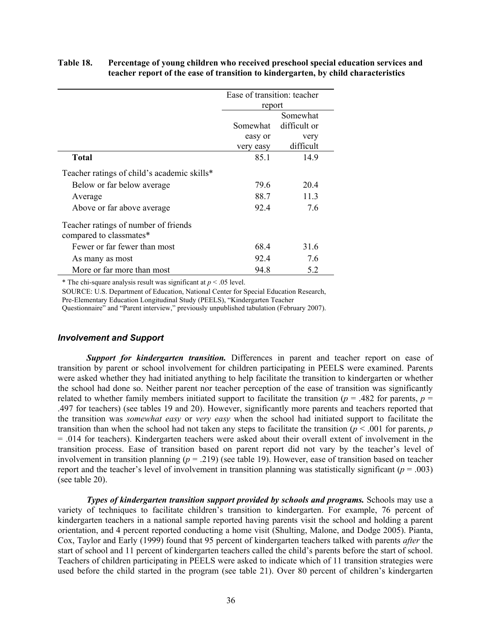# **Table 18. Percentage of young children who received preschool special education services and teacher report of the ease of transition to kindergarten, by child characteristics**

|                                                                 | Ease of transition: teacher |           |  |  |
|-----------------------------------------------------------------|-----------------------------|-----------|--|--|
|                                                                 | report                      |           |  |  |
|                                                                 | Somewhat                    |           |  |  |
|                                                                 | difficult or<br>Somewhat    |           |  |  |
|                                                                 | easy or                     | very      |  |  |
|                                                                 | very easy                   | difficult |  |  |
| <b>Total</b>                                                    | 85.1                        | 14.9      |  |  |
| Teacher ratings of child's academic skills*                     |                             |           |  |  |
| Below or far below average                                      | 79.6                        | 20.4      |  |  |
| Average                                                         | 88.7                        | 11.3      |  |  |
| Above or far above average                                      | 92.4                        | 7.6       |  |  |
| Teacher ratings of number of friends<br>compared to classmates* |                             |           |  |  |
| Fewer or far fewer than most                                    | 68.4                        | 31.6      |  |  |
| As many as most                                                 | 92.4                        | 7.6       |  |  |
| More or far more than most                                      | 94.8                        | 5.2       |  |  |

\* The chi-square analysis result was significant at  $p < .05$  level.

SOURCE: U.S. Department of Education, National Center for Special Education Research, Pre-Elementary Education Longitudinal Study (PEELS), "Kindergarten Teacher

Questionnaire" and "Parent interview," previously unpublished tabulation (February 2007).

### *Involvement and Support*

*Support for kindergarten transition.* Differences in parent and teacher report on ease of transition by parent or school involvement for children participating in PEELS were examined. Parents were asked whether they had initiated anything to help facilitate the transition to kindergarten or whether the school had done so. Neither parent nor teacher perception of the ease of transition was significantly related to whether family members initiated support to facilitate the transition ( $p = .482$  for parents,  $p =$ .497 for teachers) (see tables 19 and 20). However, significantly more parents and teachers reported that the transition was *somewhat easy* or *very easy* when the school had initiated support to facilitate the transition than when the school had not taken any steps to facilitate the transition ( $p < .001$  for parents, *p* = .014 for teachers). Kindergarten teachers were asked about their overall extent of involvement in the transition process. Ease of transition based on parent report did not vary by the teacher's level of involvement in transition planning ( $p = 0.219$ ) (see table 19). However, ease of transition based on teacher report and the teacher's level of involvement in transition planning was statistically significant ( $p = .003$ ) (see table 20).

**Types of kindergarten transition support provided by schools and programs.** Schools may use a variety of techniques to facilitate children's transition to kindergarten. For example, 76 percent of kindergarten teachers in a national sample reported having parents visit the school and holding a parent orientation, and 4 percent reported conducting a home visit (Shulting, Malone, and Dodge 2005). Pianta, Cox, Taylor and Early (1999) found that 95 percent of kindergarten teachers talked with parents *after* the start of school and 11 percent of kindergarten teachers called the child's parents before the start of school. Teachers of children participating in PEELS were asked to indicate which of 11 transition strategies were used before the child started in the program (see table 21). Over 80 percent of children's kindergarten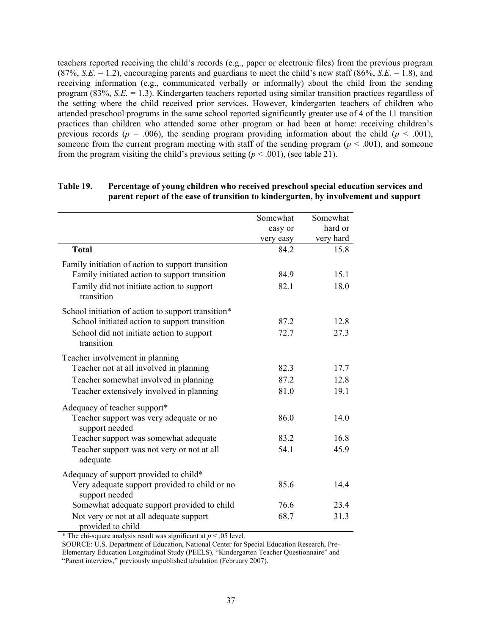teachers reported receiving the child's records (e.g., paper or electronic files) from the previous program (87%, *S.E.* = 1.2), encouraging parents and guardians to meet the child's new staff (86%, *S.E.* = 1.8), and receiving information (e.g., communicated verbally or informally) about the child from the sending program (83%, *S.E.* = 1.3). Kindergarten teachers reported using similar transition practices regardless of the setting where the child received prior services. However, kindergarten teachers of children who attended preschool programs in the same school reported significantly greater use of 4 of the 11 transition practices than children who attended some other program or had been at home: receiving children's previous records ( $p = .006$ ), the sending program providing information about the child ( $p < .001$ ), someone from the current program meeting with staff of the sending program ( $p < .001$ ), and someone from the program visiting the child's previous setting  $(p < .001)$ , (see table 21).

|                                                                 | Somewhat  | Somewhat  |
|-----------------------------------------------------------------|-----------|-----------|
|                                                                 | easy or   | hard or   |
|                                                                 | very easy | very hard |
| <b>Total</b>                                                    | 84.2      | 15.8      |
| Family initiation of action to support transition               |           |           |
| Family initiated action to support transition                   | 84.9      | 15.1      |
| Family did not initiate action to support<br>transition         | 82.1      | 18.0      |
| School initiation of action to support transition*              |           |           |
| School initiated action to support transition                   | 87.2      | 12.8      |
| School did not initiate action to support<br>transition         | 72.7      | 27.3      |
| Teacher involvement in planning                                 |           |           |
| Teacher not at all involved in planning                         | 82.3      | 17.7      |
| Teacher somewhat involved in planning                           | 87.2      | 12.8      |
| Teacher extensively involved in planning                        | 81.0      | 19.1      |
| Adequacy of teacher support*                                    |           |           |
| Teacher support was very adequate or no<br>support needed       | 86.0      | 14.0      |
| Teacher support was somewhat adequate                           | 83.2      | 16.8      |
| Teacher support was not very or not at all<br>adequate          | 54.1      | 45.9      |
| Adequacy of support provided to child*                          |           |           |
| Very adequate support provided to child or no<br>support needed | 85.6      | 14.4      |
| Somewhat adequate support provided to child                     | 76.6      | 23.4      |
| Not very or not at all adequate support<br>provided to child    | 68.7      | 31.3      |

# **Table 19. Percentage of young children who received preschool special education services and parent report of the ease of transition to kindergarten, by involvement and support**

\* The chi-square analysis result was significant at  $p < .05$  level.

SOURCE: U.S. Department of Education, National Center for Special Education Research, Pre-Elementary Education Longitudinal Study (PEELS), "Kindergarten Teacher Questionnaire" and "Parent interview," previously unpublished tabulation (February 2007).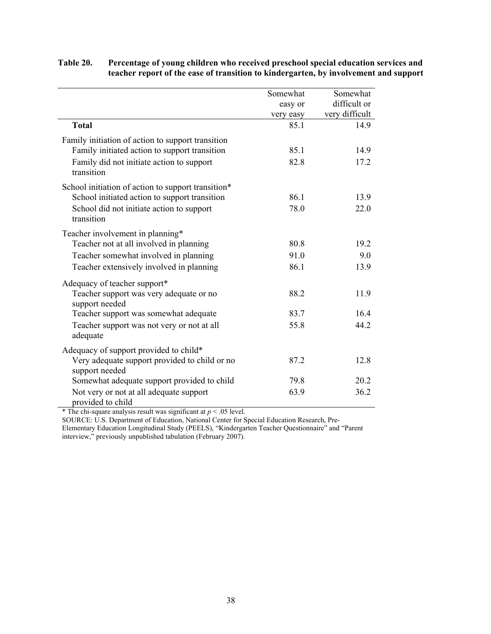|                                                                 | Somewhat  | Somewhat       |
|-----------------------------------------------------------------|-----------|----------------|
|                                                                 | easy or   | difficult or   |
|                                                                 | very easy | very difficult |
| <b>Total</b>                                                    | 85.1      | 14.9           |
| Family initiation of action to support transition               |           |                |
| Family initiated action to support transition                   | 85.1      | 14.9           |
| Family did not initiate action to support<br>transition         | 82.8      | 17.2           |
| School initiation of action to support transition*              |           |                |
| School initiated action to support transition                   | 86.1      | 13.9           |
| School did not initiate action to support<br>transition         | 78.0      | 22.0           |
| Teacher involvement in planning*                                |           |                |
| Teacher not at all involved in planning                         | 80.8      | 19.2           |
| Teacher somewhat involved in planning                           | 91.0      | 9.0            |
| Teacher extensively involved in planning                        | 86.1      | 13.9           |
| Adequacy of teacher support*                                    |           |                |
| Teacher support was very adequate or no<br>support needed       | 88.2      | 11.9           |
| Teacher support was somewhat adequate                           | 83.7      | 16.4           |
| Teacher support was not very or not at all<br>adequate          | 55.8      | 44.2           |
| Adequacy of support provided to child*                          |           |                |
| Very adequate support provided to child or no<br>support needed | 87.2      | 12.8           |
| Somewhat adequate support provided to child                     | 79.8      | 20.2           |
| Not very or not at all adequate support<br>provided to child    | 63.9      | 36.2           |

# **Table 20. Percentage of young children who received preschool special education services and teacher report of the ease of transition to kindergarten, by involvement and support**

\* The chi-square analysis result was significant at  $p < .05$  level.

SOURCE: U.S. Department of Education, National Center for Special Education Research, Pre-Elementary Education Longitudinal Study (PEELS), "Kindergarten Teacher Questionnaire" and "Parent

interview," previously unpublished tabulation (February 2007).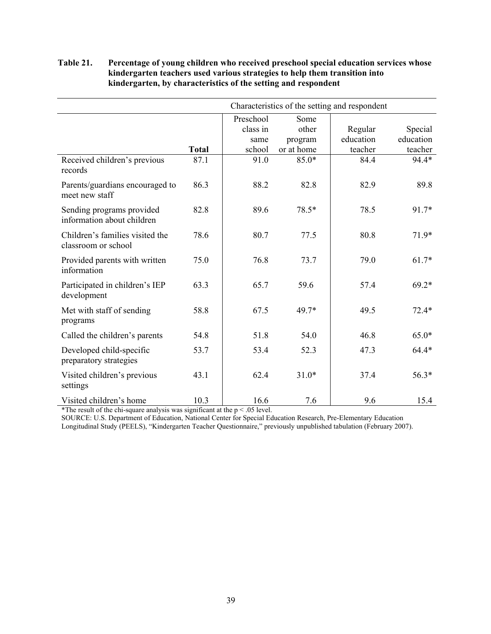# **Table 21. Percentage of young children who received preschool special education services whose kindergarten teachers used various strategies to help them transition into kindergarten, by characteristics of the setting and respondent**

|                                                         |              | Characteristics of the setting and respondent |            |           |           |  |  |
|---------------------------------------------------------|--------------|-----------------------------------------------|------------|-----------|-----------|--|--|
|                                                         |              | Preschool                                     | Some       |           |           |  |  |
|                                                         |              | class in                                      | other      | Regular   | Special   |  |  |
|                                                         |              | same                                          | program    | education | education |  |  |
|                                                         | <b>Total</b> | school                                        | or at home | teacher   | teacher   |  |  |
| Received children's previous<br>records                 | 87.1         | 91.0                                          | $85.0*$    | 84.4      | 94.4*     |  |  |
| Parents/guardians encouraged to<br>meet new staff       | 86.3         | 88.2                                          | 82.8       | 82.9      | 89.8      |  |  |
| Sending programs provided<br>information about children | 82.8         | 89.6                                          | 78.5*      | 78.5      | 91.7*     |  |  |
| Children's families visited the<br>classroom or school  | 78.6         | 80.7                                          | 77.5       | 80.8      | $71.9*$   |  |  |
| Provided parents with written<br>information            | 75.0         | 76.8                                          | 73.7       | 79.0      | $61.7*$   |  |  |
| Participated in children's IEP<br>development           | 63.3         | 65.7                                          | 59.6       | 57.4      | $69.2*$   |  |  |
| Met with staff of sending<br>programs                   | 58.8         | 67.5                                          | 49.7*      | 49.5      | $72.4*$   |  |  |
| Called the children's parents                           | 54.8         | 51.8                                          | 54.0       | 46.8      | $65.0*$   |  |  |
| Developed child-specific<br>preparatory strategies      | 53.7         | 53.4                                          | 52.3       | 47.3      | $64.4*$   |  |  |
| Visited children's previous<br>settings                 | 43.1         | 62.4                                          | $31.0*$    | 37.4      | 56.3*     |  |  |
| Visited children's home                                 | 10.3         | 16.6                                          | 7.6        | 9.6       | 15.4      |  |  |

\*The result of the chi-square analysis was significant at the  $p < .05$  level.

SOURCE: U.S. Department of Education, National Center for Special Education Research, Pre-Elementary Education

Longitudinal Study (PEELS), "Kindergarten Teacher Questionnaire," previously unpublished tabulation (February 2007).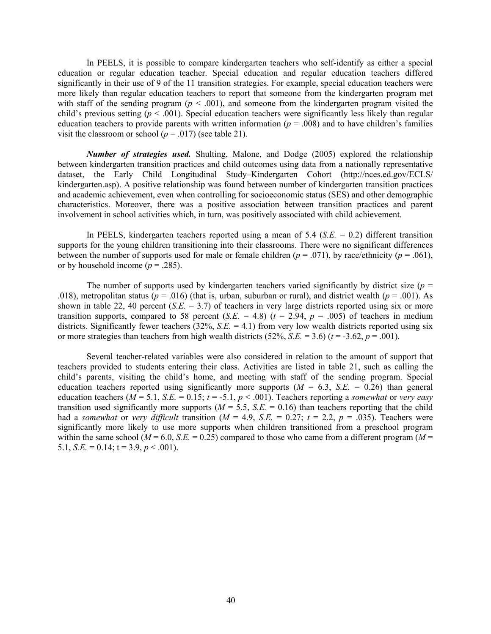In PEELS, it is possible to compare kindergarten teachers who self-identify as either a special education or regular education teacher. Special education and regular education teachers differed significantly in their use of 9 of the 11 transition strategies. For example, special education teachers were more likely than regular education teachers to report that someone from the kindergarten program met with staff of the sending program  $(p < .001)$ , and someone from the kindergarten program visited the child's previous setting ( $p < .001$ ). Special education teachers were significantly less likely than regular education teachers to provide parents with written information ( $p = .008$ ) and to have children's families visit the classroom or school ( $p = .017$ ) (see table 21).

*Number of strategies used.* Shulting, Malone, and Dodge (2005) explored the relationship between kindergarten transition practices and child outcomes using data from a nationally representative dataset, the Early Child Longitudinal Study–Kindergarten Cohort (http://nces.ed.gov/ECLS/ kindergarten.asp). A positive relationship was found between number of kindergarten transition practices and academic achievement, even when controlling for socioeconomic status (SES) and other demographic characteristics. Moreover, there was a positive association between transition practices and parent involvement in school activities which, in turn, was positively associated with child achievement.

In PEELS, kindergarten teachers reported using a mean of 5.4 (*S.E.* = 0.2) different transition supports for the young children transitioning into their classrooms. There were no significant differences between the number of supports used for male or female children  $(p = .071)$ , by race/ethnicity  $(p = .061)$ , or by household income  $(p = .285)$ .

The number of supports used by kindergarten teachers varied significantly by district size ( $p =$ .018), metropolitan status ( $p = .016$ ) (that is, urban, suburban or rural), and district wealth ( $p = .001$ ). As shown in table 22, 40 percent (*S.E.* = 3.7) of teachers in very large districts reported using six or more transition supports, compared to 58 percent  $(S.E. = 4.8)$   $(t = 2.94, p = .005)$  of teachers in medium districts. Significantly fewer teachers  $(32\%, S.E. = 4.1)$  from very low wealth districts reported using six or more strategies than teachers from high wealth districts  $(52\%, S.E. = 3.6)$   $(t = -3.62, p = .001)$ .

Several teacher-related variables were also considered in relation to the amount of support that teachers provided to students entering their class. Activities are listed in table 21, such as calling the child's parents, visiting the child's home, and meeting with staff of the sending program. Special education teachers reported using significantly more supports  $(M = 6.3, S.E. = 0.26)$  than general education teachers ( $M = 5.1$ ,  $S.E. = 0.15$ ;  $t = -5.1$ ,  $p < .001$ ). Teachers reporting a *somewhat* or *very easy* transition used significantly more supports ( $M = 5.5$ ,  $S.E. = 0.16$ ) than teachers reporting that the child had a *somewhat* or *very difficult* transition ( $M = 4.9$ ,  $S.E. = 0.27$ ;  $t = 2.2$ ,  $p = .035$ ). Teachers were significantly more likely to use more supports when children transitioned from a preschool program within the same school ( $M = 6.0$ ,  $S.E. = 0.25$ ) compared to those who came from a different program ( $M =$ 5.1, *S.E.* = 0.14;  $t = 3.9$ ,  $p < .001$ ).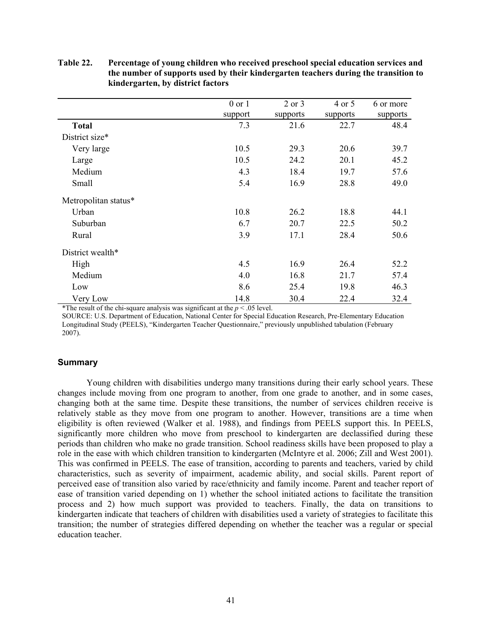|                      | $0$ or $1$ | $2$ or $3$ | 4 or 5   | 6 or more |
|----------------------|------------|------------|----------|-----------|
|                      | support    | supports   | supports | supports  |
| <b>Total</b>         | 7.3        | 21.6       | 22.7     | 48.4      |
| District size*       |            |            |          |           |
| Very large           | 10.5       | 29.3       | 20.6     | 39.7      |
| Large                | 10.5       | 24.2       | 20.1     | 45.2      |
| Medium               | 4.3        | 18.4       | 19.7     | 57.6      |
| Small                | 5.4        | 16.9       | 28.8     | 49.0      |
| Metropolitan status* |            |            |          |           |
| Urban                | 10.8       | 26.2       | 18.8     | 44.1      |
| Suburban             | 6.7        | 20.7       | 22.5     | 50.2      |
| Rural                | 3.9        | 17.1       | 28.4     | 50.6      |
| District wealth*     |            |            |          |           |
| High                 | 4.5        | 16.9       | 26.4     | 52.2      |
| Medium               | 4.0        | 16.8       | 21.7     | 57.4      |
| Low                  | 8.6        | 25.4       | 19.8     | 46.3      |
| Very Low             | 14.8       | 30.4       | 22.4     | 32.4      |

**Table 22. Percentage of young children who received preschool special education services and the number of supports used by their kindergarten teachers during the transition to kindergarten, by district factors** 

\*The result of the chi-square analysis was significant at the  $p < .05$  level.

SOURCE: U.S. Department of Education, National Center for Special Education Research, Pre-Elementary Education Longitudinal Study (PEELS), "Kindergarten Teacher Questionnaire," previously unpublished tabulation (February 2007).

### **Summary**

Young children with disabilities undergo many transitions during their early school years. These changes include moving from one program to another, from one grade to another, and in some cases, changing both at the same time. Despite these transitions, the number of services children receive is relatively stable as they move from one program to another. However, transitions are a time when eligibility is often reviewed (Walker et al. 1988), and findings from PEELS support this. In PEELS, significantly more children who move from preschool to kindergarten are declassified during these periods than children who make no grade transition. School readiness skills have been proposed to play a role in the ease with which children transition to kindergarten (McIntyre et al. 2006; Zill and West 2001). This was confirmed in PEELS. The ease of transition, according to parents and teachers, varied by child characteristics, such as severity of impairment, academic ability, and social skills. Parent report of perceived ease of transition also varied by race/ethnicity and family income. Parent and teacher report of ease of transition varied depending on 1) whether the school initiated actions to facilitate the transition process and 2) how much support was provided to teachers. Finally, the data on transitions to kindergarten indicate that teachers of children with disabilities used a variety of strategies to facilitate this transition; the number of strategies differed depending on whether the teacher was a regular or special education teacher.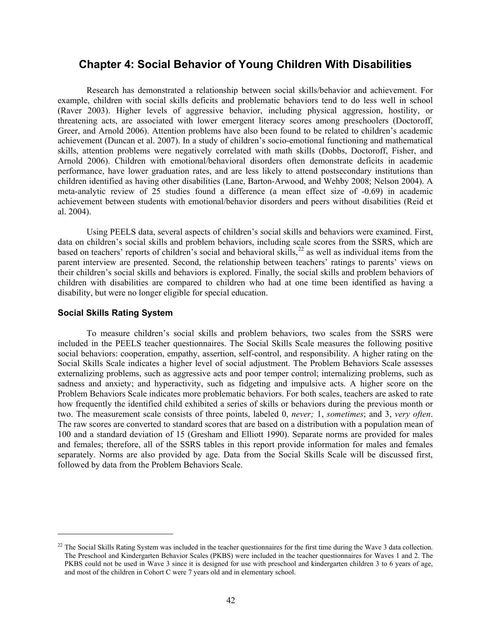# **Chapter 4: Social Behavior of Young Children With Disabilities**

Research has demonstrated a relationship between social skills/behavior and achievement. For example, children with social skills deficits and problematic behaviors tend to do less well in school (Raver 2003). Higher levels of aggressive behavior, including physical aggression, hostility, or threatening acts, are associated with lower emergent literacy scores among preschoolers (Doctoroff, Greer, and Arnold 2006). Attention problems have also been found to be related to children's academic achievement (Duncan et al. 2007). In a study of children's socio-emotional functioning and mathematical skills, attention problems were negatively correlated with math skills (Dobbs, Doctoroff, Fisher, and Arnold 2006). Children with emotional/behavioral disorders often demonstrate deficits in academic performance, have lower graduation rates, and are less likely to attend postsecondary institutions than children identified as having other disabilities (Lane, Barton-Arwood, and Wehby 2008; Nelson 2004). A meta-analytic review of 25 studies found a difference (a mean effect size of -0.69) in academic achievement between students with emotional/behavior disorders and peers without disabilities (Reid et al. 2004).

Using PEELS data, several aspects of children's social skills and behaviors were examined. First, data on children's social skills and problem behaviors, including scale scores from the SSRS, which are  $\frac{1}{2}$  based on teachers' reports of children's social and behavioral skills,  $^{22}$  as well as individual items from the parent interview are presented. Second, the relationship between teachers' ratings to parents' views on their children's social skills and behaviors is explored. Finally, the social skills and problem behaviors of children with disabilities are compared to children who had at one time been identified as having a disability, but were no longer eligible for special education.

# **Social Skills Rating System**

 $\overline{a}$ 

To measure children's social skills and problem behaviors, two scales from the SSRS were included in the PEELS teacher questionnaires. The Social Skills Scale measures the following positive social behaviors: cooperation, empathy, assertion, self-control, and responsibility. A higher rating on the Social Skills Scale indicates a higher level of social adjustment. The Problem Behaviors Scale assesses externalizing problems, such as aggressive acts and poor temper control; internalizing problems, such as sadness and anxiety; and hyperactivity, such as fidgeting and impulsive acts. A higher score on the Problem Behaviors Scale indicates more problematic behaviors. For both scales, teachers are asked to rate how frequently the identified child exhibited a series of skills or behaviors during the previous month or two. The measurement scale consists of three points, labeled 0, *never;* 1, *sometimes*; and 3, *very often*. The raw scores are converted to standard scores that are based on a distribution with a population mean of 100 and a standard deviation of 15 (Gresham and Elliott 1990). Separate norms are provided for males and females; therefore, all of the SSRS tables in this report provide information for males and females separately. Norms are also provided by age. Data from the Social Skills Scale will be discussed first, followed by data from the Problem Behaviors Scale.

<sup>&</sup>lt;sup>22</sup> The Social Skills Rating System was included in the teacher questionnaires for the first time during the Wave 3 data collection. The Preschool and Kindergarten Behavior Scales (PKBS) were included in the teacher questionnaires for Waves 1 and 2. The PKBS could not be used in Wave 3 since it is designed for use with preschool and kindergarten children 3 to 6 years of age, and most of the children in Cohort C were 7 years old and in elementary school.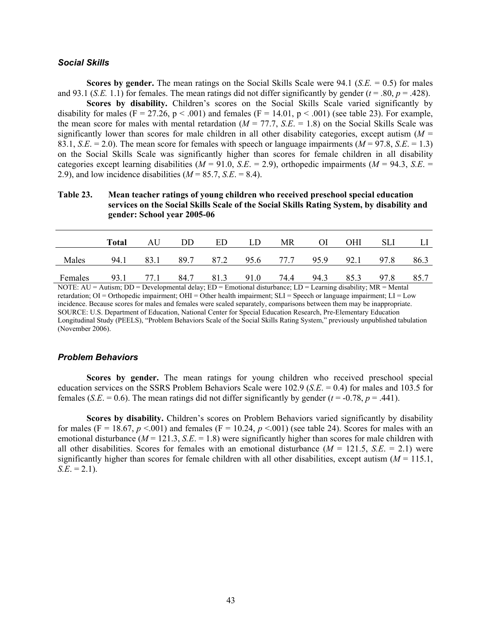## *Social Skills*

**Scores by gender.** The mean ratings on the Social Skills Scale were 94.1 (*S.E.* = 0.5) for males and 93.1 (*S.E.* 1.1) for females. The mean ratings did not differ significantly by gender ( $t = .80$ ,  $p = .428$ ).

**Scores by disability.** Children's scores on the Social Skills Scale varied significantly by disability for males (F = 27.26, p < .001) and females (F = 14.01, p < .001) (see table 23). For example, the mean score for males with mental retardation  $(M = 77.7, S.E. = 1.8)$  on the Social Skills Scale was significantly lower than scores for male children in all other disability categories, except autism  $(M =$ 83.1, *S.E.* = 2.0). The mean score for females with speech or language impairments  $(M = 97.8, S.E. = 1.3)$ on the Social Skills Scale was significantly higher than scores for female children in all disability categories except learning disabilities ( $M = 91.0$ ,  $S.E. = 2.9$ ), orthopedic impairments ( $M = 94.3$ ,  $S.E. =$ 2.9), and low incidence disabilities  $(M = 85.7, S.E. = 8.4)$ .

**Table 23. Mean teacher ratings of young children who received preschool special education services on the Social Skills Scale of the Social Skills Rating System, by disability and gender: School year 2005-06** 

|         | <b>Total</b>                                      | AU | DD. | ED. | LD. | MR | OI | OHI | -SLI                                         |  |
|---------|---------------------------------------------------|----|-----|-----|-----|----|----|-----|----------------------------------------------|--|
| Males   | 94.1                                              |    |     |     |     |    |    |     | 83.1 89.7 87.2 95.6 77.7 95.9 92.1 97.8 86.3 |  |
| Females | 93.1 77.1 84.7 81.3 91.0 74.4 94.3 85.3 97.8 85.7 |    |     |     |     |    |    |     |                                              |  |

NOTE: AU = Autism; DD = Developmental delay; ED = Emotional disturbance; LD = Learning disability; MR = Mental retardation; OI = Orthopedic impairment; OHI = Other health impairment; SLI = Speech or language impairment; LI = Low incidence. Because scores for males and females were scaled separately, comparisons between them may be inappropriate. SOURCE: U.S. Department of Education, National Center for Special Education Research, Pre-Elementary Education Longitudinal Study (PEELS), "Problem Behaviors Scale of the Social Skills Rating System," previously unpublished tabulation (November 2006).

### *Problem Behaviors*

**Scores by gender.** The mean ratings for young children who received preschool special education services on the SSRS Problem Behaviors Scale were 102.9 (*S.E*. = 0.4) for males and 103.5 for females (*S.E.* = 0.6). The mean ratings did not differ significantly by gender ( $t = -0.78$ ,  $p = .441$ ).

**Scores by disability.** Children's scores on Problem Behaviors varied significantly by disability for males (F = 18.67,  $p < 001$ ) and females (F = 10.24,  $p < 001$ ) (see table 24). Scores for males with an emotional disturbance ( $M = 121.3$ ,  $S.E. = 1.8$ ) were significantly higher than scores for male children with all other disabilities. Scores for females with an emotional disturbance  $(M = 121.5, S.E. = 2.1)$  were significantly higher than scores for female children with all other disabilities, except autism  $(M = 115.1)$ ,  $S.E. = 2.1$ .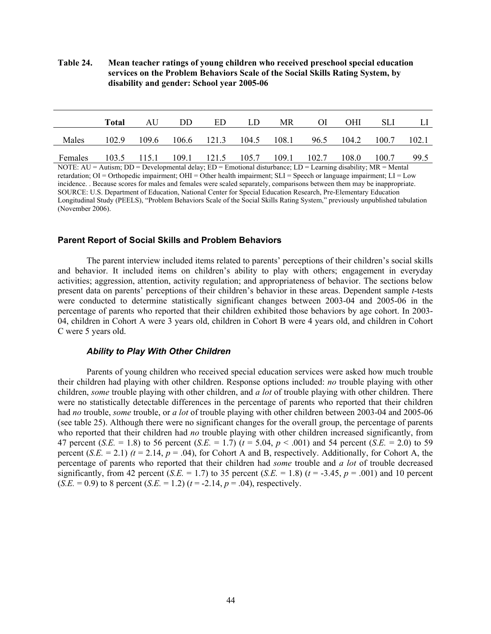**Table 24. Mean teacher ratings of young children who received preschool special education services on the Problem Behaviors Scale of the Social Skills Rating System, by disability and gender: School year 2005-06** 

|         | Total | AU          | DD. | ED | LD                      | MR    | $\Omega$    | OHI   | SЫ    |       |
|---------|-------|-------------|-----|----|-------------------------|-------|-------------|-------|-------|-------|
| Males   | 102.9 | 109.6       |     |    | $106.6$ $121.3$ $104.5$ | 108.1 | 96.5        | 104.2 | 100.7 | 102.1 |
| Females |       | 103.5 115.1 |     |    | 109.1 121.5 105.7       |       | 109.1 102.7 | 108.0 | 100.7 | 99.5  |

NOTE: AU = Autism; DD = Developmental delay; ED = Emotional disturbance; LD = Learning disability; MR = Mental retardation; OI = Orthopedic impairment; OHI = Other health impairment; SLI = Speech or language impairment; LI = Low incidence. . Because scores for males and females were scaled separately, comparisons between them may be inappropriate. SOURCE: U.S. Department of Education, National Center for Special Education Research, Pre-Elementary Education Longitudinal Study (PEELS), "Problem Behaviors Scale of the Social Skills Rating System," previously unpublished tabulation (November 2006).

### **Parent Report of Social Skills and Problem Behaviors**

The parent interview included items related to parents' perceptions of their children's social skills and behavior. It included items on children's ability to play with others; engagement in everyday activities; aggression, attention, activity regulation; and appropriateness of behavior. The sections below present data on parents' perceptions of their children's behavior in these areas. Dependent sample *t*-tests were conducted to determine statistically significant changes between 2003-04 and 2005-06 in the percentage of parents who reported that their children exhibited those behaviors by age cohort. In 2003- 04, children in Cohort A were 3 years old, children in Cohort B were 4 years old, and children in Cohort C were 5 years old.

### *Ability to Play With Other Children*

Parents of young children who received special education services were asked how much trouble their children had playing with other children. Response options included: *no* trouble playing with other children, *some* trouble playing with other children, and *a lot* of trouble playing with other children. There were no statistically detectable differences in the percentage of parents who reported that their children had *no* trouble, *some* trouble, or *a lot* of trouble playing with other children between 2003-04 and 2005-06 (see table 25). Although there were no significant changes for the overall group, the percentage of parents who reported that their children had *no* trouble playing with other children increased significantly, from 47 percent (*S.E.* = 1.8) to 56 percent (*S.E.* = 1.7) (*t* = 5.04, *p* < .001) and 54 percent (*S.E.* = 2.0) to 59 percent  $(S.E. = 2.1)$   $(t = 2.14, p = .04)$ , for Cohort A and B, respectively. Additionally, for Cohort A, the percentage of parents who reported that their children had *some* trouble and *a lot* of trouble decreased significantly, from 42 percent (*S.E.* = 1.7) to 35 percent (*S.E.* = 1.8) ( $t = -3.45$ ,  $p = .001$ ) and 10 percent  $(S.E. = 0.9)$  to 8 percent  $(S.E. = 1.2)$   $(t = -2.14, p = .04)$ , respectively.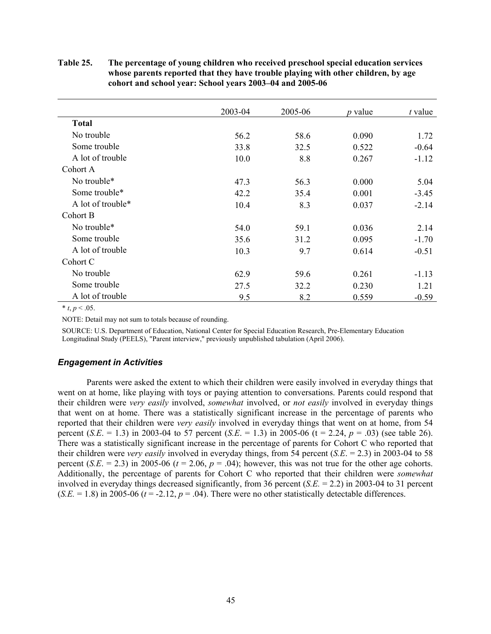**Table 25. The percentage of young children who received preschool special education services whose parents reported that they have trouble playing with other children, by age cohort and school year: School years 2003–04 and 2005-06**

|                   | 2003-04 | 2005-06 | <i>p</i> value | $t$ value |
|-------------------|---------|---------|----------------|-----------|
| <b>Total</b>      |         |         |                |           |
| No trouble        | 56.2    | 58.6    | 0.090          | 1.72      |
| Some trouble      | 33.8    | 32.5    | 0.522          | $-0.64$   |
| A lot of trouble  | 10.0    | 8.8     | 0.267          | $-1.12$   |
| Cohort A          |         |         |                |           |
| No trouble*       | 47.3    | 56.3    | 0.000          | 5.04      |
| Some trouble*     | 42.2    | 35.4    | 0.001          | $-3.45$   |
| A lot of trouble* | 10.4    | 8.3     | 0.037          | $-2.14$   |
| Cohort B          |         |         |                |           |
| No trouble*       | 54.0    | 59.1    | 0.036          | 2.14      |
| Some trouble      | 35.6    | 31.2    | 0.095          | $-1.70$   |
| A lot of trouble  | 10.3    | 9.7     | 0.614          | $-0.51$   |
| Cohort C          |         |         |                |           |
| No trouble        | 62.9    | 59.6    | 0.261          | $-1.13$   |
| Some trouble      | 27.5    | 32.2    | 0.230          | 1.21      |
| A lot of trouble  | 9.5     | 8.2     | 0.559          | $-0.59$   |

 $*$  *t*, *p* < .05.

NOTE: Detail may not sum to totals because of rounding.

SOURCE: U.S. Department of Education, National Center for Special Education Research, Pre-Elementary Education Longitudinal Study (PEELS), "Parent interview," previously unpublished tabulation (April 2006).

# *Engagement in Activities*

Parents were asked the extent to which their children were easily involved in everyday things that went on at home, like playing with toys or paying attention to conversations. Parents could respond that their children were *very easily* involved, *somewhat* involved, or *not easily* involved in everyday things that went on at home. There was a statistically significant increase in the percentage of parents who reported that their children were *very easily* involved in everyday things that went on at home, from 54 percent (*S.E.* = 1.3) in 2003-04 to 57 percent (*S.E.* = 1.3) in 2005-06 ( $t = 2.24$ ,  $p = .03$ ) (see table 26). There was a statistically significant increase in the percentage of parents for Cohort C who reported that their children were *very easily* involved in everyday things, from 54 percent (*S.E*. = 2.3) in 2003-04 to 58 percent  $(S.E. = 2.3)$  in 2005-06 ( $t = 2.06$ ,  $p = .04$ ); however, this was not true for the other age cohorts. Additionally, the percentage of parents for Cohort C who reported that their children were *somewhat* involved in everyday things decreased significantly, from 36 percent (*S.E.* = 2.2) in 2003-04 to 31 percent  $(S.E. = 1.8)$  in 2005-06 ( $t = -2.12$ ,  $p = .04$ ). There were no other statistically detectable differences.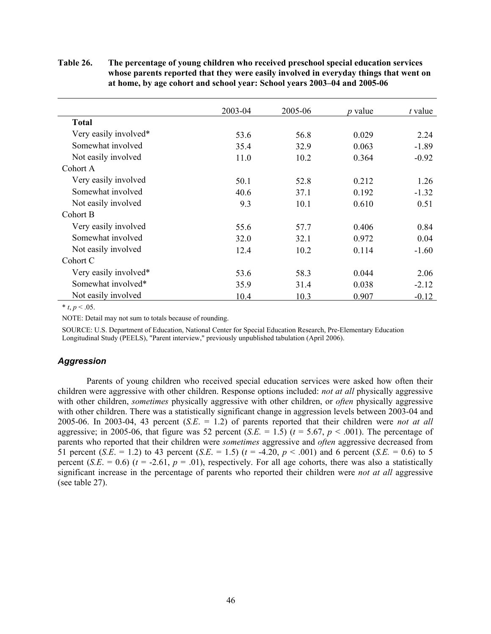|                       | 2003-04 | 2005-06 | <i>p</i> value | $t$ value |
|-----------------------|---------|---------|----------------|-----------|
| <b>Total</b>          |         |         |                |           |
| Very easily involved* | 53.6    | 56.8    | 0.029          | 2.24      |
| Somewhat involved     | 35.4    | 32.9    | 0.063          | $-1.89$   |
| Not easily involved   | 11.0    | 10.2    | 0.364          | $-0.92$   |
| Cohort A              |         |         |                |           |
| Very easily involved  | 50.1    | 52.8    | 0.212          | 1.26      |
| Somewhat involved     | 40.6    | 37.1    | 0.192          | $-1.32$   |
| Not easily involved   | 9.3     | 10.1    | 0.610          | 0.51      |
| Cohort B              |         |         |                |           |
| Very easily involved  | 55.6    | 57.7    | 0.406          | 0.84      |
| Somewhat involved     | 32.0    | 32.1    | 0.972          | 0.04      |
| Not easily involved   | 12.4    | 10.2    | 0.114          | $-1.60$   |
| Cohort C              |         |         |                |           |
| Very easily involved* | 53.6    | 58.3    | 0.044          | 2.06      |
| Somewhat involved*    | 35.9    | 31.4    | 0.038          | $-2.12$   |
| Not easily involved   | 10.4    | 10.3    | 0.907          | $-0.12$   |

# **Table 26. The percentage of young children who received preschool special education services whose parents reported that they were easily involved in everyday things that went on at home, by age cohort and school year: School years 2003–04 and 2005-06**

\*  $t, p < .05$ .

NOTE: Detail may not sum to totals because of rounding.

SOURCE: U.S. Department of Education, National Center for Special Education Research, Pre-Elementary Education Longitudinal Study (PEELS), "Parent interview," previously unpublished tabulation (April 2006).

# *Aggression*

Parents of young children who received special education services were asked how often their children were aggressive with other children. Response options included: *not at all* physically aggressive with other children, *sometimes* physically aggressive with other children, or *often* physically aggressive with other children. There was a statistically significant change in aggression levels between 2003-04 and 2005-06. In 2003-04, 43 percent (*S.E*. = 1.2) of parents reported that their children were *not at all*  aggressive; in 2005-06, that figure was 52 percent (*S.E.* = 1.5) ( $t = 5.67$ ,  $p < .001$ ). The percentage of parents who reported that their children were *sometimes* aggressive and *often* aggressive decreased from 51 percent (*S.E.* = 1.2) to 43 percent (*S.E.* = 1.5) ( $t = -4.20$ ,  $p < .001$ ) and 6 percent (*S.E.* = 0.6) to 5 percent (*S.E.* = 0.6) ( $t = -2.61$ ,  $p = .01$ ), respectively. For all age cohorts, there was also a statistically significant increase in the percentage of parents who reported their children were *not at all* aggressive (see table 27).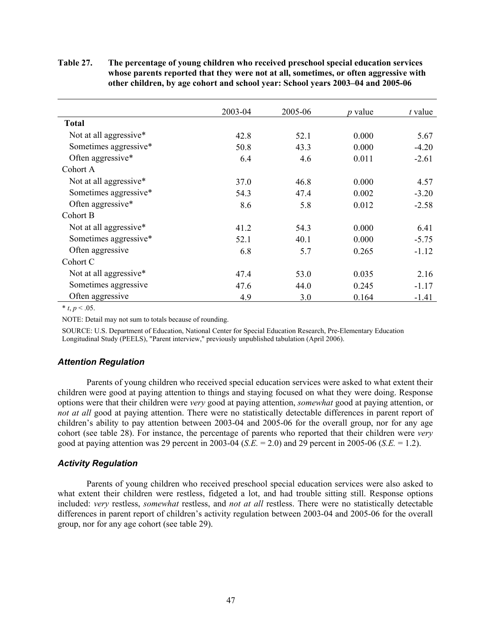**Table 27. The percentage of young children who received preschool special education services whose parents reported that they were not at all, sometimes, or often aggressive with other children, by age cohort and school year: School years 2003–04 and 2005-06**

|                        | 2003-04 | 2005-06 | <i>p</i> value | $t$ value |
|------------------------|---------|---------|----------------|-----------|
| <b>Total</b>           |         |         |                |           |
| Not at all aggressive* | 42.8    | 52.1    | 0.000          | 5.67      |
| Sometimes aggressive*  | 50.8    | 43.3    | 0.000          | $-4.20$   |
| Often aggressive*      | 6.4     | 4.6     | 0.011          | $-2.61$   |
| Cohort A               |         |         |                |           |
| Not at all aggressive* | 37.0    | 46.8    | 0.000          | 4.57      |
| Sometimes aggressive*  | 54.3    | 47.4    | 0.002          | $-3.20$   |
| Often aggressive*      | 8.6     | 5.8     | 0.012          | $-2.58$   |
| Cohort B               |         |         |                |           |
| Not at all aggressive* | 41.2    | 54.3    | 0.000          | 6.41      |
| Sometimes aggressive*  | 52.1    | 40.1    | 0.000          | $-5.75$   |
| Often aggressive       | 6.8     | 5.7     | 0.265          | $-1.12$   |
| Cohort C               |         |         |                |           |
| Not at all aggressive* | 47.4    | 53.0    | 0.035          | 2.16      |
| Sometimes aggressive   | 47.6    | 44.0    | 0.245          | $-1.17$   |
| Often aggressive       | 4.9     | 3.0     | 0.164          | $-1.41$   |

 $*$  *t*, *p* < .05.

NOTE: Detail may not sum to totals because of rounding.

SOURCE: U.S. Department of Education, National Center for Special Education Research, Pre-Elementary Education Longitudinal Study (PEELS), "Parent interview," previously unpublished tabulation (April 2006).

# *Attention Regulation*

Parents of young children who received special education services were asked to what extent their children were good at paying attention to things and staying focused on what they were doing. Response options were that their children were *very* good at paying attention, *somewhat* good at paying attention, or *not at all* good at paying attention. There were no statistically detectable differences in parent report of children's ability to pay attention between 2003-04 and 2005-06 for the overall group, nor for any age cohort (see table 28). For instance, the percentage of parents who reported that their children were *very* good at paying attention was 29 percent in 2003-04 (*S.E.* = 2.0) and 29 percent in 2005-06 (*S.E.* = 1.2).

# *Activity Regulation*

Parents of young children who received preschool special education services were also asked to what extent their children were restless, fidgeted a lot, and had trouble sitting still. Response options included: *very* restless, *somewhat* restless, and *not at all* restless. There were no statistically detectable differences in parent report of children's activity regulation between 2003-04 and 2005-06 for the overall group, nor for any age cohort (see table 29).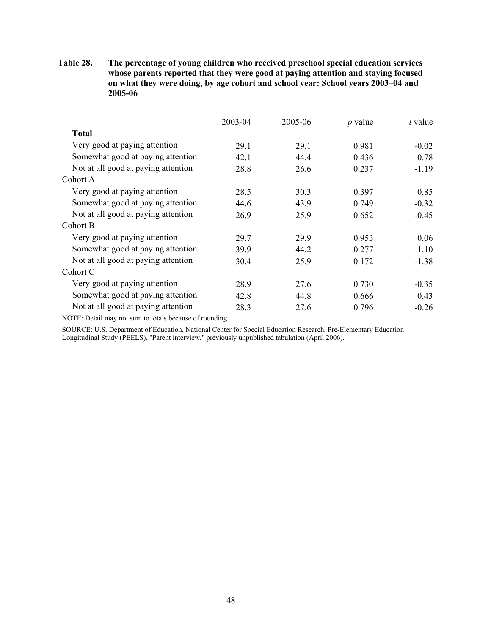| Table 28. | The percentage of young children who received preschool special education services |
|-----------|------------------------------------------------------------------------------------|
|           | whose parents reported that they were good at paying attention and staying focused |
|           | on what they were doing, by age cohort and school year: School years 2003–04 and   |
|           | 2005-06                                                                            |

|                                     | 2003-04 | 2005-06 | <i>p</i> value | t value |
|-------------------------------------|---------|---------|----------------|---------|
| <b>Total</b>                        |         |         |                |         |
| Very good at paying attention       | 29.1    | 29.1    | 0.981          | $-0.02$ |
| Somewhat good at paying attention   | 42 1    | 44.4    | 0.436          | 0.78    |
| Not at all good at paying attention | 28.8    | 26.6    | 0.237          | $-1.19$ |
| Cohort A                            |         |         |                |         |
| Very good at paying attention       | 28.5    | 30.3    | 0.397          | 0.85    |
| Somewhat good at paying attention   | 44.6    | 43.9    | 0.749          | $-0.32$ |
| Not at all good at paying attention | 26.9    | 25.9    | 0.652          | $-0.45$ |
| Cohort B                            |         |         |                |         |
| Very good at paying attention       | 29.7    | 29.9    | 0.953          | 0.06    |
| Somewhat good at paying attention   | 39.9    | 44.2    | 0.277          | 1.10    |
| Not at all good at paying attention | 30.4    | 25.9    | 0.172          | $-1.38$ |
| Cohort C                            |         |         |                |         |
| Very good at paying attention       | 28.9    | 27.6    | 0.730          | $-0.35$ |
| Somewhat good at paying attention   | 42.8    | 44.8    | 0.666          | 0.43    |
| Not at all good at paying attention | 28.3    | 27.6    | 0.796          | $-0.26$ |

NOTE: Detail may not sum to totals because of rounding.

SOURCE: U.S. Department of Education, National Center for Special Education Research, Pre-Elementary Education Longitudinal Study (PEELS), "Parent interview," previously unpublished tabulation (April 2006).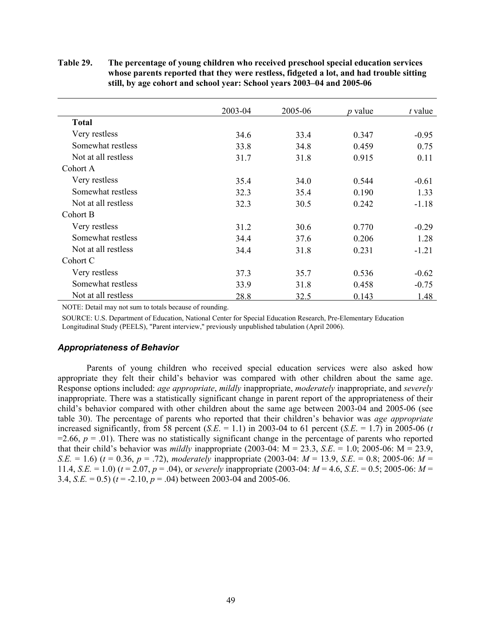|                     | 2003-04 | 2005-06 | <i>p</i> value | t value |
|---------------------|---------|---------|----------------|---------|
| <b>Total</b>        |         |         |                |         |
| Very restless       | 34.6    | 33.4    | 0.347          | $-0.95$ |
| Somewhat restless   | 33.8    | 34.8    | 0.459          | 0.75    |
| Not at all restless | 31.7    | 31.8    | 0.915          | 0.11    |
| Cohort A            |         |         |                |         |
| Very restless       | 35.4    | 34.0    | 0.544          | $-0.61$ |
| Somewhat restless   | 32.3    | 35.4    | 0.190          | 1.33    |
| Not at all restless | 32.3    | 30.5    | 0.242          | $-1.18$ |
| Cohort B            |         |         |                |         |
| Very restless       | 31.2    | 30.6    | 0.770          | $-0.29$ |
| Somewhat restless   | 34.4    | 37.6    | 0.206          | 1.28    |
| Not at all restless | 34.4    | 31.8    | 0.231          | $-1.21$ |
| Cohort C            |         |         |                |         |
| Very restless       | 37.3    | 35.7    | 0.536          | $-0.62$ |
| Somewhat restless   | 33.9    | 31.8    | 0.458          | $-0.75$ |
| Not at all restless | 28.8    | 32.5    | 0.143          | 1.48    |

# **Table 29. The percentage of young children who received preschool special education services whose parents reported that they were restless, fidgeted a lot, and had trouble sitting still, by age cohort and school year: School years 2003–04 and 2005-06**

NOTE: Detail may not sum to totals because of rounding.

SOURCE: U.S. Department of Education, National Center for Special Education Research, Pre-Elementary Education Longitudinal Study (PEELS), "Parent interview," previously unpublished tabulation (April 2006).

### *Appropriateness of Behavior*

Parents of young children who received special education services were also asked how appropriate they felt their child's behavior was compared with other children about the same age. Response options included: *age appropriate*, *mildly* inappropriate, *moderately* inappropriate, and *severely* inappropriate. There was a statistically significant change in parent report of the appropriateness of their child's behavior compared with other children about the same age between 2003-04 and 2005-06 (see table 30). The percentage of parents who reported that their children's behavior was *age appropriate* increased significantly, from 58 percent  $(S.E. = 1.1)$  in 2003-04 to 61 percent  $(S.E. = 1.7)$  in 2005-06 (*t*  $=2.66$ ,  $p = .01$ ). There was no statistically significant change in the percentage of parents who reported that their child's behavior was *mildly* inappropriate (2003-04:  $M = 23.3$ , *S.E.* = 1.0; 2005-06:  $M = 23.9$ , *S.E.* = 1.6) (*t* = 0.36, *p* = .72), *moderately* inappropriate (2003-04: *M* = 13.9, *S.E*. = 0.8; 2005-06: *M* = 11.4, *S.E.* = 1.0) (*t* = 2.07, *p* = .04), or *severely* inappropriate (2003-04: *M* = 4.6, *S.E*. = 0.5; 2005-06: *M* = 3.4, *S.E.* = 0.5) ( $t = -2.10$ ,  $p = .04$ ) between 2003-04 and 2005-06.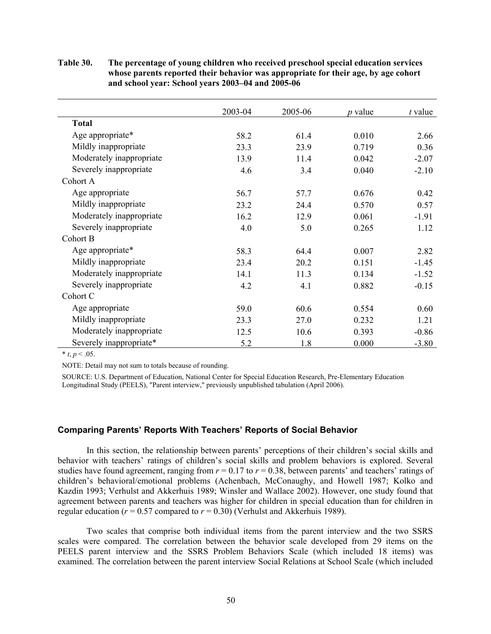**Table 30. The percentage of young children who received preschool special education services whose parents reported their behavior was appropriate for their age, by age cohort and school year: School years 2003–04 and 2005-06**

|                          | 2003-04 | 2005-06 | $p$ value | $t$ value |
|--------------------------|---------|---------|-----------|-----------|
| <b>Total</b>             |         |         |           |           |
| Age appropriate*         | 58.2    | 61.4    | 0.010     | 2.66      |
| Mildly inappropriate     | 23.3    | 23.9    | 0.719     | 0.36      |
| Moderately inappropriate | 13.9    | 11.4    | 0.042     | $-2.07$   |
| Severely inappropriate   | 4.6     | 3.4     | 0.040     | $-2.10$   |
| Cohort A                 |         |         |           |           |
| Age appropriate          | 56.7    | 57.7    | 0.676     | 0.42      |
| Mildly inappropriate     | 23.2    | 24.4    | 0.570     | 0.57      |
| Moderately inappropriate | 16.2    | 12.9    | 0.061     | $-1.91$   |
| Severely inappropriate   | 4.0     | 5.0     | 0.265     | 1.12      |
| Cohort B                 |         |         |           |           |
| Age appropriate*         | 58.3    | 64.4    | 0.007     | 2.82      |
| Mildly inappropriate     | 23.4    | 20.2    | 0.151     | $-1.45$   |
| Moderately inappropriate | 14.1    | 11.3    | 0.134     | $-1.52$   |
| Severely inappropriate   | 4.2     | 4.1     | 0.882     | $-0.15$   |
| Cohort C                 |         |         |           |           |
| Age appropriate          | 59.0    | 60.6    | 0.554     | 0.60      |
| Mildly inappropriate     | 23.3    | 27.0    | 0.232     | 1.21      |
| Moderately inappropriate | 12.5    | 10.6    | 0.393     | $-0.86$   |
| Severely inappropriate*  | 5.2     | 1.8     | 0.000     | $-3.80$   |

\*  $t, p < .05$ .

NOTE: Detail may not sum to totals because of rounding.

SOURCE: U.S. Department of Education, National Center for Special Education Research, Pre-Elementary Education Longitudinal Study (PEELS), "Parent interview," previously unpublished tabulation (April 2006).

## **Comparing Parents' Reports With Teachers' Reports of Social Behavior**

In this section, the relationship between parents' perceptions of their children's social skills and behavior with teachers' ratings of children's social skills and problem behaviors is explored. Several studies have found agreement, ranging from  $r = 0.17$  to  $r = 0.38$ , between parents' and teachers' ratings of children's behavioral/emotional problems (Achenbach, McConaughy, and Howell 1987; Kolko and Kazdin 1993; Verhulst and Akkerhuis 1989; Winsler and Wallace 2002). However, one study found that agreement between parents and teachers was higher for children in special education than for children in regular education ( $r = 0.57$  compared to  $r = 0.30$ ) (Verhulst and Akkerhuis 1989).

Two scales that comprise both individual items from the parent interview and the two SSRS scales were compared. The correlation between the behavior scale developed from 29 items on the PEELS parent interview and the SSRS Problem Behaviors Scale (which included 18 items) was examined. The correlation between the parent interview Social Relations at School Scale (which included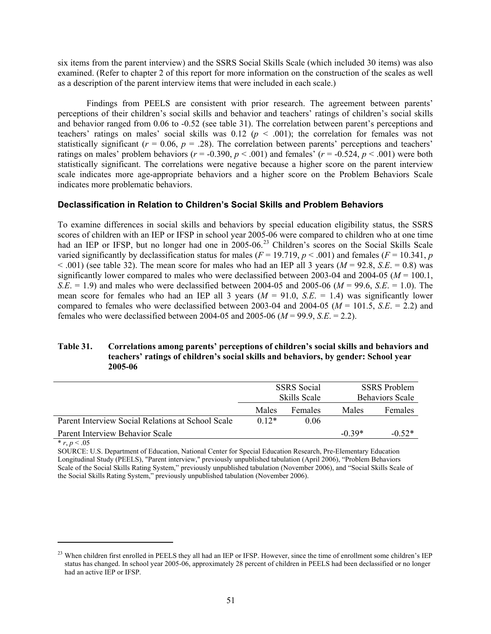six items from the parent interview) and the SSRS Social Skills Scale (which included 30 items) was also examined. (Refer to chapter 2 of this report for more information on the construction of the scales as well as a description of the parent interview items that were included in each scale.)

Findings from PEELS are consistent with prior research. The agreement between parents' perceptions of their children's social skills and behavior and teachers' ratings of children's social skills and behavior ranged from 0.06 to -0.52 (see table 31). The correlation between parent's perceptions and teachers' ratings on males' social skills was  $0.12$  ( $p < .001$ ); the correlation for females was not statistically significant ( $r = 0.06$ ,  $p = .28$ ). The correlation between parents' perceptions and teachers' ratings on males' problem behaviors ( $r = -0.390$ ,  $p < .001$ ) and females' ( $r = -0.524$ ,  $p < .001$ ) were both statistically significant. The correlations were negative because a higher score on the parent interview scale indicates more age-appropriate behaviors and a higher score on the Problem Behaviors Scale indicates more problematic behaviors.

# **Declassification in Relation to Children's Social Skills and Problem Behaviors**

To examine differences in social skills and behaviors by special education eligibility status, the SSRS scores of children with an IEP or IFSP in school year 2005-06 were compared to children who at one time had an IEP or IFSP, but no longer had one in 2005-06.<sup>23</sup> Children's scores on the Social Skills Scale varied significantly by declassification status for males ( $F = 19.719$ ,  $p < .001$ ) and females ( $F = 10.341$ ,  $p$  $< .001$ ) (see table 32). The mean score for males who had an IEP all 3 years ( $M = 92.8$ , *S.E.* = 0.8) was significantly lower compared to males who were declassified between 2003-04 and 2004-05 (*M* = 100.1, *S.E.* = 1.9) and males who were declassified between 2004-05 and 2005-06 ( $M = 99.6$ , *S.E.* = 1.0). The mean score for females who had an IEP all 3 years  $(M = 91.0, S.E. = 1.4)$  was significantly lower compared to females who were declassified between 2003-04 and 2004-05 ( $M = 101.5$ ,  $S.E. = 2.2$ ) and females who were declassified between 2004-05 and 2005-06 (*M* = 99.9, *S.E*. = 2.2).

# **Table 31. Correlations among parents' perceptions of children's social skills and behaviors and teachers' ratings of children's social skills and behaviors, by gender: School year 2005-06**

|                                                   | <b>SSRS</b> Social<br><b>Skills Scale</b> |                | <b>SSRS</b> Problem<br><b>Behaviors Scale</b> |          |
|---------------------------------------------------|-------------------------------------------|----------------|-----------------------------------------------|----------|
|                                                   | Males                                     | <b>Females</b> | Males                                         | Females  |
| Parent Interview Social Relations at School Scale | $0.12*$                                   | 0.06           |                                               |          |
| Parent Interview Behavior Scale                   |                                           |                | $-0.39*$                                      | $-0.52*$ |

 $*$  *r*, *p* < .05

 $\overline{a}$ 

SOURCE: U.S. Department of Education, National Center for Special Education Research, Pre-Elementary Education Longitudinal Study (PEELS), "Parent interview," previously unpublished tabulation (April 2006), "Problem Behaviors Scale of the Social Skills Rating System," previously unpublished tabulation (November 2006), and "Social Skills Scale of the Social Skills Rating System," previously unpublished tabulation (November 2006).

<sup>&</sup>lt;sup>23</sup> When children first enrolled in PEELS they all had an IEP or IFSP. However, since the time of enrollment some children's IEP status has changed. In school year 2005-06, approximately 28 percent of children in PEELS had been declassified or no longer had an active IEP or IFSP.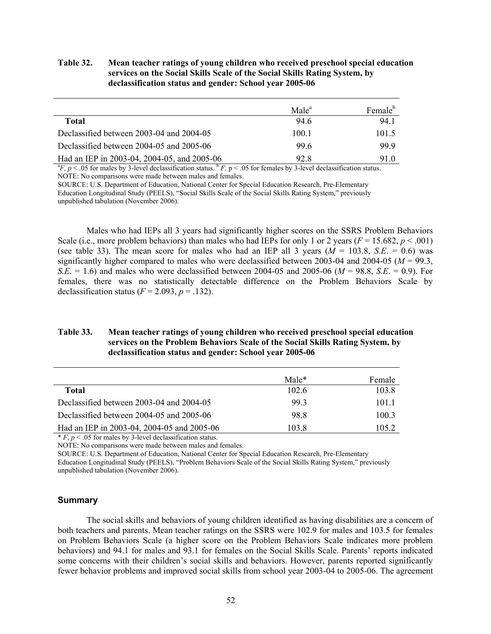**Table 32. Mean teacher ratings of young children who received preschool special education services on the Social Skills Scale of the Social Skills Rating System, by declassification status and gender: School year 2005-06**

|                                             | Male <sup>a</sup> | Female <sup>b</sup> |
|---------------------------------------------|-------------------|---------------------|
| Total                                       | 94.6              | 94.1                |
| Declassified between 2003-04 and 2004-05    | 100.1             | 101.5               |
| Declassified between 2004-05 and 2005-06    | 99.6              | 99.9                |
| Had an IEP in 2003-04, 2004-05, and 2005-06 | 92.8              | 91.0                |

 ${}^{a}F$ ,  $p$  < .05 for males by 3-level declassification status.  ${}^{b}F$ ,  $p$  < .05 for females by 3-level declassification status. NOTE: No comparisons were made between males and females.

SOURCE: U.S. Department of Education, National Center for Special Education Research, Pre-Elementary Education Longitudinal Study (PEELS), "Social Skills Scale of the Social Skills Rating System," previously unpublished tabulation (November 2006).

Males who had IEPs all 3 years had significantly higher scores on the SSRS Problem Behaviors Scale (i.e., more problem behaviors) than males who had IEPs for only 1 or 2 years ( $F = 15.682$ ,  $p < .001$ ) (see table 33). The mean score for males who had an IEP all 3 years  $(M = 103.8, S.E. = 0.6)$  was significantly higher compared to males who were declassified between 2003-04 and 2004-05 ( $M = 99.3$ ) *S.E.* = 1.6) and males who were declassified between 2004-05 and 2005-06 ( $M = 98.8$ , *S.E.* = 0.9). For females, there was no statistically detectable difference on the Problem Behaviors Scale by declassification status  $(F = 2.093, p = .132)$ .

# **Table 33. Mean teacher ratings of young children who received preschool special education services on the Problem Behaviors Scale of the Social Skills Rating System, by declassification status and gender: School year 2005-06**

|                                            | $Male*$ | Female |
|--------------------------------------------|---------|--------|
| Total                                      | 102.6   | 103.8  |
| Declassified between 2003-04 and 2004-05   | 993     | 101.1  |
| Declassified between 2004-05 and 2005-06   | 98.8    | 100.3  |
| Had an IEP in 2003-04, 2004-05 and 2005-06 | 103.8   | 105.2  |

 $* F, p < .05$  for males by 3-level declassification status.

NOTE: No comparisons were made between males and females.

SOURCE: U.S. Department of Education, National Center for Special Education Research, Pre-Elementary

Education Longitudinal Study (PEELS), "Problem Behaviors Scale of the Social Skills Rating System," previously unpublished tabulation (November 2006).

### **Summary**

The social skills and behaviors of young children identified as having disabilities are a concern of both teachers and parents. Mean teacher ratings on the SSRS were 102.9 for males and 103.5 for females on Problem Behaviors Scale (a higher score on the Problem Behaviors Scale indicates more problem behaviors) and 94.1 for males and 93.1 for females on the Social Skills Scale. Parents' reports indicated some concerns with their children's social skills and behaviors. However, parents reported significantly fewer behavior problems and improved social skills from school year 2003-04 to 2005-06. The agreement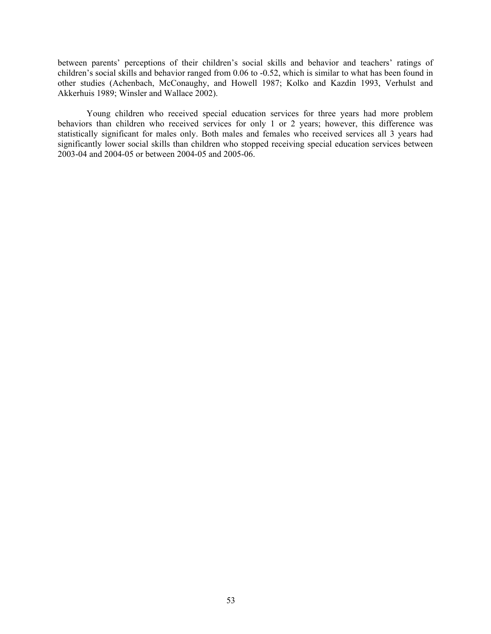between parents' perceptions of their children's social skills and behavior and teachers' ratings of children's social skills and behavior ranged from 0.06 to -0.52, which is similar to what has been found in other studies (Achenbach, McConaughy, and Howell 1987; Kolko and Kazdin 1993, Verhulst and Akkerhuis 1989; Winsler and Wallace 2002).

Young children who received special education services for three years had more problem behaviors than children who received services for only 1 or 2 years; however, this difference was statistically significant for males only. Both males and females who received services all 3 years had significantly lower social skills than children who stopped receiving special education services between 2003-04 and 2004-05 or between 2004-05 and 2005-06.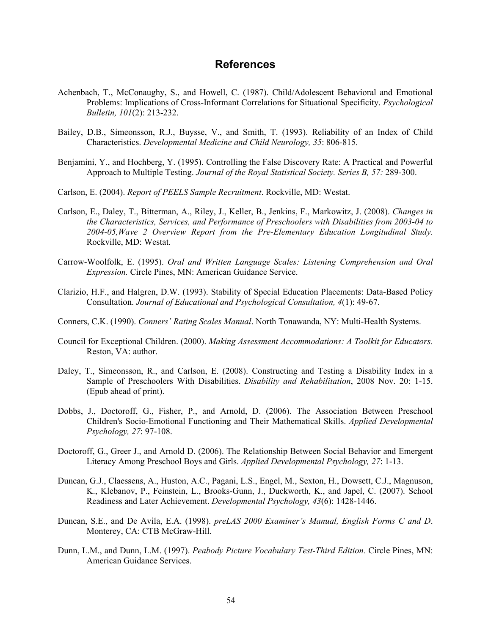# **References**

- Achenbach, T., McConaughy, S., and Howell, C. (1987). Child/Adolescent Behavioral and Emotional Problems: Implications of Cross-Informant Correlations for Situational Specificity. *Psychological Bulletin, 101*(2): 213-232.
- Bailey, D.B., Simeonsson, R.J., Buysse, V., and Smith, T. (1993). Reliability of an Index of Child Characteristics. *Developmental Medicine and Child Neurology, 35*: 806-815.
- Benjamini, Y., and Hochberg, Y. (1995). Controlling the False Discovery Rate: A Practical and Powerful Approach to Multiple Testing. *Journal of the Royal Statistical Society. Series B, 57:* 289-300.
- Carlson, E. (2004). *Report of PEELS Sample Recruitment*. Rockville, MD: Westat.
- Carlson, E., Daley, T., Bitterman, A., Riley, J., Keller, B., Jenkins, F., Markowitz, J. (2008). *Changes in the Characteristics, Services, and Performance of Preschoolers with Disabilities from 2003-04 to 2004-05,Wave 2 Overview Report from the Pre-Elementary Education Longitudinal Study.*  Rockville, MD: Westat.
- Carrow-Woolfolk, E. (1995). *Oral and Written Language Scales: Listening Comprehension and Oral Expression.* Circle Pines, MN: American Guidance Service.
- Clarizio, H.F., and Halgren, D.W. (1993). Stability of Special Education Placements: Data-Based Policy Consultation. *Journal of Educational and Psychological Consultation, 4*(1): 49-67.
- Conners, C.K. (1990). *Conners' Rating Scales Manual*. North Tonawanda, NY: Multi-Health Systems.
- Council for Exceptional Children. (2000). *Making Assessment Accommodations: A Toolkit for Educators.*  Reston, VA: author.
- Daley, T., Simeonsson, R., and Carlson, E. (2008). Constructing and Testing a Disability Index in a Sample of Preschoolers With Disabilities. *Disability and Rehabilitation*, 2008 Nov. 20: 1-15. (Epub ahead of print).
- Dobbs, J., Doctoroff, G., Fisher, P., and Arnold, D. (2006). The Association Between Preschool Children's Socio-Emotional Functioning and Their Mathematical Skills. *Applied Developmental Psychology, 27*: 97-108.
- Doctoroff, G., Greer J., and Arnold D. (2006). The Relationship Between Social Behavior and Emergent Literacy Among Preschool Boys and Girls. *Applied Developmental Psychology, 27*: 1-13.
- Duncan, G.J., Claessens, A., Huston, A.C., Pagani, L.S., Engel, M., Sexton, H., Dowsett, C.J., Magnuson, K., Klebanov, P., Feinstein, L., Brooks-Gunn, J., Duckworth, K., and Japel, C. (2007). School Readiness and Later Achievement. *Developmental Psychology, 43*(6): 1428-1446.
- Duncan, S.E., and De Avila, E.A. (1998). *preLAS 2000 Examiner's Manual, English Forms C and D*. Monterey, CA: CTB McGraw-Hill.
- Dunn, L.M., and Dunn, L.M. (1997). *Peabody Picture Vocabulary Test-Third Edition*. Circle Pines, MN: American Guidance Services.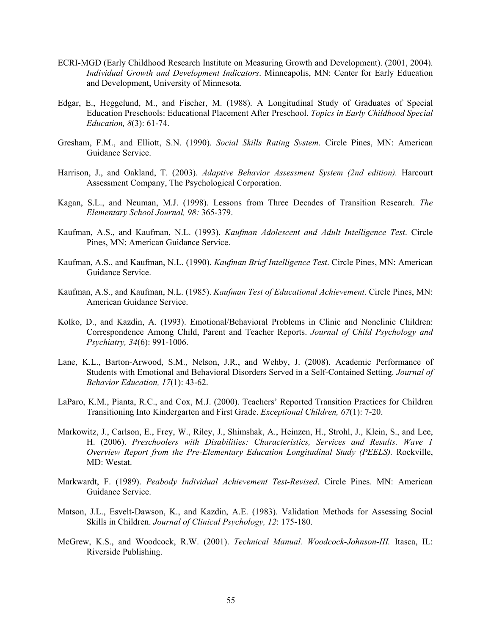- ECRI-MGD (Early Childhood Research Institute on Measuring Growth and Development). (2001, 2004). *Individual Growth and Development Indicators*. Minneapolis, MN: Center for Early Education and Development, University of Minnesota.
- Edgar, E., Heggelund, M., and Fischer, M. (1988). A Longitudinal Study of Graduates of Special Education Preschools: Educational Placement After Preschool. *Topics in Early Childhood Special Education, 8*(3): 61-74.
- Gresham, F.M., and Elliott, S.N. (1990). *Social Skills Rating System*. Circle Pines, MN: American Guidance Service.
- Harrison, J., and Oakland, T. (2003). *Adaptive Behavior Assessment System (2nd edition).* Harcourt Assessment Company, The Psychological Corporation.
- Kagan, S.L., and Neuman, M.J. (1998). Lessons from Three Decades of Transition Research. *The Elementary School Journal, 98:* 365-379.
- Kaufman, A.S., and Kaufman, N.L. (1993). *Kaufman Adolescent and Adult Intelligence Test*. Circle Pines, MN: American Guidance Service.
- Kaufman, A.S., and Kaufman, N.L. (1990). *Kaufman Brief Intelligence Test*. Circle Pines, MN: American Guidance Service.
- Kaufman, A.S., and Kaufman, N.L. (1985). *Kaufman Test of Educational Achievement*. Circle Pines, MN: American Guidance Service.
- Kolko, D., and Kazdin, A. (1993). Emotional/Behavioral Problems in Clinic and Nonclinic Children: Correspondence Among Child, Parent and Teacher Reports. *Journal of Child Psychology and Psychiatry, 34*(6): 991-1006.
- Lane, K.L., Barton-Arwood, S.M., Nelson, J.R., and Wehby, J. (2008). Academic Performance of Students with Emotional and Behavioral Disorders Served in a Self-Contained Setting. *Journal of Behavior Education, 17*(1): 43-62.
- LaParo, K.M., Pianta, R.C., and Cox, M.J. (2000). Teachers' Reported Transition Practices for Children Transitioning Into Kindergarten and First Grade. *Exceptional Children, 67*(1): 7-20.
- Markowitz, J., Carlson, E., Frey, W., Riley, J., Shimshak, A., Heinzen, H., Strohl, J., Klein, S., and Lee, H. (2006). *Preschoolers with Disabilities: Characteristics, Services and Results. Wave 1 Overview Report from the Pre-Elementary Education Longitudinal Study (PEELS).* Rockville, MD: Westat.
- Markwardt, F. (1989). *Peabody Individual Achievement Test-Revised*. Circle Pines. MN: American Guidance Service.
- Matson, J.L., Esvelt-Dawson, K., and Kazdin, A.E. (1983). Validation Methods for Assessing Social Skills in Children. *Journal of Clinical Psychology, 12*: 175-180.
- McGrew, K.S., and Woodcock, R.W. (2001). *Technical Manual. Woodcock-Johnson-III.* Itasca, IL: Riverside Publishing.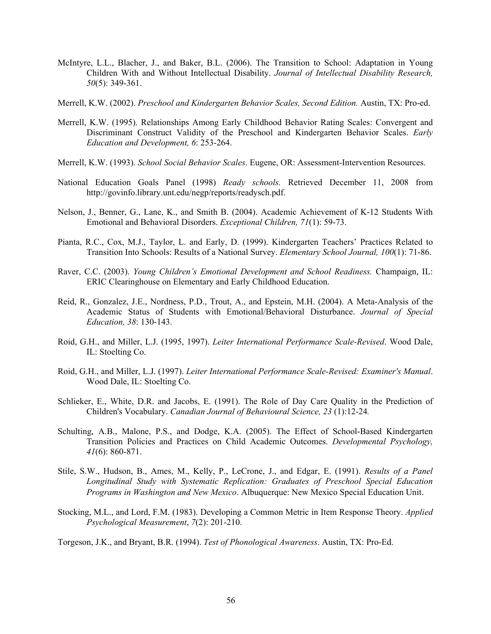- McIntyre, L.L., Blacher, J., and Baker, B.L. (2006). The Transition to School: Adaptation in Young Children With and Without Intellectual Disability. *Journal of Intellectual Disability Research, 50*(5): 349-361.
- Merrell, K.W. (2002). *Preschool and Kindergarten Behavior Scales, Second Edition.* Austin, TX: Pro-ed.
- Merrell, K.W. (1995). Relationships Among Early Childhood Behavior Rating Scales: Convergent and Discriminant Construct Validity of the Preschool and Kindergarten Behavior Scales. *Early Education and Development, 6*: 253-264.
- Merrell, K.W. (1993). *School Social Behavior Scales*. Eugene, OR: Assessment-Intervention Resources.
- National Education Goals Panel (1998) *Ready schools.* Retrieved December 11, 2008 from http://govinfo.library.unt.edu/negp/reports/readysch.pdf.
- Nelson, J., Benner, G., Lane, K., and Smith B. (2004). Academic Achievement of K-12 Students With Emotional and Behavioral Disorders. *Exceptional Children, 71*(1): 59-73.
- Pianta, R.C., Cox, M.J., Taylor, L. and Early, D. (1999). Kindergarten Teachers' Practices Related to Transition Into Schools: Results of a National Survey. *Elementary School Journal, 100*(1): 71-86.
- Raver, C.C. (2003). *Young Children's Emotional Development and School Readiness.* Champaign, IL: ERIC Clearinghouse on Elementary and Early Childhood Education.
- Reid, R., Gonzalez, J.E., Nordness, P.D., Trout, A., and Epstein, M.H. (2004). A Meta-Analysis of the Academic Status of Students with Emotional/Behavioral Disturbance. *Journal of Special Education, 38*: 130-143.
- Roid, G.H., and Miller, L.J. (1995, 1997). *Leiter International Performance Scale-Revised*. Wood Dale, IL: Stoelting Co.
- Roid, G.H., and Miller, L.J. (1997). *Leiter International Performance Scale-Revised: Examiner's Manual*. Wood Dale, IL: Stoelting Co.
- Schlieker, E., White, D.R. and Jacobs, E. (1991). The Role of Day Care Quality in the Prediction of Children's Vocabulary. *Canadian Journal of Behavioural Science, 23* (1):12-24*.*
- Schulting, A.B., Malone, P.S., and Dodge, K.A. (2005). The Effect of School-Based Kindergarten Transition Policies and Practices on Child Academic Outcomes. *Developmental Psychology, 41*(6): 860-871.
- Stile, S.W., Hudson, B., Ames, M., Kelly, P., LeCrone, J., and Edgar, E. (1991). *Results of a Panel Longitudinal Study with Systematic Replication: Graduates of Preschool Special Education Programs in Washington and New Mexico*. Albuquerque: New Mexico Special Education Unit.
- Stocking, M.L., and Lord, F.M. (1983). Developing a Common Metric in Item Response Theory. *Applied Psychological Measurement*, *7*(2): 201-210.

Torgeson, J.K., and Bryant, B.R. (1994). *Test of Phonological Awareness*. Austin, TX: Pro-Ed.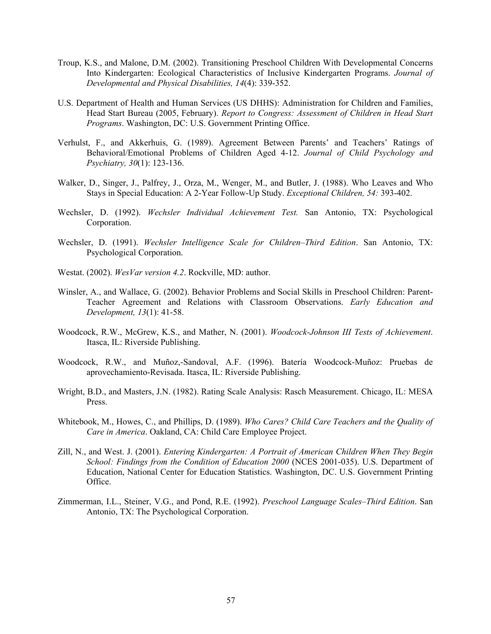- Troup, K.S., and Malone, D.M. (2002). Transitioning Preschool Children With Developmental Concerns Into Kindergarten: Ecological Characteristics of Inclusive Kindergarten Programs. *Journal of Developmental and Physical Disabilities, 14*(4): 339-352.
- U.S. Department of Health and Human Services (US DHHS): Administration for Children and Families, Head Start Bureau (2005, February). *Report to Congress: Assessment of Children in Head Start Programs*. Washington, DC: U.S. Government Printing Office.
- Verhulst, F., and Akkerhuis, G. (1989). Agreement Between Parents' and Teachers' Ratings of Behavioral/Emotional Problems of Children Aged 4-12. *Journal of Child Psychology and Psychiatry, 30*(1): 123-136.
- Walker, D., Singer, J., Palfrey, J., Orza, M., Wenger, M., and Butler, J. (1988). Who Leaves and Who Stays in Special Education: A 2-Year Follow-Up Study. *Exceptional Children, 54:* 393-402.
- Wechsler, D. (1992). *Wechsler Individual Achievement Test.* San Antonio, TX: Psychological Corporation.
- Wechsler, D. (1991). *Wechsler Intelligence Scale for Children–Third Edition*. San Antonio, TX: Psychological Corporation.
- Westat. (2002). *WesVar version 4.2*. Rockville, MD: author.
- Winsler, A., and Wallace, G. (2002). Behavior Problems and Social Skills in Preschool Children: Parent-Teacher Agreement and Relations with Classroom Observations. *Early Education and Development, 13*(1): 41-58.
- Woodcock, R.W., McGrew, K.S., and Mather, N. (2001). *Woodcock-Johnson III Tests of Achievement*. Itasca, IL: Riverside Publishing.
- Woodcock, R.W., and Muñoz,-Sandoval, A.F. (1996). Batería Woodcock-Muñoz: Pruebas de aprovechamiento-Revisada. Itasca, IL: Riverside Publishing.
- Wright, B.D., and Masters, J.N. (1982). Rating Scale Analysis: Rasch Measurement. Chicago, IL: MESA Press.
- Whitebook, M., Howes, C., and Phillips, D. (1989). *Who Cares? Child Care Teachers and the Quality of Care in America*. Oakland, CA: Child Care Employee Project.
- Zill, N., and West. J. (2001). *Entering Kindergarten: A Portrait of American Children When They Begin School: Findings from the Condition of Education 2000* (NCES 2001-035). U.S. Department of Education, National Center for Education Statistics. Washington, DC. U.S. Government Printing Office.
- Zimmerman, I.L., Steiner, V.G., and Pond, R.E. (1992). *Preschool Language Scales–Third Edition*. San Antonio, TX: The Psychological Corporation.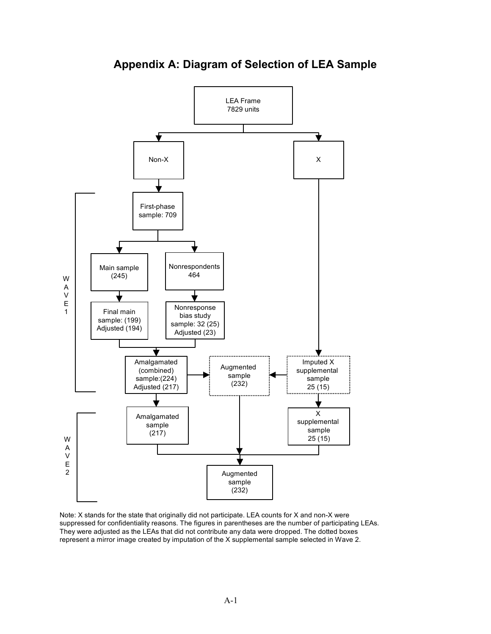

**Appendix A: Diagram of Selection of LEA Sample** 

Note: X stands for the state that originally did not participate. LEA counts for X and non-X were suppressed for confidentiality reasons. The figures in parentheses are the number of participating LEAs. They were adjusted as the LEAs that did not contribute any data were dropped. The dotted boxes represent a mirror image created by imputation of the X supplemental sample selected in Wave 2.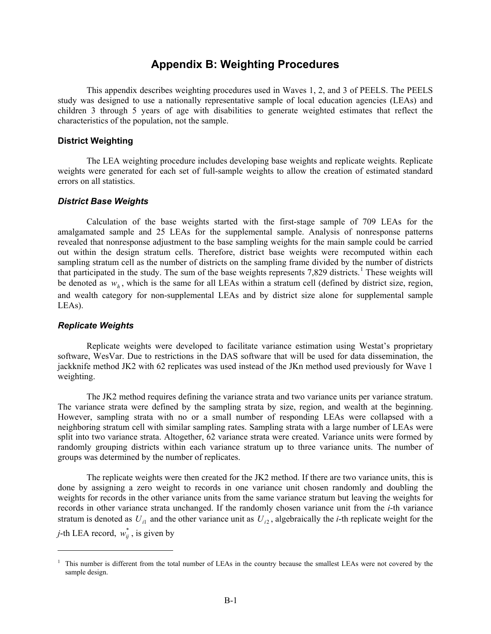# **Appendix B: Weighting Procedures**

This appendix describes weighting procedures used in Waves 1, 2, and 3 of PEELS. The PEELS study was designed to use a nationally representative sample of local education agencies (LEAs) and children 3 through 5 years of age with disabilities to generate weighted estimates that reflect the characteristics of the population, not the sample.

## **District Weighting**

The LEA weighting procedure includes developing base weights and replicate weights. Replicate weights were generated for each set of full-sample weights to allow the creation of estimated standard errors on all statistics.

## *District Base Weights*

Calculation of the base weights started with the first-stage sample of 709 LEAs for the amalgamated sample and 25 LEAs for the supplemental sample. Analysis of nonresponse patterns revealed that nonresponse adjustment to the base sampling weights for the main sample could be carried out within the design stratum cells. Therefore, district base weights were recomputed within each sampling stratum cell as the number of districts on the sampling frame divided by the number of districts that participated in the study. The sum of the base weights represents 7,829 districts.<sup>1</sup> These weights will be denoted as  $w<sub>h</sub>$ , which is the same for all LEAs within a stratum cell (defined by district size, region, and wealth category for non-supplemental LEAs and by district size alone for supplemental sample LEAs).

#### *Replicate Weights*

 $\overline{a}$ 

Replicate weights were developed to facilitate variance estimation using Westat's proprietary software, WesVar. Due to restrictions in the DAS software that will be used for data dissemination, the jackknife method JK2 with 62 replicates was used instead of the JKn method used previously for Wave 1 weighting.

The JK2 method requires defining the variance strata and two variance units per variance stratum. The variance strata were defined by the sampling strata by size, region, and wealth at the beginning. However, sampling strata with no or a small number of responding LEAs were collapsed with a neighboring stratum cell with similar sampling rates. Sampling strata with a large number of LEAs were split into two variance strata. Altogether, 62 variance strata were created. Variance units were formed by randomly grouping districts within each variance stratum up to three variance units. The number of groups was determined by the number of replicates.

The replicate weights were then created for the JK2 method. If there are two variance units, this is done by assigning a zero weight to records in one variance unit chosen randomly and doubling the weights for records in the other variance units from the same variance stratum but leaving the weights for records in other variance strata unchanged. If the randomly chosen variance unit from the *i*-th variance stratum is denoted as  $U_{i1}$  and the other variance unit as  $U_{i2}$ , algebraically the *i*-th replicate weight for the *j*-th LEA record,  $w_{ij}^*$ , is given by

<sup>&</sup>lt;sup>1</sup> This number is different from the total number of LEAs in the country because the smallest LEAs were not covered by the sample design.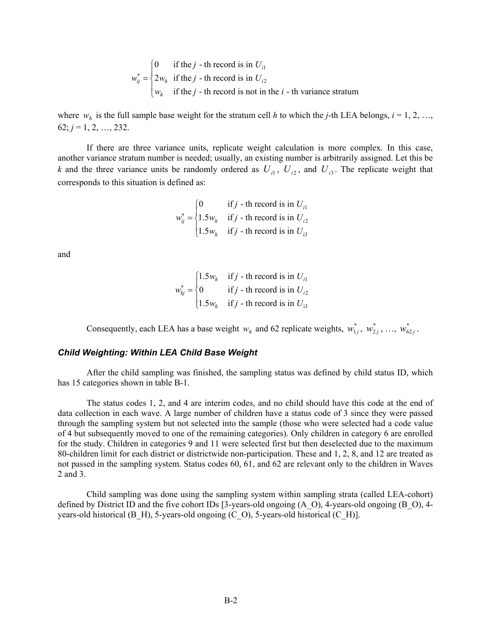$$
w_{ij}^* = \begin{cases} 0 & \text{if the } j \text{ - th record is in } U_{i1} \\ 2w_h & \text{if the } j \text{ - th record is in } U_{i2} \\ w_h & \text{if the } j \text{ - th record is not in the } i \text{ - th variance stratum} \end{cases}
$$

where  $w_h$  is the full sample base weight for the stratum cell *h* to which the *j*-th LEA belongs,  $i = 1, 2, ...,$  $62; j = 1, 2, ..., 232.$ 

If there are three variance units, replicate weight calculation is more complex. In this case, another variance stratum number is needed; usually, an existing number is arbitrarily assigned. Let this be *k* and the three variance units be randomly ordered as  $U_{i1}$ ,  $U_{i2}$ , and  $U_{i3}$ . The replicate weight that corresponds to this situation is defined as:

$$
w_{ij}^* = \begin{cases} 0 & \text{if } j \text{ - th record is in } U_{i1} \\ 1.5w_h & \text{if } j \text{ - th record is in } U_{i2} \\ 1.5w_h & \text{if } j \text{ - th record is in } U_{i3} \end{cases}
$$

and

$$
w_{kj}^* = \begin{cases} 1.5w_h & \text{if } j \text{ - th record is in } U_{i1} \\ 0 & \text{if } j \text{ - th record is in } U_{i2} \\ 1.5w_h & \text{if } j \text{ - th record is in } U_{i3} \end{cases}
$$

Consequently, each LEA has a base weight  $w_h$  and 62 replicate weights,  $w_{1j}^*$ ,  $w_{2j}^*$ , ...,  $w_{62j}^*$ .

# *Child Weighting: Within LEA Child Base Weight*

After the child sampling was finished, the sampling status was defined by child status ID, which has 15 categories shown in table B-1.

The status codes 1, 2, and 4 are interim codes, and no child should have this code at the end of data collection in each wave. A large number of children have a status code of 3 since they were passed through the sampling system but not selected into the sample (those who were selected had a code value of 4 but subsequently moved to one of the remaining categories). Only children in category 6 are enrolled for the study. Children in categories 9 and 11 were selected first but then deselected due to the maximum 80-children limit for each district or districtwide non-participation. These and 1, 2, 8, and 12 are treated as not passed in the sampling system. Status codes 60, 61, and 62 are relevant only to the children in Waves 2 and 3.

Child sampling was done using the sampling system within sampling strata (called LEA-cohort) defined by District ID and the five cohort IDs [3-years-old ongoing (A\_O), 4-years-old ongoing (B\_O), 4 years-old historical (B\_H), 5-years-old ongoing (C\_O), 5-years-old historical (C\_H)].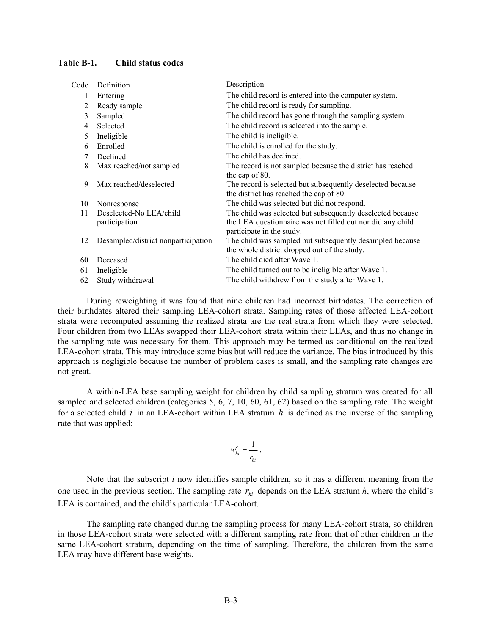| Code | Definition                          | Description                                                |
|------|-------------------------------------|------------------------------------------------------------|
| 1    | Entering                            | The child record is entered into the computer system.      |
| 2    | Ready sample                        | The child record is ready for sampling.                    |
| 3    | Sampled                             | The child record has gone through the sampling system.     |
| 4    | Selected                            | The child record is selected into the sample.              |
| 5    | Ineligible                          | The child is ineligible.                                   |
| 6    | Enrolled                            | The child is enrolled for the study.                       |
| 7    | Declined                            | The child has declined.                                    |
| 8    | Max reached/not sampled             | The record is not sampled because the district has reached |
|      |                                     | the cap of 80.                                             |
| 9    | Max reached/deselected              | The record is selected but subsequently deselected because |
|      |                                     | the district has reached the cap of 80.                    |
| 10   | Nonresponse                         | The child was selected but did not respond.                |
| 11   | Deselected-No LEA/child             | The child was selected but subsequently deselected because |
|      | participation                       | the LEA questionnaire was not filled out nor did any child |
|      |                                     | participate in the study.                                  |
| 12   | Desampled/district nonparticipation | The child was sampled but subsequently desampled because   |
|      |                                     | the whole district dropped out of the study.               |
| 60   | Deceased                            | The child died after Wave 1.                               |
| 61   | Ineligible                          | The child turned out to be ineligible after Wave 1.        |
| 62   | Study withdrawal                    | The child withdrew from the study after Wave 1.            |

**Table B-1. Child status codes** 

During reweighting it was found that nine children had incorrect birthdates. The correction of their birthdates altered their sampling LEA-cohort strata. Sampling rates of those affected LEA-cohort strata were recomputed assuming the realized strata are the real strata from which they were selected. Four children from two LEAs swapped their LEA-cohort strata within their LEAs, and thus no change in the sampling rate was necessary for them. This approach may be termed as conditional on the realized LEA-cohort strata. This may introduce some bias but will reduce the variance. The bias introduced by this approach is negligible because the number of problem cases is small, and the sampling rate changes are not great.

A within-LEA base sampling weight for children by child sampling stratum was created for all sampled and selected children (categories 5, 6, 7, 10, 60, 61, 62) based on the sampling rate. The weight for a selected child *i* in an LEA-cohort within LEA stratum *h* is defined as the inverse of the sampling rate that was applied:

$$
w_{hi}^c = \frac{1}{r_{hi}}.
$$

Note that the subscript *i* now identifies sample children, so it has a different meaning from the one used in the previous section. The sampling rate  $r_{hi}$  depends on the LEA stratum  $h$ , where the child's LEA is contained, and the child's particular LEA-cohort.

The sampling rate changed during the sampling process for many LEA-cohort strata, so children in those LEA-cohort strata were selected with a different sampling rate from that of other children in the same LEA-cohort stratum, depending on the time of sampling. Therefore, the children from the same LEA may have different base weights.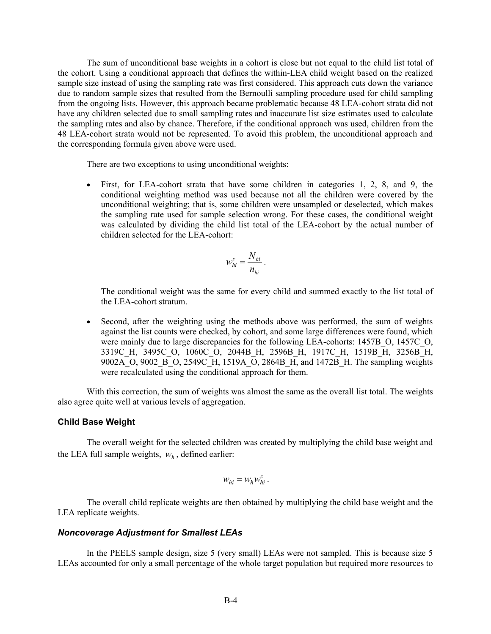The sum of unconditional base weights in a cohort is close but not equal to the child list total of the cohort. Using a conditional approach that defines the within-LEA child weight based on the realized sample size instead of using the sampling rate was first considered. This approach cuts down the variance due to random sample sizes that resulted from the Bernoulli sampling procedure used for child sampling from the ongoing lists. However, this approach became problematic because 48 LEA-cohort strata did not have any children selected due to small sampling rates and inaccurate list size estimates used to calculate the sampling rates and also by chance. Therefore, if the conditional approach was used, children from the 48 LEA-cohort strata would not be represented. To avoid this problem, the unconditional approach and the corresponding formula given above were used.

There are two exceptions to using unconditional weights:

 First, for LEA-cohort strata that have some children in categories 1, 2, 8, and 9, the conditional weighting method was used because not all the children were covered by the unconditional weighting; that is, some children were unsampled or deselected, which makes the sampling rate used for sample selection wrong. For these cases, the conditional weight was calculated by dividing the child list total of the LEA-cohort by the actual number of children selected for the LEA-cohort:

$$
w_{hi}^c = \frac{N_{hi}}{n_{hi}}.
$$

The conditional weight was the same for every child and summed exactly to the list total of the LEA-cohort stratum.

 Second, after the weighting using the methods above was performed, the sum of weights against the list counts were checked, by cohort, and some large differences were found, which were mainly due to large discrepancies for the following LEA-cohorts: 1457B O, 1457C O, 3319C\_H, 3495C\_O, 1060C\_O, 2044B\_H, 2596B\_H, 1917C\_H, 1519B\_H, 3256B\_H, 9002A\_O, 9002\_B\_O, 2549C\_H, 1519A\_O, 2864B\_H, and 1472B\_H. The sampling weights were recalculated using the conditional approach for them.

With this correction, the sum of weights was almost the same as the overall list total. The weights also agree quite well at various levels of aggregation.

#### **Child Base Weight**

The overall weight for the selected children was created by multiplying the child base weight and the LEA full sample weights,  $w<sub>h</sub>$ , defined earlier:

$$
w_{hi} = w_h w_{hi}^c.
$$

The overall child replicate weights are then obtained by multiplying the child base weight and the LEA replicate weights.

## *Noncoverage Adjustment for Smallest LEAs*

In the PEELS sample design, size 5 (very small) LEAs were not sampled. This is because size 5 LEAs accounted for only a small percentage of the whole target population but required more resources to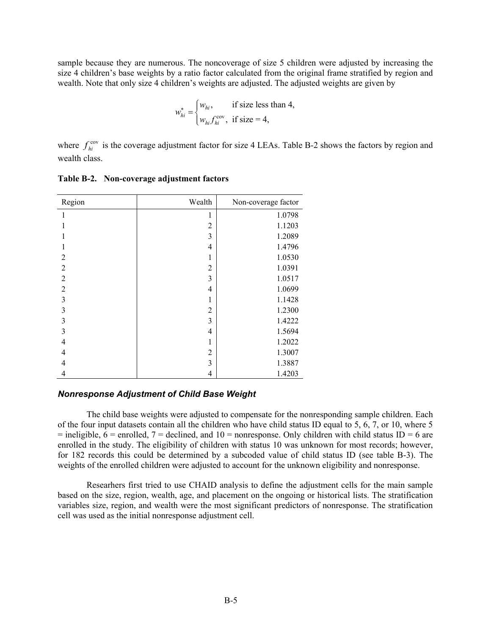sample because they are numerous. The noncoverage of size 5 children were adjusted by increasing the size 4 children's base weights by a ratio factor calculated from the original frame stratified by region and wealth. Note that only size 4 children's weights are adjusted. The adjusted weights are given by

$$
w_{hi}^* = \begin{cases} w_{hi}, & \text{if size less than 4,} \\ w_{hi} f_{hi}^{\text{cov}}, & \text{if size = 4,} \end{cases}
$$

where  $f_{hi}^{\text{cov}}$  is the coverage adjustment factor for size 4 LEAs. Table B-2 shows the factors by region and wealth class.

| Region         | Wealth         | Non-coverage factor |
|----------------|----------------|---------------------|
| 1              | 1              | 1.0798              |
|                | $\overline{c}$ | 1.1203              |
|                | 3              | 1.2089              |
| 1              | 4              | 1.4796              |
| $\overline{2}$ | 1              | 1.0530              |
| $\overline{2}$ | $\overline{2}$ | 1.0391              |
| $\overline{2}$ | 3              | 1.0517              |
| $\overline{2}$ | 4              | 1.0699              |
| 3              | 1              | 1.1428              |
| 3              | $\overline{c}$ | 1.2300              |
| 3              | 3              | 1.4222              |
| 3              | $\overline{4}$ | 1.5694              |
| $\overline{4}$ | 1              | 1.2022              |
| 4              | $\overline{c}$ | 1.3007              |
| 4              | 3              | 1.3887              |
| 4              | 4              | 1.4203              |

**Table B-2. Non-coverage adjustment factors** 

#### *Nonresponse Adjustment of Child Base Weight*

The child base weights were adjusted to compensate for the nonresponding sample children. Each of the four input datasets contain all the children who have child status ID equal to 5, 6, 7, or 10, where 5  $=$  ineligible,  $6 =$  enrolled,  $7 =$  declined, and  $10 =$  nonresponse. Only children with child status ID  $= 6$  are enrolled in the study. The eligibility of children with status 10 was unknown for most records; however, for 182 records this could be determined by a subcoded value of child status ID (see table B-3). The weights of the enrolled children were adjusted to account for the unknown eligibility and nonresponse.

Researhers first tried to use CHAID analysis to define the adjustment cells for the main sample based on the size, region, wealth, age, and placement on the ongoing or historical lists. The stratification variables size, region, and wealth were the most significant predictors of nonresponse. The stratification cell was used as the initial nonresponse adjustment cell.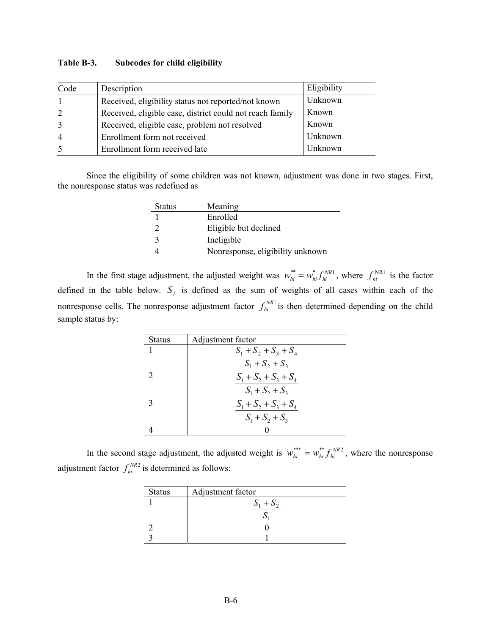| Code           | Description                                              | Eligibility |
|----------------|----------------------------------------------------------|-------------|
|                | Received, eligibility status not reported/not known      | Unknown     |
| 2              | Received, eligible case, district could not reach family | Known       |
| 3              | Received, eligible case, problem not resolved            | Known       |
| $\overline{4}$ | Enrollment form not received                             | Unknown     |
|                | Enrollment form received late                            | Unknown     |

#### **Table B-3. Subcodes for child eligibility**

Since the eligibility of some children was not known, adjustment was done in two stages. First, the nonresponse status was redefined as

| <b>Status</b> | Meaning                          |
|---------------|----------------------------------|
|               | Enrolled                         |
|               | Eligible but declined            |
|               | Ineligible                       |
|               | Nonresponse, eligibility unknown |

In the first stage adjustment, the adjusted weight was  $w_{hi}^{**} = w_{hi}^* f_{hi}^{NRL}$ , where  $f_{hi}^{NRL}$  is the factor defined in the table below.  $S_j$  is defined as the sum of weights of all cases within each of the nonresponse cells. The nonresponse adjustment factor  $f_{hi}^{NR1}$  is then determined depending on the child sample status by:

| Status | Adjustment factor       |
|--------|-------------------------|
|        | $S_1 + S_2 + S_3 + S_4$ |
|        | $S_1 + S_2 + S_3$       |
|        | $S_1 + S_2 + S_3 + S_4$ |
|        | $S_1 + S_2 + S_3$       |
|        | $S_1 + S_2 + S_3 + S_4$ |
|        | $S_1 + S_2 + S_3$       |
|        |                         |

In the second stage adjustment, the adjusted weight is  $w_{hi}^{***} = w_{hi}^{**} f_{hi}^{NR2}$ , where the nonresponse adjustment factor  $f_{hi}^{NR2}$  is determined as follows:

| <b>Status</b> | Adjustment factor |
|---------------|-------------------|
|               | $S_1 + S_2$       |
|               |                   |
|               |                   |
|               |                   |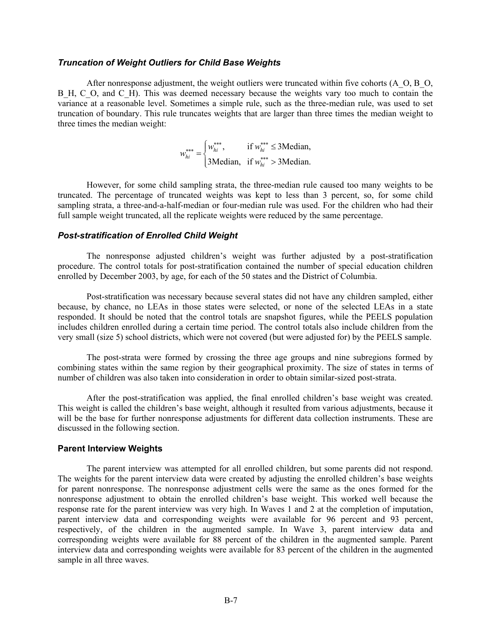#### *Truncation of Weight Outliers for Child Base Weights*

After nonresponse adjustment, the weight outliers were truncated within five cohorts (A\_O, B\_O, B<sub>H</sub>, C<sub>O</sub>, and C<sub>H</sub>). This was deemed necessary because the weights vary too much to contain the variance at a reasonable level. Sometimes a simple rule, such as the three-median rule, was used to set truncation of boundary. This rule truncates weights that are larger than three times the median weight to three times the median weight:

$$
w_{hi}^{***} = \begin{cases} w_{hi}^{***}, & \text{if } w_{hi}^{***} \le 3 \text{Median}, \\ 3 \text{Median}, & \text{if } w_{hi}^{***} > 3 \text{Median}. \end{cases}
$$

However, for some child sampling strata, the three-median rule caused too many weights to be truncated. The percentage of truncated weights was kept to less than 3 percent, so, for some child sampling strata, a three-and-a-half-median or four-median rule was used. For the children who had their full sample weight truncated, all the replicate weights were reduced by the same percentage.

#### *Post-stratification of Enrolled Child Weight*

The nonresponse adjusted children's weight was further adjusted by a post-stratification procedure. The control totals for post-stratification contained the number of special education children enrolled by December 2003, by age, for each of the 50 states and the District of Columbia.

Post-stratification was necessary because several states did not have any children sampled, either because, by chance, no LEAs in those states were selected, or none of the selected LEAs in a state responded. It should be noted that the control totals are snapshot figures, while the PEELS population includes children enrolled during a certain time period. The control totals also include children from the very small (size 5) school districts, which were not covered (but were adjusted for) by the PEELS sample.

The post-strata were formed by crossing the three age groups and nine subregions formed by combining states within the same region by their geographical proximity. The size of states in terms of number of children was also taken into consideration in order to obtain similar-sized post-strata.

After the post-stratification was applied, the final enrolled children's base weight was created. This weight is called the children's base weight, although it resulted from various adjustments, because it will be the base for further nonresponse adjustments for different data collection instruments. These are discussed in the following section.

#### **Parent Interview Weights**

The parent interview was attempted for all enrolled children, but some parents did not respond. The weights for the parent interview data were created by adjusting the enrolled children's base weights for parent nonresponse. The nonresponse adjustment cells were the same as the ones formed for the nonresponse adjustment to obtain the enrolled children's base weight. This worked well because the response rate for the parent interview was very high. In Waves 1 and 2 at the completion of imputation, parent interview data and corresponding weights were available for 96 percent and 93 percent, respectively, of the children in the augmented sample. In Wave 3, parent interview data and corresponding weights were available for 88 percent of the children in the augmented sample. Parent interview data and corresponding weights were available for 83 percent of the children in the augmented sample in all three waves.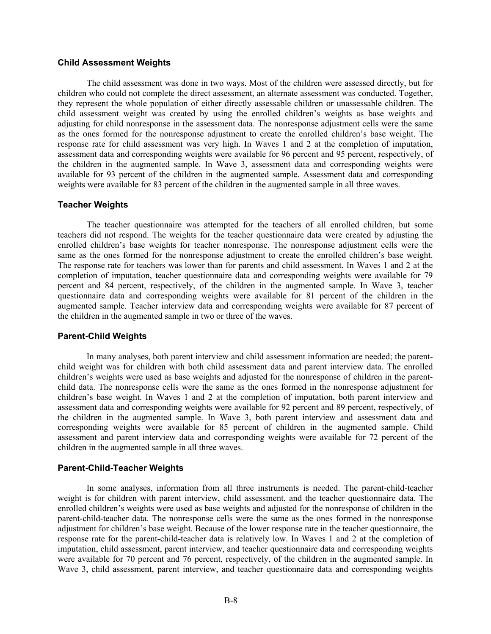#### **Child Assessment Weights**

The child assessment was done in two ways. Most of the children were assessed directly, but for children who could not complete the direct assessment, an alternate assessment was conducted. Together, they represent the whole population of either directly assessable children or unassessable children. The child assessment weight was created by using the enrolled children's weights as base weights and adjusting for child nonresponse in the assessment data. The nonresponse adjustment cells were the same as the ones formed for the nonresponse adjustment to create the enrolled children's base weight. The response rate for child assessment was very high. In Waves 1 and 2 at the completion of imputation, assessment data and corresponding weights were available for 96 percent and 95 percent, respectively, of the children in the augmented sample. In Wave 3, assessment data and corresponding weights were available for 93 percent of the children in the augmented sample. Assessment data and corresponding weights were available for 83 percent of the children in the augmented sample in all three waves.

#### **Teacher Weights**

The teacher questionnaire was attempted for the teachers of all enrolled children, but some teachers did not respond. The weights for the teacher questionnaire data were created by adjusting the enrolled children's base weights for teacher nonresponse. The nonresponse adjustment cells were the same as the ones formed for the nonresponse adjustment to create the enrolled children's base weight. The response rate for teachers was lower than for parents and child assessment. In Waves 1 and 2 at the completion of imputation, teacher questionnaire data and corresponding weights were available for 79 percent and 84 percent, respectively, of the children in the augmented sample. In Wave 3, teacher questionnaire data and corresponding weights were available for 81 percent of the children in the augmented sample. Teacher interview data and corresponding weights were available for 87 percent of the children in the augmented sample in two or three of the waves.

#### **Parent-Child Weights**

In many analyses, both parent interview and child assessment information are needed; the parentchild weight was for children with both child assessment data and parent interview data. The enrolled children's weights were used as base weights and adjusted for the nonresponse of children in the parentchild data. The nonresponse cells were the same as the ones formed in the nonresponse adjustment for children's base weight. In Waves 1 and 2 at the completion of imputation, both parent interview and assessment data and corresponding weights were available for 92 percent and 89 percent, respectively, of the children in the augmented sample. In Wave 3, both parent interview and assessment data and corresponding weights were available for 85 percent of children in the augmented sample. Child assessment and parent interview data and corresponding weights were available for 72 percent of the children in the augmented sample in all three waves.

#### **Parent-Child-Teacher Weights**

In some analyses, information from all three instruments is needed. The parent-child-teacher weight is for children with parent interview, child assessment, and the teacher questionnaire data. The enrolled children's weights were used as base weights and adjusted for the nonresponse of children in the parent-child-teacher data. The nonresponse cells were the same as the ones formed in the nonresponse adjustment for children's base weight. Because of the lower response rate in the teacher questionnaire, the response rate for the parent-child-teacher data is relatively low. In Waves 1 and 2 at the completion of imputation, child assessment, parent interview, and teacher questionnaire data and corresponding weights were available for 70 percent and 76 percent, respectively, of the children in the augmented sample. In Wave 3, child assessment, parent interview, and teacher questionnaire data and corresponding weights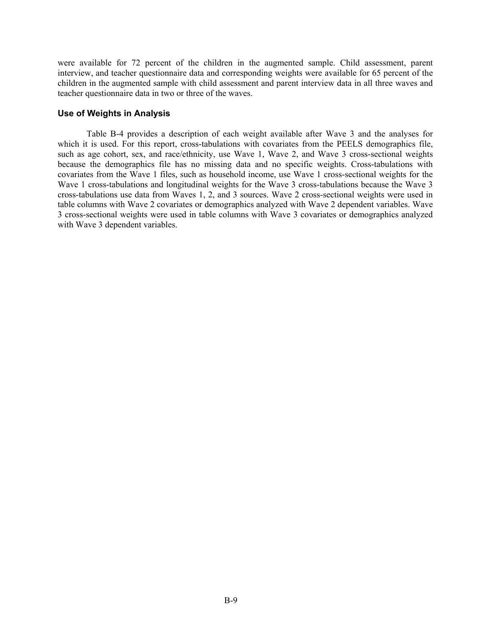were available for 72 percent of the children in the augmented sample. Child assessment, parent interview, and teacher questionnaire data and corresponding weights were available for 65 percent of the children in the augmented sample with child assessment and parent interview data in all three waves and teacher questionnaire data in two or three of the waves.

#### **Use of Weights in Analysis**

Table B-4 provides a description of each weight available after Wave 3 and the analyses for which it is used. For this report, cross-tabulations with covariates from the PEELS demographics file, such as age cohort, sex, and race/ethnicity, use Wave 1, Wave 2, and Wave 3 cross-sectional weights because the demographics file has no missing data and no specific weights. Cross-tabulations with covariates from the Wave 1 files, such as household income, use Wave 1 cross-sectional weights for the Wave 1 cross-tabulations and longitudinal weights for the Wave 3 cross-tabulations because the Wave 3 cross-tabulations use data from Waves 1, 2, and 3 sources. Wave 2 cross-sectional weights were used in table columns with Wave 2 covariates or demographics analyzed with Wave 2 dependent variables. Wave 3 cross-sectional weights were used in table columns with Wave 3 covariates or demographics analyzed with Wave 3 dependent variables.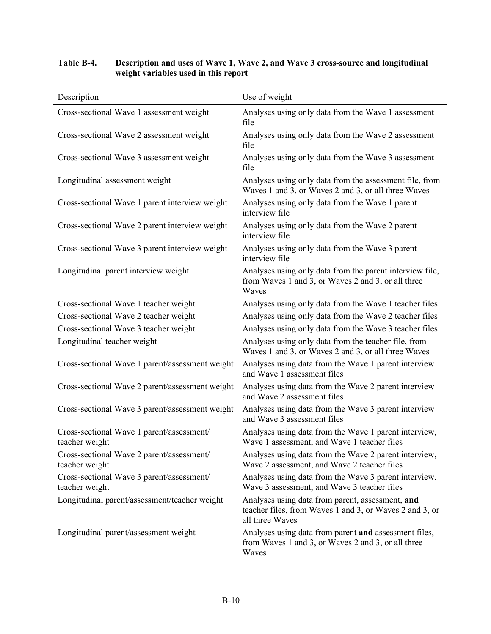# Description Use of weight Cross-sectional Wave 1 assessment weight Analyses using only data from the Wave 1 assessment file Cross-sectional Wave 2 assessment weight Analyses using only data from the Wave 2 assessment file Cross-sectional Wave 3 assessment weight Analyses using only data from the Wave 3 assessment file Longitudinal assessment weight Analyses using only data from the assessment file, from Waves 1 and 3, or Waves 2 and 3, or all three Waves Cross-sectional Wave 1 parent interview weight Analyses using only data from the Wave 1 parent interview file Cross-sectional Wave 2 parent interview weight Analyses using only data from the Wave 2 parent interview file Cross-sectional Wave 3 parent interview weight Analyses using only data from the Wave 3 parent interview file Longitudinal parent interview weight Analyses using only data from the parent interview file, from Waves 1 and 3, or Waves 2 and 3, or all three Waves Cross-sectional Wave 1 teacher weight Analyses using only data from the Wave 1 teacher files Cross-sectional Wave 2 teacher weight Analyses using only data from the Wave 2 teacher files Cross-sectional Wave 3 teacher weight Analyses using only data from the Wave 3 teacher files Longitudinal teacher weight Analyses using only data from the teacher file, from Waves 1 and 3, or Waves 2 and 3, or all three Waves Cross-sectional Wave 1 parent/assessment weight Analyses using data from the Wave 1 parent interview and Wave 1 assessment files Cross-sectional Wave 2 parent/assessment weight Analyses using data from the Wave 2 parent interview and Wave 2 assessment files Cross-sectional Wave 3 parent/assessment weight Analyses using data from the Wave 3 parent interview and Wave 3 assessment files Cross-sectional Wave 1 parent/assessment/ teacher weight Analyses using data from the Wave 1 parent interview, Wave 1 assessment, and Wave 1 teacher files Cross-sectional Wave 2 parent/assessment/ teacher weight Analyses using data from the Wave 2 parent interview, Wave 2 assessment, and Wave 2 teacher files Cross-sectional Wave 3 parent/assessment/ teacher weight Analyses using data from the Wave 3 parent interview, Wave 3 assessment, and Wave 3 teacher files Longitudinal parent/assessment/teacher weight Analyses using data from parent, assessment, **and** teacher files, from Waves 1 and 3, or Waves 2 and 3, or all three Waves Longitudinal parent/assessment weight Analyses using data from parent **and** assessment files, from Waves 1 and 3, or Waves 2 and 3, or all three Waves

# **Table B-4. Description and uses of Wave 1, Wave 2, and Wave 3 cross-source and longitudinal weight variables used in this report**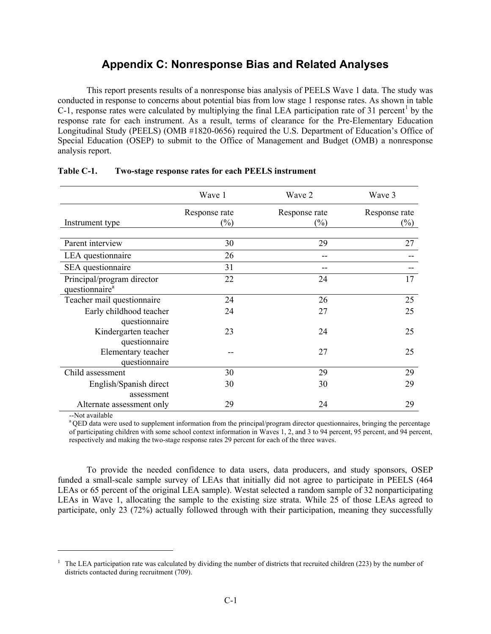# **Appendix C: Nonresponse Bias and Related Analyses**

This report presents results of a nonresponse bias analysis of PEELS Wave 1 data. The study was conducted in response to concerns about potential bias from low stage 1 response rates. As shown in table C-1, response rates were calculated by multiplying the final LEA participation rate of 31 percent<sup>1</sup> by the response rate for each instrument. As a result, terms of clearance for the Pre-Elementary Education Longitudinal Study (PEELS) (OMB #1820-0656) required the U.S. Department of Education's Office of Special Education (OSEP) to submit to the Office of Management and Budget (OMB) a nonresponse analysis report.

|                            | Wave 1                  | Wave 2                  | Wave 3                  |
|----------------------------|-------------------------|-------------------------|-------------------------|
| Instrument type            | Response rate<br>$(\%)$ | Response rate<br>$(\%)$ | Response rate<br>$(\%)$ |
|                            |                         |                         |                         |
| Parent interview           | 30                      | 29                      | 27                      |
| LEA questionnaire          | 26                      | --                      |                         |
| SEA questionnaire          | 31                      | --                      |                         |
| Principal/program director | 22                      | 24                      | 17                      |
| questionnaire <sup>a</sup> |                         |                         |                         |
| Teacher mail questionnaire | 24                      | 26                      | 25                      |
| Early childhood teacher    | 24                      | 27                      | 25                      |
| questionnaire              |                         |                         |                         |
| Kindergarten teacher       | 23                      | 24                      | 25                      |
| questionnaire              |                         |                         |                         |
| Elementary teacher         |                         | 27                      | 25                      |
| questionnaire              |                         |                         |                         |
| Child assessment           | 30                      | 29                      | 29                      |
| English/Spanish direct     | 30                      | 30                      | 29                      |
| assessment                 |                         |                         |                         |
| Alternate assessment only  | 29                      | 24                      | 29                      |

# **Table C-1. Two-stage response rates for each PEELS instrument**

--Not available

 $\overline{a}$ 

<sup>a</sup> QED data were used to supplement information from the principal/program director questionnaires, bringing the percentage of participating children with some school context information in Waves 1, 2, and 3 to 94 percent, 95 percent, and 94 percent, respectively and making the two-stage response rates 29 percent for each of the three waves.

To provide the needed confidence to data users, data producers, and study sponsors, OSEP funded a small-scale sample survey of LEAs that initially did not agree to participate in PEELS (464 LEAs or 65 percent of the original LEA sample). Westat selected a random sample of 32 nonparticipating LEAs in Wave 1, allocating the sample to the existing size strata. While 25 of those LEAs agreed to participate, only 23 (72%) actually followed through with their participation, meaning they successfully

<sup>&</sup>lt;sup>1</sup> The LEA participation rate was calculated by dividing the number of districts that recruited children (223) by the number of districts contacted during recruitment (709).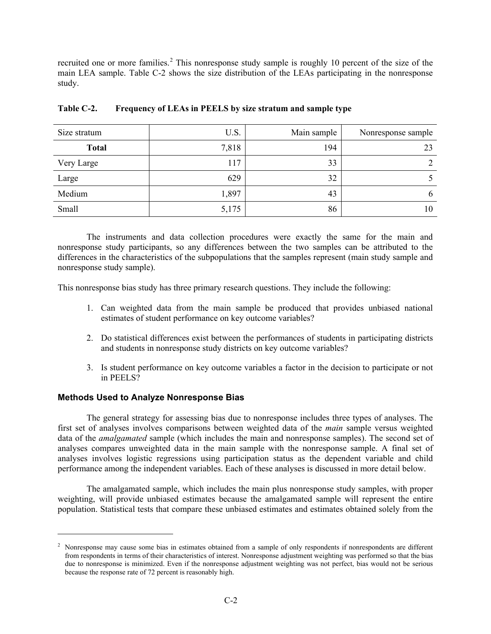recruited one or more families.<sup>2</sup> This nonresponse study sample is roughly 10 percent of the size of the main LEA sample. Table C-2 shows the size distribution of the LEAs participating in the nonresponse study.

| Size stratum | U.S.  | Main sample | Nonresponse sample |
|--------------|-------|-------------|--------------------|
| <b>Total</b> | 7,818 | 194         | 23                 |
| Very Large   | 117   | 33          | 2                  |
| Large        | 629   | 32          |                    |
| Medium       | 1,897 | 43          | 6                  |
| Small        | 5,175 | 86          | 10                 |

## **Table C-2. Frequency of LEAs in PEELS by size stratum and sample type**

The instruments and data collection procedures were exactly the same for the main and nonresponse study participants, so any differences between the two samples can be attributed to the differences in the characteristics of the subpopulations that the samples represent (main study sample and nonresponse study sample).

This nonresponse bias study has three primary research questions. They include the following:

- 1. Can weighted data from the main sample be produced that provides unbiased national estimates of student performance on key outcome variables?
- 2. Do statistical differences exist between the performances of students in participating districts and students in nonresponse study districts on key outcome variables?
- 3. Is student performance on key outcome variables a factor in the decision to participate or not in PEELS?

# **Methods Used to Analyze Nonresponse Bias**

 $\overline{a}$ 

The general strategy for assessing bias due to nonresponse includes three types of analyses. The first set of analyses involves comparisons between weighted data of the *main* sample versus weighted data of the *amalgamated* sample (which includes the main and nonresponse samples). The second set of analyses compares unweighted data in the main sample with the nonresponse sample. A final set of analyses involves logistic regressions using participation status as the dependent variable and child performance among the independent variables. Each of these analyses is discussed in more detail below.

The amalgamated sample, which includes the main plus nonresponse study samples, with proper weighting, will provide unbiased estimates because the amalgamated sample will represent the entire population. Statistical tests that compare these unbiased estimates and estimates obtained solely from the

<sup>&</sup>lt;sup>2</sup> Nonresponse may cause some bias in estimates obtained from a sample of only respondents if nonrespondents are different from respondents in terms of their characteristics of interest. Nonresponse adjustment weighting was performed so that the bias due to nonresponse is minimized. Even if the nonresponse adjustment weighting was not perfect, bias would not be serious because the response rate of 72 percent is reasonably high.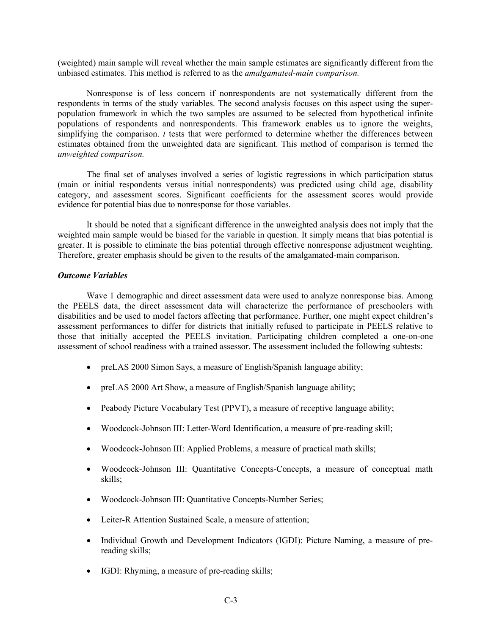(weighted) main sample will reveal whether the main sample estimates are significantly different from the unbiased estimates. This method is referred to as the *amalgamated-main comparison.*

Nonresponse is of less concern if nonrespondents are not systematically different from the respondents in terms of the study variables. The second analysis focuses on this aspect using the superpopulation framework in which the two samples are assumed to be selected from hypothetical infinite populations of respondents and nonrespondents. This framework enables us to ignore the weights, simplifying the comparison. *t* tests that were performed to determine whether the differences between estimates obtained from the unweighted data are significant. This method of comparison is termed the *unweighted comparison.*

The final set of analyses involved a series of logistic regressions in which participation status (main or initial respondents versus initial nonrespondents) was predicted using child age, disability category, and assessment scores. Significant coefficients for the assessment scores would provide evidence for potential bias due to nonresponse for those variables.

It should be noted that a significant difference in the unweighted analysis does not imply that the weighted main sample would be biased for the variable in question. It simply means that bias potential is greater. It is possible to eliminate the bias potential through effective nonresponse adjustment weighting. Therefore, greater emphasis should be given to the results of the amalgamated-main comparison.

#### *Outcome Variables*

Wave 1 demographic and direct assessment data were used to analyze nonresponse bias. Among the PEELS data, the direct assessment data will characterize the performance of preschoolers with disabilities and be used to model factors affecting that performance. Further, one might expect children's assessment performances to differ for districts that initially refused to participate in PEELS relative to those that initially accepted the PEELS invitation. Participating children completed a one-on-one assessment of school readiness with a trained assessor. The assessment included the following subtests:

- preLAS 2000 Simon Says, a measure of English/Spanish language ability;
- preLAS 2000 Art Show, a measure of English/Spanish language ability;
- Peabody Picture Vocabulary Test (PPVT), a measure of receptive language ability;
- Woodcock-Johnson III: Letter-Word Identification, a measure of pre-reading skill;
- Woodcock-Johnson III: Applied Problems, a measure of practical math skills;
- Woodcock-Johnson III: Quantitative Concepts-Concepts, a measure of conceptual math skills;
- Woodcock-Johnson III: Quantitative Concepts-Number Series;
- Leiter-R Attention Sustained Scale, a measure of attention;
- Individual Growth and Development Indicators (IGDI): Picture Naming, a measure of prereading skills;
- IGDI: Rhyming, a measure of pre-reading skills;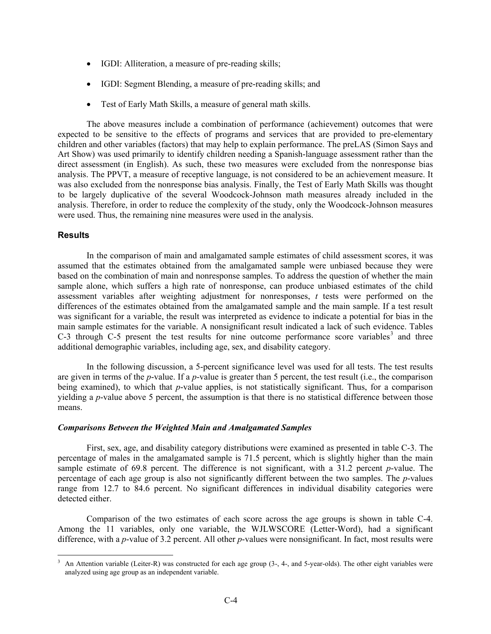- IGDI: Alliteration, a measure of pre-reading skills;
- IGDI: Segment Blending, a measure of pre-reading skills; and
- Test of Early Math Skills, a measure of general math skills.

The above measures include a combination of performance (achievement) outcomes that were expected to be sensitive to the effects of programs and services that are provided to pre-elementary children and other variables (factors) that may help to explain performance. The preLAS (Simon Says and Art Show) was used primarily to identify children needing a Spanish-language assessment rather than the direct assessment (in English). As such, these two measures were excluded from the nonresponse bias analysis. The PPVT, a measure of receptive language, is not considered to be an achievement measure. It was also excluded from the nonresponse bias analysis. Finally, the Test of Early Math Skills was thought to be largely duplicative of the several Woodcock-Johnson math measures already included in the analysis. Therefore, in order to reduce the complexity of the study, only the Woodcock-Johnson measures were used. Thus, the remaining nine measures were used in the analysis.

#### **Results**

In the comparison of main and amalgamated sample estimates of child assessment scores, it was assumed that the estimates obtained from the amalgamated sample were unbiased because they were based on the combination of main and nonresponse samples. To address the question of whether the main sample alone, which suffers a high rate of nonresponse, can produce unbiased estimates of the child assessment variables after weighting adjustment for nonresponses, *t* tests were performed on the differences of the estimates obtained from the amalgamated sample and the main sample. If a test result was significant for a variable, the result was interpreted as evidence to indicate a potential for bias in the main sample estimates for the variable. A nonsignificant result indicated a lack of such evidence. Tables C-3 through C-5 present the test results for nine outcome performance score variables<sup>3</sup> and three additional demographic variables, including age, sex, and disability category.

In the following discussion, a 5-percent significance level was used for all tests. The test results are given in terms of the *p*-value. If a *p*-value is greater than 5 percent, the test result (i.e., the comparison being examined), to which that *p*-value applies, is not statistically significant. Thus, for a comparison yielding a *p*-value above 5 percent, the assumption is that there is no statistical difference between those means.

#### *Comparisons Between the Weighted Main and Amalgamated Samples*

First, sex, age, and disability category distributions were examined as presented in table C-3. The percentage of males in the amalgamated sample is 71.5 percent, which is slightly higher than the main sample estimate of 69.8 percent. The difference is not significant, with a 31.2 percent *p*-value. The percentage of each age group is also not significantly different between the two samples. The *p*-values range from 12.7 to 84.6 percent. No significant differences in individual disability categories were detected either.

Comparison of the two estimates of each score across the age groups is shown in table C-4. Among the 11 variables, only one variable, the WJLWSCORE (Letter-Word), had a significant difference, with a *p*-value of 3.2 percent. All other *p*-values were nonsignificant. In fact, most results were

<sup>&</sup>lt;sup>3</sup> An Attention variable (Leiter-R) was constructed for each age group (3-, 4-, and 5-year-olds). The other eight variables were analyzed using age group as an independent variable.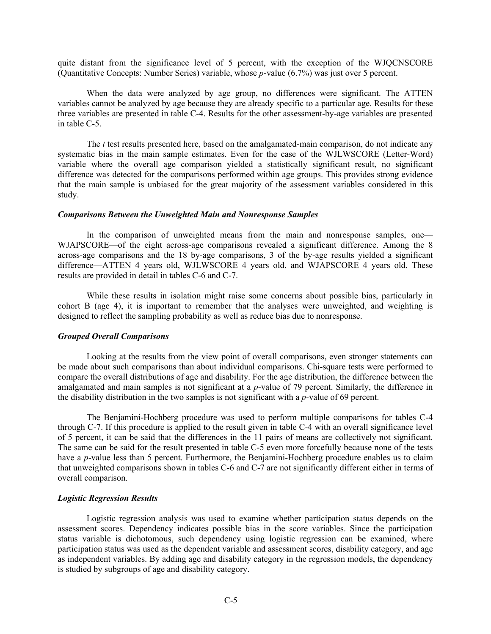quite distant from the significance level of 5 percent, with the exception of the WJQCNSCORE (Quantitative Concepts: Number Series) variable, whose *p*-value (6.7%) was just over 5 percent.

When the data were analyzed by age group, no differences were significant. The ATTEN variables cannot be analyzed by age because they are already specific to a particular age. Results for these three variables are presented in table C-4. Results for the other assessment-by-age variables are presented in table C-5.

The *t* test results presented here, based on the amalgamated-main comparison, do not indicate any systematic bias in the main sample estimates. Even for the case of the WJLWSCORE (Letter-Word) variable where the overall age comparison yielded a statistically significant result, no significant difference was detected for the comparisons performed within age groups. This provides strong evidence that the main sample is unbiased for the great majority of the assessment variables considered in this study.

#### *Comparisons Between the Unweighted Main and Nonresponse Samples*

In the comparison of unweighted means from the main and nonresponse samples, one— WJAPSCORE—of the eight across-age comparisons revealed a significant difference. Among the 8 across-age comparisons and the 18 by-age comparisons, 3 of the by-age results yielded a significant difference—ATTEN 4 years old, WJLWSCORE 4 years old, and WJAPSCORE 4 years old. These results are provided in detail in tables C-6 and C-7.

While these results in isolation might raise some concerns about possible bias, particularly in cohort B (age 4), it is important to remember that the analyses were unweighted, and weighting is designed to reflect the sampling probability as well as reduce bias due to nonresponse.

#### *Grouped Overall Comparisons*

Looking at the results from the view point of overall comparisons, even stronger statements can be made about such comparisons than about individual comparisons. Chi-square tests were performed to compare the overall distributions of age and disability. For the age distribution, the difference between the amalgamated and main samples is not significant at a *p*-value of 79 percent. Similarly, the difference in the disability distribution in the two samples is not significant with a *p*-value of 69 percent.

The Benjamini-Hochberg procedure was used to perform multiple comparisons for tables C-4 through C-7. If this procedure is applied to the result given in table C-4 with an overall significance level of 5 percent, it can be said that the differences in the 11 pairs of means are collectively not significant. The same can be said for the result presented in table C-5 even more forcefully because none of the tests have a *p*-value less than 5 percent. Furthermore, the Benjamini-Hochberg procedure enables us to claim that unweighted comparisons shown in tables C-6 and C-7 are not significantly different either in terms of overall comparison.

#### *Logistic Regression Results*

Logistic regression analysis was used to examine whether participation status depends on the assessment scores. Dependency indicates possible bias in the score variables. Since the participation status variable is dichotomous, such dependency using logistic regression can be examined, where participation status was used as the dependent variable and assessment scores, disability category, and age as independent variables. By adding age and disability category in the regression models, the dependency is studied by subgroups of age and disability category.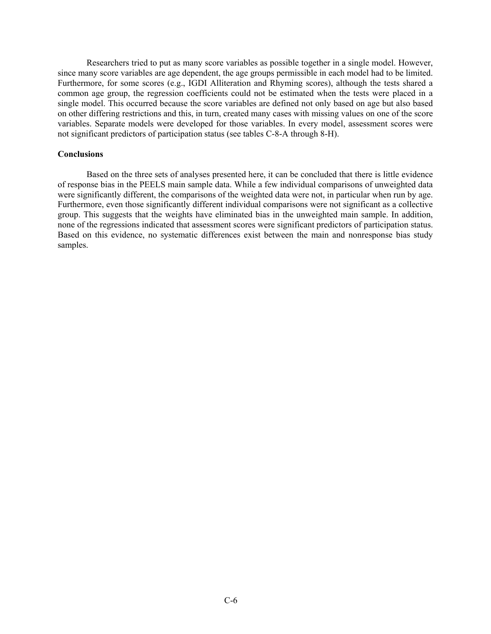Researchers tried to put as many score variables as possible together in a single model. However, since many score variables are age dependent, the age groups permissible in each model had to be limited. Furthermore, for some scores (e.g., IGDI Alliteration and Rhyming scores), although the tests shared a common age group, the regression coefficients could not be estimated when the tests were placed in a single model. This occurred because the score variables are defined not only based on age but also based on other differing restrictions and this, in turn, created many cases with missing values on one of the score variables. Separate models were developed for those variables. In every model, assessment scores were not significant predictors of participation status (see tables C-8-A through 8-H).

#### **Conclusions**

Based on the three sets of analyses presented here, it can be concluded that there is little evidence of response bias in the PEELS main sample data. While a few individual comparisons of unweighted data were significantly different, the comparisons of the weighted data were not, in particular when run by age. Furthermore, even those significantly different individual comparisons were not significant as a collective group. This suggests that the weights have eliminated bias in the unweighted main sample. In addition, none of the regressions indicated that assessment scores were significant predictors of participation status. Based on this evidence, no systematic differences exist between the main and nonresponse bias study samples.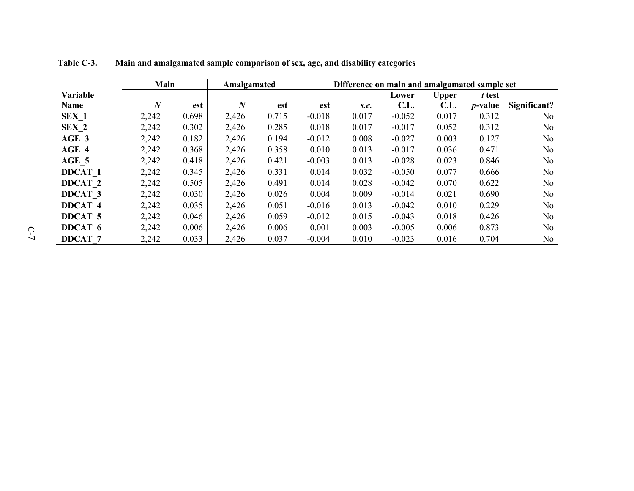|                    | Main     |       | Amalgamated      |       | Difference on main and amalgamated sample set |       |          |              |                 |                |
|--------------------|----------|-------|------------------|-------|-----------------------------------------------|-------|----------|--------------|-----------------|----------------|
| Variable           |          |       |                  |       |                                               |       | Lower    | <b>Upper</b> | t test          |                |
| Name               | $\bm{N}$ | est   | $\boldsymbol{N}$ | est   | est                                           | S.e.  | C.L.     | C.L.         | <i>p</i> -value | Significant?   |
| SEX 1              | 2,242    | 0.698 | 2,426            | 0.715 | $-0.018$                                      | 0.017 | $-0.052$ | 0.017        | 0.312           | No             |
| SEX 2              | 2,242    | 0.302 | 2,426            | 0.285 | 0.018                                         | 0.017 | $-0.017$ | 0.052        | 0.312           | N <sub>0</sub> |
| AGE 3              | 2,242    | 0.182 | 2,426            | 0.194 | $-0.012$                                      | 0.008 | $-0.027$ | 0.003        | 0.127           | No             |
| AGE 4              | 2,242    | 0.368 | 2,426            | 0.358 | 0.010                                         | 0.013 | $-0.017$ | 0.036        | 0.471           | N <sub>0</sub> |
| AGE 5              | 2,242    | 0.418 | 2,426            | 0.421 | $-0.003$                                      | 0.013 | $-0.028$ | 0.023        | 0.846           | No             |
| <b>DDCAT 1</b>     | 2,242    | 0.345 | 2,426            | 0.331 | 0.014                                         | 0.032 | $-0.050$ | 0.077        | 0.666           | N <sub>0</sub> |
| DDCAT <sub>2</sub> | 2,242    | 0.505 | 2,426            | 0.491 | 0.014                                         | 0.028 | $-0.042$ | 0.070        | 0.622           | No             |
| <b>DDCAT 3</b>     | 2,242    | 0.030 | 2,426            | 0.026 | 0.004                                         | 0.009 | $-0.014$ | 0.021        | 0.690           | N <sub>0</sub> |
| <b>DDCAT 4</b>     | 2,242    | 0.035 | 2,426            | 0.051 | $-0.016$                                      | 0.013 | $-0.042$ | 0.010        | 0.229           | No             |
| <b>DDCAT 5</b>     | 2,242    | 0.046 | 2,426            | 0.059 | $-0.012$                                      | 0.015 | $-0.043$ | 0.018        | 0.426           | No             |
| DDCAT 6            | 2,242    | 0.006 | 2,426            | 0.006 | 0.001                                         | 0.003 | $-0.005$ | 0.006        | 0.873           | No             |
| <b>DDCAT 7</b>     | 2,242    | 0.033 | 2,426            | 0.037 | $-0.004$                                      | 0.010 | $-0.023$ | 0.016        | 0.704           | No             |

**Table C-3. Main and amalgamated sample comparison of sex, age, and disability categories**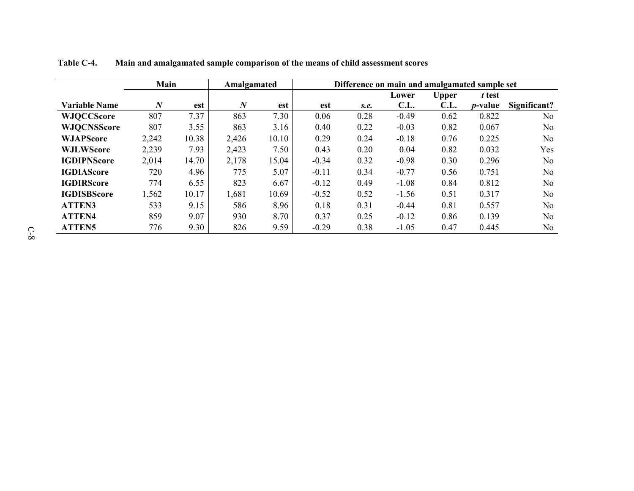|                      | Main<br>Amalgamated |       |                  |       |         |      | Difference on main and amalgamated sample set |              |                 |                |  |  |
|----------------------|---------------------|-------|------------------|-------|---------|------|-----------------------------------------------|--------------|-----------------|----------------|--|--|
|                      |                     |       |                  |       |         |      | Lower                                         | <b>Upper</b> | t test          |                |  |  |
| <b>Variable Name</b> | $\boldsymbol{N}$    | est   | $\boldsymbol{N}$ | est   | est     | S.e. | C.L.                                          | C.L.         | <i>p</i> -value | Significant?   |  |  |
| <b>WJQCCScore</b>    | 807                 | 7.37  | 863              | 7.30  | 0.06    | 0.28 | $-0.49$                                       | 0.62         | 0.822           | No.            |  |  |
| <b>WJQCNSScore</b>   | 807                 | 3.55  | 863              | 3.16  | 0.40    | 0.22 | $-0.03$                                       | 0.82         | 0.067           | N <sub>o</sub> |  |  |
| <b>WJAPScore</b>     | 2,242               | 10.38 | 2,426            | 10.10 | 0.29    | 0.24 | $-0.18$                                       | 0.76         | 0.225           | N <sub>o</sub> |  |  |
| <b>WJLWScore</b>     | 2,239               | 7.93  | 2,423            | 7.50  | 0.43    | 0.20 | 0.04                                          | 0.82         | 0.032           | Yes            |  |  |
| <b>IGDIPNScore</b>   | 2,014               | 14.70 | 2,178            | 15.04 | $-0.34$ | 0.32 | $-0.98$                                       | 0.30         | 0.296           | N <sub>0</sub> |  |  |
| <b>IGDIAScore</b>    | 720                 | 4.96  | 775              | 5.07  | $-0.11$ | 0.34 | $-0.77$                                       | 0.56         | 0.751           | N <sub>o</sub> |  |  |
| <b>IGDIRScore</b>    | 774                 | 6.55  | 823              | 6.67  | $-0.12$ | 0.49 | $-1.08$                                       | 0.84         | 0.812           | N <sub>0</sub> |  |  |
| <b>IGDISBScore</b>   | 1,562               | 10.17 | 1,681            | 10.69 | $-0.52$ | 0.52 | $-1.56$                                       | 0.51         | 0.317           | N <sub>o</sub> |  |  |
| <b>ATTEN3</b>        | 533                 | 9.15  | 586              | 8.96  | 0.18    | 0.31 | $-0.44$                                       | 0.81         | 0.557           | N <sub>0</sub> |  |  |
| <b>ATTEN4</b>        | 859                 | 9.07  | 930              | 8.70  | 0.37    | 0.25 | $-0.12$                                       | 0.86         | 0.139           | N <sub>0</sub> |  |  |
| <b>ATTEN5</b>        | 776                 | 9.30  | 826              | 9.59  | $-0.29$ | 0.38 | $-1.05$                                       | 0.47         | 0.445           | N <sub>o</sub> |  |  |

**Table C-4. Main and amalgamated sample comparison of the means of child assessment scores**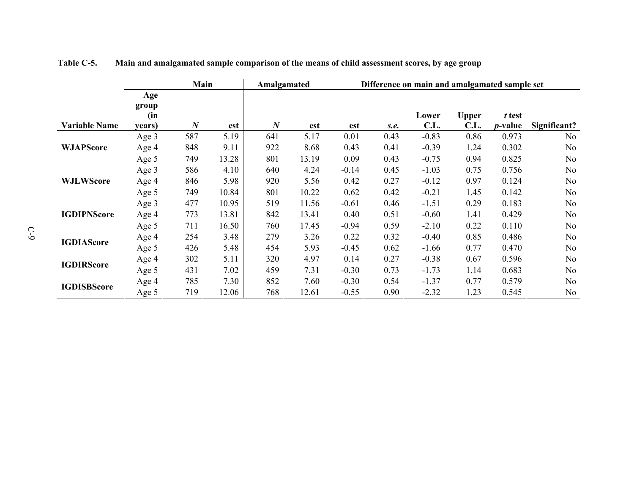|                      | Main<br>Amalgamated |                  |       |                  |       | Difference on main and amalgamated sample set |      |         |              |                 |                |  |
|----------------------|---------------------|------------------|-------|------------------|-------|-----------------------------------------------|------|---------|--------------|-----------------|----------------|--|
|                      | Age<br>group        |                  |       |                  |       |                                               |      |         |              |                 |                |  |
|                      | (in                 |                  |       |                  |       |                                               |      | Lower   | <b>Upper</b> | t test          |                |  |
| <b>Variable Name</b> | years)              | $\boldsymbol{N}$ | est   | $\boldsymbol{N}$ | est   | est                                           | S.e. | C.L.    | C.L.         | <i>p</i> -value | Significant?   |  |
|                      | Age 3               | 587              | 5.19  | 641              | 5.17  | 0.01                                          | 0.43 | $-0.83$ | 0.86         | 0.973           | No             |  |
| <b>WJAPScore</b>     | Age 4               | 848              | 9.11  | 922              | 8.68  | 0.43                                          | 0.41 | $-0.39$ | 1.24         | 0.302           | N <sub>o</sub> |  |
|                      | Age 5               | 749              | 13.28 | 801              | 13.19 | 0.09                                          | 0.43 | $-0.75$ | 0.94         | 0.825           | No.            |  |
|                      | Age 3               | 586              | 4.10  | 640              | 4.24  | $-0.14$                                       | 0.45 | $-1.03$ | 0.75         | 0.756           | N <sub>0</sub> |  |
| <b>WJLWScore</b>     | Age 4               | 846              | 5.98  | 920              | 5.56  | 0.42                                          | 0.27 | $-0.12$ | 0.97         | 0.124           | N <sub>o</sub> |  |
|                      | Age 5               | 749              | 10.84 | 801              | 10.22 | 0.62                                          | 0.42 | $-0.21$ | 1.45         | 0.142           | No             |  |
|                      | Age 3               | 477              | 10.95 | 519              | 11.56 | $-0.61$                                       | 0.46 | $-1.51$ | 0.29         | 0.183           | N <sub>0</sub> |  |
| <b>IGDIPNScore</b>   | Age 4               | 773              | 13.81 | 842              | 13.41 | 0.40                                          | 0.51 | $-0.60$ | 1.41         | 0.429           | No             |  |
|                      | Age 5               | 711              | 16.50 | 760              | 17.45 | $-0.94$                                       | 0.59 | $-2.10$ | 0.22         | 0.110           | N <sub>0</sub> |  |
| <b>IGDIAScore</b>    | Age 4               | 254              | 3.48  | 279              | 3.26  | 0.22                                          | 0.32 | $-0.40$ | 0.85         | 0.486           | N <sub>o</sub> |  |
|                      | Age 5               | 426              | 5.48  | 454              | 5.93  | $-0.45$                                       | 0.62 | $-1.66$ | 0.77         | 0.470           | N <sub>0</sub> |  |
|                      | Age 4               | 302              | 5.11  | 320              | 4.97  | 0.14                                          | 0.27 | $-0.38$ | 0.67         | 0.596           | N <sub>0</sub> |  |
| <b>IGDIRScore</b>    | Age 5               | 431              | 7.02  | 459              | 7.31  | $-0.30$                                       | 0.73 | $-1.73$ | 1.14         | 0.683           | N <sub>o</sub> |  |
| <b>IGDISBScore</b>   | Age 4               | 785              | 7.30  | 852              | 7.60  | $-0.30$                                       | 0.54 | $-1.37$ | 0.77         | 0.579           | No.            |  |
|                      | Age 5               | 719              | 12.06 | 768              | 12.61 | $-0.55$                                       | 0.90 | $-2.32$ | 1.23         | 0.545           | N <sub>o</sub> |  |

**Table C-5. Main and amalgamated sample comparison of the means of child assessment scores, by age group**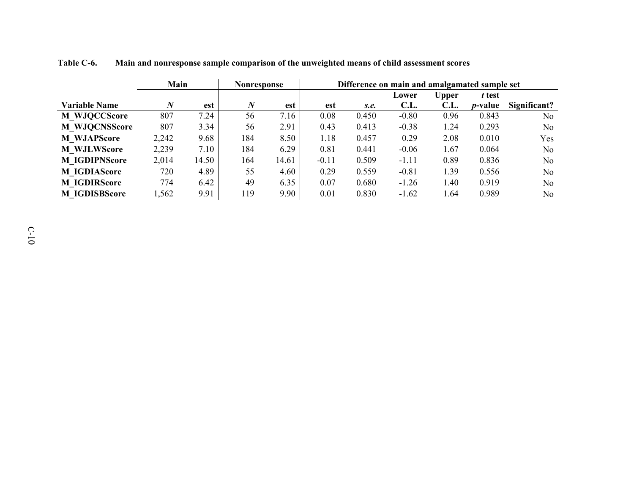|                      | Main     |       |                  | Nonresponse | Difference on main and amalgamated sample set |       |         |       |                 |                |
|----------------------|----------|-------|------------------|-------------|-----------------------------------------------|-------|---------|-------|-----------------|----------------|
|                      |          |       |                  |             |                                               |       | Lower   | Upper | t test          |                |
| <b>Variable Name</b> | $\bm{N}$ | est   | $\boldsymbol{N}$ | est         | est                                           | S.e.  | C.L.    | C.L.  | <i>p</i> -value | Significant?   |
| <b>M WJQCCScore</b>  | 807      | 7.24  | 56               | 7.16        | 0.08                                          | 0.450 | $-0.80$ | 0.96  | 0.843           | N <sub>o</sub> |
| <b>M WJQCNSScore</b> | 807      | 3.34  | 56               | 2.91        | 0.43                                          | 0.413 | $-0.38$ | 1.24  | 0.293           | N <sub>0</sub> |
| <b>M</b> WJAPScore   | 2,242    | 9.68  | 184              | 8.50        | 1.18                                          | 0.457 | 0.29    | 2.08  | 0.010           | Yes            |
| <b>M WJLWScore</b>   | 2,239    | 7.10  | 184              | 6.29        | 0.81                                          | 0.441 | $-0.06$ | 1.67  | 0.064           | No             |
| <b>M IGDIPNScore</b> | 2,014    | 14.50 | 164              | 14.61       | $-0.11$                                       | 0.509 | $-1.11$ | 0.89  | 0.836           | No             |
| <b>M IGDIAScore</b>  | 720      | 4.89  | 55               | 4.60        | 0.29                                          | 0.559 | $-0.81$ | 1.39  | 0.556           | N <sub>o</sub> |
| <b>M IGDIRScore</b>  | 774      | 6.42  | 49               | 6.35        | 0.07                                          | 0.680 | $-1.26$ | 1.40  | 0.919           | No.            |
| <b>M IGDISBScore</b> | 1,562    | 9.91  | 119              | 9.90        | 0.01                                          | 0.830 | $-1.62$ | 1.64  | 0.989           | N <sub>o</sub> |

**Table C-6. Main and nonresponse sample comparison of the unweighted means of child assessment scores**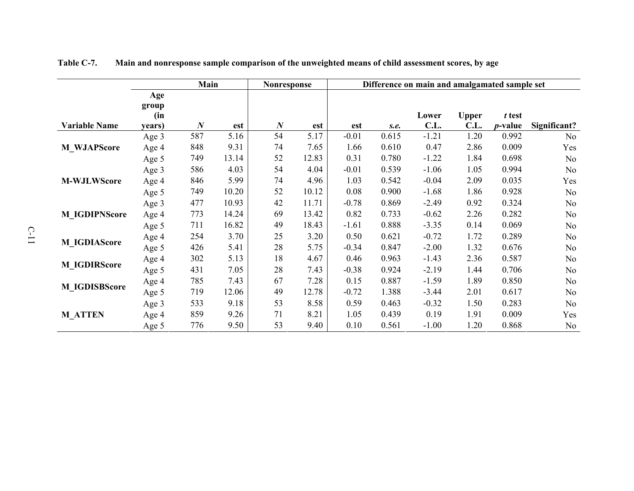|                      | Main<br><b>Nonresponse</b> |                  |       |                  | Difference on main and amalgamated sample set |         |       |         |              |                 |                |
|----------------------|----------------------------|------------------|-------|------------------|-----------------------------------------------|---------|-------|---------|--------------|-----------------|----------------|
|                      | Age                        |                  |       |                  |                                               |         |       |         |              |                 |                |
|                      | group                      |                  |       |                  |                                               |         |       |         |              |                 |                |
|                      | (in                        |                  |       |                  |                                               |         |       | Lower   | <b>Upper</b> | t test          |                |
| <b>Variable Name</b> | years)                     | $\boldsymbol{N}$ | est   | $\boldsymbol{N}$ | est                                           | est     | S.e.  | C.L.    | C.L.         | <i>p</i> -value | Significant?   |
|                      | Age 3                      | 587              | 5.16  | 54               | 5.17                                          | $-0.01$ | 0.615 | $-1.21$ | 1.20         | 0.992           | No             |
| <b>M_WJAPScore</b>   | Age 4                      | 848              | 9.31  | 74               | 7.65                                          | 1.66    | 0.610 | 0.47    | 2.86         | 0.009           | Yes            |
|                      | Age 5                      | 749              | 13.14 | 52               | 12.83                                         | 0.31    | 0.780 | $-1.22$ | 1.84         | 0.698           | No             |
|                      | Age 3                      | 586              | 4.03  | 54               | 4.04                                          | $-0.01$ | 0.539 | $-1.06$ | 1.05         | 0.994           | No             |
| <b>M-WJLWScore</b>   | Age 4                      | 846              | 5.99  | 74               | 4.96                                          | 1.03    | 0.542 | $-0.04$ | 2.09         | 0.035           | Yes            |
|                      | Age 5                      | 749              | 10.20 | 52               | 10.12                                         | 0.08    | 0.900 | $-1.68$ | 1.86         | 0.928           | No             |
|                      | Age 3                      | 477              | 10.93 | 42               | 11.71                                         | $-0.78$ | 0.869 | $-2.49$ | 0.92         | 0.324           | No             |
| <b>M_IGDIPNScore</b> | Age 4                      | 773              | 14.24 | 69               | 13.42                                         | 0.82    | 0.733 | $-0.62$ | 2.26         | 0.282           | No             |
|                      | Age 5                      | 711              | 16.82 | 49               | 18.43                                         | $-1.61$ | 0.888 | $-3.35$ | 0.14         | 0.069           | N <sub>0</sub> |
|                      | Age 4                      | 254              | 3.70  | 25               | 3.20                                          | 0.50    | 0.621 | $-0.72$ | 1.72         | 0.289           | No             |
| <b>M_IGDIAScore</b>  | Age 5                      | 426              | 5.41  | 28               | 5.75                                          | $-0.34$ | 0.847 | $-2.00$ | 1.32         | 0.676           | No             |
|                      | Age 4                      | 302              | 5.13  | 18               | 4.67                                          | 0.46    | 0.963 | $-1.43$ | 2.36         | 0.587           | N <sub>0</sub> |
| <b>M_IGDIRScore</b>  | Age 5                      | 431              | 7.05  | 28               | 7.43                                          | $-0.38$ | 0.924 | $-2.19$ | 1.44         | 0.706           | No             |
|                      | Age 4                      | 785              | 7.43  | 67               | 7.28                                          | 0.15    | 0.887 | $-1.59$ | 1.89         | 0.850           | No             |
| <b>M_IGDISBScore</b> | Age 5                      | 719              | 12.06 | 49               | 12.78                                         | $-0.72$ | 1.388 | $-3.44$ | 2.01         | 0.617           | No             |
|                      | Age 3                      | 533              | 9.18  | 53               | 8.58                                          | 0.59    | 0.463 | $-0.32$ | 1.50         | 0.283           | No             |
| <b>M_ATTEN</b>       | Age 4                      | 859              | 9.26  | 71               | 8.21                                          | 1.05    | 0.439 | 0.19    | 1.91         | 0.009           | Yes            |
|                      | Age 5                      | 776              | 9.50  | 53               | 9.40                                          | 0.10    | 0.561 | $-1.00$ | 1.20         | 0.868           | No             |

**Table C-7. Main and nonresponse sample comparison of the unweighted means of child assessment scores, by age**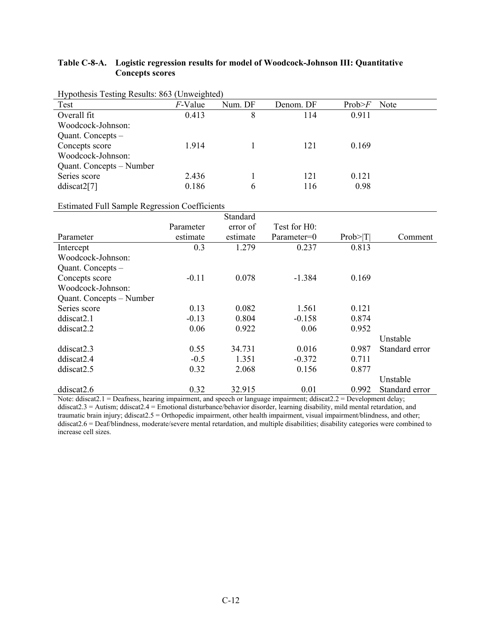# **Table C-8-A. Logistic regression results for model of Woodcock-Johnson III: Quantitative Concepts scores**

| -0<br>Test               | ------ <i>--</i><br><i>F</i> -Value | Num. DF | Denom. DF | Prob>F | Note |
|--------------------------|-------------------------------------|---------|-----------|--------|------|
|                          |                                     |         |           |        |      |
| Overall fit              | 0.413                               | 8       | 114       | 0.911  |      |
| Woodcock-Johnson:        |                                     |         |           |        |      |
| Quant. Concepts -        |                                     |         |           |        |      |
| Concepts score           | 1.914                               |         | 121       | 0.169  |      |
| Woodcock-Johnson:        |                                     |         |           |        |      |
| Quant. Concepts – Number |                                     |         |           |        |      |
| Series score             | 2.436                               |         | 121       | 0.121  |      |
| ddiscat2[7]              | 0.186                               | 6       | 116       | 0.98   |      |

## Hypothesis Testing Results: 863 (Unweighted)

l,

## Estimated Full Sample Regression Coefficients

|                          |           | Standard |              |           |                |
|--------------------------|-----------|----------|--------------|-----------|----------------|
|                          | Parameter | error of | Test for H0: |           |                |
| Parameter                | estimate  | estimate | Parameter=0  | Prob >  T | Comment        |
| Intercept                | 0.3       | 1.279    | 0.237        | 0.813     |                |
| Woodcock-Johnson:        |           |          |              |           |                |
| Quant. Concepts -        |           |          |              |           |                |
| Concepts score           | $-0.11$   | 0.078    | $-1.384$     | 0.169     |                |
| Woodcock-Johnson:        |           |          |              |           |                |
| Quant. Concepts – Number |           |          |              |           |                |
| Series score             | 0.13      | 0.082    | 1.561        | 0.121     |                |
| ddiscat2.1               | $-0.13$   | 0.804    | $-0.158$     | 0.874     |                |
| ddiscat2.2               | 0.06      | 0.922    | 0.06         | 0.952     |                |
|                          |           |          |              |           | Unstable       |
| ddiscat2.3               | 0.55      | 34.731   | 0.016        | 0.987     | Standard error |
| ddiscat <sub>2.4</sub>   | $-0.5$    | 1.351    | $-0.372$     | 0.711     |                |
| ddiscat <sub>2.5</sub>   | 0.32      | 2.068    | 0.156        | 0.877     |                |
|                          |           |          |              |           | Unstable       |
| ddiscat <sub>2.6</sub>   | 0.32      | 32.915   | 0.01         | 0.992     | Standard error |

Note: ddiscat2.1 = Deafness, hearing impairment, and speech or language impairment; ddiscat2.2 = Development delay; ddiscat2.3 = Autism; ddiscat2.4 = Emotional disturbance/behavior disorder, learning disability, mild mental retardation, and traumatic brain injury; ddiscat2.5 = Orthopedic impairment, other health impairment, visual impairment/blindness, and other; ddiscat2.6 = Deaf/blindness, moderate/severe mental retardation, and multiple disabilities; disability categories were combined to increase cell sizes.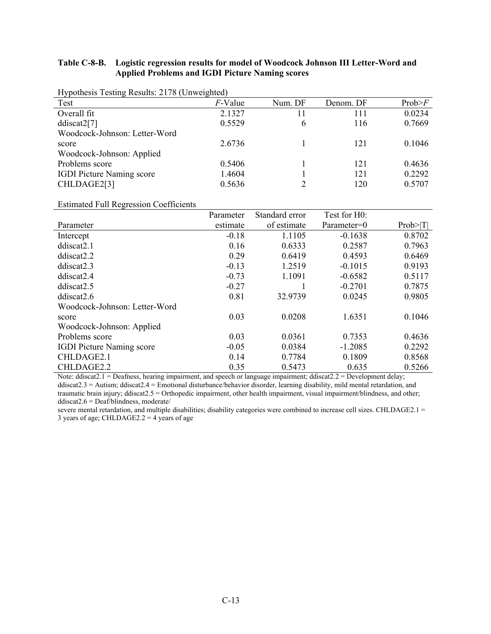## **Table C-8-B. Logistic regression results for model of Woodcock Johnson III Letter-Word and Applied Problems and IGDI Picture Naming scores**

| Test                             | F-Value | Num. DF | Denom. DF | Prob>F |
|----------------------------------|---------|---------|-----------|--------|
| Overall fit                      | 2.1327  | 11      | 111       | 0.0234 |
| ddiscat2[7]                      | 0.5529  | 6       | 116       | 0.7669 |
| Woodcock-Johnson: Letter-Word    |         |         |           |        |
| score                            | 2.6736  |         | 121       | 0.1046 |
| Woodcock-Johnson: Applied        |         |         |           |        |
| Problems score                   | 0.5406  |         | 121       | 0.4636 |
| <b>IGDI Picture Naming score</b> | 1.4604  |         | 121       | 0.2292 |
| CHLDAGE2[3]                      | 0.5636  |         | 120       | 0.5707 |
|                                  |         |         |           |        |

Hypothesis Testing Results: 2178 (Unweighted)

Estimated Full Regression Coefficients

|                                  | Parameter | Standard error | Test for H0: |           |
|----------------------------------|-----------|----------------|--------------|-----------|
| Parameter                        | estimate  | of estimate    | Parameter=0  | Prob >  T |
| Intercept                        | $-0.18$   | 1.1105         | $-0.1638$    | 0.8702    |
| ddiscat <sub>2.1</sub>           | 0.16      | 0.6333         | 0.2587       | 0.7963    |
| ddiscat <sub>2.2</sub>           | 0.29      | 0.6419         | 0.4593       | 0.6469    |
| ddiscat2.3                       | $-0.13$   | 1.2519         | $-0.1015$    | 0.9193    |
| ddiscat <sub>2.4</sub>           | $-0.73$   | 1.1091         | $-0.6582$    | 0.5117    |
| ddiscat2.5                       | $-0.27$   |                | $-0.2701$    | 0.7875    |
| ddiscat2.6                       | 0.81      | 32.9739        | 0.0245       | 0.9805    |
| Woodcock-Johnson: Letter-Word    |           |                |              |           |
| score                            | 0.03      | 0.0208         | 1.6351       | 0.1046    |
| Woodcock-Johnson: Applied        |           |                |              |           |
| Problems score                   | 0.03      | 0.0361         | 0.7353       | 0.4636    |
| <b>IGDI</b> Picture Naming score | $-0.05$   | 0.0384         | $-1.2085$    | 0.2292    |
| CHLDAGE2.1                       | 0.14      | 0.7784         | 0.1809       | 0.8568    |
| CHLDAGE2.2                       | 0.35      | 0.5473         | 0.635        | 0.5266    |

Note: ddiscat2.1 = Deafness, hearing impairment, and speech or language impairment; ddiscat2.2 = Development delay; ddiscat2.3 = Autism; ddiscat2.4 = Emotional disturbance/behavior disorder, learning disability, mild mental retardation, and traumatic brain injury; ddiscat2.5 = Orthopedic impairment, other health impairment, visual impairment/blindness, and other; ddiscat2.6 = Deaf/blindness, moderate/

severe mental retardation, and multiple disabilities; disability categories were combined to increase cell sizes. CHLDAGE2.1 = 3 years of age; CHLDAGE2.2 = 4 years of age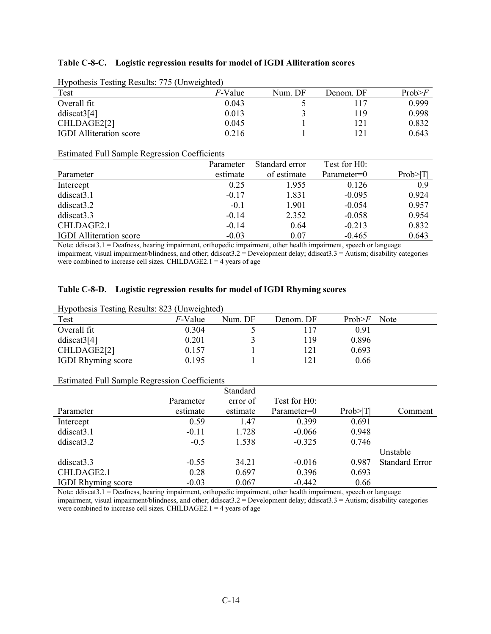## **Table C-8-C. Logistic regression results for model of IGDI Alliteration scores**

| $\frac{1}{2}$ results. $\frac{1}{2}$ (Onweigned) |                 |         |           |        |
|--------------------------------------------------|-----------------|---------|-----------|--------|
| Test                                             | <i>F</i> -Value | Num. DF | Denom. DF | Prob>F |
| Overall fit                                      | 0.043           |         | 117       | 0.999  |
| ddiscat3[4]                                      | 0.013           |         | 119       | 0.998  |
| CHLDAGE2[2]                                      | 0.045           |         | 21 ا      | 0.832  |
| <b>IGDI</b> Alliteration score                   | 0.216           |         |           | 0.643  |
|                                                  |                 |         |           |        |

Hypothesis Testing Results: 775 (Unweighted)

Estimated Full Sample Regression Coefficients

|                                | Parameter | Standard error | Test for H0: |           |
|--------------------------------|-----------|----------------|--------------|-----------|
| Parameter                      | estimate  | of estimate    | Parameter=0  | Prob >  T |
| Intercept                      | 0.25      | 1.955          | 0.126        | 0.9       |
| ddiscat3.1                     | $-0.17$   | 1.831          | $-0.095$     | 0.924     |
| ddiscat3.2                     | $-0.1$    | 1.901          | $-0.054$     | 0.957     |
| ddiscat3.3                     | $-0.14$   | 2.352          | $-0.058$     | 0.954     |
| CHLDAGE2.1                     | $-0.14$   | 0.64           | $-0.213$     | 0.832     |
| <b>IGDI</b> Alliteration score | $-0.03$   | 0.07           | $-0.465$     | 0.643     |

Note: ddiscat3.1 = Deafness, hearing impairment, orthopedic impairment, other health impairment, speech or language impairment, visual impairment/blindness, and other; ddiscat3.2 = Development delay; ddiscat3.3 = Autism; disability categories were combined to increase cell sizes. CHILDAGE2.1 = 4 years of age

#### **Table C-8-D. Logistic regression results for model of IGDI Rhyming scores**

| Hypothesis Testing Results: 823 (Unweighted) |                 |         |           |        |      |  |  |
|----------------------------------------------|-----------------|---------|-----------|--------|------|--|--|
| Test                                         | <i>F</i> -Value | Num. DF | Denom. DF | Prob>F | Note |  |  |
| Overall fit                                  | 0.304           |         | 117       | 0.91   |      |  |  |
| ddiscat3[4]                                  | 0.201           |         | 119       | 0.896  |      |  |  |
| CHLDAGE2[2]                                  | 0.157           |         | 121       | 0.693  |      |  |  |
| <b>IGDI</b> Rhyming score                    | 0.195           |         | 121       | 0.66   |      |  |  |

#### Estimated Full Sample Regression Coefficients

|                           |           | Standard |              |           |                       |
|---------------------------|-----------|----------|--------------|-----------|-----------------------|
|                           | Parameter | error of | Test for H0: |           |                       |
| Parameter                 | estimate  | estimate | Parameter=0  | Prob >  T | Comment               |
| Intercept                 | 0.59      | 1.47     | 0.399        | 0.691     |                       |
| ddiscat3.1                | $-0.11$   | 1.728    | $-0.066$     | 0.948     |                       |
| ddiscat3.2                | $-0.5$    | 1.538    | $-0.325$     | 0.746     |                       |
|                           |           |          |              |           | Unstable              |
| ddiscat <sub>3.3</sub>    | $-0.55$   | 34.21    | $-0.016$     | 0.987     | <b>Standard Error</b> |
| CHLDAGE2.1                | 0.28      | 0.697    | 0.396        | 0.693     |                       |
| <b>IGDI</b> Rhyming score | $-0.03$   | 0.067    | $-0.442$     | 0.66      |                       |

Note: ddiscat3.1 = Deafness, hearing impairment, orthopedic impairment, other health impairment, speech or language impairment, visual impairment/blindness, and other; ddiscat3.2 = Development delay; ddiscat3.3 = Autism; disability categories were combined to increase cell sizes. CHILDAGE2.1 = 4 years of age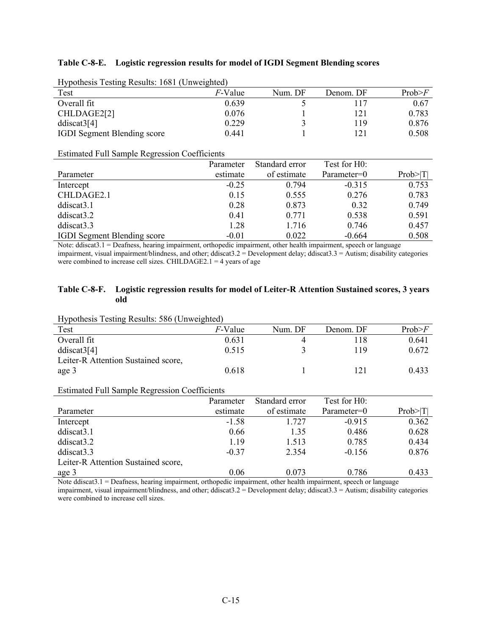#### **Table C-8-E. Logistic regression results for model of IGDI Segment Blending scores**

| Trypothesis Testing Results. Toot (Onweighted) |                 |           |        |  |  |  |  |  |
|------------------------------------------------|-----------------|-----------|--------|--|--|--|--|--|
|                                                | Num. DF         | Denom. DF | Prob>F |  |  |  |  |  |
| 0.639                                          |                 | 117       | 0.67   |  |  |  |  |  |
| 0.076                                          |                 | 121       | 0.783  |  |  |  |  |  |
| 0.229                                          |                 | 119       | 0.876  |  |  |  |  |  |
| 0.441                                          |                 | 121       | 0.508  |  |  |  |  |  |
|                                                | <i>F</i> -Value |           |        |  |  |  |  |  |

Hypothesis Testing Results: 1681 (Unweighted)

Estimated Full Sample Regression Coefficients

|                                    | Parameter | Standard error | Test for H0: |           |
|------------------------------------|-----------|----------------|--------------|-----------|
| Parameter                          | estimate  | of estimate    | Parameter=0  | Prob >  T |
| Intercept                          | $-0.25$   | 0.794          | $-0.315$     | 0.753     |
| CHLDAGE2.1                         | 0.15      | 0.555          | 0.276        | 0.783     |
| ddiscat <sub>3.1</sub>             | 0.28      | 0.873          | 0.32         | 0.749     |
| ddiscat3.2                         | 0.41      | 0.771          | 0.538        | 0.591     |
| ddiscat3.3                         | 1.28      | 1.716          | 0.746        | 0.457     |
| <b>IGDI</b> Segment Blending score | $-0.01$   | 0.022          | $-0.664$     | 0.508     |

Note: ddiscat3.1 = Deafness, hearing impairment, orthopedic impairment, other health impairment, speech or language impairment, visual impairment/blindness, and other; ddiscat $3.2 =$  Development delay; ddiscat $3.3 =$  Autism; disability categories were combined to increase cell sizes. CHILDAGE2.1 = 4 years of age

#### **Table C-8-F. Logistic regression results for model of Leiter-R Attention Sustained scores, 3 years old**

Hypothesis Testing Results: 586 (Unweighted)

| . .                                 |                 |         |           |        |
|-------------------------------------|-----------------|---------|-----------|--------|
| Test                                | <i>F</i> -Value | Num. DF | Denom. DF | Prob>F |
| Overall fit                         | 0.631           |         | 118       | 0.641  |
| ddiscat3[4]                         | 0.515           |         | 19        | 0.672  |
| Leiter-R Attention Sustained score, |                 |         |           |        |
| age 3                               | 0.618           |         | 121       | 0.433  |

#### Estimated Full Sample Regression Coefficients

|                                     | Parameter | Standard error | Test for H0: |           |
|-------------------------------------|-----------|----------------|--------------|-----------|
| Parameter                           | estimate  | of estimate    | Parameter=0  | Prob >  T |
| Intercept                           | $-1.58$   | 1.727          | $-0.915$     | 0.362     |
| ddiscat <sub>3.1</sub>              | 0.66      | 1.35           | 0.486        | 0.628     |
| ddiscat3.2                          | 1.19      | 1.513          | 0.785        | 0.434     |
| ddiscat <sub>3.3</sub>              | $-0.37$   | 2.354          | $-0.156$     | 0.876     |
| Leiter-R Attention Sustained score, |           |                |              |           |
| age 3                               | 0.06      | 0.073          | 0.786        | 0.433     |

Note ddiscat3.1 = Deafness, hearing impairment, orthopedic impairment, other health impairment, speech or language impairment, visual impairment/blindness, and other; ddiscat3.2 = Development delay; ddiscat3.3 = Autism; disability categories were combined to increase cell sizes.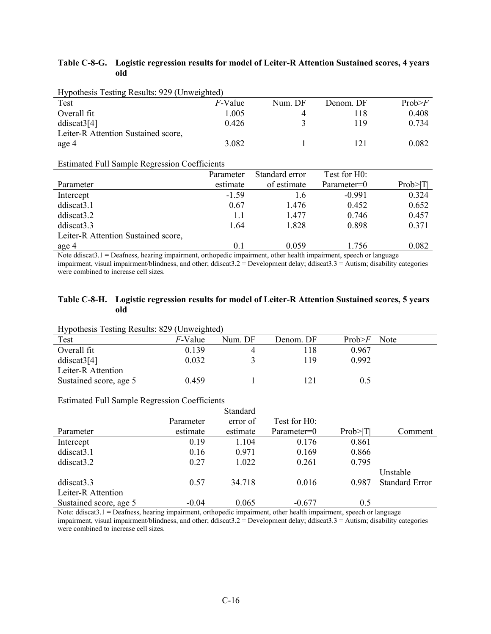## **Table C-8-G. Logistic regression results for model of Leiter-R Attention Sustained scores, 4 years old**

| $11$ y pothesis Testing Results. $222$ (Offweighted) |                 |         |           |        |
|------------------------------------------------------|-----------------|---------|-----------|--------|
| Test                                                 | <i>F</i> -Value | Num. DF | Denom. DF | Prob>F |
| Overall fit                                          | 1.005           |         | 118       | 0.408  |
| ddiscat3[4]                                          | 0.426           |         | 119       | 0.734  |
| Leiter-R Attention Sustained score,                  |                 |         |           |        |
| age 4                                                | 3.082           |         | 121       | 0.082  |
|                                                      |                 |         |           |        |

Hypothesis Testing Results: 929 (Unweighted)

## Estimated Full Sample Regression Coefficients

|                                     | Parameter | Standard error | Test for H0: |           |
|-------------------------------------|-----------|----------------|--------------|-----------|
|                                     |           |                |              |           |
| Parameter                           | estimate  | of estimate    | Parameter=0  | Prob >  T |
| Intercept                           | $-1.59$   | 1.6            | $-0.991$     | 0.324     |
| ddiscat <sub>3.1</sub>              | 0.67      | 1.476          | 0.452        | 0.652     |
| ddiscat3.2                          | 1.1       | 1.477          | 0.746        | 0.457     |
| ddiscat3.3                          | 1.64      | 1.828          | 0.898        | 0.371     |
| Leiter-R Attention Sustained score, |           |                |              |           |
| age 4                               | 0.1       | 0.059          | 1.756        | 0.082     |

Note ddiscat3.1 = Deafness, hearing impairment, orthopedic impairment, other health impairment, speech or language impairment, visual impairment/blindness, and other; ddiscat3.2 = Development delay; ddiscat3.3 = Autism; disability categories were combined to increase cell sizes.

# **Table C-8-H. Logistic regression results for model of Leiter-R Attention Sustained scores, 5 years old**

| Hypothesis Testing Results: 829 (Unweighted)         |                 |          |              |           |                       |
|------------------------------------------------------|-----------------|----------|--------------|-----------|-----------------------|
| Test                                                 | <i>F</i> -Value | Num. DF  | Denom. DF    | Prob>F    | Note                  |
| Overall fit                                          | 0.139           | 4        | 118          | 0.967     |                       |
| ddiscat3[4]                                          | 0.032           | 3        | 119          | 0.992     |                       |
| Leiter-R Attention                                   |                 |          |              |           |                       |
| Sustained score, age 5                               | 0.459           |          | 121          | 0.5       |                       |
|                                                      |                 |          |              |           |                       |
| <b>Estimated Full Sample Regression Coefficients</b> |                 |          |              |           |                       |
|                                                      |                 | Standard |              |           |                       |
|                                                      | Parameter       | error of | Test for H0: |           |                       |
| Parameter                                            | estimate        | estimate | Parameter=0  | Prob >  T | Comment               |
| Intercept                                            | 0.19            | 1.104    | 0.176        | 0.861     |                       |
| ddiscat3.1                                           | 0.16            | 0.971    | 0.169        | 0.866     |                       |
| ddiscat3.2                                           | 0.27            | 1.022    | 0.261        | 0.795     |                       |
|                                                      |                 |          |              |           | Unstable              |
| ddiscat3.3                                           | 0.57            | 34.718   | 0.016        | 0.987     | <b>Standard Error</b> |
| Leiter-R Attention                                   |                 |          |              |           |                       |
| Sustained score, age 5                               | $-0.04$         | 0.065    | $-0.677$     | 0.5       |                       |

Note: ddiscat3.1 = Deafness, hearing impairment, orthopedic impairment, other health impairment, speech or language impairment, visual impairment/blindness, and other; ddiscat $3.2 =$  Development delay; ddiscat $3.3 =$  Autism; disability categories were combined to increase cell sizes.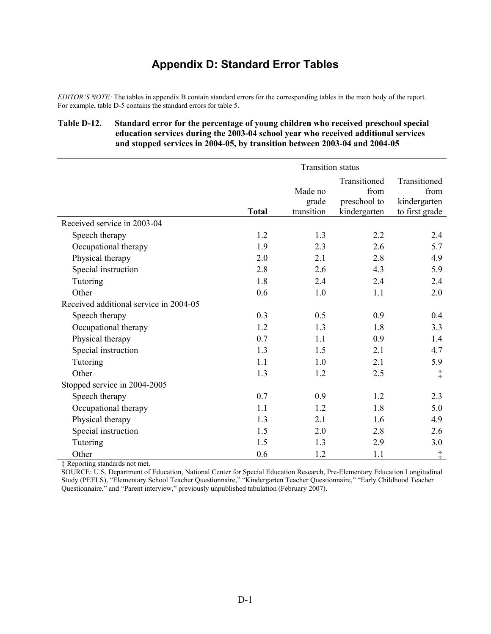# **Appendix D: Standard Error Tables**

*EDITOR'S NOTE:* The tables in appendix B contain standard errors for the corresponding tables in the main body of the report. For example, table D-5 contains the standard errors for table 5.

# **Table D-12. Standard error for the percentage of young children who received preschool special education services during the 2003-04 school year who received additional services and stopped services in 2004-05, by transition between 2003-04 and 2004-05**

|                                        | <b>Transition status</b> |            |              |                |
|----------------------------------------|--------------------------|------------|--------------|----------------|
|                                        |                          |            | Transitioned | Transitioned   |
|                                        |                          | Made no    | from         | from           |
|                                        |                          | grade      | preschool to | kindergarten   |
|                                        | <b>Total</b>             | transition | kindergarten | to first grade |
| Received service in 2003-04            |                          |            |              |                |
| Speech therapy                         | 1.2                      | 1.3        | 2.2          | 2.4            |
| Occupational therapy                   | 1.9                      | 2.3        | 2.6          | 5.7            |
| Physical therapy                       | 2.0                      | 2.1        | 2.8          | 4.9            |
| Special instruction                    | 2.8                      | 2.6        | 4.3          | 5.9            |
| Tutoring                               | 1.8                      | 2.4        | 2.4          | 2.4            |
| Other                                  | 0.6                      | 1.0        | 1.1          | 2.0            |
| Received additional service in 2004-05 |                          |            |              |                |
| Speech therapy                         | 0.3                      | 0.5        | 0.9          | 0.4            |
| Occupational therapy                   | 1.2                      | 1.3        | 1.8          | 3.3            |
| Physical therapy                       | 0.7                      | 1.1        | 0.9          | 1.4            |
| Special instruction                    | 1.3                      | 1.5        | 2.1          | 4.7            |
| Tutoring                               | 1.1                      | 1.0        | 2.1          | 5.9            |
| Other                                  | 1.3                      | 1.2        | 2.5          | $\ddagger$     |
| Stopped service in 2004-2005           |                          |            |              |                |
| Speech therapy                         | 0.7                      | 0.9        | 1.2          | 2.3            |
| Occupational therapy                   | 1.1                      | 1.2        | 1.8          | 5.0            |
| Physical therapy                       | 1.3                      | 2.1        | 1.6          | 4.9            |
| Special instruction                    | 1.5                      | 2.0        | 2.8          | 2.6            |
| Tutoring                               | 1.5                      | 1.3        | 2.9          | 3.0            |
| Other                                  | 0.6                      | 1.2        | 1.1          | $\ddagger$     |

‡ Reporting standards not met.

SOURCE: U.S. Department of Education, National Center for Special Education Research, Pre-Elementary Education Longitudinal Study (PEELS), "Elementary School Teacher Questionnaire," "Kindergarten Teacher Questionnaire," "Early Childhood Teacher Questionnaire," and "Parent interview," previously unpublished tabulation (February 2007).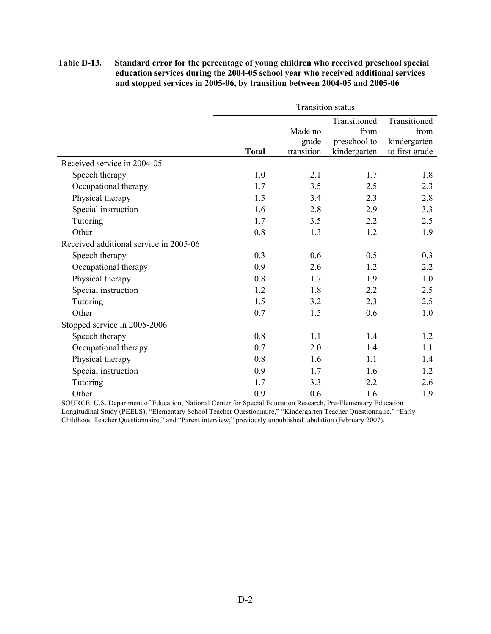## **Table D-13. Standard error for the percentage of young children who received preschool special education services during the 2004-05 school year who received additional services and stopped services in 2005-06, by transition between 2004-05 and 2005-06**

|                                        | <b>Transition status</b> |            |              |                |
|----------------------------------------|--------------------------|------------|--------------|----------------|
|                                        |                          |            | Transitioned | Transitioned   |
|                                        |                          | Made no    | from         | from           |
|                                        |                          | grade      | preschool to | kindergarten   |
|                                        | <b>Total</b>             | transition | kindergarten | to first grade |
| Received service in 2004-05            |                          |            |              |                |
| Speech therapy                         | 1.0                      | 2.1        | 1.7          | 1.8            |
| Occupational therapy                   | 1.7                      | 3.5        | 2.5          | 2.3            |
| Physical therapy                       | 1.5                      | 3.4        | 2.3          | 2.8            |
| Special instruction                    | 1.6                      | 2.8        | 2.9          | 3.3            |
| Tutoring                               | 1.7                      | 3.5        | 2.2          | 2.5            |
| Other                                  | 0.8                      | 1.3        | 1.2          | 1.9            |
| Received additional service in 2005-06 |                          |            |              |                |
| Speech therapy                         | 0.3                      | 0.6        | 0.5          | 0.3            |
| Occupational therapy                   | 0.9                      | 2.6        | 1.2          | 2.2            |
| Physical therapy                       | 0.8                      | 1.7        | 1.9          | 1.0            |
| Special instruction                    | 1.2                      | 1.8        | 2.2          | 2.5            |
| Tutoring                               | 1.5                      | 3.2        | 2.3          | 2.5            |
| Other                                  | 0.7                      | 1.5        | 0.6          | 1.0            |
| Stopped service in 2005-2006           |                          |            |              |                |
| Speech therapy                         | 0.8                      | 1.1        | 1.4          | 1.2            |
| Occupational therapy                   | 0.7                      | 2.0        | 1.4          | 1.1            |
| Physical therapy                       | 0.8                      | 1.6        | 1.1          | 1.4            |
| Special instruction                    | 0.9                      | 1.7        | 1.6          | 1.2            |
| Tutoring                               | 1.7                      | 3.3        | 2.2          | 2.6            |
| Other                                  | 0.9                      | 0.6        | 1.6          | 1.9            |

SOURCE: U.S. Department of Education, National Center for Special Education Research, Pre-Elementary Education Longitudinal Study (PEELS), "Elementary School Teacher Questionnaire," "Kindergarten Teacher Questionnaire," "Early Childhood Teacher Questionnaire," and "Parent interview," previously unpublished tabulation (February 2007).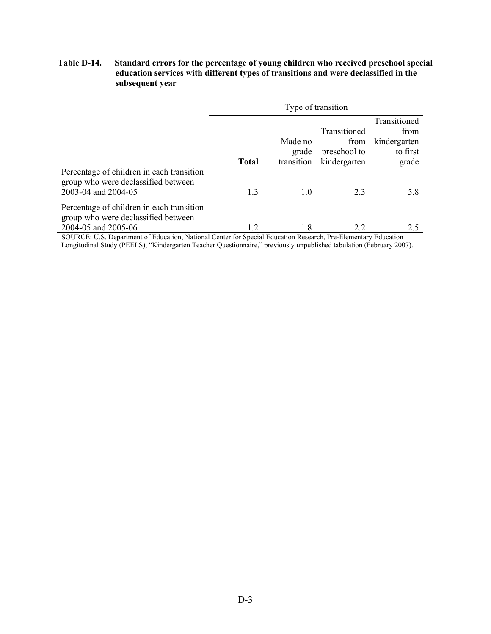## **Table D-14. Standard errors for the percentage of young children who received preschool special education services with different types of transitions and were declassified in the subsequent year**

|                                                                                                         | Type of transition |                                |                                                      |                                                           |
|---------------------------------------------------------------------------------------------------------|--------------------|--------------------------------|------------------------------------------------------|-----------------------------------------------------------|
|                                                                                                         | <b>Total</b>       | Made no<br>grade<br>transition | Transitioned<br>from<br>preschool to<br>kindergarten | Transitioned<br>from<br>kindergarten<br>to first<br>grade |
| Percentage of children in each transition<br>group who were declassified between<br>2003-04 and 2004-05 | 1.3                | 1.0                            | 2.3                                                  | 5.8                                                       |
| Percentage of children in each transition<br>group who were declassified between<br>2004-05 and 2005-06 | 1.2                | 1.8                            | 2.2                                                  | 2.5                                                       |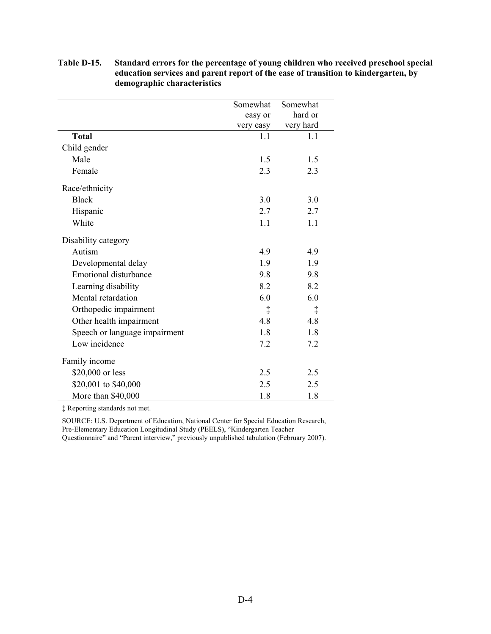|                               | Somewhat   | Somewhat   |
|-------------------------------|------------|------------|
|                               | easy or    | hard or    |
|                               | very easy  | very hard  |
| <b>Total</b>                  | 1.1        | 1.1        |
| Child gender                  |            |            |
| Male                          | 1.5        | 1.5        |
| Female                        | 2.3        | 2.3        |
| Race/ethnicity                |            |            |
| <b>Black</b>                  | 3.0        | 3.0        |
| Hispanic                      | 2.7        | 2.7        |
| White                         | 1.1        | 1.1        |
| Disability category           |            |            |
| Autism                        | 4.9        | 4.9        |
| Developmental delay           | 1.9        | 1.9        |
| <b>Emotional disturbance</b>  | 9.8        | 9.8        |
| Learning disability           | 8.2        | 8.2        |
| Mental retardation            | 6.0        | 6.0        |
| Orthopedic impairment         | $\ddagger$ | $\ddagger$ |
| Other health impairment       | 4.8        | 4.8        |
| Speech or language impairment | 1.8        | 1.8        |
| Low incidence                 | 7.2        | 7.2        |
| Family income                 |            |            |
| \$20,000 or less              | 2.5        | 2.5        |
| \$20,001 to \$40,000          | 2.5        | 2.5        |
| More than \$40,000            | 1.8        | 1.8        |

**Table D-15. Standard errors for the percentage of young children who received preschool special education services and parent report of the ease of transition to kindergarten, by demographic characteristics** 

‡ Reporting standards not met.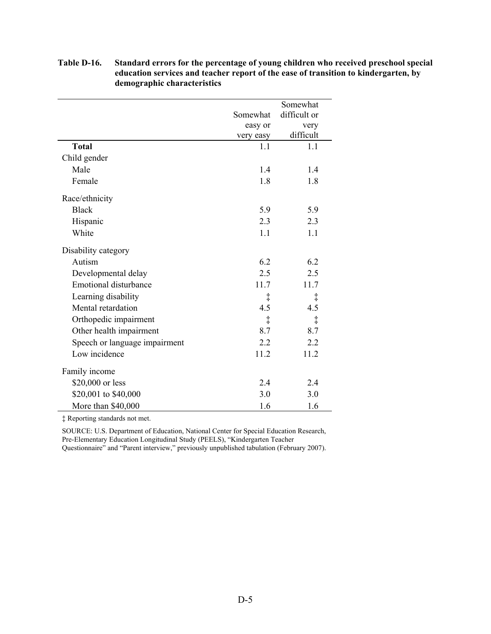|                               |           | Somewhat     |
|-------------------------------|-----------|--------------|
|                               | Somewhat  | difficult or |
|                               | easy or   | very         |
|                               | very easy | difficult    |
| <b>Total</b>                  | 1.1       | 1.1          |
| Child gender                  |           |              |
| Male                          | 1.4       | 1.4          |
| Female                        | 1.8       | 1.8          |
| Race/ethnicity                |           |              |
| <b>Black</b>                  | 5.9       | 5.9          |
| Hispanic                      | 2.3       | 2.3          |
| White                         | 1.1       | 1.1          |
| Disability category           |           |              |
| Autism                        | 6.2       | 6.2          |
| Developmental delay           | 2.5       | 2.5          |
| <b>Emotional disturbance</b>  | 11.7      | 11.7         |
| Learning disability           | ţ         | $\ddagger$   |
| Mental retardation            | 4.5       | 4.5          |
| Orthopedic impairment         | ţ         | $\ddagger$   |
| Other health impairment       | 8.7       | 8.7          |
| Speech or language impairment | 2.2       | 2.2          |
| Low incidence                 | 11.2      | 11.2         |
| Family income                 |           |              |
| \$20,000 or less              | 2.4       | 2.4          |
| \$20,001 to \$40,000          | 3.0       | 3.0          |
| More than \$40,000            | 1.6       | 1.6          |

# **Table D-16. Standard errors for the percentage of young children who received preschool special education services and teacher report of the ease of transition to kindergarten, by demographic characteristics**

‡ Reporting standards not met.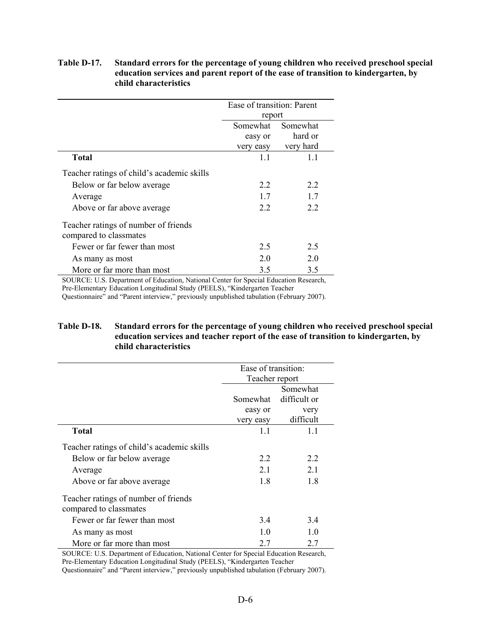|                                                                | Ease of transition: Parent<br>report |           |  |
|----------------------------------------------------------------|--------------------------------------|-----------|--|
|                                                                | Somewhat                             | Somewhat  |  |
|                                                                | easy or                              | hard or   |  |
|                                                                | very easy                            | very hard |  |
| <b>Total</b>                                                   | 1.1                                  | 1.1       |  |
| Teacher ratings of child's academic skills                     |                                      |           |  |
| Below or far below average                                     | 2.2                                  | 22        |  |
| Average                                                        | 17                                   | 17        |  |
| Above or far above average                                     | 2.2                                  | 22        |  |
| Teacher ratings of number of friends<br>compared to classmates |                                      |           |  |
| Fewer or far fewer than most                                   | 2.5                                  | 2.5       |  |
| As many as most                                                | 2.0                                  | 2 O       |  |
| More or far more than most                                     | 3.5                                  | 3.5       |  |

# **Table D-17. Standard errors for the percentage of young children who received preschool special education services and parent report of the ease of transition to kindergarten, by child characteristics**

SOURCE: U.S. Department of Education, National Center for Special Education Research, Pre-Elementary Education Longitudinal Study (PEELS), "Kindergarten Teacher

Questionnaire" and "Parent interview," previously unpublished tabulation (February 2007).

# **Table D-18. Standard errors for the percentage of young children who received preschool special education services and teacher report of the ease of transition to kindergarten, by child characteristics**

|                                                                | Ease of transition: |              |  |
|----------------------------------------------------------------|---------------------|--------------|--|
|                                                                | Teacher report      |              |  |
|                                                                |                     | Somewhat     |  |
|                                                                | Somewhat            | difficult or |  |
|                                                                | easy or             | very         |  |
|                                                                | very easy           | difficult    |  |
| <b>Total</b>                                                   | 1.1                 | 1.1          |  |
| Teacher ratings of child's academic skills                     |                     |              |  |
| Below or far below average                                     | 22                  | 22           |  |
| Average                                                        | 21                  | 21           |  |
| Above or far above average                                     | 1.8                 | 18           |  |
| Teacher ratings of number of friends<br>compared to classmates |                     |              |  |
| Fewer or far fewer than most                                   | 3.4                 | 3.4          |  |
| As many as most                                                | 1.0                 | 1.0          |  |
| More or far more than most                                     | 2.7                 | 2.7          |  |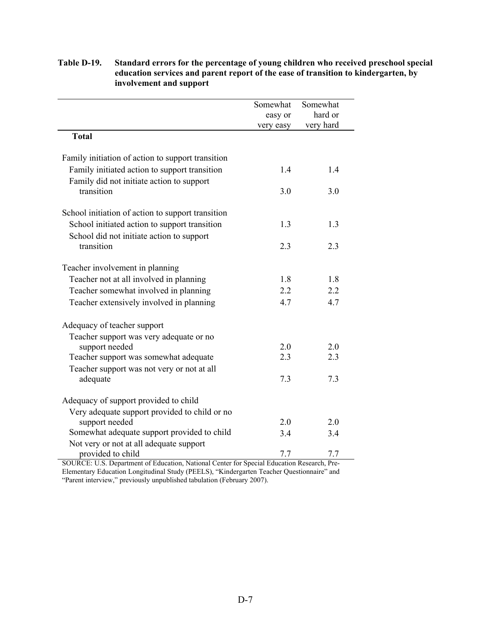|                                                   | Somewhat  | Somewhat  |
|---------------------------------------------------|-----------|-----------|
|                                                   | easy or   | hard or   |
|                                                   | very easy | very hard |
| <b>Total</b>                                      |           |           |
| Family initiation of action to support transition |           |           |
| Family initiated action to support transition     | 1.4       | 1.4       |
| Family did not initiate action to support         |           |           |
| transition                                        | 3.0       | 3.0       |
| School initiation of action to support transition |           |           |
| School initiated action to support transition     | 1.3       | 1.3       |
| School did not initiate action to support         |           |           |
| transition                                        | 2.3       | 2.3       |
| Teacher involvement in planning                   |           |           |
| Teacher not at all involved in planning           | 1.8       | 1.8       |
| Teacher somewhat involved in planning             | 2.2       | 2.2       |
|                                                   | 4.7       | 4.7       |
| Teacher extensively involved in planning          |           |           |
| Adequacy of teacher support                       |           |           |
| Teacher support was very adequate or no           |           |           |
| support needed                                    | 2.0       | 2.0       |
| Teacher support was somewhat adequate             | 2.3       | 2.3       |
| Teacher support was not very or not at all        |           |           |
| adequate                                          | 7.3       | 7.3       |
| Adequacy of support provided to child             |           |           |
| Very adequate support provided to child or no     |           |           |
| support needed                                    | 2.0       | 2.0       |
| Somewhat adequate support provided to child       | 3.4       | 3.4       |
| Not very or not at all adequate support           |           |           |
| provided to child                                 | 7.7       | 7.7       |

# **Table D-19. Standard errors for the percentage of young children who received preschool special education services and parent report of the ease of transition to kindergarten, by involvement and support**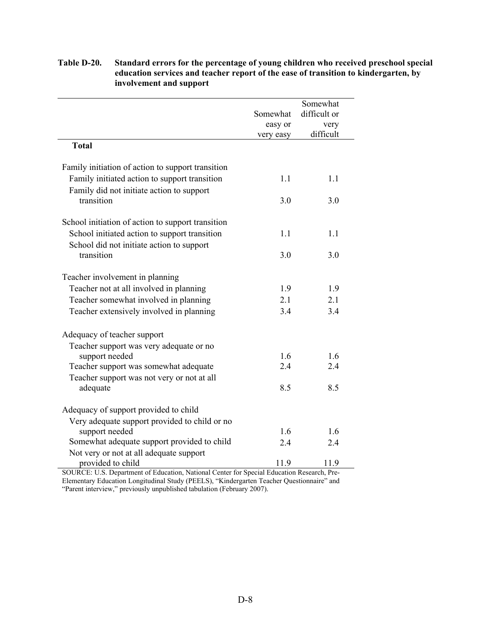|                                                   |           | Somewhat     |
|---------------------------------------------------|-----------|--------------|
|                                                   | Somewhat  | difficult or |
|                                                   | easy or   | very         |
|                                                   | very easy | difficult    |
| <b>Total</b>                                      |           |              |
| Family initiation of action to support transition |           |              |
| Family initiated action to support transition     | 1.1       | 1.1          |
| Family did not initiate action to support         |           |              |
| transition                                        | 3.0       | 3.0          |
|                                                   |           |              |
| School initiation of action to support transition |           |              |
| School initiated action to support transition     | 1.1       | 1.1          |
| School did not initiate action to support         |           |              |
| transition                                        | 3.0       | 3.0          |
|                                                   |           |              |
| Teacher involvement in planning                   |           |              |
| Teacher not at all involved in planning           | 1.9       | 1.9          |
| Teacher somewhat involved in planning             | 2.1       | 2.1          |
| Teacher extensively involved in planning          | 3.4       | 3.4          |
|                                                   |           |              |
| Adequacy of teacher support                       |           |              |
| Teacher support was very adequate or no           |           |              |
| support needed                                    | 1.6       | 1.6          |
| Teacher support was somewhat adequate             | 2.4       | 2.4          |
| Teacher support was not very or not at all        |           |              |
| adequate                                          | 8.5       | 8.5          |
|                                                   |           |              |
| Adequacy of support provided to child             |           |              |
| Very adequate support provided to child or no     |           |              |
| support needed                                    | 1.6       | 1.6          |
| Somewhat adequate support provided to child       | 2.4       | 2.4          |
| Not very or not at all adequate support           |           |              |
| provided to child                                 | 11.9      | 11.9         |

# **Table D-20. Standard errors for the percentage of young children who received preschool special education services and teacher report of the ease of transition to kindergarten, by involvement and support**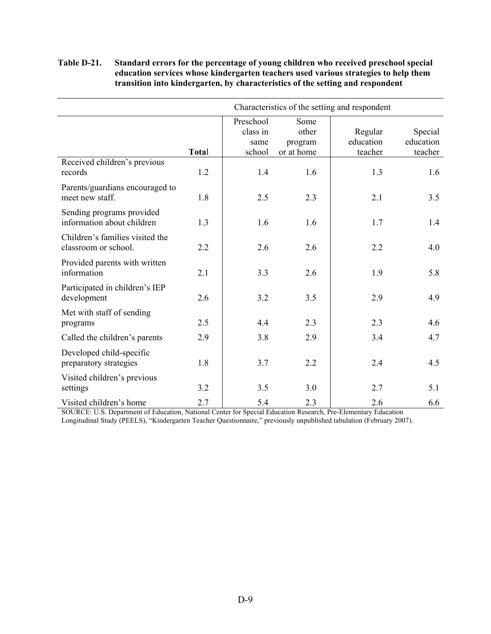# **Table D-21. Standard errors for the percentage of young children who received preschool special education services whose kindergarten teachers used various strategies to help them transition into kindergarten, by characteristics of the setting and respondent**

|                                                         | Characteristics of the setting and respondent |                                         |                                        |                                 |                                 |  |
|---------------------------------------------------------|-----------------------------------------------|-----------------------------------------|----------------------------------------|---------------------------------|---------------------------------|--|
|                                                         | Total                                         | Preschool<br>class in<br>same<br>school | Some<br>other<br>program<br>or at home | Regular<br>education<br>teacher | Special<br>education<br>teacher |  |
| Received children's previous<br>records                 | 1.2                                           | 1.4                                     | 1.6                                    | 1.3                             | 1.6                             |  |
| Parents/guardians encouraged to<br>meet new staff.      | 1.8                                           | 2.5                                     | 2.3                                    | 2.1                             | 3.5                             |  |
| Sending programs provided<br>information about children | 1.3                                           | 1.6                                     | 1.6                                    | 1.7                             | 1.4                             |  |
| Children's families visited the<br>classroom or school. | 2.2                                           | 2.6                                     | 2.6                                    | 2.2                             | 4.0                             |  |
| Provided parents with written<br>information            | 2.1                                           | 3.3                                     | 2.6                                    | 1.9                             | 5.8                             |  |
| Participated in children's IEP<br>development           | 2.6                                           | 3.2                                     | 3.5                                    | 2.9                             | 4.9                             |  |
| Met with staff of sending<br>programs                   | 2.5                                           | 4.4                                     | 2.3                                    | 2.3                             | 4.6                             |  |
| Called the children's parents                           | 2.9                                           | 3.8                                     | 2.9                                    | 3.4                             | 4.7                             |  |
| Developed child-specific<br>preparatory strategies      | 1.8                                           | 3.7                                     | 2.2                                    | 2.4                             | 4.5                             |  |
| Visited children's previous<br>settings                 | 3.2                                           | 3.5                                     | 3.0                                    | 2.7                             | 5.1                             |  |
| Visited children's home                                 | 2.7                                           | 5.4                                     | 2.3                                    | 2.6                             | 6.6                             |  |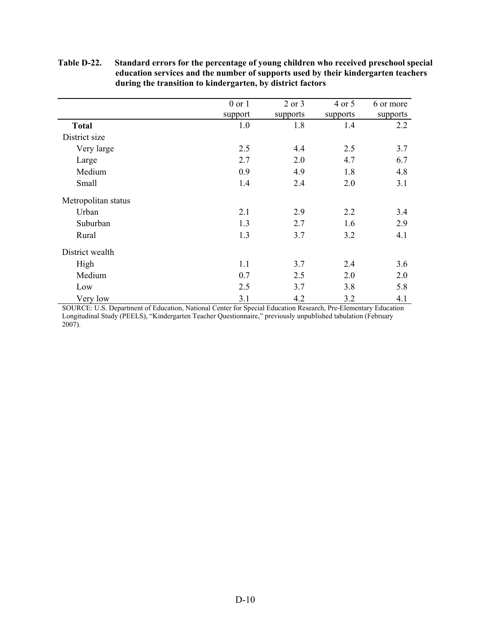|                     | $0$ or $1$ | $2$ or $3$ | 4 or 5   | 6 or more |
|---------------------|------------|------------|----------|-----------|
|                     | support    | supports   | supports | supports  |
| <b>Total</b>        | 1.0        | 1.8        | 1.4      | 2.2       |
| District size       |            |            |          |           |
| Very large          | 2.5        | 4.4        | 2.5      | 3.7       |
| Large               | 2.7        | 2.0        | 4.7      | 6.7       |
| Medium              | 0.9        | 4.9        | 1.8      | 4.8       |
| Small               | 1.4        | 2.4        | 2.0      | 3.1       |
| Metropolitan status |            |            |          |           |
| Urban               | 2.1        | 2.9        | 2.2      | 3.4       |
| Suburban            | 1.3        | 2.7        | 1.6      | 2.9       |
| Rural               | 1.3        | 3.7        | 3.2      | 4.1       |
| District wealth     |            |            |          |           |
| High                | 1.1        | 3.7        | 2.4      | 3.6       |
| Medium              | 0.7        | 2.5        | 2.0      | 2.0       |
| Low                 | 2.5        | 3.7        | 3.8      | 5.8       |
| Very low            | 3.1        | 4.2        | 3.2      | 4.1       |

### **Table D-22. Standard errors for the percentage of young children who received preschool special education services and the number of supports used by their kindergarten teachers during the transition to kindergarten, by district factors**

SOURCE: U.S. Department of Education, National Center for Special Education Research, Pre-Elementary Education Longitudinal Study (PEELS), "Kindergarten Teacher Questionnaire," previously unpublished tabulation (February  $2007$ ).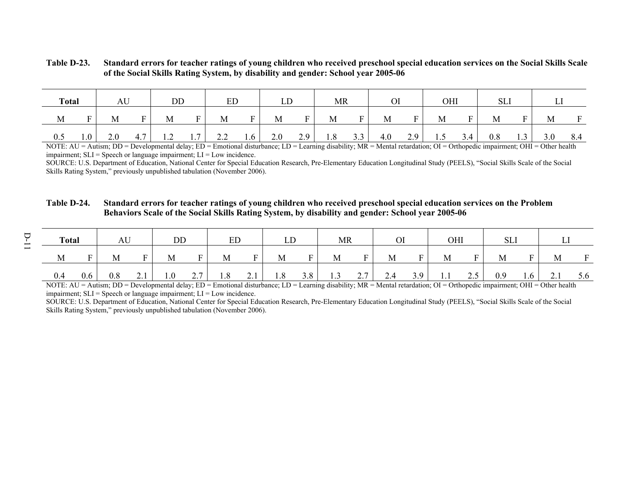#### **Table D-23. Standard errors for teacher ratings of young children who received preschool special education services on the Social Skills Scale of the Social Skills Rating System, by disability and gender: School year 2005-06**

| <b>Total</b> |         | AU  |               | DD                     |     | ED  |                | LD  |                | MR  |             |     |     | OHI |     | SLI |     |     |              |
|--------------|---------|-----|---------------|------------------------|-----|-----|----------------|-----|----------------|-----|-------------|-----|-----|-----|-----|-----|-----|-----|--------------|
| M            | Ē       | M   | $\mathbf F$ . | M                      | F   | M   | $\blacksquare$ | M   | <b>D</b><br>н. | M   | $F_{\perp}$ | M   | F   | M   |     | M   | F.  | M   | $\mathbf{F}$ |
| 0.5          | $1.0-1$ | 2.0 | 4.7           | 12<br>$\overline{1}$ . | 1.7 | 2.2 | 1.6            | 2.0 | 2.9            | 1.8 | 3.3         | 4.0 | 2.9 | 1.5 | 3.4 | 0.8 | 1.3 | 3.0 | 8.4          |

NOTE: AU = Autism; DD = Developmental delay; ED = Emotional disturbance; LD = Learning disability; MR = Mental retardation; OI = Orthopedic impairment; OHI = Other health impairment;  $SLI$  = Speech or language impairment;  $LI$  = Low incidence.

SOURCE: U.S. Department of Education, National Center for Special Education Research, Pre-Elementary Education Longitudinal Study (PEELS), "Social Skills Scale of the Social Skills Rating System," previously unpublished tabulation (November 2006).

### **Table D-24. Standard errors for teacher ratings of young children who received preschool special education services on the Problem Behaviors Scale of the Social Skills Rating System, by disability and gender: School year 2005-06**

|     | <b>Total</b> |     | AU  |            | DD  |          | EL. |                          | ப   |     | <b>MR</b>         |                                   | $\mathbf{r}$ |     | OНI |                         | OLI |     |                          |          |
|-----|--------------|-----|-----|------------|-----|----------|-----|--------------------------|-----|-----|-------------------|-----------------------------------|--------------|-----|-----|-------------------------|-----|-----|--------------------------|----------|
| M   |              |     | M   | F.         | M   | <b>D</b> | M   | <b>D</b>                 | M   | T.  | М                 | E.                                | M            |     | М   |                         | М   |     | M                        | <b>D</b> |
| 0.4 |              | 0.6 | 0.8 | $\sim$ . 1 | 0.1 | 2.7      | 1.8 | $\bigcap$ 1<br>$\sim$ .1 | 1.8 | 3.8 | $\sqrt{ }$<br>1.3 | $\sim$ $\sim$<br>$\overline{a}$ . | 2.4          | 3.9 | 1.1 | $\cap$ $\subset$<br>ں ۔ | 0.9 | 1.0 | $\bigcap$ 1<br>$\sim$ .1 | 5.6      |

NOTE: AU = Autism; DD = Developmental delay; ED = Emotional disturbance; LD = Learning disability; MR = Mental retardation; OI = Orthopedic impairment; OHI = Other health impairment;  $SLI$  = Speech or language impairment;  $LI$  = Low incidence.

SOURCE: U.S. Department of Education, National Center for Special Education Research, Pre-Elementary Education Longitudinal Study (PEELS), "Social Skills Scale of the Social Skills Rating System," previously unpublished tabulation (November 2006).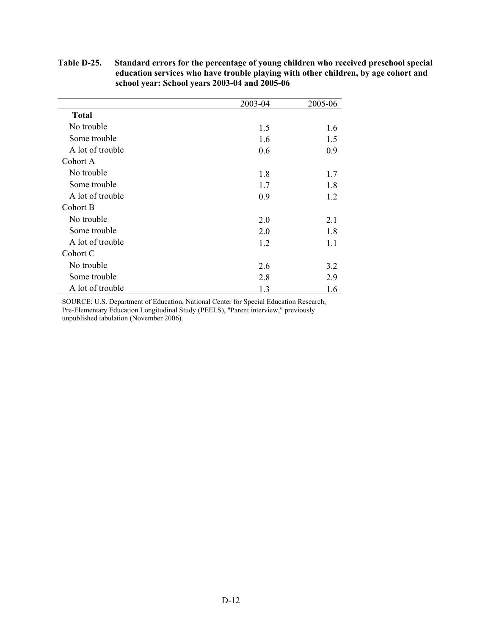|                  | 2003-04 | 2005-06 |
|------------------|---------|---------|
| <b>Total</b>     |         |         |
| No trouble       | 1.5     | 1.6     |
| Some trouble     | 1.6     | 1.5     |
| A lot of trouble | 0.6     | 0.9     |
| Cohort A         |         |         |
| No trouble       | 1.8     | 1.7     |
| Some trouble     | 1.7     | 1.8     |
| A lot of trouble | 0.9     | 1.2     |
| Cohort B         |         |         |
| No trouble       | 2.0     | 2.1     |
| Some trouble     | 2.0     | 1.8     |
| A lot of trouble | 1.2     | 1.1     |
| Cohort C         |         |         |
| No trouble       | 2.6     | 3.2     |
| Some trouble     | 2.8     | 2.9     |
| A lot of trouble | 1.3     | 1.6     |

**Table D-25. Standard errors for the percentage of young children who received preschool special education services who have trouble playing with other children, by age cohort and school year: School years 2003-04 and 2005-06**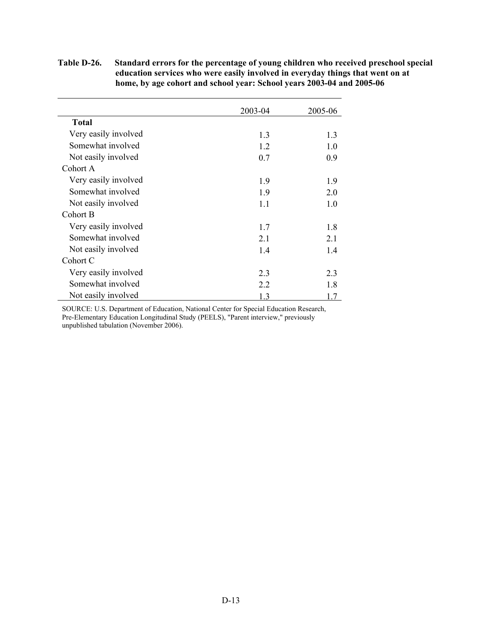|                      | 2003-04 | 2005-06 |
|----------------------|---------|---------|
| <b>Total</b>         |         |         |
| Very easily involved | 1.3     | 1.3     |
| Somewhat involved    | 1.2     | 1.0     |
| Not easily involved  | 0.7     | 0.9     |
| Cohort A             |         |         |
| Very easily involved | 1.9     | 1.9     |
| Somewhat involved    | 1.9     | 2.0     |
| Not easily involved  | 1.1     | 1.0     |
| Cohort B             |         |         |
| Very easily involved | 1.7     | 1.8     |
| Somewhat involved    | 2.1     | 2.1     |
| Not easily involved  | 1.4     | 1.4     |
| Cohort C             |         |         |
| Very easily involved | 2.3     | 2.3     |
| Somewhat involved    | 2.2     | 1.8     |
| Not easily involved  | 1.3     | 1.7     |

### **Table D-26. Standard errors for the percentage of young children who received preschool special education services who were easily involved in everyday things that went on at home, by age cohort and school year: School years 2003-04 and 2005-06**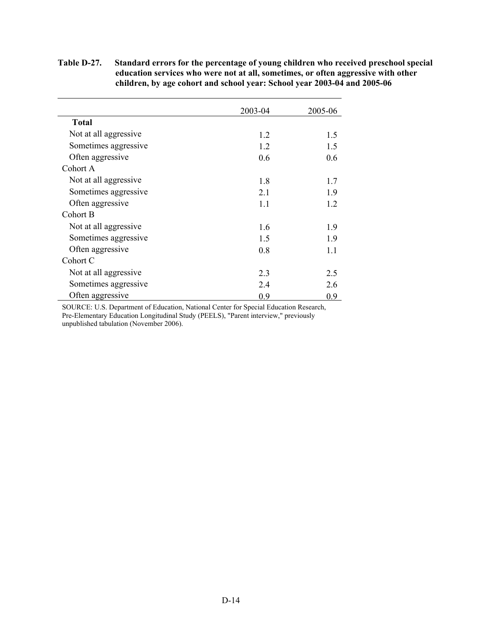### **Table D-27. Standard errors for the percentage of young children who received preschool special education services who were not at all, sometimes, or often aggressive with other children, by age cohort and school year: School year 2003-04 and 2005-06**

|                       | 2003-04 | 2005-06 |
|-----------------------|---------|---------|
| <b>Total</b>          |         |         |
| Not at all aggressive | 1.2     | 1.5     |
| Sometimes aggressive  | 1.2     | 1.5     |
| Often aggressive      | 0.6     | 0.6     |
| Cohort A              |         |         |
| Not at all aggressive | 1.8     | 1.7     |
| Sometimes aggressive  | 2.1     | 1.9     |
| Often aggressive      | 1.1     | 1.2     |
| Cohort B              |         |         |
| Not at all aggressive | 1.6     | 1.9     |
| Sometimes aggressive  | 1.5     | 1.9     |
| Often aggressive      | 0.8     | 1.1     |
| Cohort C              |         |         |
| Not at all aggressive | 2.3     | 2.5     |
| Sometimes aggressive  | 2.4     | 2.6     |
| Often aggressive      | 0.9     | 0.9     |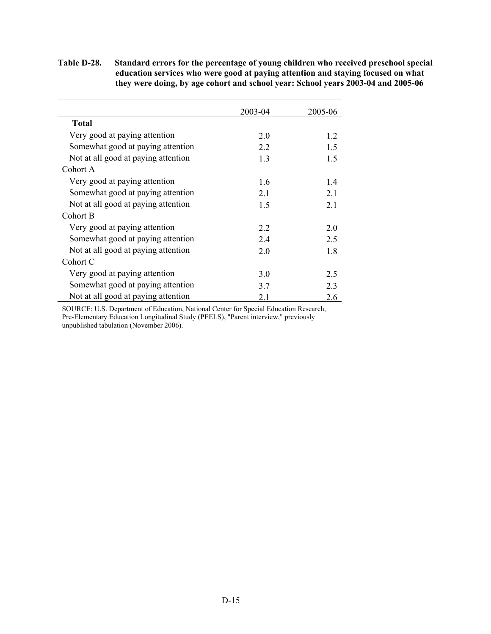### **Table D-28. Standard errors for the percentage of young children who received preschool special education services who were good at paying attention and staying focused on what they were doing, by age cohort and school year: School years 2003-04 and 2005-06**

|                                     | 2003-04 | 2005-06 |
|-------------------------------------|---------|---------|
| <b>Total</b>                        |         |         |
| Very good at paying attention       | 2.0     | 1.2     |
| Somewhat good at paying attention   | 2.2     | 1.5     |
| Not at all good at paying attention | 1.3     | 1.5     |
| Cohort A                            |         |         |
| Very good at paying attention       | 1.6     | 1.4     |
| Somewhat good at paying attention   | 2.1     | 2.1     |
| Not at all good at paying attention | 1.5     | 2.1     |
| Cohort B                            |         |         |
| Very good at paying attention       | 2.2     | 2.0     |
| Somewhat good at paying attention   | 2.4     | 2.5     |
| Not at all good at paying attention | 2.0     | 1.8     |
| Cohort C                            |         |         |
| Very good at paying attention       | 3.0     | 2.5     |
| Somewhat good at paying attention   | 3.7     | 2.3     |
| Not at all good at paying attention | 2.1     | 2.6     |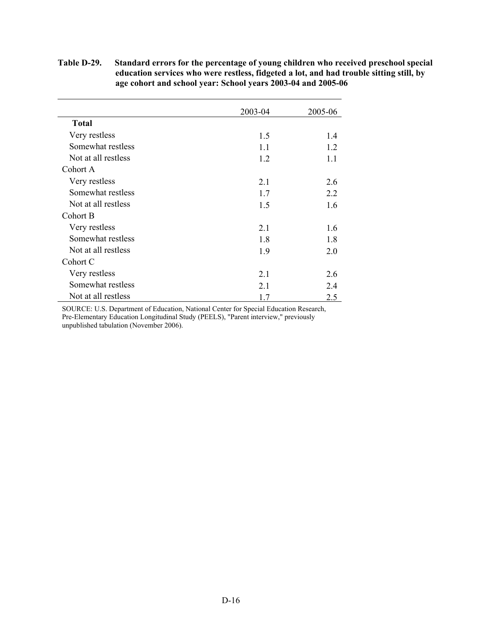### **Table D-29. Standard errors for the percentage of young children who received preschool special education services who were restless, fidgeted a lot, and had trouble sitting still, by age cohort and school year: School years 2003-04 and 2005-06**

|                     | 2003-04 | 2005-06 |
|---------------------|---------|---------|
| <b>Total</b>        |         |         |
| Very restless       | 1.5     | 1.4     |
| Somewhat restless   | 1.1     | 1.2     |
| Not at all restless | 1.2     | 1.1     |
| Cohort A            |         |         |
| Very restless       | 2.1     | 2.6     |
| Somewhat restless   | 1.7     | 2.2     |
| Not at all restless | 1.5     | 1.6     |
| Cohort B            |         |         |
| Very restless       | 2.1     | 1.6     |
| Somewhat restless   | 1.8     | 1.8     |
| Not at all restless | 1.9     | 2.0     |
| Cohort C            |         |         |
| Very restless       | 2.1     | 2.6     |
| Somewhat restless   | 2.1     | 2.4     |
| Not at all restless | 1.7     | 2.5     |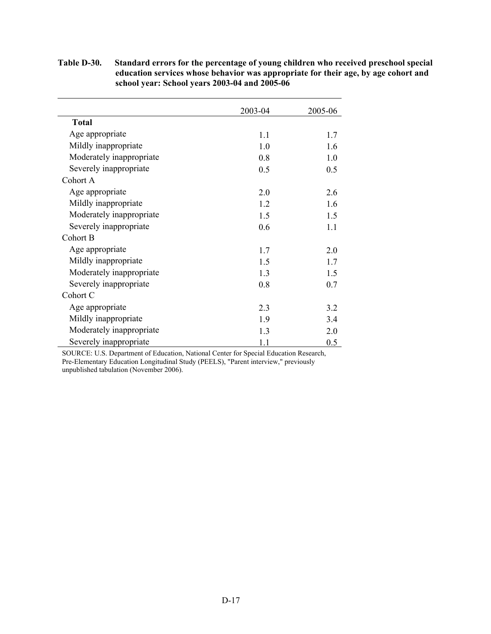|                          | 2003-04 | 2005-06 |
|--------------------------|---------|---------|
| <b>Total</b>             |         |         |
| Age appropriate          | 1.1     | 1.7     |
| Mildly inappropriate     | 1.0     | 1.6     |
| Moderately inappropriate | 0.8     | 1.0     |
| Severely inappropriate   | 0.5     | 0.5     |
| Cohort A                 |         |         |
| Age appropriate          | 2.0     | 2.6     |
| Mildly inappropriate     | 1.2     | 1.6     |
| Moderately inappropriate | 1.5     | 1.5     |
| Severely inappropriate   | 0.6     | 1.1     |
| Cohort B                 |         |         |
| Age appropriate          | 1.7     | 2.0     |
| Mildly inappropriate     | 1.5     | 1.7     |
| Moderately inappropriate | 1.3     | 1.5     |
| Severely inappropriate   | 0.8     | 0.7     |
| Cohort C                 |         |         |
| Age appropriate          | 2.3     | 3.2     |
| Mildly inappropriate     | 1.9     | 3.4     |
| Moderately inappropriate | 1.3     | 2.0     |
| Severely inappropriate   | 1.1     | 0.5     |

**Table D-30. Standard errors for the percentage of young children who received preschool special education services whose behavior was appropriate for their age, by age cohort and school year: School years 2003-04 and 2005-06**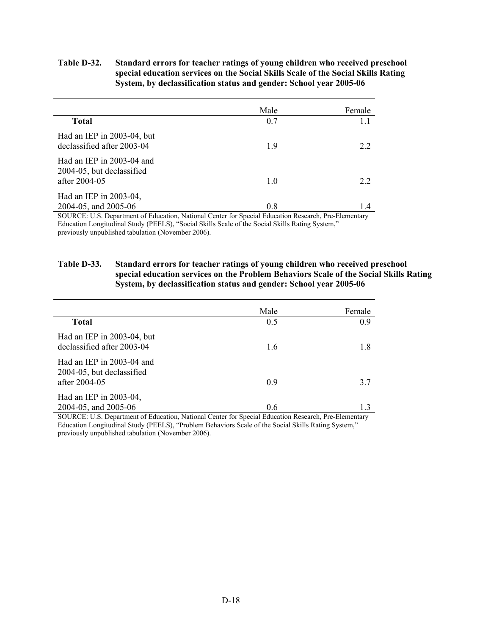### **Table D-32. Standard errors for teacher ratings of young children who received preschool special education services on the Social Skills Scale of the Social Skills Rating System, by declassification status and gender: School year 2005-06**

|                                                                                                                                                                                                     | Male                                                                                                                   | Female                                       |
|-----------------------------------------------------------------------------------------------------------------------------------------------------------------------------------------------------|------------------------------------------------------------------------------------------------------------------------|----------------------------------------------|
| <b>Total</b>                                                                                                                                                                                        | 0.7                                                                                                                    | 1.1                                          |
| Had an IEP in 2003-04, but<br>declassified after 2003-04                                                                                                                                            | 1.9                                                                                                                    | 2.2                                          |
| Had an IEP in 2003-04 and<br>2004-05, but declassified<br>after 2004-05                                                                                                                             | 1.0                                                                                                                    | 22                                           |
| Had an IEP in 2003-04,<br>2004-05, and 2005-06<br>$\alpha$ m $\beta$<br>the contract of the contract of the contract of the contract of the contract of the contract of the contract of<br>$\alpha$ | 0.8<br>$\sim$ $\sim$ $\sim$ $\sim$<br>$\cdot$ $\cdot$ $\cdot$ $\cdot$ $\cdot$ $\cdot$<br>$\mathbf{r}$<br>$\sim$ $\sim$ | 1.4<br>$1 \cdot \mathbf{n} \cdot \mathbf{m}$ |

SOURCE: U.S. Department of Education, National Center for Special Education Research, Pre-Elementary Education Longitudinal Study (PEELS), "Social Skills Scale of the Social Skills Rating System," previously unpublished tabulation (November 2006).

### **Table D-33. Standard errors for teacher ratings of young children who received preschool special education services on the Problem Behaviors Scale of the Social Skills Rating System, by declassification status and gender: School year 2005-06**

|                                                                         | Male | Female |
|-------------------------------------------------------------------------|------|--------|
| <b>Total</b>                                                            | 0.5  | 09     |
| Had an IEP in 2003-04, but<br>declassified after 2003-04                | 1.6  | 1.8    |
| Had an IEP in 2003-04 and<br>2004-05, but declassified<br>after 2004-05 | 09   | 37     |
| Had an IEP in 2003-04,<br>2004-05, and 2005-06                          | 0.6  | 13     |

SOURCE: U.S. Department of Education, National Center for Special Education Research, Pre-Elementary Education Longitudinal Study (PEELS), "Problem Behaviors Scale of the Social Skills Rating System," previously unpublished tabulation (November 2006).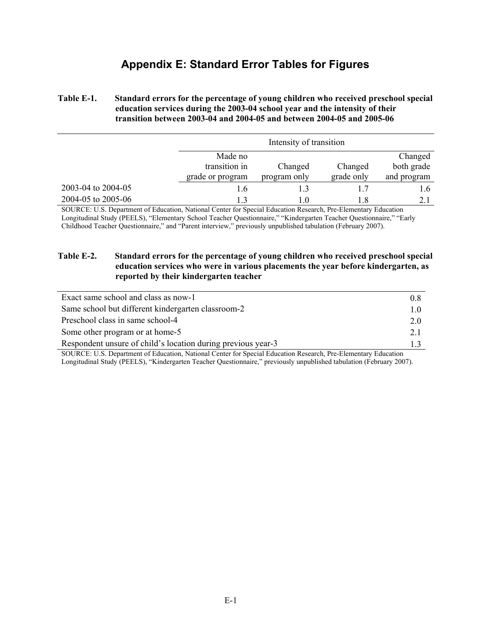### **Appendix E: Standard Error Tables for Figures**

### **Table E-1. Standard errors for the percentage of young children who received preschool special education services during the 2003-04 school year and the intensity of their transition between 2003-04 and 2004-05 and between 2004-05 and 2005-06**

|                    |                  | Intensity of transition |            |             |
|--------------------|------------------|-------------------------|------------|-------------|
|                    | Made no          |                         |            | Changed     |
|                    | transition in    | Changed                 | Changed    | both grade  |
|                    | grade or program | program only            | grade only | and program |
| 2003-04 to 2004-05 | 1.6              |                         | 1.7        | 1.6         |
| 2004-05 to 2005-06 | 13               | 10                      | 1.8        | 2.1         |

SOURCE: U.S. Department of Education, National Center for Special Education Research, Pre-Elementary Education Longitudinal Study (PEELS), "Elementary School Teacher Questionnaire," "Kindergarten Teacher Questionnaire," "Early Childhood Teacher Questionnaire," and "Parent interview," previously unpublished tabulation (February 2007).

### **Table E-2. Standard errors for the percentage of young children who received preschool special education services who were in various placements the year before kindergarten, as reported by their kindergarten teacher**

| Exact same school and class as now-1                         | 0.8            |
|--------------------------------------------------------------|----------------|
| Same school but different kindergarten classroom-2           | 1 <sub>0</sub> |
| Preschool class in same school-4                             | 2.0            |
| Some other program or at home-5                              | 2.1            |
| Respondent unsure of child's location during previous year-3 |                |
| $\alpha$<br>$E = E$                                          |                |

SOURCE: U.S. Department of Education, National Center for Special Education Research, Pre-Elementary Education Longitudinal Study (PEELS), "Kindergarten Teacher Questionnaire," previously unpublished tabulation (February 2007).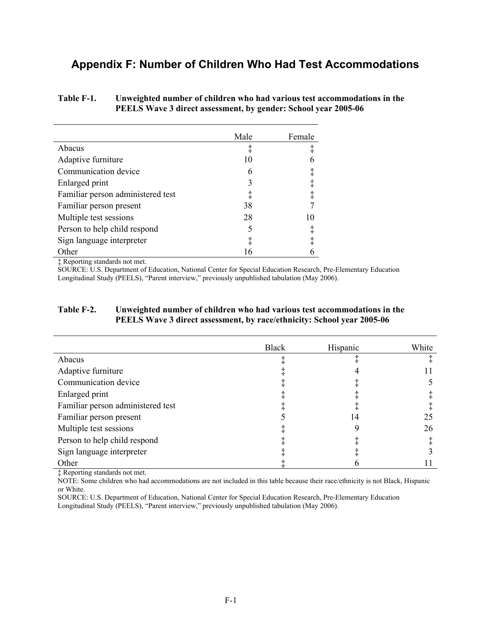### **Appendix F: Number of Children Who Had Test Accommodations**

### **Table F-1. Unweighted number of children who had various test accommodations in the PEELS Wave 3 direct assessment, by gender: School year 2005-06**

|                                   | Male | Female     |
|-----------------------------------|------|------------|
| Abacus                            | ţ    | ţ          |
| Adaptive furniture                | 10   | 6          |
| Communication device              | 6    | $\ddagger$ |
| Enlarged print                    | 3    | $\ddagger$ |
| Familiar person administered test | ţ    | $\ddagger$ |
| Familiar person present           | 38   |            |
| Multiple test sessions            | 28   | 10         |
| Person to help child respond      | 5    | $\ddagger$ |
| Sign language interpreter         |      | $\ddagger$ |
| Other                             | 16   |            |

‡ Reporting standards not met.

SOURCE: U.S. Department of Education, National Center for Special Education Research, Pre-Elementary Education Longitudinal Study (PEELS), "Parent interview," previously unpublished tabulation (May 2006).

### **Table F-2. Unweighted number of children who had various test accommodations in the PEELS Wave 3 direct assessment, by race/ethnicity: School year 2005-06**

|                                   | <b>Black</b> | Hispanic | White |
|-----------------------------------|--------------|----------|-------|
| Abacus                            |              |          |       |
| Adaptive furniture                |              |          |       |
| Communication device              |              |          |       |
| Enlarged print                    |              |          |       |
| Familiar person administered test |              |          |       |
| Familiar person present           |              | 14       | 25    |
| Multiple test sessions            |              |          | 26    |
| Person to help child respond      |              |          |       |
| Sign language interpreter         |              |          |       |
| Other                             |              |          |       |

‡ Reporting standards not met.

NOTE: Some children who had accommodations are not included in this table because their race/ethnicity is not Black, Hispanic or White.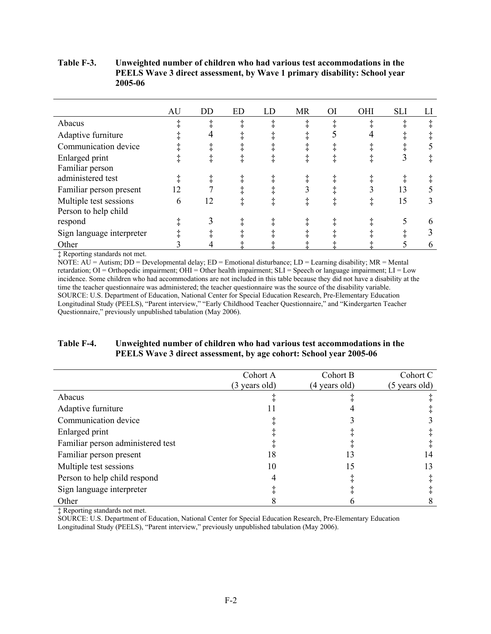### **Table F-3. Unweighted number of children who had various test accommodations in the PEELS Wave 3 direct assessment, by Wave 1 primary disability: School year 2005-06**

|                           | AU | DD | <b>ED</b> | LD | <b>MR</b> | <b>OI</b> | OHI | <b>SLI</b> | LI |
|---------------------------|----|----|-----------|----|-----------|-----------|-----|------------|----|
| Abacus                    |    |    |           |    |           |           |     |            |    |
| Adaptive furniture        |    |    |           |    |           |           |     |            |    |
| Communication device      |    |    |           |    |           |           |     |            |    |
| Enlarged print            |    |    |           |    |           |           |     |            |    |
| Familiar person           |    |    |           |    |           |           |     |            |    |
| administered test         |    |    |           |    |           |           |     |            |    |
| Familiar person present   | 12 |    |           |    |           |           |     | 13         |    |
| Multiple test sessions    | 6  | 12 |           |    |           |           |     | 15         |    |
| Person to help child      |    |    |           |    |           |           |     |            |    |
| respond                   |    |    |           |    |           |           |     |            | h  |
| Sign language interpreter |    |    |           |    |           |           |     |            |    |
| Other                     |    |    |           |    |           |           |     |            |    |

‡ Reporting standards not met.

NOTE: AU = Autism; DD = Developmental delay; ED = Emotional disturbance; LD = Learning disability; MR = Mental retardation; OI = Orthopedic impairment; OHI = Other health impairment; SLI = Speech or language impairment; LI = Low incidence. Some children who had accommodations are not included in this table because they did not have a disability at the time the teacher questionnaire was administered; the teacher questionnaire was the source of the disability variable. SOURCE: U.S. Department of Education, National Center for Special Education Research, Pre-Elementary Education Longitudinal Study (PEELS), "Parent interview," "Early Childhood Teacher Questionnaire," and "Kindergarten Teacher Questionnaire," previously unpublished tabulation (May 2006).

### **Table F-4. Unweighted number of children who had various test accommodations in the PEELS Wave 3 direct assessment, by age cohort: School year 2005-06**

|                                   | Cohort A<br>(3 years old) | Cohort B<br>(4 years old) | Cohort C<br>(5 years old) |
|-----------------------------------|---------------------------|---------------------------|---------------------------|
| Abacus                            |                           |                           |                           |
| Adaptive furniture                |                           |                           |                           |
| Communication device              |                           |                           |                           |
| Enlarged print                    |                           |                           |                           |
| Familiar person administered test |                           |                           |                           |
| Familiar person present           | 18                        | 13                        | 14                        |
| Multiple test sessions            | 10                        | 15                        | 13                        |
| Person to help child respond      |                           |                           |                           |
| Sign language interpreter         |                           |                           |                           |
| Other                             |                           |                           |                           |

‡ Reporting standards not met.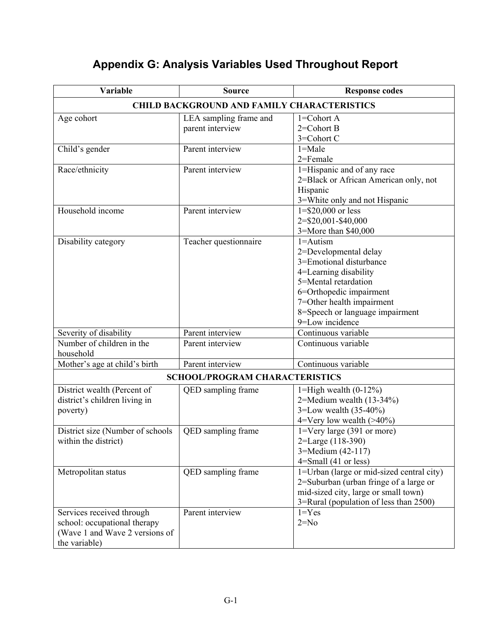| Variable                         | <b>Source</b>                                      | <b>Response codes</b>                     |  |  |  |  |
|----------------------------------|----------------------------------------------------|-------------------------------------------|--|--|--|--|
|                                  | <b>CHILD BACKGROUND AND FAMILY CHARACTERISTICS</b> |                                           |  |  |  |  |
| Age cohort                       | LEA sampling frame and                             | $1 = \text{Cohort A}$                     |  |  |  |  |
|                                  | parent interview                                   | $2 = \text{Cohort } B$                    |  |  |  |  |
|                                  |                                                    | 3=Cohort C                                |  |  |  |  |
| Child's gender                   | Parent interview                                   | $1 = Male$                                |  |  |  |  |
|                                  |                                                    | 2=Female                                  |  |  |  |  |
| Race/ethnicity                   | Parent interview                                   | 1=Hispanic and of any race                |  |  |  |  |
|                                  |                                                    | 2=Black or African American only, not     |  |  |  |  |
|                                  |                                                    | Hispanic                                  |  |  |  |  |
|                                  |                                                    | 3=White only and not Hispanic             |  |  |  |  |
| Household income                 | Parent interview                                   | $1 = $20,000$ or less                     |  |  |  |  |
|                                  |                                                    | 2=\$20,001-\$40,000                       |  |  |  |  |
|                                  |                                                    | 3=More than \$40,000                      |  |  |  |  |
| Disability category              | Teacher questionnaire                              | $1 =$ Autism                              |  |  |  |  |
|                                  |                                                    | 2=Developmental delay                     |  |  |  |  |
|                                  |                                                    | 3=Emotional disturbance                   |  |  |  |  |
|                                  |                                                    | 4=Learning disability                     |  |  |  |  |
|                                  |                                                    | 5=Mental retardation                      |  |  |  |  |
|                                  |                                                    | 6=Orthopedic impairment                   |  |  |  |  |
|                                  |                                                    | 7=Other health impairment                 |  |  |  |  |
|                                  |                                                    | 8=Speech or language impairment           |  |  |  |  |
|                                  |                                                    | 9=Low incidence                           |  |  |  |  |
| Severity of disability           | Parent interview                                   | Continuous variable                       |  |  |  |  |
| Number of children in the        | Parent interview                                   | Continuous variable                       |  |  |  |  |
| household                        |                                                    |                                           |  |  |  |  |
| Mother's age at child's birth    | Parent interview                                   | Continuous variable                       |  |  |  |  |
|                                  | <b>SCHOOL/PROGRAM CHARACTERISTICS</b>              |                                           |  |  |  |  |
| District wealth (Percent of      | QED sampling frame                                 | 1=High wealth $(0-12\%)$                  |  |  |  |  |
| district's children living in    |                                                    | 2=Medium wealth $(13-34\%)$               |  |  |  |  |
| poverty)                         |                                                    | 3=Low wealth $(35-40\%)$                  |  |  |  |  |
|                                  |                                                    | $4=V$ ery low wealth (>40%)               |  |  |  |  |
| District size (Number of schools | QED sampling frame                                 | $1 = V$ ery large (391 or more)           |  |  |  |  |
| within the district)             |                                                    | 2=Large (118-390)                         |  |  |  |  |
|                                  |                                                    | 3=Medium (42-117)                         |  |  |  |  |
|                                  |                                                    | $4 = Small (41 or less)$                  |  |  |  |  |
| Metropolitan status              | QED sampling frame                                 | 1=Urban (large or mid-sized central city) |  |  |  |  |
|                                  |                                                    | 2=Suburban (urban fringe of a large or    |  |  |  |  |
|                                  |                                                    | mid-sized city, large or small town)      |  |  |  |  |
|                                  |                                                    | 3=Rural (population of less than 2500)    |  |  |  |  |
| Services received through        | Parent interview                                   | $1 = Yes$                                 |  |  |  |  |
| school: occupational therapy     |                                                    | $2=N0$                                    |  |  |  |  |
| (Wave 1 and Wave 2 versions of   |                                                    |                                           |  |  |  |  |
| the variable)                    |                                                    |                                           |  |  |  |  |

# **Appendix G: Analysis Variables Used Throughout Report**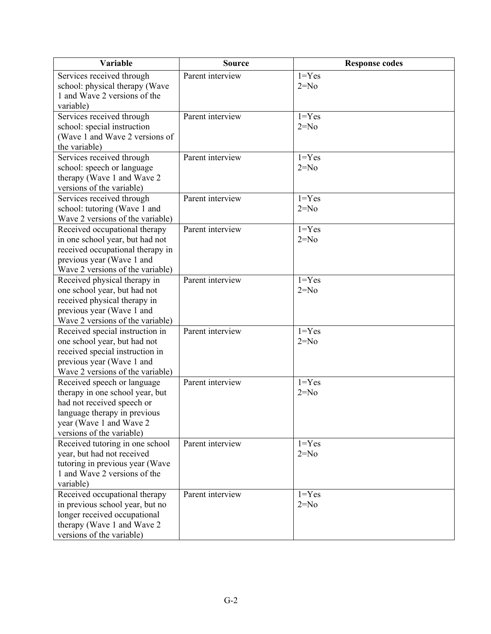| <b>Variable</b>                                                  | <b>Source</b>    | <b>Response codes</b> |
|------------------------------------------------------------------|------------------|-----------------------|
| Services received through                                        | Parent interview | $1 = Yes$             |
| school: physical therapy (Wave                                   |                  | $2=N0$                |
| 1 and Wave 2 versions of the                                     |                  |                       |
| variable)<br>Services received through                           | Parent interview | $1 = Yes$             |
| school: special instruction                                      |                  | $2=N0$                |
| (Wave 1 and Wave 2 versions of                                   |                  |                       |
| the variable)                                                    |                  |                       |
| Services received through                                        | Parent interview | $1 = Yes$             |
| school: speech or language                                       |                  | $2=N0$                |
| therapy (Wave 1 and Wave 2                                       |                  |                       |
| versions of the variable)                                        |                  |                       |
| Services received through                                        | Parent interview | $1 = Yes$             |
| school: tutoring (Wave 1 and<br>Wave 2 versions of the variable) |                  | $2=N0$                |
| Received occupational therapy                                    | Parent interview | $1 = Yes$             |
| in one school year, but had not                                  |                  | $2=N0$                |
| received occupational therapy in                                 |                  |                       |
| previous year (Wave 1 and                                        |                  |                       |
| Wave 2 versions of the variable)                                 |                  |                       |
| Received physical therapy in                                     | Parent interview | $1 = Yes$             |
| one school year, but had not                                     |                  | $2=N0$                |
| received physical therapy in<br>previous year (Wave 1 and        |                  |                       |
| Wave 2 versions of the variable)                                 |                  |                       |
| Received special instruction in                                  | Parent interview | $1 = Yes$             |
| one school year, but had not                                     |                  | $2=N0$                |
| received special instruction in                                  |                  |                       |
| previous year (Wave 1 and                                        |                  |                       |
| Wave 2 versions of the variable)                                 |                  |                       |
| Received speech or language                                      | Parent interview | $1 = Yes$             |
| therapy in one school year, but<br>had not received speech or    |                  | $2=N0$                |
| language therapy in previous                                     |                  |                       |
| year (Wave 1 and Wave 2                                          |                  |                       |
| versions of the variable)                                        |                  |                       |
| Received tutoring in one school                                  | Parent interview | $1 = Yes$             |
| year, but had not received                                       |                  | $2=N0$                |
| tutoring in previous year (Wave                                  |                  |                       |
| 1 and Wave 2 versions of the                                     |                  |                       |
| variable)<br>Received occupational therapy                       | Parent interview | $1 = Yes$             |
| in previous school year, but no                                  |                  | $2=N0$                |
| longer received occupational                                     |                  |                       |
| therapy (Wave 1 and Wave 2                                       |                  |                       |
| versions of the variable)                                        |                  |                       |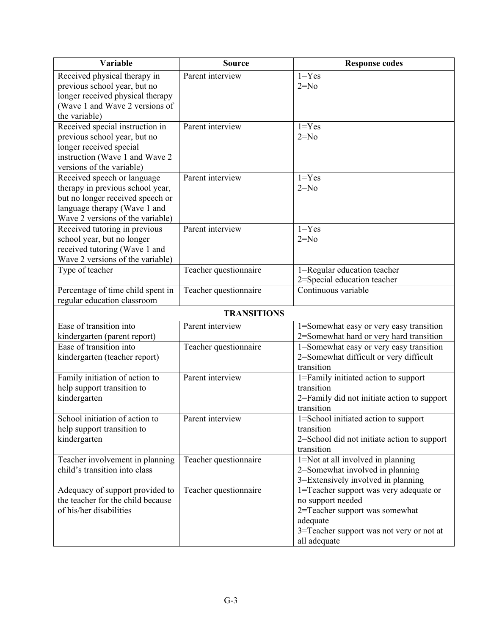| <b>Variable</b>                                           | <b>Source</b>         | <b>Response codes</b>                                    |
|-----------------------------------------------------------|-----------------------|----------------------------------------------------------|
| Received physical therapy in                              | Parent interview      | $1 = Yes$                                                |
| previous school year, but no                              |                       | $2=N0$                                                   |
| longer received physical therapy                          |                       |                                                          |
| (Wave 1 and Wave 2 versions of                            |                       |                                                          |
| the variable)                                             |                       |                                                          |
| Received special instruction in                           | Parent interview      | $1 = Yes$                                                |
| previous school year, but no                              |                       | $2=N0$                                                   |
| longer received special<br>instruction (Wave 1 and Wave 2 |                       |                                                          |
| versions of the variable)                                 |                       |                                                          |
| Received speech or language                               | Parent interview      | $1 = Yes$                                                |
| therapy in previous school year,                          |                       | $2=N0$                                                   |
| but no longer received speech or                          |                       |                                                          |
| language therapy (Wave 1 and                              |                       |                                                          |
| Wave 2 versions of the variable)                          |                       |                                                          |
| Received tutoring in previous                             | Parent interview      | $1 = Yes$                                                |
| school year, but no longer                                |                       | $2=N0$                                                   |
| received tutoring (Wave 1 and                             |                       |                                                          |
| Wave 2 versions of the variable)                          |                       |                                                          |
| Type of teacher                                           | Teacher questionnaire | 1=Regular education teacher                              |
|                                                           |                       | 2=Special education teacher                              |
| Percentage of time child spent in                         | Teacher questionnaire | Continuous variable                                      |
| regular education classroom                               |                       |                                                          |
|                                                           | <b>TRANSITIONS</b>    |                                                          |
| Ease of transition into                                   | Parent interview      | 1=Somewhat easy or very easy transition                  |
| kindergarten (parent report)                              |                       | 2=Somewhat hard or very hard transition                  |
| Ease of transition into                                   | Teacher questionnaire | 1=Somewhat easy or very easy transition                  |
| kindergarten (teacher report)                             |                       | 2=Somewhat difficult or very difficult<br>transition     |
| Family initiation of action to                            | Parent interview      | 1=Family initiated action to support                     |
| help support transition to                                |                       | transition                                               |
| kindergarten                                              |                       | 2=Family did not initiate action to support              |
|                                                           |                       | transition                                               |
| School initiation of action to                            | Parent interview      | 1=School initiated action to support                     |
| help support transition to                                |                       | transition                                               |
| kindergarten                                              |                       | 2=School did not initiate action to support              |
|                                                           |                       | transition                                               |
| Teacher involvement in planning                           | Teacher questionnaire | 1=Not at all involved in planning                        |
| child's transition into class                             |                       | 2=Somewhat involved in planning                          |
|                                                           |                       | 3=Extensively involved in planning                       |
| Adequacy of support provided to                           | Teacher questionnaire | 1=Teacher support was very adequate or                   |
| the teacher for the child because                         |                       | no support needed                                        |
| of his/her disabilities                                   |                       | 2=Teacher support was somewhat                           |
|                                                           |                       | adequate                                                 |
|                                                           |                       | 3=Teacher support was not very or not at<br>all adequate |
|                                                           |                       |                                                          |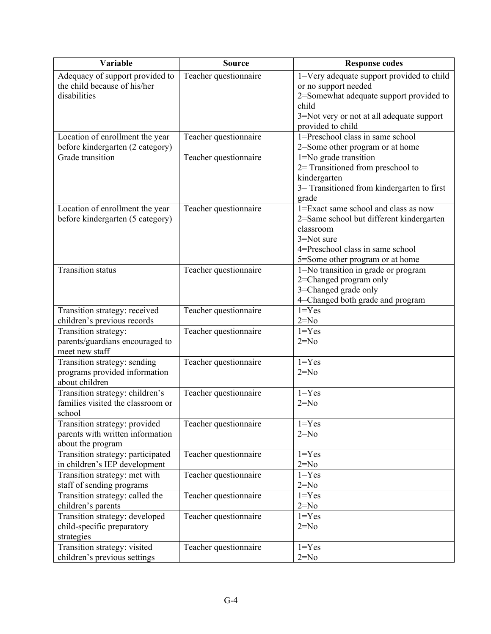| Variable                                        | <b>Source</b>         | <b>Response codes</b>                      |
|-------------------------------------------------|-----------------------|--------------------------------------------|
| Adequacy of support provided to                 | Teacher questionnaire | 1=Very adequate support provided to child  |
| the child because of his/her                    |                       | or no support needed                       |
| disabilities                                    |                       | 2=Somewhat adequate support provided to    |
|                                                 |                       | child                                      |
|                                                 |                       | 3=Not very or not at all adequate support  |
|                                                 |                       | provided to child                          |
| Location of enrollment the year                 | Teacher questionnaire | 1=Preschool class in same school           |
| before kindergarten (2 category)                |                       | 2=Some other program or at home            |
| Grade transition                                | Teacher questionnaire | 1=No grade transition                      |
|                                                 |                       | 2= Transitioned from preschool to          |
|                                                 |                       | kindergarten                               |
|                                                 |                       | 3= Transitioned from kindergarten to first |
|                                                 |                       | grade                                      |
| Location of enrollment the year                 | Teacher questionnaire | 1=Exact same school and class as now       |
| before kindergarten (5 category)                |                       | 2=Same school but different kindergarten   |
|                                                 |                       | classroom                                  |
|                                                 |                       | 3=Not sure                                 |
|                                                 |                       | 4=Preschool class in same school           |
|                                                 |                       | 5=Some other program or at home            |
| <b>Transition status</b>                        | Teacher questionnaire | 1=No transition in grade or program        |
|                                                 |                       | 2=Changed program only                     |
|                                                 |                       | 3=Changed grade only                       |
|                                                 |                       | 4=Changed both grade and program           |
| Transition strategy: received                   | Teacher questionnaire | $\overline{1}$ =Yes                        |
| children's previous records                     |                       | $2=N0$                                     |
| Transition strategy:                            | Teacher questionnaire | $1 = Yes$                                  |
| parents/guardians encouraged to                 |                       | $2=N0$                                     |
| meet new staff                                  |                       |                                            |
| Transition strategy: sending                    | Teacher questionnaire | $1 = Yes$<br>$2=N0$                        |
| programs provided information<br>about children |                       |                                            |
| Transition strategy: children's                 |                       | $1 = Yes$                                  |
| families visited the classroom or               | Teacher questionnaire | $2=N0$                                     |
| school                                          |                       |                                            |
| Transition strategy: provided                   | Teacher questionnaire | $1 = Yes$                                  |
| parents with written information                |                       | $2=N0$                                     |
| about the program                               |                       |                                            |
| Transition strategy: participated               | Teacher questionnaire | $1 = Yes$                                  |
| in children's IEP development                   |                       | $2 = No$                                   |
| Transition strategy: met with                   | Teacher questionnaire | $1 = Yes$                                  |
| staff of sending programs                       |                       | $2=N0$                                     |
| Transition strategy: called the                 | Teacher questionnaire | $1 = Yes$                                  |
| children's parents                              |                       | $2 = No$                                   |
| Transition strategy: developed                  | Teacher questionnaire | $1 = Yes$                                  |
| child-specific preparatory                      |                       | $2=N0$                                     |
| strategies                                      |                       |                                            |
| Transition strategy: visited                    | Teacher questionnaire | $1 = Yes$                                  |
| children's previous settings                    |                       | $2 = No$                                   |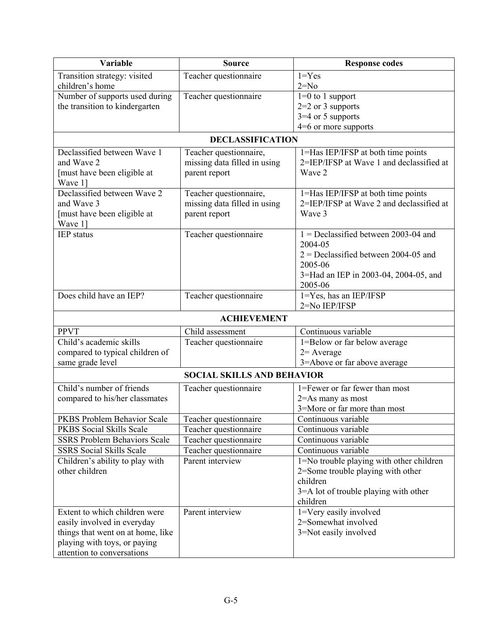| Variable                                                               | <b>Source</b>                             | <b>Response codes</b>                                                          |
|------------------------------------------------------------------------|-------------------------------------------|--------------------------------------------------------------------------------|
| Transition strategy: visited                                           | Teacher questionnaire                     | $1 = Yes$                                                                      |
| children's home                                                        |                                           | $2=N0$                                                                         |
| Number of supports used during                                         | Teacher questionnaire                     | $1=0$ to 1 support                                                             |
| the transition to kindergarten                                         |                                           | $2=2$ or 3 supports                                                            |
|                                                                        |                                           | $3=4$ or 5 supports                                                            |
|                                                                        |                                           | $4=6$ or more supports                                                         |
|                                                                        | <b>DECLASSIFICATION</b>                   |                                                                                |
| Declassified between Wave 1                                            | Teacher questionnaire,                    | 1=Has IEP/IFSP at both time points                                             |
| and Wave 2                                                             | missing data filled in using              | 2=IEP/IFSP at Wave 1 and declassified at                                       |
| [must have been eligible at                                            | parent report                             | Wave 2                                                                         |
| Wave 1]                                                                |                                           |                                                                                |
| Declassified between Wave 2<br>and Wave 3                              | Teacher questionnaire,                    | 1=Has IEP/IFSP at both time points<br>2=IEP/IFSP at Wave 2 and declassified at |
|                                                                        | missing data filled in using              | Wave 3                                                                         |
| [must have been eligible at<br>Wave 1]                                 | parent report                             |                                                                                |
| <b>IEP</b> status                                                      | Teacher questionnaire                     | $1 =$ Declassified between 2003-04 and                                         |
|                                                                        |                                           | 2004-05                                                                        |
|                                                                        |                                           | $2$ = Declassified between 2004-05 and                                         |
|                                                                        |                                           | 2005-06                                                                        |
|                                                                        |                                           | 3=Had an IEP in 2003-04, 2004-05, and                                          |
|                                                                        |                                           | 2005-06                                                                        |
| Does child have an IEP?                                                | Teacher questionnaire                     | 1=Yes, has an IEP/IFSP                                                         |
|                                                                        |                                           | 2=No IEP/IFSP                                                                  |
|                                                                        | <b>ACHIEVEMENT</b>                        |                                                                                |
| <b>PPVT</b>                                                            | Child assessment                          | Continuous variable                                                            |
| Child's academic skills                                                | Teacher questionnaire                     | 1=Below or far below average                                                   |
| compared to typical children of                                        |                                           | $2=$ Average                                                                   |
| same grade level                                                       |                                           | 3=Above or far above average                                                   |
|                                                                        | <b>SOCIAL SKILLS AND BEHAVIOR</b>         |                                                                                |
| Child's number of friends                                              | Teacher questionnaire                     | 1=Fewer or far fewer than most                                                 |
| compared to his/her classmates                                         |                                           | 2=As many as most                                                              |
|                                                                        |                                           | 3=More or far more than most                                                   |
| PKBS Problem Behavior Scale                                            | Teacher questionnaire                     | Continuous variable                                                            |
| PKBS Social Skills Scale                                               | Teacher questionnaire                     | Continuous variable                                                            |
| <b>SSRS Problem Behaviors Scale</b><br><b>SSRS</b> Social Skills Scale | Teacher questionnaire                     | Continuous variable<br>Continuous variable                                     |
| Children's ability to play with                                        | Teacher questionnaire<br>Parent interview | 1=No trouble playing with other children                                       |
| other children                                                         |                                           | 2=Some trouble playing with other                                              |
|                                                                        |                                           | children                                                                       |
|                                                                        |                                           | 3=A lot of trouble playing with other                                          |
|                                                                        |                                           | children                                                                       |
| Extent to which children were                                          | Parent interview                          | 1=Very easily involved                                                         |
| easily involved in everyday                                            |                                           | 2=Somewhat involved                                                            |
| things that went on at home, like                                      |                                           | 3=Not easily involved                                                          |
| playing with toys, or paying                                           |                                           |                                                                                |
| attention to conversations                                             |                                           |                                                                                |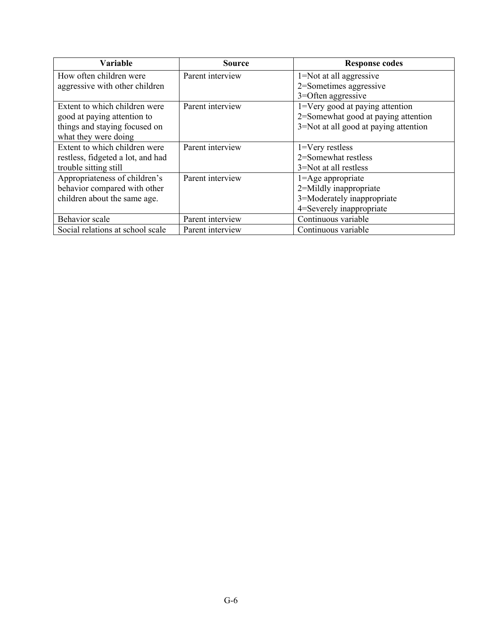| <b>Variable</b>                   | <b>Source</b>    | <b>Response codes</b>                 |
|-----------------------------------|------------------|---------------------------------------|
| How often children were           | Parent interview | 1=Not at all aggressive               |
| aggressive with other children    |                  | 2=Sometimes aggressive                |
|                                   |                  | 3=Often aggressive                    |
| Extent to which children were     | Parent interview | 1=Very good at paying attention       |
| good at paying attention to       |                  | 2=Somewhat good at paying attention   |
| things and staying focused on     |                  | 3=Not at all good at paying attention |
| what they were doing              |                  |                                       |
| Extent to which children were     | Parent interview | $1 = \nV$ ery restless                |
| restless, fidgeted a lot, and had |                  | 2=Somewhat restless                   |
| trouble sitting still             |                  | 3=Not at all restless                 |
| Appropriateness of children's     | Parent interview | $1 =$ Age appropriate                 |
| behavior compared with other      |                  | 2=Mildly inappropriate                |
| children about the same age.      |                  | 3=Moderately inappropriate            |
|                                   |                  | 4=Severely inappropriate              |
| Behavior scale                    | Parent interview | Continuous variable                   |
| Social relations at school scale  | Parent interview | Continuous variable                   |